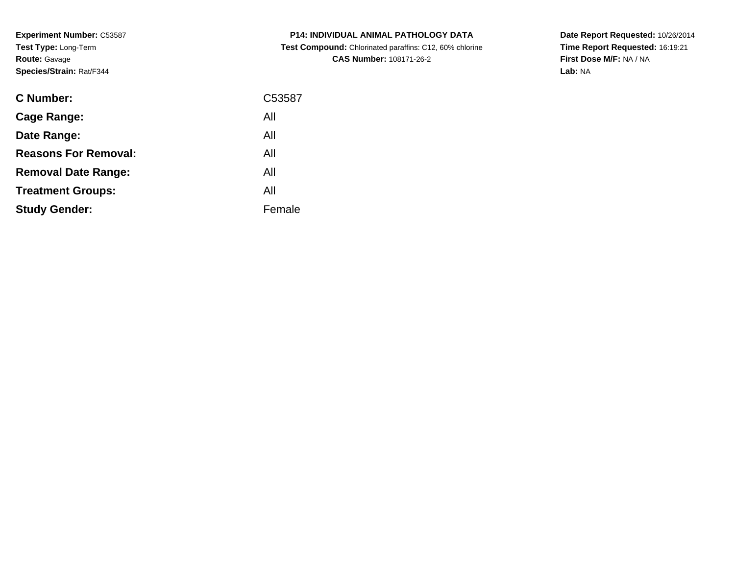**Experiment Number:** C53587**Test Type:** Long-Term**Route:** Gavage**Species/Strain:** Rat/F344

| <b>C Number:</b>            | C53587 |
|-----------------------------|--------|
| <b>Cage Range:</b>          | All    |
| Date Range:                 | All    |
| <b>Reasons For Removal:</b> | All    |
| <b>Removal Date Range:</b>  | All    |
| <b>Treatment Groups:</b>    | All    |
| <b>Study Gender:</b>        | Female |
|                             |        |

**P14: INDIVIDUAL ANIMAL PATHOLOGY DATA Test Compound:** Chlorinated paraffins: C12, 60% chlorine**CAS Number:** 108171-26-2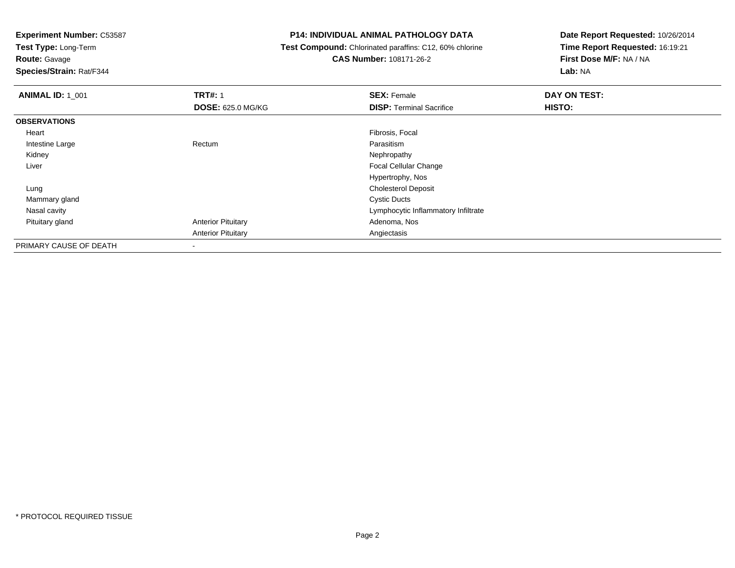**Test Type:** Long-Term

# **Route:** Gavage

**Species/Strain:** Rat/F344

#### **P14: INDIVIDUAL ANIMAL PATHOLOGY DATA**

#### **Test Compound:** Chlorinated paraffins: C12, 60% chlorine**CAS Number:** 108171-26-2

| <b>ANIMAL ID: 1_001</b> | <b>TRT#: 1</b>            | <b>SEX: Female</b>                  | DAY ON TEST: |
|-------------------------|---------------------------|-------------------------------------|--------------|
|                         | <b>DOSE: 625.0 MG/KG</b>  | <b>DISP: Terminal Sacrifice</b>     | HISTO:       |
| <b>OBSERVATIONS</b>     |                           |                                     |              |
| Heart                   |                           | Fibrosis, Focal                     |              |
| Intestine Large         | Rectum                    | Parasitism                          |              |
| Kidney                  |                           | Nephropathy                         |              |
| Liver                   |                           | <b>Focal Cellular Change</b>        |              |
|                         |                           | Hypertrophy, Nos                    |              |
| Lung                    |                           | <b>Cholesterol Deposit</b>          |              |
| Mammary gland           |                           | <b>Cystic Ducts</b>                 |              |
| Nasal cavity            |                           | Lymphocytic Inflammatory Infiltrate |              |
| Pituitary gland         | <b>Anterior Pituitary</b> | Adenoma, Nos                        |              |
|                         | <b>Anterior Pituitary</b> | Angiectasis                         |              |
| PRIMARY CAUSE OF DEATH  | $\,$                      |                                     |              |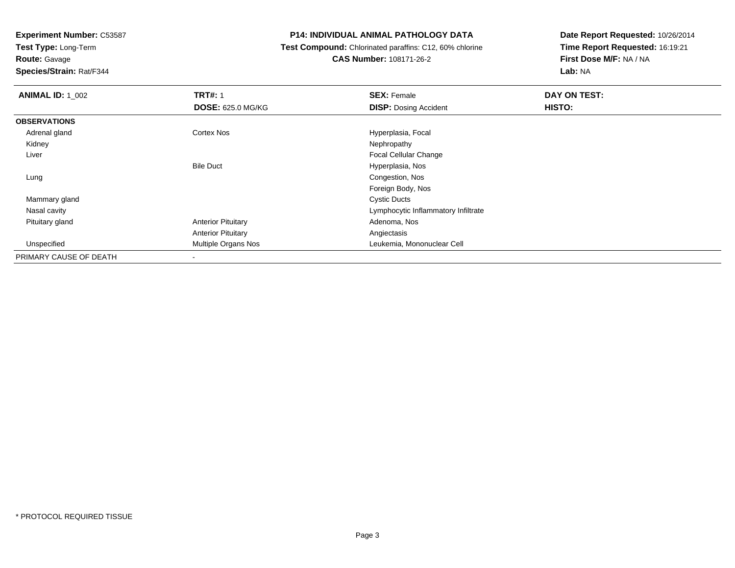**Test Type:** Long-Term

**Route:** Gavage

**Species/Strain:** Rat/F344

#### **P14: INDIVIDUAL ANIMAL PATHOLOGY DATA**

 **Test Compound:** Chlorinated paraffins: C12, 60% chlorine**CAS Number:** 108171-26-2

| <b>ANIMAL ID: 1_002</b> | <b>TRT#: 1</b>            | <b>SEX: Female</b>                  | DAY ON TEST: |  |
|-------------------------|---------------------------|-------------------------------------|--------------|--|
|                         | <b>DOSE: 625.0 MG/KG</b>  | <b>DISP: Dosing Accident</b>        | HISTO:       |  |
| <b>OBSERVATIONS</b>     |                           |                                     |              |  |
| Adrenal gland           | <b>Cortex Nos</b>         | Hyperplasia, Focal                  |              |  |
| Kidney                  |                           | Nephropathy                         |              |  |
| Liver                   |                           | <b>Focal Cellular Change</b>        |              |  |
|                         | <b>Bile Duct</b>          | Hyperplasia, Nos                    |              |  |
| Lung                    |                           | Congestion, Nos                     |              |  |
|                         |                           | Foreign Body, Nos                   |              |  |
| Mammary gland           |                           | <b>Cystic Ducts</b>                 |              |  |
| Nasal cavity            |                           | Lymphocytic Inflammatory Infiltrate |              |  |
| Pituitary gland         | <b>Anterior Pituitary</b> | Adenoma, Nos                        |              |  |
|                         | <b>Anterior Pituitary</b> | Angiectasis                         |              |  |
| Unspecified             | Multiple Organs Nos       | Leukemia, Mononuclear Cell          |              |  |
| PRIMARY CAUSE OF DEATH  |                           |                                     |              |  |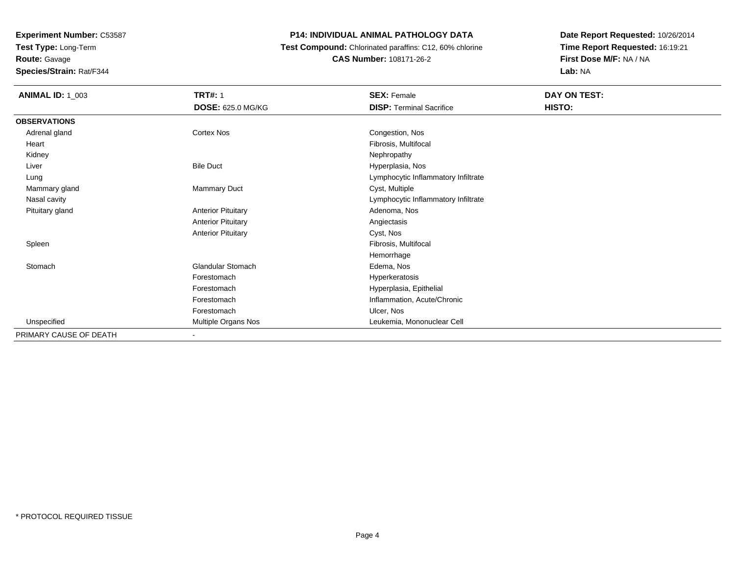**Experiment Number:** C53587**Test Type:** Long-Term

**Route:** Gavage

**Species/Strain:** Rat/F344

#### **P14: INDIVIDUAL ANIMAL PATHOLOGY DATA**

 **Test Compound:** Chlorinated paraffins: C12, 60% chlorine**CAS Number:** 108171-26-2

| <b>ANIMAL ID: 1_003</b> | <b>TRT#: 1</b>            | <b>SEX: Female</b>                  | DAY ON TEST: |  |
|-------------------------|---------------------------|-------------------------------------|--------------|--|
|                         | DOSE: 625.0 MG/KG         | <b>DISP: Terminal Sacrifice</b>     | HISTO:       |  |
| <b>OBSERVATIONS</b>     |                           |                                     |              |  |
| Adrenal gland           | Cortex Nos                | Congestion, Nos                     |              |  |
| Heart                   |                           | Fibrosis, Multifocal                |              |  |
| Kidney                  |                           | Nephropathy                         |              |  |
| Liver                   | <b>Bile Duct</b>          | Hyperplasia, Nos                    |              |  |
| Lung                    |                           | Lymphocytic Inflammatory Infiltrate |              |  |
| Mammary gland           | <b>Mammary Duct</b>       | Cyst, Multiple                      |              |  |
| Nasal cavity            |                           | Lymphocytic Inflammatory Infiltrate |              |  |
| Pituitary gland         | <b>Anterior Pituitary</b> | Adenoma, Nos                        |              |  |
|                         | <b>Anterior Pituitary</b> | Angiectasis                         |              |  |
|                         | <b>Anterior Pituitary</b> | Cyst, Nos                           |              |  |
| Spleen                  |                           | Fibrosis, Multifocal                |              |  |
|                         |                           | Hemorrhage                          |              |  |
| Stomach                 | Glandular Stomach         | Edema, Nos                          |              |  |
|                         | Forestomach               | Hyperkeratosis                      |              |  |
|                         | Forestomach               | Hyperplasia, Epithelial             |              |  |
|                         | Forestomach               | Inflammation, Acute/Chronic         |              |  |
|                         | Forestomach               | Ulcer, Nos                          |              |  |
| Unspecified             | Multiple Organs Nos       | Leukemia, Mononuclear Cell          |              |  |
| PRIMARY CAUSE OF DEATH  | $\overline{\phantom{a}}$  |                                     |              |  |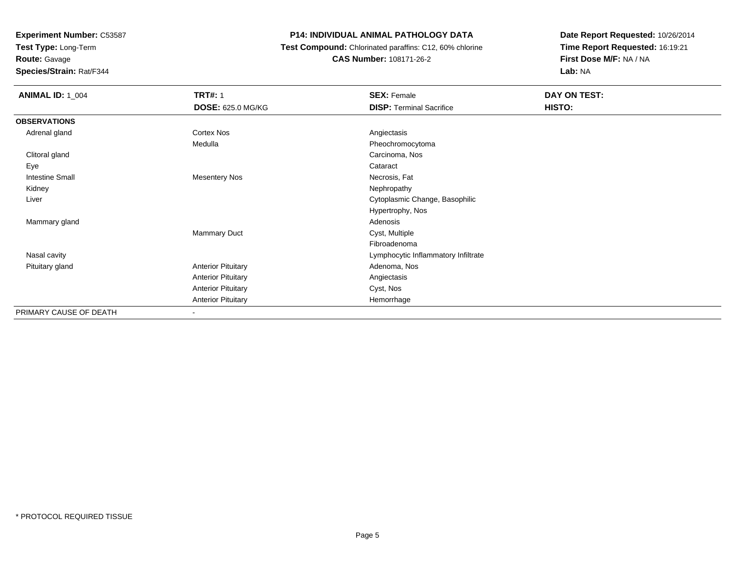**Experiment Number:** C53587**Test Type:** Long-Term

**Route:** Gavage

**Species/Strain:** Rat/F344

#### **P14: INDIVIDUAL ANIMAL PATHOLOGY DATA**

 **Test Compound:** Chlorinated paraffins: C12, 60% chlorine**CAS Number:** 108171-26-2

| <b>ANIMAL ID: 1_004</b> | <b>TRT#: 1</b>            | <b>SEX: Female</b>                  | DAY ON TEST: |  |
|-------------------------|---------------------------|-------------------------------------|--------------|--|
|                         | <b>DOSE: 625.0 MG/KG</b>  | <b>DISP: Terminal Sacrifice</b>     | HISTO:       |  |
| <b>OBSERVATIONS</b>     |                           |                                     |              |  |
| Adrenal gland           | Cortex Nos                | Angiectasis                         |              |  |
|                         | Medulla                   | Pheochromocytoma                    |              |  |
| Clitoral gland          |                           | Carcinoma, Nos                      |              |  |
| Eye                     |                           | Cataract                            |              |  |
| <b>Intestine Small</b>  | <b>Mesentery Nos</b>      | Necrosis, Fat                       |              |  |
| Kidney                  |                           | Nephropathy                         |              |  |
| Liver                   |                           | Cytoplasmic Change, Basophilic      |              |  |
|                         |                           | Hypertrophy, Nos                    |              |  |
| Mammary gland           |                           | Adenosis                            |              |  |
|                         | <b>Mammary Duct</b>       | Cyst, Multiple                      |              |  |
|                         |                           | Fibroadenoma                        |              |  |
| Nasal cavity            |                           | Lymphocytic Inflammatory Infiltrate |              |  |
| Pituitary gland         | <b>Anterior Pituitary</b> | Adenoma, Nos                        |              |  |
|                         | <b>Anterior Pituitary</b> | Angiectasis                         |              |  |
|                         | <b>Anterior Pituitary</b> | Cyst, Nos                           |              |  |
|                         | <b>Anterior Pituitary</b> | Hemorrhage                          |              |  |
| PRIMARY CAUSE OF DEATH  | ٠                         |                                     |              |  |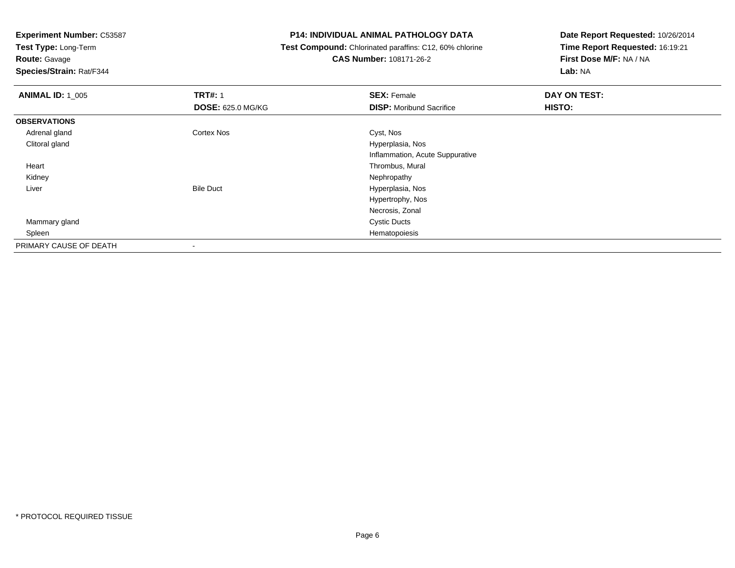**Test Type:** Long-Term

# **Route:** Gavage

**Species/Strain:** Rat/F344

#### **P14: INDIVIDUAL ANIMAL PATHOLOGY DATA**

#### **Test Compound:** Chlorinated paraffins: C12, 60% chlorine**CAS Number:** 108171-26-2

| <b>ANIMAL ID: 1_005</b> | <b>TRT#: 1</b>           | <b>SEX: Female</b>              | DAY ON TEST:  |  |
|-------------------------|--------------------------|---------------------------------|---------------|--|
|                         | <b>DOSE: 625.0 MG/KG</b> | <b>DISP:</b> Moribund Sacrifice | <b>HISTO:</b> |  |
| <b>OBSERVATIONS</b>     |                          |                                 |               |  |
| Adrenal gland           | Cortex Nos               | Cyst, Nos                       |               |  |
| Clitoral gland          |                          | Hyperplasia, Nos                |               |  |
|                         |                          | Inflammation, Acute Suppurative |               |  |
| Heart                   |                          | Thrombus, Mural                 |               |  |
| Kidney                  |                          | Nephropathy                     |               |  |
| Liver                   | <b>Bile Duct</b>         | Hyperplasia, Nos                |               |  |
|                         |                          | Hypertrophy, Nos                |               |  |
|                         |                          | Necrosis, Zonal                 |               |  |
| Mammary gland           |                          | <b>Cystic Ducts</b>             |               |  |
| Spleen                  |                          | Hematopoiesis                   |               |  |
| PRIMARY CAUSE OF DEATH  | $\overline{\phantom{a}}$ |                                 |               |  |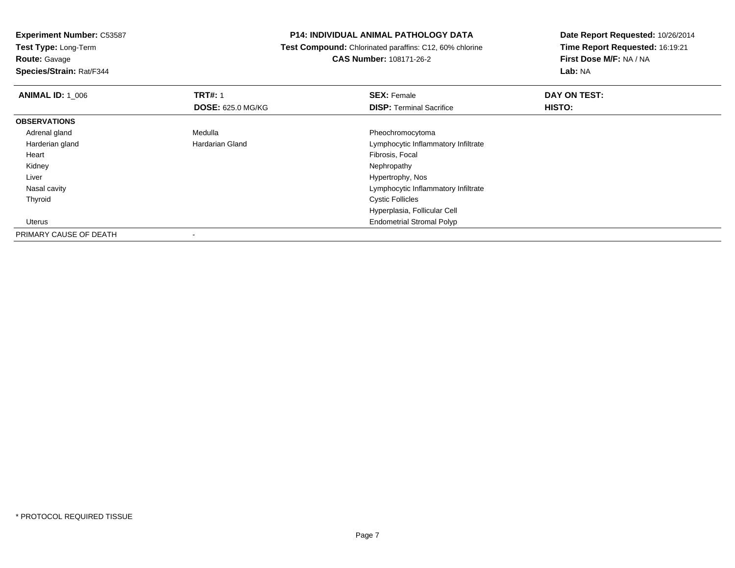**Test Type:** Long-Term

**Route:** Gavage

**Species/Strain:** Rat/F344

#### **P14: INDIVIDUAL ANIMAL PATHOLOGY DATA**

 **Test Compound:** Chlorinated paraffins: C12, 60% chlorine**CAS Number:** 108171-26-2

| <b>ANIMAL ID: 1 006</b> | <b>TRT#: 1</b>           | <b>SEX: Female</b>                  | DAY ON TEST: |  |
|-------------------------|--------------------------|-------------------------------------|--------------|--|
|                         | <b>DOSE: 625.0 MG/KG</b> | <b>DISP: Terminal Sacrifice</b>     | HISTO:       |  |
| <b>OBSERVATIONS</b>     |                          |                                     |              |  |
| Adrenal gland           | Medulla                  | Pheochromocytoma                    |              |  |
| Harderian gland         | Hardarian Gland          | Lymphocytic Inflammatory Infiltrate |              |  |
| Heart                   |                          | Fibrosis, Focal                     |              |  |
| Kidney                  |                          | Nephropathy                         |              |  |
| Liver                   |                          | Hypertrophy, Nos                    |              |  |
| Nasal cavity            |                          | Lymphocytic Inflammatory Infiltrate |              |  |
| Thyroid                 |                          | <b>Cystic Follicles</b>             |              |  |
|                         |                          | Hyperplasia, Follicular Cell        |              |  |
| Uterus                  |                          | <b>Endometrial Stromal Polyp</b>    |              |  |
| PRIMARY CAUSE OF DEATH  |                          |                                     |              |  |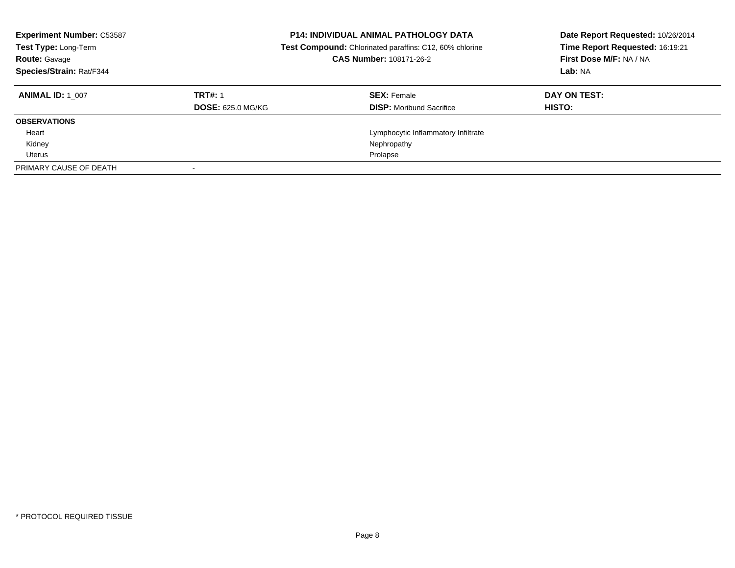| <b>Experiment Number: C53587</b><br>Test Type: Long-Term<br><b>Route: Gavage</b><br>Species/Strain: Rat/F344 |                          | <b>P14: INDIVIDUAL ANIMAL PATHOLOGY DATA</b><br>Test Compound: Chlorinated paraffins: C12, 60% chlorine<br>CAS Number: 108171-26-2 | Date Report Requested: 10/26/2014<br>Time Report Requested: 16:19:21<br>First Dose M/F: NA / NA<br>Lab: NA |  |
|--------------------------------------------------------------------------------------------------------------|--------------------------|------------------------------------------------------------------------------------------------------------------------------------|------------------------------------------------------------------------------------------------------------|--|
| <b>ANIMAL ID: 1 007</b>                                                                                      | <b>TRT#: 1</b>           | <b>SEX: Female</b>                                                                                                                 | DAY ON TEST:                                                                                               |  |
|                                                                                                              | <b>DOSE: 625.0 MG/KG</b> | <b>DISP:</b> Moribund Sacrifice                                                                                                    | HISTO:                                                                                                     |  |
| <b>OBSERVATIONS</b>                                                                                          |                          |                                                                                                                                    |                                                                                                            |  |
| Heart                                                                                                        |                          | Lymphocytic Inflammatory Infiltrate                                                                                                |                                                                                                            |  |
| Kidney                                                                                                       |                          | Nephropathy                                                                                                                        |                                                                                                            |  |
| Uterus                                                                                                       |                          | Prolapse                                                                                                                           |                                                                                                            |  |
| PRIMARY CAUSE OF DEATH                                                                                       |                          |                                                                                                                                    |                                                                                                            |  |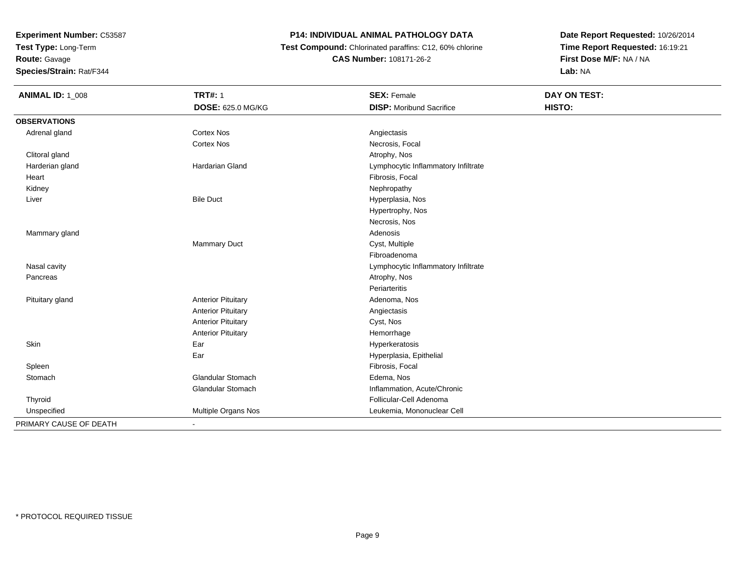**Test Type:** Long-Term

**Route:** Gavage

**Species/Strain:** Rat/F344

#### **P14: INDIVIDUAL ANIMAL PATHOLOGY DATA**

 **Test Compound:** Chlorinated paraffins: C12, 60% chlorine**CAS Number:** 108171-26-2

| <b>ANIMAL ID: 1_008</b> | <b>TRT#: 1</b>            | <b>SEX: Female</b>                  | DAY ON TEST: |  |
|-------------------------|---------------------------|-------------------------------------|--------------|--|
|                         | <b>DOSE: 625.0 MG/KG</b>  | <b>DISP: Moribund Sacrifice</b>     | HISTO:       |  |
| <b>OBSERVATIONS</b>     |                           |                                     |              |  |
| Adrenal gland           | <b>Cortex Nos</b>         | Angiectasis                         |              |  |
|                         | <b>Cortex Nos</b>         | Necrosis, Focal                     |              |  |
| Clitoral gland          |                           | Atrophy, Nos                        |              |  |
| Harderian gland         | Hardarian Gland           | Lymphocytic Inflammatory Infiltrate |              |  |
| Heart                   |                           | Fibrosis, Focal                     |              |  |
| Kidney                  |                           | Nephropathy                         |              |  |
| Liver                   | <b>Bile Duct</b>          | Hyperplasia, Nos                    |              |  |
|                         |                           | Hypertrophy, Nos                    |              |  |
|                         |                           | Necrosis, Nos                       |              |  |
| Mammary gland           |                           | Adenosis                            |              |  |
|                         | Mammary Duct              | Cyst, Multiple                      |              |  |
|                         |                           | Fibroadenoma                        |              |  |
| Nasal cavity            |                           | Lymphocytic Inflammatory Infiltrate |              |  |
| Pancreas                |                           | Atrophy, Nos                        |              |  |
|                         |                           | Periarteritis                       |              |  |
| Pituitary gland         | <b>Anterior Pituitary</b> | Adenoma, Nos                        |              |  |
|                         | <b>Anterior Pituitary</b> | Angiectasis                         |              |  |
|                         | <b>Anterior Pituitary</b> | Cyst, Nos                           |              |  |
|                         | <b>Anterior Pituitary</b> | Hemorrhage                          |              |  |
| Skin                    | Ear                       | Hyperkeratosis                      |              |  |
|                         | Ear                       | Hyperplasia, Epithelial             |              |  |
| Spleen                  |                           | Fibrosis, Focal                     |              |  |
| Stomach                 | <b>Glandular Stomach</b>  | Edema, Nos                          |              |  |
|                         | <b>Glandular Stomach</b>  | Inflammation, Acute/Chronic         |              |  |
| Thyroid                 |                           | Follicular-Cell Adenoma             |              |  |
| Unspecified             | Multiple Organs Nos       | Leukemia, Mononuclear Cell          |              |  |
| PRIMARY CAUSE OF DEATH  | $\blacksquare$            |                                     |              |  |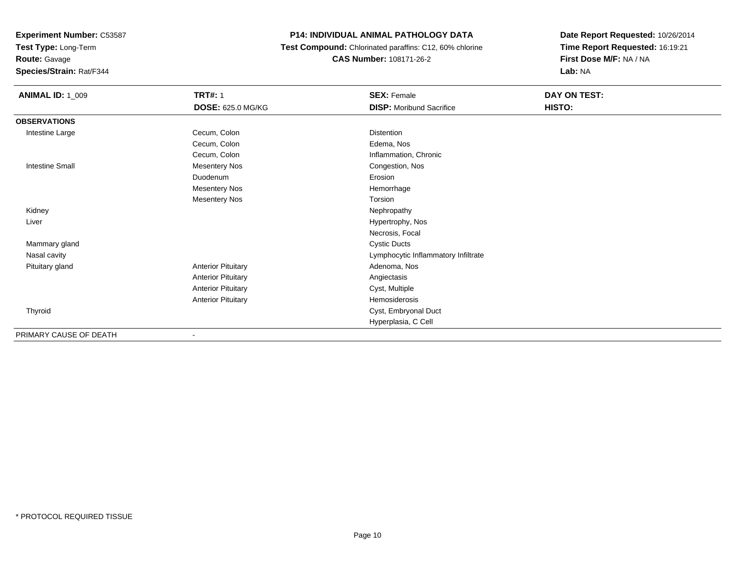**Experiment Number:** C53587**Test Type:** Long-Term

**Route:** Gavage

**Species/Strain:** Rat/F344

#### **P14: INDIVIDUAL ANIMAL PATHOLOGY DATA**

 **Test Compound:** Chlorinated paraffins: C12, 60% chlorine**CAS Number:** 108171-26-2

| <b>ANIMAL ID: 1_009</b> | <b>TRT#: 1</b>            | <b>SEX: Female</b>                  | DAY ON TEST: |  |
|-------------------------|---------------------------|-------------------------------------|--------------|--|
|                         | <b>DOSE: 625.0 MG/KG</b>  | <b>DISP:</b> Moribund Sacrifice     | HISTO:       |  |
| <b>OBSERVATIONS</b>     |                           |                                     |              |  |
| Intestine Large         | Cecum, Colon              | <b>Distention</b>                   |              |  |
|                         | Cecum, Colon              | Edema, Nos                          |              |  |
|                         | Cecum, Colon              | Inflammation, Chronic               |              |  |
| <b>Intestine Small</b>  | <b>Mesentery Nos</b>      | Congestion, Nos                     |              |  |
|                         | Duodenum                  | Erosion                             |              |  |
|                         | <b>Mesentery Nos</b>      | Hemorrhage                          |              |  |
|                         | <b>Mesentery Nos</b>      | Torsion                             |              |  |
| Kidney                  |                           | Nephropathy                         |              |  |
| Liver                   |                           | Hypertrophy, Nos                    |              |  |
|                         |                           | Necrosis, Focal                     |              |  |
| Mammary gland           |                           | <b>Cystic Ducts</b>                 |              |  |
| Nasal cavity            |                           | Lymphocytic Inflammatory Infiltrate |              |  |
| Pituitary gland         | <b>Anterior Pituitary</b> | Adenoma, Nos                        |              |  |
|                         | <b>Anterior Pituitary</b> | Angiectasis                         |              |  |
|                         | <b>Anterior Pituitary</b> | Cyst, Multiple                      |              |  |
|                         | <b>Anterior Pituitary</b> | Hemosiderosis                       |              |  |
| Thyroid                 |                           | Cyst, Embryonal Duct                |              |  |
|                         |                           | Hyperplasia, C Cell                 |              |  |
| PRIMARY CAUSE OF DEATH  | ٠                         |                                     |              |  |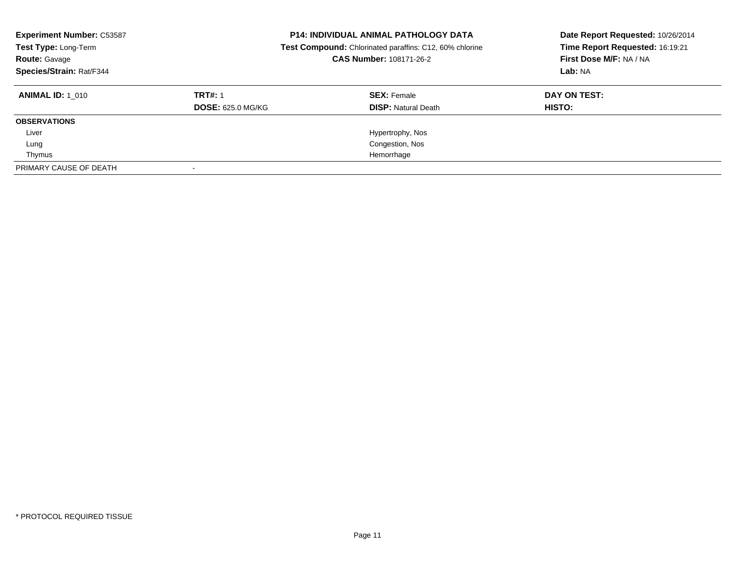| <b>Experiment Number: C53587</b><br>Test Type: Long-Term<br><b>Route: Gavage</b><br>Species/Strain: Rat/F344 |                          | <b>P14: INDIVIDUAL ANIMAL PATHOLOGY DATA</b><br>Test Compound: Chlorinated paraffins: C12, 60% chlorine<br>CAS Number: 108171-26-2 | Date Report Requested: 10/26/2014<br>Time Report Requested: 16:19:21<br>First Dose M/F: NA / NA<br>Lab: NA |
|--------------------------------------------------------------------------------------------------------------|--------------------------|------------------------------------------------------------------------------------------------------------------------------------|------------------------------------------------------------------------------------------------------------|
| <b>ANIMAL ID:</b> 1 010                                                                                      | <b>TRT#: 1</b>           | <b>SEX: Female</b>                                                                                                                 | DAY ON TEST:                                                                                               |
|                                                                                                              | <b>DOSE: 625.0 MG/KG</b> | <b>DISP: Natural Death</b>                                                                                                         | HISTO:                                                                                                     |
| <b>OBSERVATIONS</b>                                                                                          |                          |                                                                                                                                    |                                                                                                            |
| Liver                                                                                                        |                          | Hypertrophy, Nos                                                                                                                   |                                                                                                            |
| Lung                                                                                                         |                          | Congestion, Nos                                                                                                                    |                                                                                                            |
| Thymus                                                                                                       |                          | Hemorrhage                                                                                                                         |                                                                                                            |
| PRIMARY CAUSE OF DEATH                                                                                       |                          |                                                                                                                                    |                                                                                                            |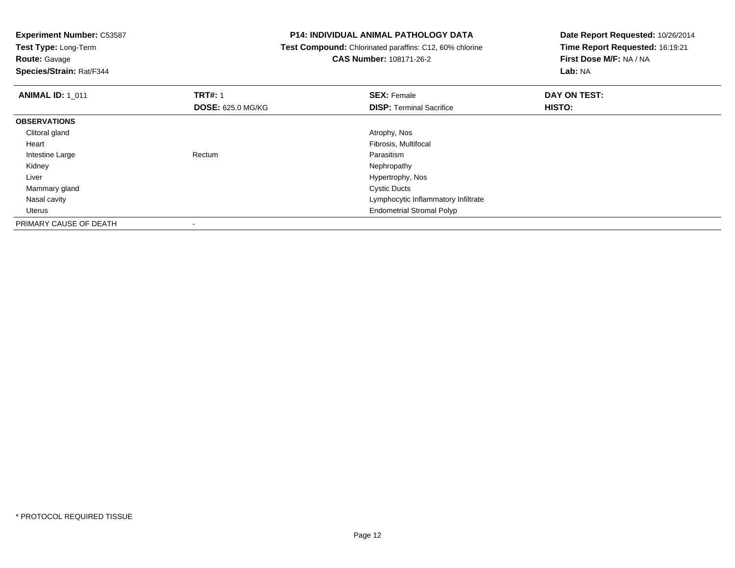**Experiment Number:** C53587**Test Type:** Long-Term**Route:** Gavage **Species/Strain:** Rat/F344**P14: INDIVIDUAL ANIMAL PATHOLOGY DATA Test Compound:** Chlorinated paraffins: C12, 60% chlorine**CAS Number:** 108171-26-2**Date Report Requested:** 10/26/2014**Time Report Requested:** 16:19:21**First Dose M/F:** NA / NA**Lab:** NA**ANIMAL ID:** 1\_011**TRT#:** 1 **SEX:** Female **DAY ON TEST: DOSE:** 625.0 MG/KG**DISP:** Terminal Sacrifice **HISTO: OBSERVATIONS** Clitoral glandd and the control of the control of the control of the control of the control of the control of the control of the control of the control of the control of the control of the control of the control of the control of the co Heart Fibrosis, Multifocal Intestine Large Rectum Parasitism Kidneyy the control of the control of the control of the control of the control of the control of the control of the control of the control of the control of the control of the control of the control of the control of the contro Liver Hypertrophy, Nos Mammary glandd Cystic Ducts Nasal cavity Lymphocytic Inflammatory Infiltrate Uterus Endometrial Stromal PolypPRIMARY CAUSE OF DEATH

-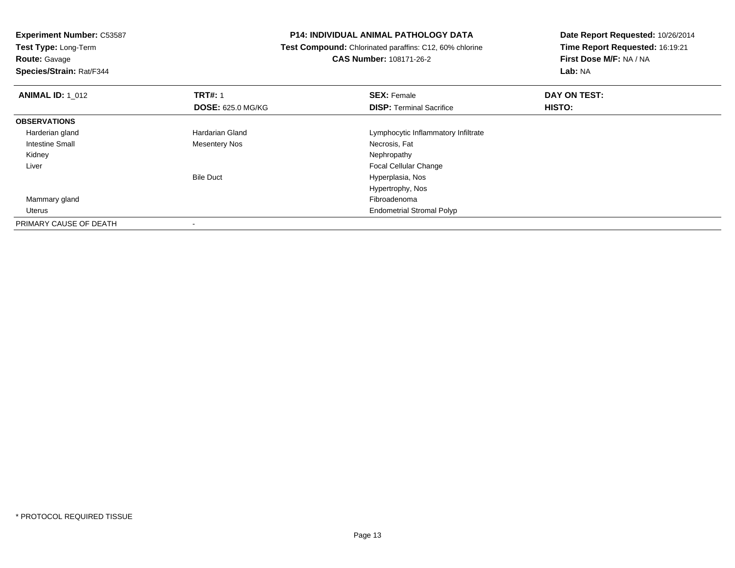**Test Type:** Long-Term**Route:** Gavage

**Species/Strain:** Rat/F344

#### **P14: INDIVIDUAL ANIMAL PATHOLOGY DATA**

 **Test Compound:** Chlorinated paraffins: C12, 60% chlorine**CAS Number:** 108171-26-2

| <b>ANIMAL ID: 1 012</b> | <b>TRT#: 1</b>           | <b>SEX: Female</b>                  | DAY ON TEST: |  |
|-------------------------|--------------------------|-------------------------------------|--------------|--|
|                         | <b>DOSE: 625.0 MG/KG</b> | <b>DISP: Terminal Sacrifice</b>     | HISTO:       |  |
| <b>OBSERVATIONS</b>     |                          |                                     |              |  |
| Harderian gland         | Hardarian Gland          | Lymphocytic Inflammatory Infiltrate |              |  |
| <b>Intestine Small</b>  | <b>Mesentery Nos</b>     | Necrosis, Fat                       |              |  |
| Kidney                  |                          | Nephropathy                         |              |  |
| Liver                   |                          | <b>Focal Cellular Change</b>        |              |  |
|                         | <b>Bile Duct</b>         | Hyperplasia, Nos                    |              |  |
|                         |                          | Hypertrophy, Nos                    |              |  |
| Mammary gland           |                          | Fibroadenoma                        |              |  |
| Uterus                  |                          | <b>Endometrial Stromal Polyp</b>    |              |  |
| PRIMARY CAUSE OF DEATH  |                          |                                     |              |  |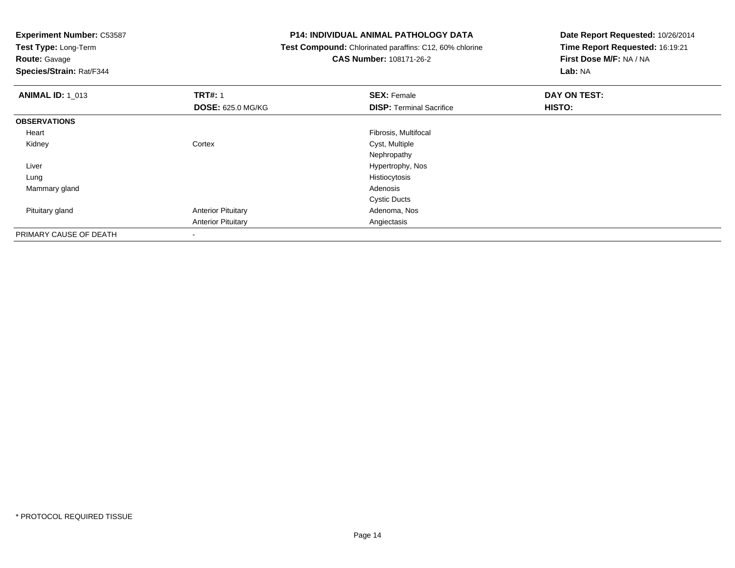**Test Type:** Long-Term

### **Route:** Gavage

**Species/Strain:** Rat/F344

#### **P14: INDIVIDUAL ANIMAL PATHOLOGY DATA**

 **Test Compound:** Chlorinated paraffins: C12, 60% chlorine**CAS Number:** 108171-26-2

| <b>ANIMAL ID: 1_013</b> | <b>TRT#: 1</b>            | <b>SEX: Female</b>              | DAY ON TEST: |  |
|-------------------------|---------------------------|---------------------------------|--------------|--|
|                         | <b>DOSE: 625.0 MG/KG</b>  | <b>DISP: Terminal Sacrifice</b> | HISTO:       |  |
| <b>OBSERVATIONS</b>     |                           |                                 |              |  |
| Heart                   |                           | Fibrosis, Multifocal            |              |  |
| Kidney                  | Cortex                    | Cyst, Multiple                  |              |  |
|                         |                           | Nephropathy                     |              |  |
| Liver                   |                           | Hypertrophy, Nos                |              |  |
| Lung                    |                           | Histiocytosis                   |              |  |
| Mammary gland           |                           | Adenosis                        |              |  |
|                         |                           | <b>Cystic Ducts</b>             |              |  |
| Pituitary gland         | <b>Anterior Pituitary</b> | Adenoma, Nos                    |              |  |
|                         | <b>Anterior Pituitary</b> | Angiectasis                     |              |  |
| PRIMARY CAUSE OF DEATH  |                           |                                 |              |  |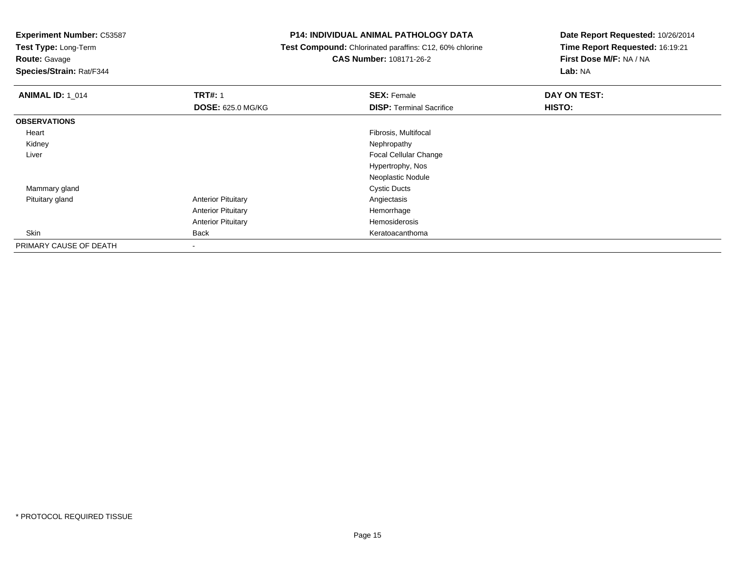**Test Type:** Long-Term

## **Route:** Gavage

**Species/Strain:** Rat/F344

#### **P14: INDIVIDUAL ANIMAL PATHOLOGY DATA**

#### **Test Compound:** Chlorinated paraffins: C12, 60% chlorine**CAS Number:** 108171-26-2

| <b>ANIMAL ID: 1_014</b> | <b>TRT#: 1</b>            | <b>SEX: Female</b>              | DAY ON TEST: |  |
|-------------------------|---------------------------|---------------------------------|--------------|--|
|                         | <b>DOSE: 625.0 MG/KG</b>  | <b>DISP: Terminal Sacrifice</b> | HISTO:       |  |
| <b>OBSERVATIONS</b>     |                           |                                 |              |  |
| Heart                   |                           | Fibrosis, Multifocal            |              |  |
| Kidney                  |                           | Nephropathy                     |              |  |
| Liver                   |                           | <b>Focal Cellular Change</b>    |              |  |
|                         |                           | Hypertrophy, Nos                |              |  |
|                         |                           | Neoplastic Nodule               |              |  |
| Mammary gland           |                           | <b>Cystic Ducts</b>             |              |  |
| Pituitary gland         | <b>Anterior Pituitary</b> | Angiectasis                     |              |  |
|                         | <b>Anterior Pituitary</b> | Hemorrhage                      |              |  |
|                         | <b>Anterior Pituitary</b> | Hemosiderosis                   |              |  |
| Skin                    | Back                      | Keratoacanthoma                 |              |  |
| PRIMARY CAUSE OF DEATH  | $\overline{\phantom{a}}$  |                                 |              |  |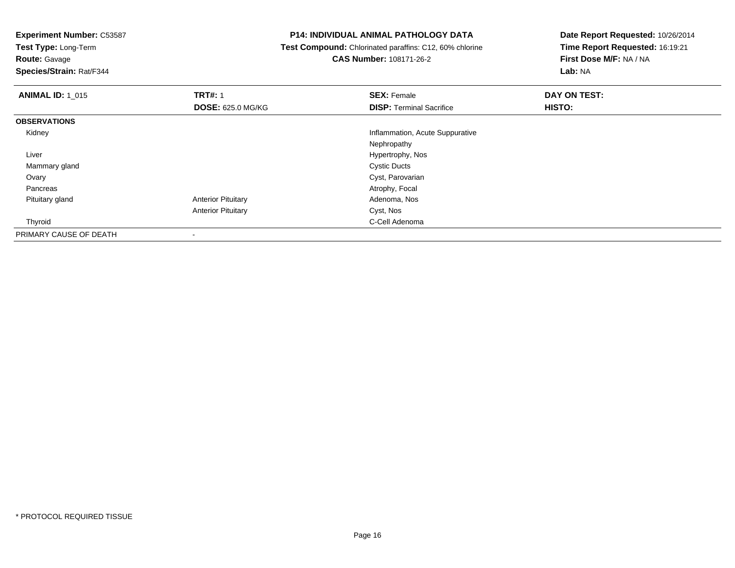**Test Type:** Long-Term

**Route:** Gavage

**Species/Strain:** Rat/F344

#### **P14: INDIVIDUAL ANIMAL PATHOLOGY DATA**

 **Test Compound:** Chlorinated paraffins: C12, 60% chlorine**CAS Number:** 108171-26-2

| <b>ANIMAL ID: 1_015</b> | <b>TRT#: 1</b>            | <b>SEX: Female</b>              | DAY ON TEST: |  |
|-------------------------|---------------------------|---------------------------------|--------------|--|
|                         | <b>DOSE: 625.0 MG/KG</b>  | <b>DISP: Terminal Sacrifice</b> | HISTO:       |  |
| <b>OBSERVATIONS</b>     |                           |                                 |              |  |
| Kidney                  |                           | Inflammation, Acute Suppurative |              |  |
|                         |                           | Nephropathy                     |              |  |
| Liver                   |                           | Hypertrophy, Nos                |              |  |
| Mammary gland           |                           | <b>Cystic Ducts</b>             |              |  |
| Ovary                   |                           | Cyst, Parovarian                |              |  |
| Pancreas                |                           | Atrophy, Focal                  |              |  |
| Pituitary gland         | <b>Anterior Pituitary</b> | Adenoma, Nos                    |              |  |
|                         | <b>Anterior Pituitary</b> | Cyst, Nos                       |              |  |
| Thyroid                 |                           | C-Cell Adenoma                  |              |  |
| PRIMARY CAUSE OF DEATH  | $\,$                      |                                 |              |  |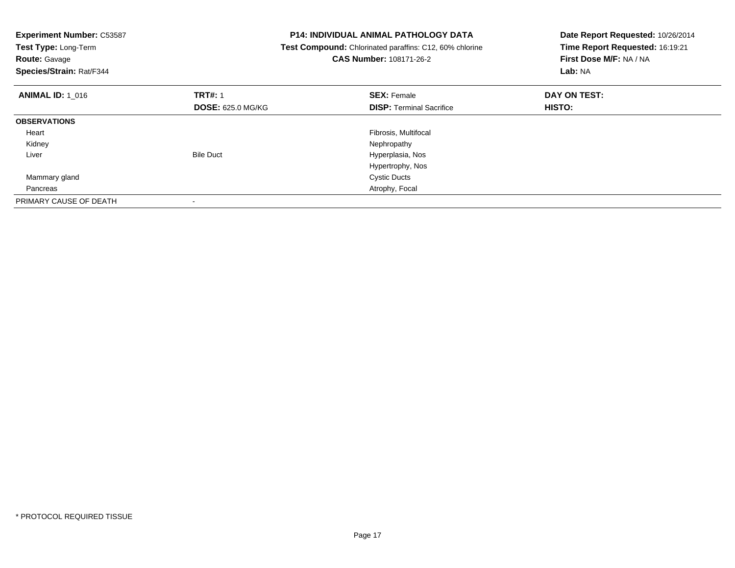| <b>Experiment Number: C53587</b><br>Test Type: Long-Term<br><b>Route: Gavage</b><br>Species/Strain: Rat/F344 |                          | <b>P14: INDIVIDUAL ANIMAL PATHOLOGY DATA</b><br>Test Compound: Chlorinated paraffins: C12, 60% chlorine<br>CAS Number: 108171-26-2 | Date Report Requested: 10/26/2014<br>Time Report Requested: 16:19:21<br>First Dose M/F: NA / NA<br>Lab: NA |
|--------------------------------------------------------------------------------------------------------------|--------------------------|------------------------------------------------------------------------------------------------------------------------------------|------------------------------------------------------------------------------------------------------------|
| <b>ANIMAL ID: 1 016</b>                                                                                      | <b>TRT#: 1</b>           | <b>SEX: Female</b>                                                                                                                 | DAY ON TEST:                                                                                               |
|                                                                                                              | <b>DOSE: 625.0 MG/KG</b> | <b>DISP:</b> Terminal Sacrifice                                                                                                    | HISTO:                                                                                                     |
| <b>OBSERVATIONS</b>                                                                                          |                          |                                                                                                                                    |                                                                                                            |
| Heart                                                                                                        |                          | Fibrosis, Multifocal                                                                                                               |                                                                                                            |
| Kidney                                                                                                       |                          | Nephropathy                                                                                                                        |                                                                                                            |
| Liver                                                                                                        | <b>Bile Duct</b>         | Hyperplasia, Nos                                                                                                                   |                                                                                                            |
|                                                                                                              |                          | Hypertrophy, Nos                                                                                                                   |                                                                                                            |
| Mammary gland                                                                                                |                          | <b>Cystic Ducts</b>                                                                                                                |                                                                                                            |
| Pancreas                                                                                                     |                          | Atrophy, Focal                                                                                                                     |                                                                                                            |
| PRIMARY CAUSE OF DEATH                                                                                       |                          |                                                                                                                                    |                                                                                                            |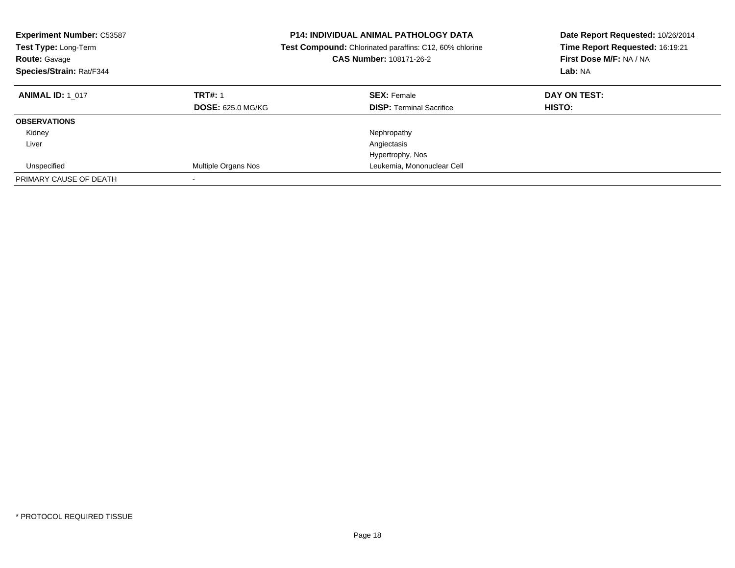| <b>Experiment Number: C53587</b><br><b>Test Type: Long-Term</b><br><b>Route: Gavage</b><br>Species/Strain: Rat/F344 |                                            | <b>P14: INDIVIDUAL ANIMAL PATHOLOGY DATA</b><br><b>Test Compound:</b> Chlorinated paraffins: C12, 60% chlorine<br>CAS Number: 108171-26-2 | Date Report Requested: 10/26/2014<br>Time Report Requested: 16:19:21<br>First Dose M/F: NA / NA<br>Lab: NA |
|---------------------------------------------------------------------------------------------------------------------|--------------------------------------------|-------------------------------------------------------------------------------------------------------------------------------------------|------------------------------------------------------------------------------------------------------------|
| <b>ANIMAL ID: 1 017</b>                                                                                             | <b>TRT#: 1</b><br><b>DOSE: 625.0 MG/KG</b> | <b>SEX: Female</b><br><b>DISP:</b> Terminal Sacrifice                                                                                     | DAY ON TEST:<br><b>HISTO:</b>                                                                              |
| <b>OBSERVATIONS</b>                                                                                                 |                                            |                                                                                                                                           |                                                                                                            |
| Kidney                                                                                                              |                                            | Nephropathy                                                                                                                               |                                                                                                            |
| Liver                                                                                                               |                                            | Angiectasis                                                                                                                               |                                                                                                            |
|                                                                                                                     |                                            | Hypertrophy, Nos                                                                                                                          |                                                                                                            |
| Unspecified                                                                                                         | Multiple Organs Nos                        | Leukemia, Mononuclear Cell                                                                                                                |                                                                                                            |
| PRIMARY CAUSE OF DEATH                                                                                              |                                            |                                                                                                                                           |                                                                                                            |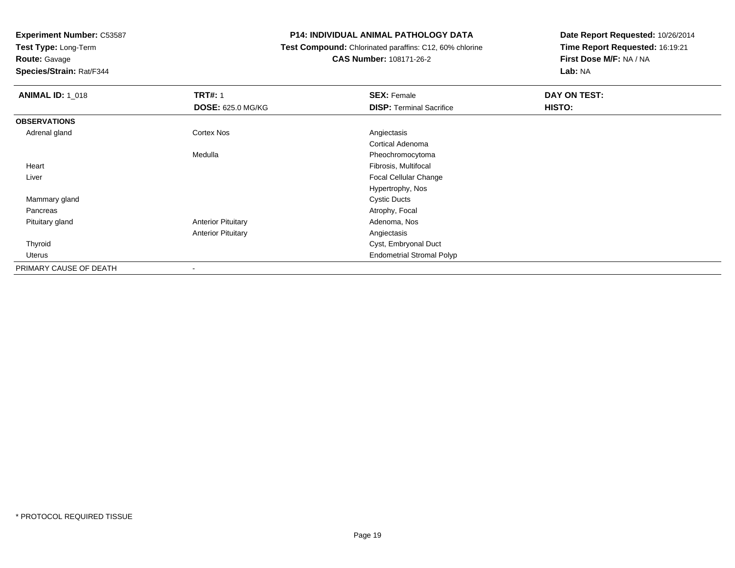**Test Type:** Long-Term

### **Route:** Gavage

**Species/Strain:** Rat/F344

#### **P14: INDIVIDUAL ANIMAL PATHOLOGY DATA**

#### **Test Compound:** Chlorinated paraffins: C12, 60% chlorine**CAS Number:** 108171-26-2

| <b>ANIMAL ID: 1_018</b> | <b>TRT#: 1</b>            | <b>SEX: Female</b>               | DAY ON TEST: |  |
|-------------------------|---------------------------|----------------------------------|--------------|--|
|                         | <b>DOSE: 625.0 MG/KG</b>  | <b>DISP: Terminal Sacrifice</b>  | HISTO:       |  |
| <b>OBSERVATIONS</b>     |                           |                                  |              |  |
| Adrenal gland           | <b>Cortex Nos</b>         | Angiectasis                      |              |  |
|                         |                           | Cortical Adenoma                 |              |  |
|                         | Medulla                   | Pheochromocytoma                 |              |  |
| Heart                   |                           | Fibrosis, Multifocal             |              |  |
| Liver                   |                           | <b>Focal Cellular Change</b>     |              |  |
|                         |                           | Hypertrophy, Nos                 |              |  |
| Mammary gland           |                           | <b>Cystic Ducts</b>              |              |  |
| Pancreas                |                           | Atrophy, Focal                   |              |  |
| Pituitary gland         | <b>Anterior Pituitary</b> | Adenoma, Nos                     |              |  |
|                         | <b>Anterior Pituitary</b> | Angiectasis                      |              |  |
| Thyroid                 |                           | Cyst, Embryonal Duct             |              |  |
| Uterus                  |                           | <b>Endometrial Stromal Polyp</b> |              |  |
| PRIMARY CAUSE OF DEATH  |                           |                                  |              |  |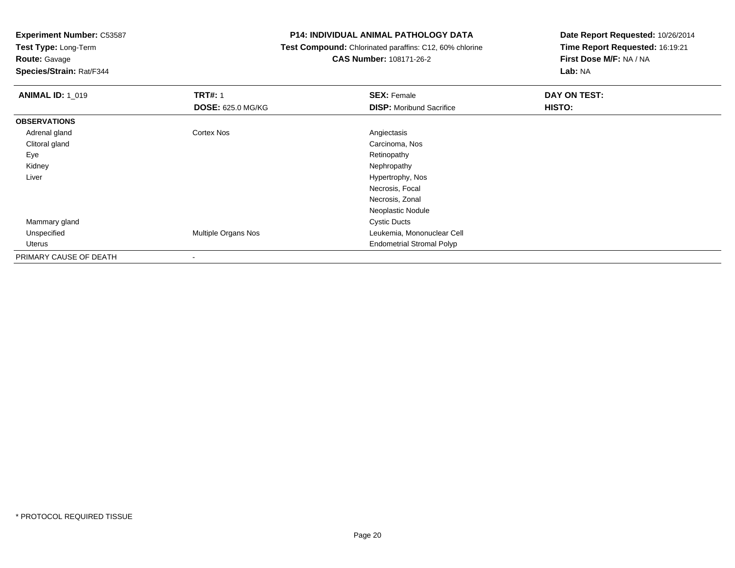**Test Type:** Long-Term

**Route:** Gavage

**Species/Strain:** Rat/F344

#### **P14: INDIVIDUAL ANIMAL PATHOLOGY DATA**

 **Test Compound:** Chlorinated paraffins: C12, 60% chlorine**CAS Number:** 108171-26-2

| <b>ANIMAL ID: 1_019</b> | <b>TRT#: 1</b>           | <b>SEX: Female</b>               | DAY ON TEST: |  |
|-------------------------|--------------------------|----------------------------------|--------------|--|
|                         | <b>DOSE: 625.0 MG/KG</b> | <b>DISP:</b> Moribund Sacrifice  | HISTO:       |  |
| <b>OBSERVATIONS</b>     |                          |                                  |              |  |
| Adrenal gland           | <b>Cortex Nos</b>        | Angiectasis                      |              |  |
| Clitoral gland          |                          | Carcinoma, Nos                   |              |  |
| Eye                     |                          | Retinopathy                      |              |  |
| Kidney                  |                          | Nephropathy                      |              |  |
| Liver                   |                          | Hypertrophy, Nos                 |              |  |
|                         |                          | Necrosis, Focal                  |              |  |
|                         |                          | Necrosis, Zonal                  |              |  |
|                         |                          | Neoplastic Nodule                |              |  |
| Mammary gland           |                          | <b>Cystic Ducts</b>              |              |  |
| Unspecified             | Multiple Organs Nos      | Leukemia, Mononuclear Cell       |              |  |
| Uterus                  |                          | <b>Endometrial Stromal Polyp</b> |              |  |
| PRIMARY CAUSE OF DEATH  |                          |                                  |              |  |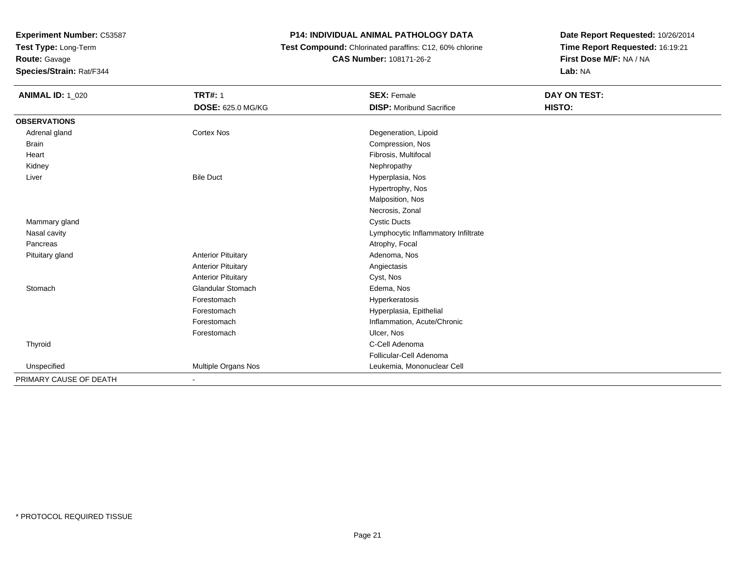**Test Type:** Long-Term

**Route:** Gavage

**Species/Strain:** Rat/F344

#### **P14: INDIVIDUAL ANIMAL PATHOLOGY DATA**

 **Test Compound:** Chlorinated paraffins: C12, 60% chlorine**CAS Number:** 108171-26-2

| <b>ANIMAL ID: 1_020</b> | <b>TRT#: 1</b>            | <b>SEX: Female</b>                  | DAY ON TEST: |
|-------------------------|---------------------------|-------------------------------------|--------------|
|                         | <b>DOSE: 625.0 MG/KG</b>  | <b>DISP:</b> Moribund Sacrifice     | HISTO:       |
| <b>OBSERVATIONS</b>     |                           |                                     |              |
| Adrenal gland           | Cortex Nos                | Degeneration, Lipoid                |              |
| Brain                   |                           | Compression, Nos                    |              |
| Heart                   |                           | Fibrosis, Multifocal                |              |
| Kidney                  |                           | Nephropathy                         |              |
| Liver                   | <b>Bile Duct</b>          | Hyperplasia, Nos                    |              |
|                         |                           | Hypertrophy, Nos                    |              |
|                         |                           | Malposition, Nos                    |              |
|                         |                           | Necrosis, Zonal                     |              |
| Mammary gland           |                           | <b>Cystic Ducts</b>                 |              |
| Nasal cavity            |                           | Lymphocytic Inflammatory Infiltrate |              |
| Pancreas                |                           | Atrophy, Focal                      |              |
| Pituitary gland         | <b>Anterior Pituitary</b> | Adenoma, Nos                        |              |
|                         | <b>Anterior Pituitary</b> | Angiectasis                         |              |
|                         | <b>Anterior Pituitary</b> | Cyst, Nos                           |              |
| Stomach                 | <b>Glandular Stomach</b>  | Edema, Nos                          |              |
|                         | Forestomach               | Hyperkeratosis                      |              |
|                         | Forestomach               | Hyperplasia, Epithelial             |              |
|                         | Forestomach               | Inflammation, Acute/Chronic         |              |
|                         | Forestomach               | Ulcer, Nos                          |              |
| Thyroid                 |                           | C-Cell Adenoma                      |              |
|                         |                           | Follicular-Cell Adenoma             |              |
| Unspecified             | Multiple Organs Nos       | Leukemia, Mononuclear Cell          |              |
| PRIMARY CAUSE OF DEATH  | $\overline{\phantom{a}}$  |                                     |              |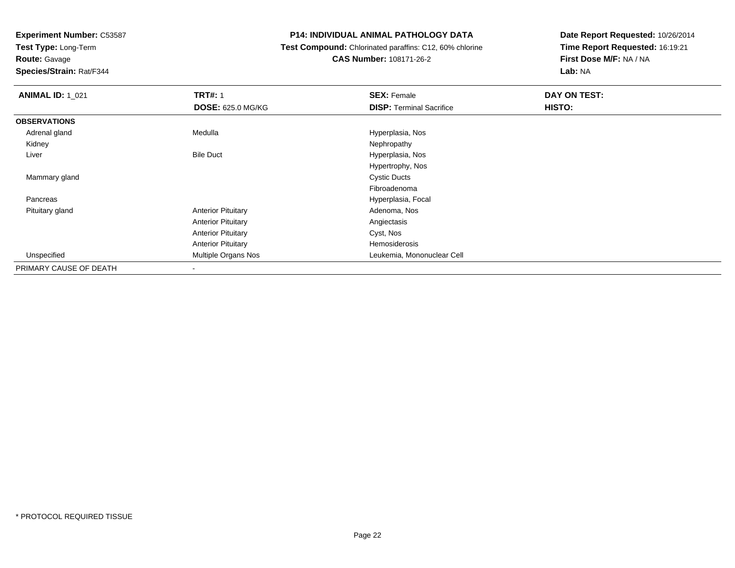**Test Type:** Long-Term

**Route:** Gavage

**Species/Strain:** Rat/F344

#### **P14: INDIVIDUAL ANIMAL PATHOLOGY DATA**

 **Test Compound:** Chlorinated paraffins: C12, 60% chlorine**CAS Number:** 108171-26-2

| <b>ANIMAL ID: 1_021</b> | <b>TRT#: 1</b>            | <b>SEX: Female</b>              | DAY ON TEST: |  |
|-------------------------|---------------------------|---------------------------------|--------------|--|
|                         | <b>DOSE: 625.0 MG/KG</b>  | <b>DISP: Terminal Sacrifice</b> | HISTO:       |  |
| <b>OBSERVATIONS</b>     |                           |                                 |              |  |
| Adrenal gland           | Medulla                   | Hyperplasia, Nos                |              |  |
| Kidney                  |                           | Nephropathy                     |              |  |
| Liver                   | <b>Bile Duct</b>          | Hyperplasia, Nos                |              |  |
|                         |                           | Hypertrophy, Nos                |              |  |
| Mammary gland           |                           | <b>Cystic Ducts</b>             |              |  |
|                         |                           | Fibroadenoma                    |              |  |
| Pancreas                |                           | Hyperplasia, Focal              |              |  |
| Pituitary gland         | <b>Anterior Pituitary</b> | Adenoma, Nos                    |              |  |
|                         | <b>Anterior Pituitary</b> | Angiectasis                     |              |  |
|                         | <b>Anterior Pituitary</b> | Cyst, Nos                       |              |  |
|                         | <b>Anterior Pituitary</b> | Hemosiderosis                   |              |  |
| Unspecified             | Multiple Organs Nos       | Leukemia, Mononuclear Cell      |              |  |
| PRIMARY CAUSE OF DEATH  |                           |                                 |              |  |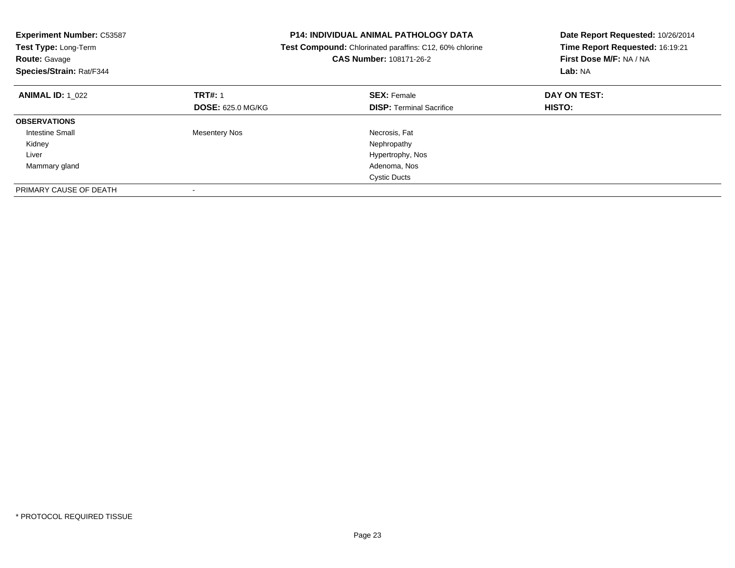| <b>Experiment Number: C53587</b><br>Test Type: Long-Term<br><b>Route: Gavage</b><br>Species/Strain: Rat/F344 |                          | <b>P14: INDIVIDUAL ANIMAL PATHOLOGY DATA</b><br>Test Compound: Chlorinated paraffins: C12, 60% chlorine<br><b>CAS Number: 108171-26-2</b> | Date Report Requested: 10/26/2014<br>Time Report Requested: 16:19:21<br>First Dose M/F: NA / NA<br>Lab: NA |
|--------------------------------------------------------------------------------------------------------------|--------------------------|-------------------------------------------------------------------------------------------------------------------------------------------|------------------------------------------------------------------------------------------------------------|
| <b>ANIMAL ID: 1 022</b>                                                                                      | <b>TRT#: 1</b>           | <b>SEX: Female</b>                                                                                                                        | DAY ON TEST:                                                                                               |
|                                                                                                              | <b>DOSE: 625.0 MG/KG</b> | <b>DISP:</b> Terminal Sacrifice                                                                                                           | <b>HISTO:</b>                                                                                              |
| <b>OBSERVATIONS</b>                                                                                          |                          |                                                                                                                                           |                                                                                                            |
| <b>Intestine Small</b>                                                                                       | <b>Mesentery Nos</b>     | Necrosis, Fat                                                                                                                             |                                                                                                            |
| Kidney                                                                                                       |                          | Nephropathy                                                                                                                               |                                                                                                            |
| Liver                                                                                                        |                          | Hypertrophy, Nos                                                                                                                          |                                                                                                            |
| Mammary gland                                                                                                |                          | Adenoma, Nos                                                                                                                              |                                                                                                            |
|                                                                                                              |                          | <b>Cystic Ducts</b>                                                                                                                       |                                                                                                            |
| PRIMARY CAUSE OF DEATH                                                                                       |                          |                                                                                                                                           |                                                                                                            |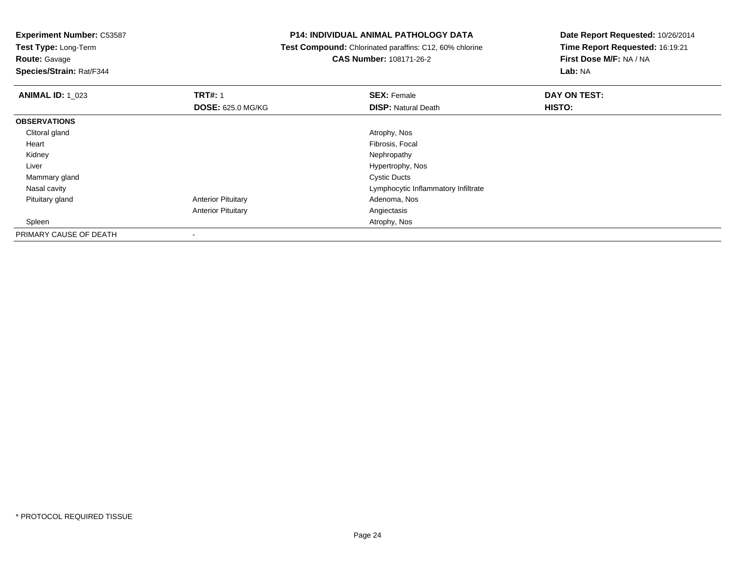**Test Type:** Long-Term

**Route:** Gavage

**Species/Strain:** Rat/F344

#### **P14: INDIVIDUAL ANIMAL PATHOLOGY DATA**

 **Test Compound:** Chlorinated paraffins: C12, 60% chlorine**CAS Number:** 108171-26-2

| <b>ANIMAL ID: 1 023</b> | <b>TRT#: 1</b>            | <b>SEX: Female</b>                  | DAY ON TEST: |  |
|-------------------------|---------------------------|-------------------------------------|--------------|--|
|                         | <b>DOSE: 625.0 MG/KG</b>  | <b>DISP: Natural Death</b>          | HISTO:       |  |
| <b>OBSERVATIONS</b>     |                           |                                     |              |  |
| Clitoral gland          |                           | Atrophy, Nos                        |              |  |
| Heart                   |                           | Fibrosis, Focal                     |              |  |
| Kidney                  |                           | Nephropathy                         |              |  |
| Liver                   |                           | Hypertrophy, Nos                    |              |  |
| Mammary gland           |                           | <b>Cystic Ducts</b>                 |              |  |
| Nasal cavity            |                           | Lymphocytic Inflammatory Infiltrate |              |  |
| Pituitary gland         | <b>Anterior Pituitary</b> | Adenoma, Nos                        |              |  |
|                         | <b>Anterior Pituitary</b> | Angiectasis                         |              |  |
| Spleen                  |                           | Atrophy, Nos                        |              |  |
| PRIMARY CAUSE OF DEATH  |                           |                                     |              |  |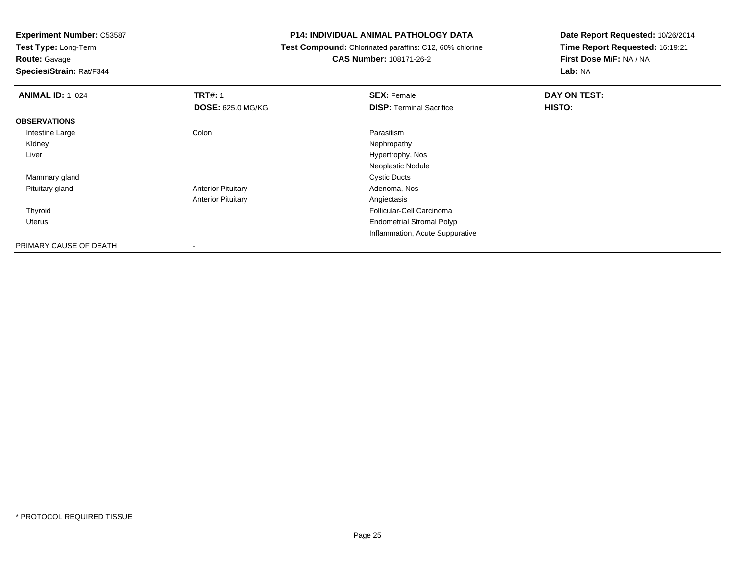**Test Type:** Long-Term

**Route:** Gavage

**Species/Strain:** Rat/F344

#### **P14: INDIVIDUAL ANIMAL PATHOLOGY DATA**

 **Test Compound:** Chlorinated paraffins: C12, 60% chlorine**CAS Number:** 108171-26-2

| <b>ANIMAL ID: 1_024</b> | <b>TRT#: 1</b>            | <b>SEX: Female</b>               | DAY ON TEST: |
|-------------------------|---------------------------|----------------------------------|--------------|
|                         | <b>DOSE: 625.0 MG/KG</b>  | <b>DISP: Terminal Sacrifice</b>  | HISTO:       |
| <b>OBSERVATIONS</b>     |                           |                                  |              |
| Intestine Large         | Colon                     | Parasitism                       |              |
| Kidney                  |                           | Nephropathy                      |              |
| Liver                   |                           | Hypertrophy, Nos                 |              |
|                         |                           | Neoplastic Nodule                |              |
| Mammary gland           |                           | <b>Cystic Ducts</b>              |              |
| Pituitary gland         | <b>Anterior Pituitary</b> | Adenoma, Nos                     |              |
|                         | <b>Anterior Pituitary</b> | Angiectasis                      |              |
| Thyroid                 |                           | Follicular-Cell Carcinoma        |              |
| Uterus                  |                           | <b>Endometrial Stromal Polyp</b> |              |
|                         |                           | Inflammation, Acute Suppurative  |              |
| PRIMARY CAUSE OF DEATH  |                           |                                  |              |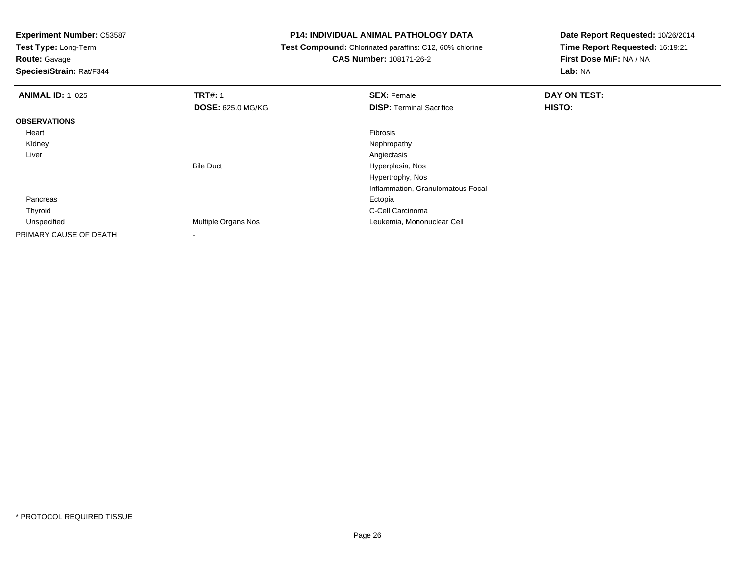**Experiment Number:** C53587**Test Type:** Long-Term**Route:** Gavage **Species/Strain:** Rat/F344**P14: INDIVIDUAL ANIMAL PATHOLOGY DATA Test Compound:** Chlorinated paraffins: C12, 60% chlorine**CAS Number:** 108171-26-2**Date Report Requested:** 10/26/2014**Time Report Requested:** 16:19:21**First Dose M/F:** NA / NA**Lab:** NA**ANIMAL ID:** 1\_025**TRT#:** 1 **SEX:** Female **DAY ON TEST: DOSE:** 625.0 MG/KG**DISP:** Terminal Sacrifice **HISTO: OBSERVATIONS** Heartt de la constitución de la constitución de la constitución de la constitución de la constitución de la constitución Nephropathy Kidneyy the control of the control of the control of the control of the control of the control of the control of the control of the control of the control of the control of the control of the control of the control of the contro Liverr and the contract of the contract of the contract of the contract of the contract of the contract of the contract of the contract of the contract of the contract of the contract of the contract of the contract of the cont Hyperplasia, NosBile Duct Hypertrophy, Nos Inflammation, Granulomatous Focal Pancreass and the contract of the contract of the contract of the contract of the contract of the contract of the contract of the contract of the contract of the contract of the contract of the contract of the contract of the cont d<sub>d</sub> C-Cell Carcinoma Thyroid Unspecified Multiple Organs Nos Leukemia, Mononuclear Cell PRIMARY CAUSE OF DEATH-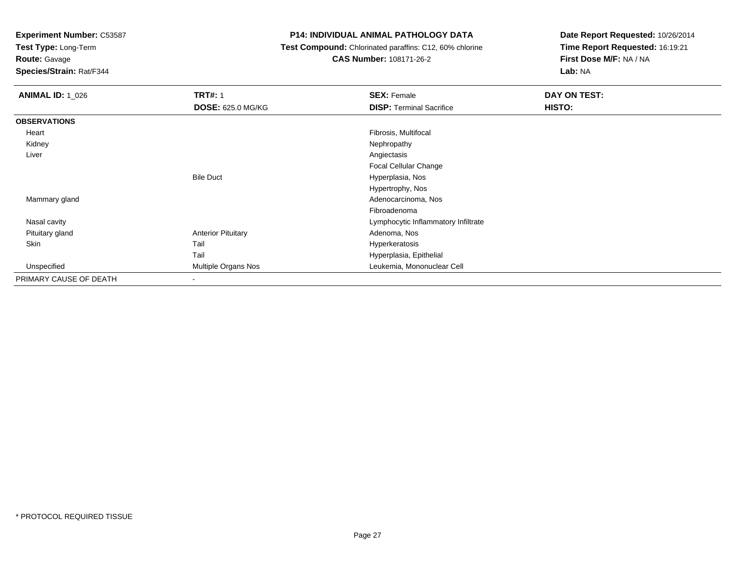**Test Type:** Long-Term

### **Route:** Gavage

**Species/Strain:** Rat/F344

#### **P14: INDIVIDUAL ANIMAL PATHOLOGY DATA**

#### **Test Compound:** Chlorinated paraffins: C12, 60% chlorine**CAS Number:** 108171-26-2

| <b>ANIMAL ID: 1_026</b> | <b>TRT#: 1</b>            | <b>SEX: Female</b>                  | DAY ON TEST: |  |
|-------------------------|---------------------------|-------------------------------------|--------------|--|
|                         | DOSE: 625.0 MG/KG         | <b>DISP: Terminal Sacrifice</b>     | HISTO:       |  |
| <b>OBSERVATIONS</b>     |                           |                                     |              |  |
| Heart                   |                           | Fibrosis, Multifocal                |              |  |
| Kidney                  |                           | Nephropathy                         |              |  |
| Liver                   |                           | Angiectasis                         |              |  |
|                         |                           | Focal Cellular Change               |              |  |
|                         | <b>Bile Duct</b>          | Hyperplasia, Nos                    |              |  |
|                         |                           | Hypertrophy, Nos                    |              |  |
| Mammary gland           |                           | Adenocarcinoma, Nos                 |              |  |
|                         |                           | Fibroadenoma                        |              |  |
| Nasal cavity            |                           | Lymphocytic Inflammatory Infiltrate |              |  |
| Pituitary gland         | <b>Anterior Pituitary</b> | Adenoma, Nos                        |              |  |
| Skin                    | Tail                      | Hyperkeratosis                      |              |  |
|                         | Tail                      | Hyperplasia, Epithelial             |              |  |
| Unspecified             | Multiple Organs Nos       | Leukemia, Mononuclear Cell          |              |  |
| PRIMARY CAUSE OF DEATH  | $\blacksquare$            |                                     |              |  |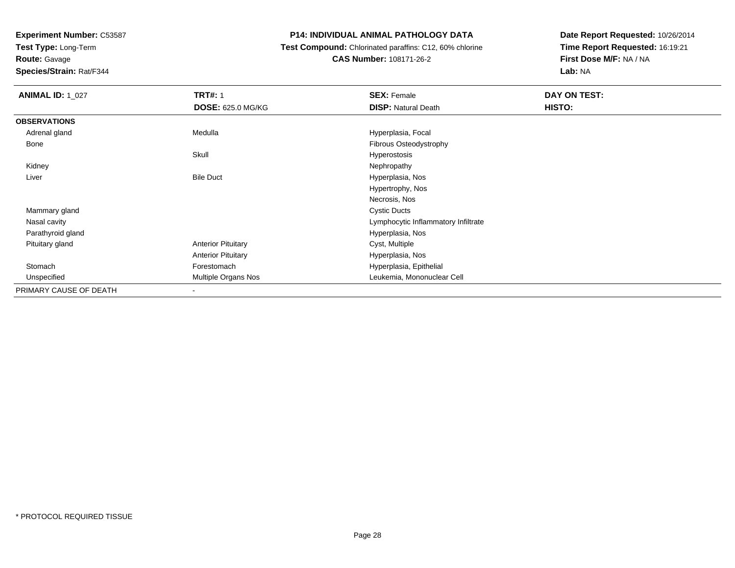**Test Type:** Long-Term

**Route:** Gavage

**Species/Strain:** Rat/F344

#### **P14: INDIVIDUAL ANIMAL PATHOLOGY DATA**

 **Test Compound:** Chlorinated paraffins: C12, 60% chlorine**CAS Number:** 108171-26-2

| <b>ANIMAL ID: 1 027</b> | <b>TRT#: 1</b>            | <b>SEX: Female</b>                  | DAY ON TEST: |
|-------------------------|---------------------------|-------------------------------------|--------------|
|                         | <b>DOSE: 625.0 MG/KG</b>  | <b>DISP: Natural Death</b>          | HISTO:       |
| <b>OBSERVATIONS</b>     |                           |                                     |              |
| Adrenal gland           | Medulla                   | Hyperplasia, Focal                  |              |
| Bone                    |                           | Fibrous Osteodystrophy              |              |
|                         | Skull                     | Hyperostosis                        |              |
| Kidney                  |                           | Nephropathy                         |              |
| Liver                   | <b>Bile Duct</b>          | Hyperplasia, Nos                    |              |
|                         |                           | Hypertrophy, Nos                    |              |
|                         |                           | Necrosis, Nos                       |              |
| Mammary gland           |                           | <b>Cystic Ducts</b>                 |              |
| Nasal cavity            |                           | Lymphocytic Inflammatory Infiltrate |              |
| Parathyroid gland       |                           | Hyperplasia, Nos                    |              |
| Pituitary gland         | <b>Anterior Pituitary</b> | Cyst, Multiple                      |              |
|                         | <b>Anterior Pituitary</b> | Hyperplasia, Nos                    |              |
| Stomach                 | Forestomach               | Hyperplasia, Epithelial             |              |
| Unspecified             | Multiple Organs Nos       | Leukemia, Mononuclear Cell          |              |
| PRIMARY CAUSE OF DEATH  | ۰                         |                                     |              |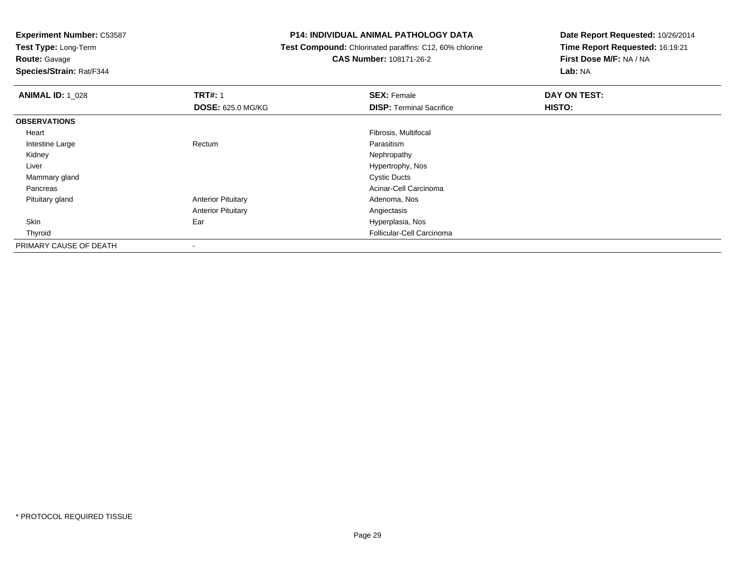**Test Type:** Long-Term

**Route:** Gavage

**Species/Strain:** Rat/F344

#### **P14: INDIVIDUAL ANIMAL PATHOLOGY DATA**

 **Test Compound:** Chlorinated paraffins: C12, 60% chlorine**CAS Number:** 108171-26-2

| <b>ANIMAL ID: 1 028</b> | <b>TRT#: 1</b>            | <b>SEX: Female</b>              | DAY ON TEST: |  |
|-------------------------|---------------------------|---------------------------------|--------------|--|
|                         | <b>DOSE: 625.0 MG/KG</b>  | <b>DISP: Terminal Sacrifice</b> | HISTO:       |  |
| <b>OBSERVATIONS</b>     |                           |                                 |              |  |
| Heart                   |                           | Fibrosis, Multifocal            |              |  |
| Intestine Large         | Rectum                    | Parasitism                      |              |  |
| Kidney                  |                           | Nephropathy                     |              |  |
| Liver                   |                           | Hypertrophy, Nos                |              |  |
| Mammary gland           |                           | <b>Cystic Ducts</b>             |              |  |
| Pancreas                |                           | Acinar-Cell Carcinoma           |              |  |
| Pituitary gland         | <b>Anterior Pituitary</b> | Adenoma, Nos                    |              |  |
|                         | <b>Anterior Pituitary</b> | Angiectasis                     |              |  |
| Skin                    | Ear                       | Hyperplasia, Nos                |              |  |
| Thyroid                 |                           | Follicular-Cell Carcinoma       |              |  |
| PRIMARY CAUSE OF DEATH  |                           |                                 |              |  |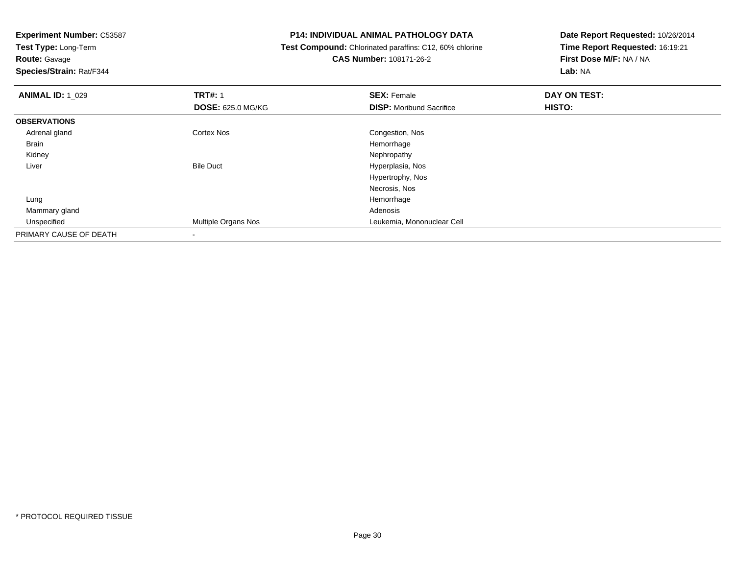**Experiment Number:** C53587**Test Type:** Long-Term**Route:** Gavage **Species/Strain:** Rat/F344**P14: INDIVIDUAL ANIMAL PATHOLOGY DATA Test Compound:** Chlorinated paraffins: C12, 60% chlorine**CAS Number:** 108171-26-2**Date Report Requested:** 10/26/2014**Time Report Requested:** 16:19:21**First Dose M/F:** NA / NA**Lab:** NA**ANIMAL ID: 1\_029 TRT#:** 1 **SEX:** Female **DAY ON TEST: DOSE:** 625.0 MG/KG**DISP:** Moribund Sacrifice **HISTO: OBSERVATIONS** Adrenal gland Cortex Nos Congestion, Nos Brainn and the state of the state of the state of the state of the state of the state of the state of the state of the state of the state of the state of the state of the state of the state of the state of the state of the stat Kidneyy the control of the control of the control of the control of the control of the control of the control of the control of the control of the control of the control of the control of the control of the control of the contro LiverBile Duct **Hyperplasia**, Nos Hypertrophy, NosNecrosis, NosHemorrhage Lungg and the state of the state of the state of the state of the state of the state of the state of the state of the state of the state of the state of the state of the state of the state of the state of the state of the stat Mammary glandd and a state of the control of the control of the control of the control of the control of the control of the control of the control of the control of the control of the control of the control of the control of the contro Unspecified Multiple Organs Nos Leukemia, Mononuclear Cell PRIMARY CAUSE OF DEATH

-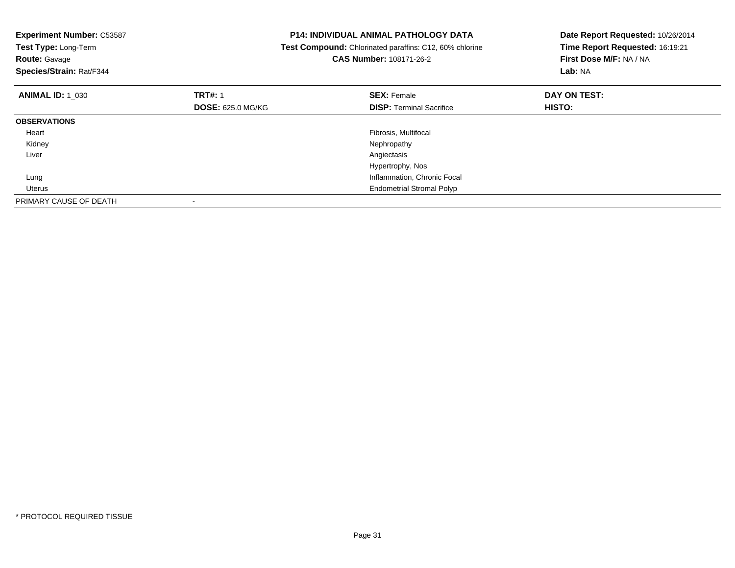| <b>Experiment Number: C53587</b><br>Test Type: Long-Term<br><b>Route: Gavage</b><br>Species/Strain: Rat/F344 | <b>P14: INDIVIDUAL ANIMAL PATHOLOGY DATA</b><br>Test Compound: Chlorinated paraffins: C12, 60% chlorine<br><b>CAS Number: 108171-26-2</b> |                                  | Date Report Requested: 10/26/2014<br>Time Report Requested: 16:19:21<br>First Dose M/F: NA / NA<br>Lab: NA |  |
|--------------------------------------------------------------------------------------------------------------|-------------------------------------------------------------------------------------------------------------------------------------------|----------------------------------|------------------------------------------------------------------------------------------------------------|--|
| <b>ANIMAL ID: 1_030</b>                                                                                      | <b>TRT#: 1</b>                                                                                                                            | <b>SEX: Female</b>               | DAY ON TEST:                                                                                               |  |
|                                                                                                              | <b>DOSE: 625.0 MG/KG</b>                                                                                                                  | <b>DISP:</b> Terminal Sacrifice  | <b>HISTO:</b>                                                                                              |  |
| <b>OBSERVATIONS</b>                                                                                          |                                                                                                                                           |                                  |                                                                                                            |  |
| Heart                                                                                                        |                                                                                                                                           | Fibrosis, Multifocal             |                                                                                                            |  |
| Kidney                                                                                                       |                                                                                                                                           | Nephropathy                      |                                                                                                            |  |
| Liver                                                                                                        |                                                                                                                                           | Angiectasis                      |                                                                                                            |  |
|                                                                                                              |                                                                                                                                           | Hypertrophy, Nos                 |                                                                                                            |  |
| Lung                                                                                                         |                                                                                                                                           | Inflammation, Chronic Focal      |                                                                                                            |  |
| Uterus                                                                                                       |                                                                                                                                           | <b>Endometrial Stromal Polyp</b> |                                                                                                            |  |
| PRIMARY CAUSE OF DEATH                                                                                       |                                                                                                                                           |                                  |                                                                                                            |  |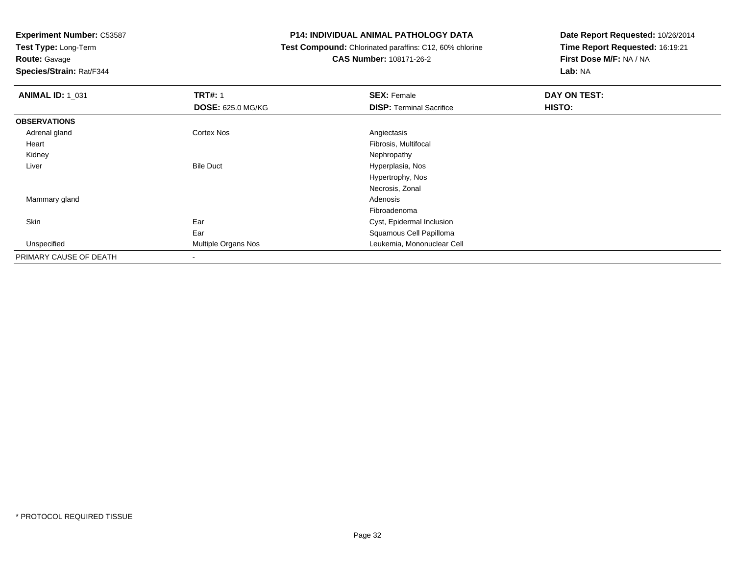**Test Type:** Long-Term

**Route:** Gavage

**Species/Strain:** Rat/F344

#### **P14: INDIVIDUAL ANIMAL PATHOLOGY DATA**

 **Test Compound:** Chlorinated paraffins: C12, 60% chlorine**CAS Number:** 108171-26-2

| <b>ANIMAL ID: 1_031</b> | <b>TRT#: 1</b>           | <b>SEX: Female</b>              | DAY ON TEST: |  |
|-------------------------|--------------------------|---------------------------------|--------------|--|
|                         | <b>DOSE: 625.0 MG/KG</b> | <b>DISP: Terminal Sacrifice</b> | HISTO:       |  |
| <b>OBSERVATIONS</b>     |                          |                                 |              |  |
| Adrenal gland           | Cortex Nos               | Angiectasis                     |              |  |
| Heart                   |                          | Fibrosis, Multifocal            |              |  |
| Kidney                  |                          | Nephropathy                     |              |  |
| Liver                   | <b>Bile Duct</b>         | Hyperplasia, Nos                |              |  |
|                         |                          | Hypertrophy, Nos                |              |  |
|                         |                          | Necrosis, Zonal                 |              |  |
| Mammary gland           |                          | Adenosis                        |              |  |
|                         |                          | Fibroadenoma                    |              |  |
| Skin                    | Ear                      | Cyst, Epidermal Inclusion       |              |  |
|                         | Ear                      | Squamous Cell Papilloma         |              |  |
| Unspecified             | Multiple Organs Nos      | Leukemia, Mononuclear Cell      |              |  |
| PRIMARY CAUSE OF DEATH  | $\overline{\phantom{a}}$ |                                 |              |  |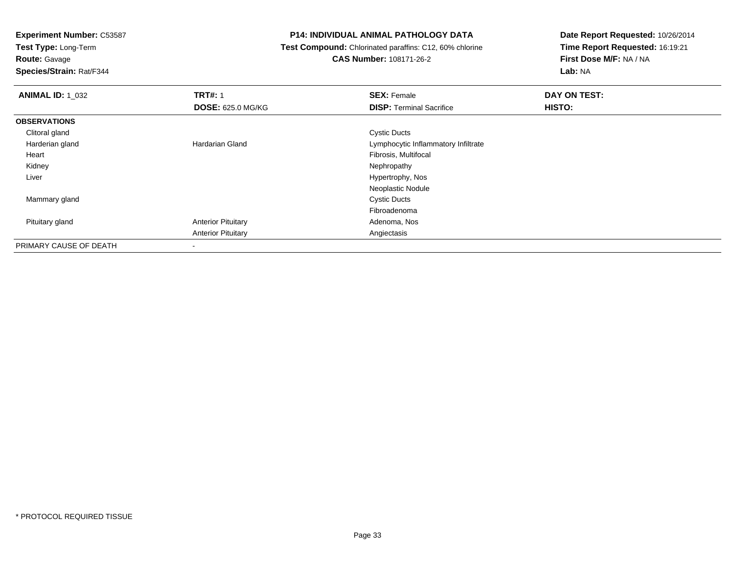**Test Type:** Long-Term

# **Route:** Gavage

**Species/Strain:** Rat/F344

#### **P14: INDIVIDUAL ANIMAL PATHOLOGY DATA**

#### **Test Compound:** Chlorinated paraffins: C12, 60% chlorine**CAS Number:** 108171-26-2

| <b>ANIMAL ID: 1_032</b> | <b>TRT#: 1</b>            | <b>SEX: Female</b>                  | DAY ON TEST: |  |
|-------------------------|---------------------------|-------------------------------------|--------------|--|
|                         | <b>DOSE: 625.0 MG/KG</b>  | <b>DISP: Terminal Sacrifice</b>     | HISTO:       |  |
| <b>OBSERVATIONS</b>     |                           |                                     |              |  |
| Clitoral gland          |                           | <b>Cystic Ducts</b>                 |              |  |
| Harderian gland         | Hardarian Gland           | Lymphocytic Inflammatory Infiltrate |              |  |
| Heart                   |                           | Fibrosis, Multifocal                |              |  |
| Kidney                  |                           | Nephropathy                         |              |  |
| Liver                   |                           | Hypertrophy, Nos                    |              |  |
|                         |                           | Neoplastic Nodule                   |              |  |
| Mammary gland           |                           | <b>Cystic Ducts</b>                 |              |  |
|                         |                           | Fibroadenoma                        |              |  |
| Pituitary gland         | <b>Anterior Pituitary</b> | Adenoma, Nos                        |              |  |
|                         | <b>Anterior Pituitary</b> | Angiectasis                         |              |  |
| PRIMARY CAUSE OF DEATH  | $\,$                      |                                     |              |  |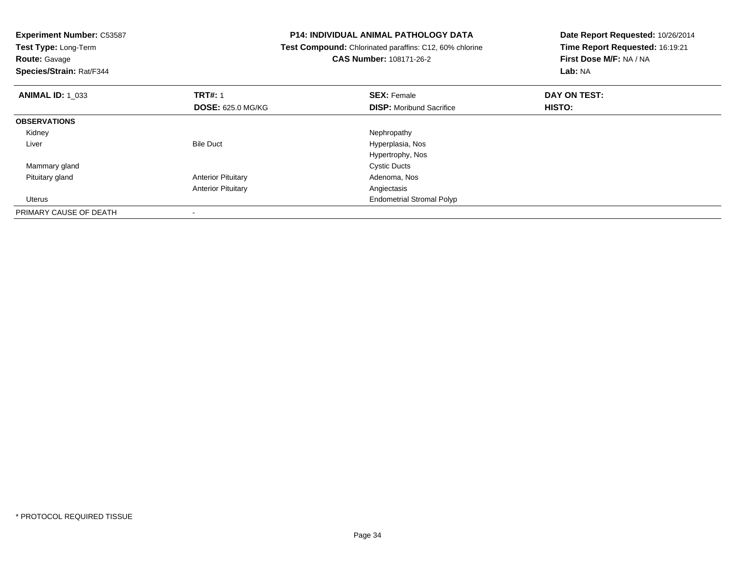| <b>Experiment Number: C53587</b><br>Test Type: Long-Term<br><b>Route: Gavage</b><br>Species/Strain: Rat/F344 |                           | <b>P14: INDIVIDUAL ANIMAL PATHOLOGY DATA</b><br>Test Compound: Chlorinated paraffins: C12, 60% chlorine<br><b>CAS Number: 108171-26-2</b> | Date Report Requested: 10/26/2014<br>Time Report Requested: 16:19:21<br>First Dose M/F: NA / NA<br>Lab: NA |  |
|--------------------------------------------------------------------------------------------------------------|---------------------------|-------------------------------------------------------------------------------------------------------------------------------------------|------------------------------------------------------------------------------------------------------------|--|
| <b>ANIMAL ID: 1_033</b>                                                                                      | <b>TRT#: 1</b>            | <b>SEX: Female</b>                                                                                                                        | DAY ON TEST:                                                                                               |  |
|                                                                                                              | <b>DOSE: 625.0 MG/KG</b>  | <b>DISP:</b> Moribund Sacrifice                                                                                                           | <b>HISTO:</b>                                                                                              |  |
| <b>OBSERVATIONS</b>                                                                                          |                           |                                                                                                                                           |                                                                                                            |  |
| Kidney                                                                                                       |                           | Nephropathy                                                                                                                               |                                                                                                            |  |
| Liver                                                                                                        | <b>Bile Duct</b>          | Hyperplasia, Nos                                                                                                                          |                                                                                                            |  |
|                                                                                                              |                           | Hypertrophy, Nos                                                                                                                          |                                                                                                            |  |
| Mammary gland                                                                                                |                           | <b>Cystic Ducts</b>                                                                                                                       |                                                                                                            |  |
| Pituitary gland                                                                                              | <b>Anterior Pituitary</b> | Adenoma, Nos                                                                                                                              |                                                                                                            |  |
|                                                                                                              | <b>Anterior Pituitary</b> | Angiectasis                                                                                                                               |                                                                                                            |  |
| <b>Uterus</b>                                                                                                |                           | <b>Endometrial Stromal Polyp</b>                                                                                                          |                                                                                                            |  |
| PRIMARY CAUSE OF DEATH                                                                                       |                           |                                                                                                                                           |                                                                                                            |  |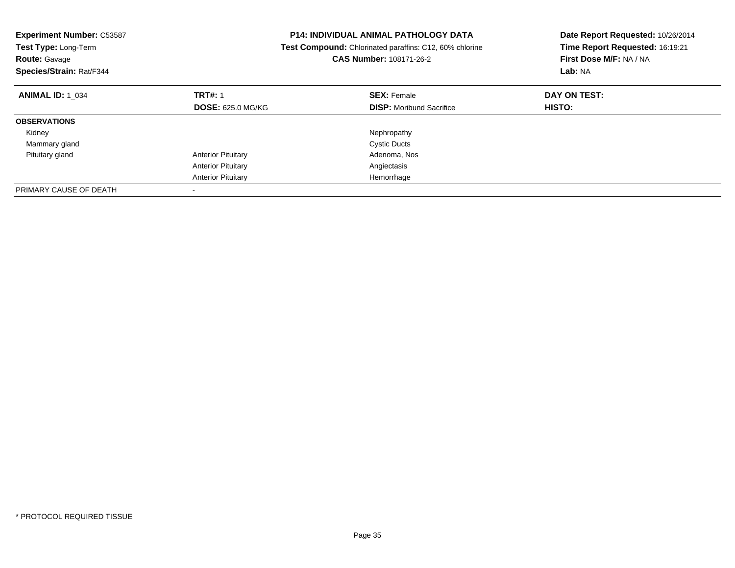| <b>Experiment Number: C53587</b><br>Test Type: Long-Term<br><b>Route: Gavage</b><br>Species/Strain: Rat/F344 | <b>P14: INDIVIDUAL ANIMAL PATHOLOGY DATA</b><br>Test Compound: Chlorinated paraffins: C12, 60% chlorine<br>CAS Number: 108171-26-2 |                                 | Date Report Requested: 10/26/2014<br>Time Report Requested: 16:19:21<br>First Dose M/F: NA / NA<br>Lab: NA |  |
|--------------------------------------------------------------------------------------------------------------|------------------------------------------------------------------------------------------------------------------------------------|---------------------------------|------------------------------------------------------------------------------------------------------------|--|
| <b>ANIMAL ID: 1 034</b>                                                                                      | <b>TRT#: 1</b>                                                                                                                     | <b>SEX: Female</b>              | DAY ON TEST:                                                                                               |  |
|                                                                                                              | <b>DOSE: 625.0 MG/KG</b>                                                                                                           | <b>DISP:</b> Moribund Sacrifice | HISTO:                                                                                                     |  |
| <b>OBSERVATIONS</b>                                                                                          |                                                                                                                                    |                                 |                                                                                                            |  |
| Kidney                                                                                                       |                                                                                                                                    | Nephropathy                     |                                                                                                            |  |
| Mammary gland                                                                                                |                                                                                                                                    | <b>Cystic Ducts</b>             |                                                                                                            |  |
| Pituitary gland                                                                                              | <b>Anterior Pituitary</b>                                                                                                          | Adenoma, Nos                    |                                                                                                            |  |
|                                                                                                              | <b>Anterior Pituitary</b>                                                                                                          | Angiectasis                     |                                                                                                            |  |
|                                                                                                              | <b>Anterior Pituitary</b>                                                                                                          | Hemorrhage                      |                                                                                                            |  |
| PRIMARY CAUSE OF DEATH                                                                                       |                                                                                                                                    |                                 |                                                                                                            |  |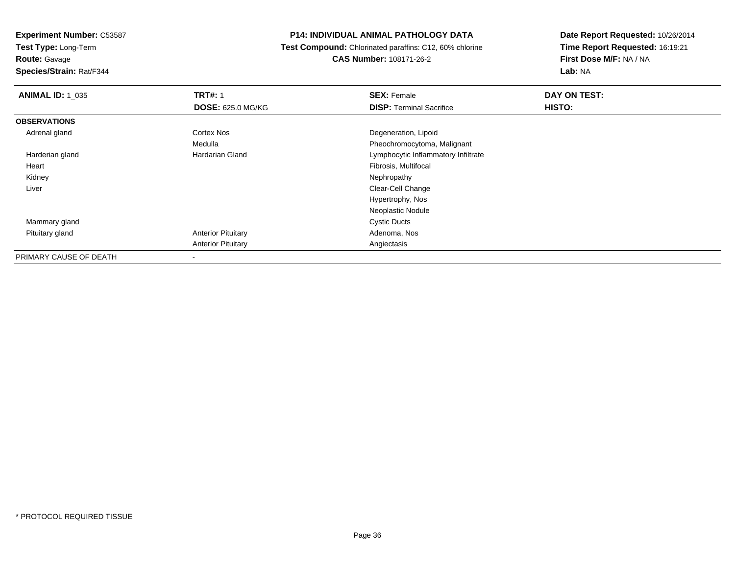**Test Type:** Long-Term

**Route:** Gavage

**Species/Strain:** Rat/F344

#### **P14: INDIVIDUAL ANIMAL PATHOLOGY DATA**

 **Test Compound:** Chlorinated paraffins: C12, 60% chlorine**CAS Number:** 108171-26-2

| <b>ANIMAL ID: 1_035</b> | <b>TRT#: 1</b>            | <b>SEX: Female</b>                  | DAY ON TEST: |  |
|-------------------------|---------------------------|-------------------------------------|--------------|--|
|                         | <b>DOSE: 625.0 MG/KG</b>  | <b>DISP: Terminal Sacrifice</b>     | HISTO:       |  |
| <b>OBSERVATIONS</b>     |                           |                                     |              |  |
| Adrenal gland           | Cortex Nos                | Degeneration, Lipoid                |              |  |
|                         | Medulla                   | Pheochromocytoma, Malignant         |              |  |
| Harderian gland         | <b>Hardarian Gland</b>    | Lymphocytic Inflammatory Infiltrate |              |  |
| Heart                   |                           | Fibrosis, Multifocal                |              |  |
| Kidney                  |                           | Nephropathy                         |              |  |
| Liver                   |                           | Clear-Cell Change                   |              |  |
|                         |                           | Hypertrophy, Nos                    |              |  |
|                         |                           | Neoplastic Nodule                   |              |  |
| Mammary gland           |                           | <b>Cystic Ducts</b>                 |              |  |
| Pituitary gland         | <b>Anterior Pituitary</b> | Adenoma, Nos                        |              |  |
|                         | <b>Anterior Pituitary</b> | Angiectasis                         |              |  |
| PRIMARY CAUSE OF DEATH  | $\,$                      |                                     |              |  |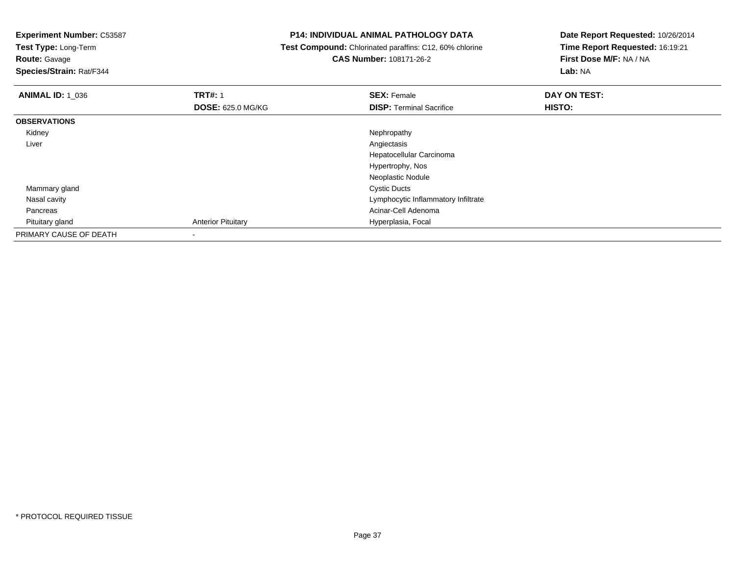**Test Type:** Long-Term

# **Route:** Gavage

**Species/Strain:** Rat/F344

### **P14: INDIVIDUAL ANIMAL PATHOLOGY DATA**

 **Test Compound:** Chlorinated paraffins: C12, 60% chlorine**CAS Number:** 108171-26-2

| <b>ANIMAL ID: 1 036</b> | <b>TRT#: 1</b>            | <b>SEX: Female</b>                  | DAY ON TEST: |  |
|-------------------------|---------------------------|-------------------------------------|--------------|--|
|                         | <b>DOSE: 625.0 MG/KG</b>  | <b>DISP: Terminal Sacrifice</b>     | HISTO:       |  |
| <b>OBSERVATIONS</b>     |                           |                                     |              |  |
| Kidney                  |                           | Nephropathy                         |              |  |
| Liver                   |                           | Angiectasis                         |              |  |
|                         |                           | Hepatocellular Carcinoma            |              |  |
|                         |                           | Hypertrophy, Nos                    |              |  |
|                         |                           | Neoplastic Nodule                   |              |  |
| Mammary gland           |                           | <b>Cystic Ducts</b>                 |              |  |
| Nasal cavity            |                           | Lymphocytic Inflammatory Infiltrate |              |  |
| Pancreas                |                           | Acinar-Cell Adenoma                 |              |  |
| Pituitary gland         | <b>Anterior Pituitary</b> | Hyperplasia, Focal                  |              |  |
| PRIMARY CAUSE OF DEATH  |                           |                                     |              |  |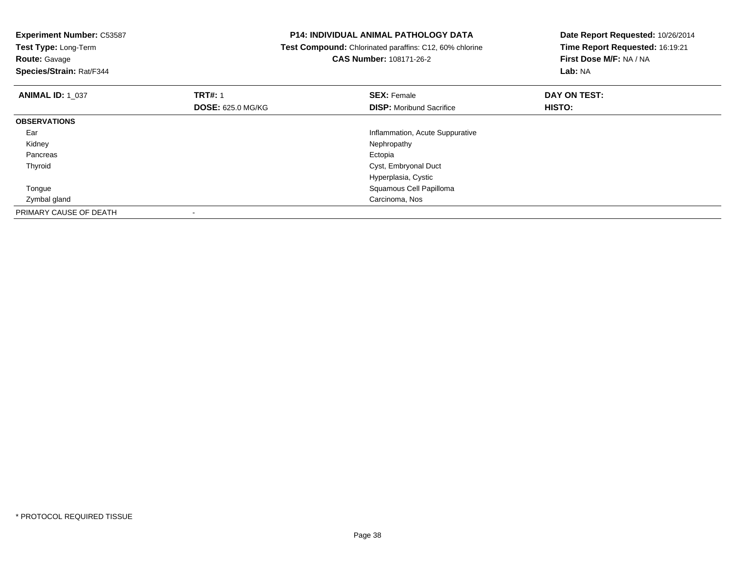| <b>Experiment Number: C53587</b><br>Test Type: Long-Term<br><b>Route: Gavage</b><br>Species/Strain: Rat/F344 |                          | <b>P14: INDIVIDUAL ANIMAL PATHOLOGY DATA</b><br>Test Compound: Chlorinated paraffins: C12, 60% chlorine<br>CAS Number: 108171-26-2 | Date Report Requested: 10/26/2014<br>Time Report Requested: 16:19:21<br>First Dose M/F: NA / NA<br>Lab: NA |
|--------------------------------------------------------------------------------------------------------------|--------------------------|------------------------------------------------------------------------------------------------------------------------------------|------------------------------------------------------------------------------------------------------------|
| <b>ANIMAL ID: 1 037</b>                                                                                      | <b>TRT#: 1</b>           | <b>SEX: Female</b>                                                                                                                 | DAY ON TEST:                                                                                               |
|                                                                                                              | <b>DOSE: 625.0 MG/KG</b> | <b>DISP:</b> Moribund Sacrifice                                                                                                    | <b>HISTO:</b>                                                                                              |
| <b>OBSERVATIONS</b>                                                                                          |                          |                                                                                                                                    |                                                                                                            |
| Ear                                                                                                          |                          | Inflammation, Acute Suppurative                                                                                                    |                                                                                                            |
| Kidney                                                                                                       |                          | Nephropathy                                                                                                                        |                                                                                                            |
| Pancreas                                                                                                     |                          | Ectopia                                                                                                                            |                                                                                                            |
| Thyroid                                                                                                      |                          | Cyst, Embryonal Duct                                                                                                               |                                                                                                            |
|                                                                                                              |                          | Hyperplasia, Cystic                                                                                                                |                                                                                                            |
| Tongue                                                                                                       |                          | Squamous Cell Papilloma                                                                                                            |                                                                                                            |
| Zymbal gland                                                                                                 |                          | Carcinoma, Nos                                                                                                                     |                                                                                                            |
| PRIMARY CAUSE OF DEATH                                                                                       |                          |                                                                                                                                    |                                                                                                            |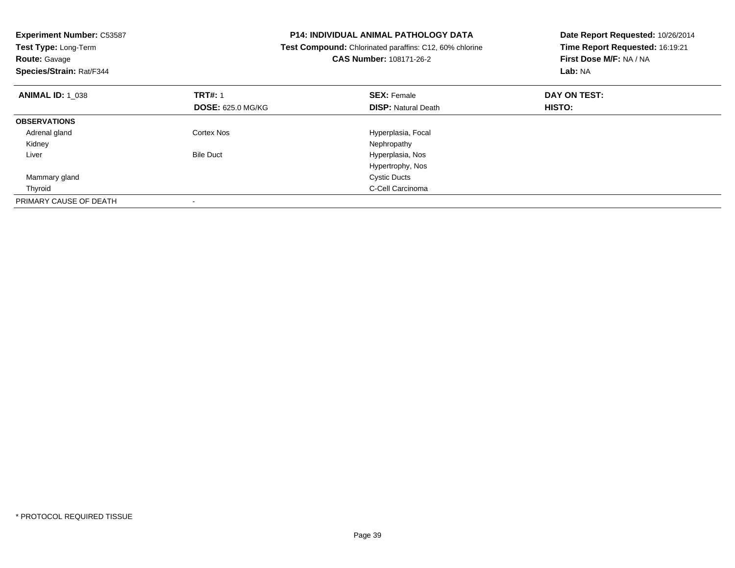| <b>Experiment Number: C53587</b><br>Test Type: Long-Term<br><b>Route: Gavage</b><br>Species/Strain: Rat/F344 |                          | <b>P14: INDIVIDUAL ANIMAL PATHOLOGY DATA</b><br>Test Compound: Chlorinated paraffins: C12, 60% chlorine<br><b>CAS Number: 108171-26-2</b> | Date Report Requested: 10/26/2014<br>Time Report Requested: 16:19:21<br>First Dose M/F: NA / NA<br>Lab: NA |
|--------------------------------------------------------------------------------------------------------------|--------------------------|-------------------------------------------------------------------------------------------------------------------------------------------|------------------------------------------------------------------------------------------------------------|
| <b>ANIMAL ID: 1_038</b>                                                                                      | <b>TRT#: 1</b>           | <b>SEX: Female</b>                                                                                                                        | DAY ON TEST:                                                                                               |
|                                                                                                              | <b>DOSE: 625.0 MG/KG</b> | <b>DISP:</b> Natural Death                                                                                                                | <b>HISTO:</b>                                                                                              |
| <b>OBSERVATIONS</b>                                                                                          |                          |                                                                                                                                           |                                                                                                            |
| Adrenal gland                                                                                                | Cortex Nos               | Hyperplasia, Focal                                                                                                                        |                                                                                                            |
| Kidney                                                                                                       |                          | Nephropathy                                                                                                                               |                                                                                                            |
| Liver                                                                                                        | <b>Bile Duct</b>         | Hyperplasia, Nos                                                                                                                          |                                                                                                            |
|                                                                                                              |                          | Hypertrophy, Nos                                                                                                                          |                                                                                                            |
| Mammary gland                                                                                                |                          | <b>Cystic Ducts</b>                                                                                                                       |                                                                                                            |
| Thyroid                                                                                                      |                          | C-Cell Carcinoma                                                                                                                          |                                                                                                            |
| PRIMARY CAUSE OF DEATH                                                                                       |                          |                                                                                                                                           |                                                                                                            |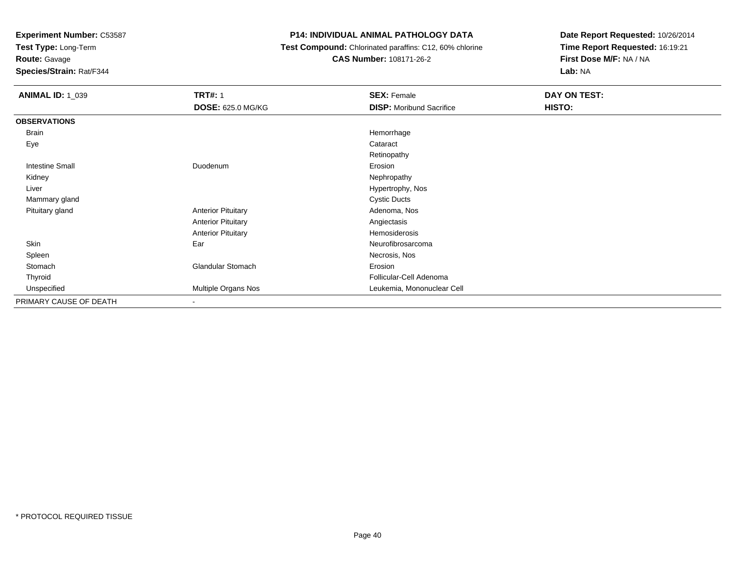**Test Type:** Long-Term

**Route:** Gavage

**Species/Strain:** Rat/F344

### **P14: INDIVIDUAL ANIMAL PATHOLOGY DATA**

 **Test Compound:** Chlorinated paraffins: C12, 60% chlorine**CAS Number:** 108171-26-2

| <b>ANIMAL ID: 1_039</b> | <b>TRT#: 1</b>            | <b>SEX: Female</b>              | DAY ON TEST: |
|-------------------------|---------------------------|---------------------------------|--------------|
|                         | <b>DOSE: 625.0 MG/KG</b>  | <b>DISP:</b> Moribund Sacrifice | HISTO:       |
| <b>OBSERVATIONS</b>     |                           |                                 |              |
| <b>Brain</b>            |                           | Hemorrhage                      |              |
| Eye                     |                           | Cataract                        |              |
|                         |                           | Retinopathy                     |              |
| <b>Intestine Small</b>  | Duodenum                  | Erosion                         |              |
| Kidney                  |                           | Nephropathy                     |              |
| Liver                   |                           | Hypertrophy, Nos                |              |
| Mammary gland           |                           | <b>Cystic Ducts</b>             |              |
| Pituitary gland         | <b>Anterior Pituitary</b> | Adenoma, Nos                    |              |
|                         | <b>Anterior Pituitary</b> | Angiectasis                     |              |
|                         | <b>Anterior Pituitary</b> | Hemosiderosis                   |              |
| Skin                    | Ear                       | Neurofibrosarcoma               |              |
| Spleen                  |                           | Necrosis, Nos                   |              |
| Stomach                 | <b>Glandular Stomach</b>  | Erosion                         |              |
| Thyroid                 |                           | Follicular-Cell Adenoma         |              |
| Unspecified             | Multiple Organs Nos       | Leukemia, Mononuclear Cell      |              |
| PRIMARY CAUSE OF DEATH  | $\,$                      |                                 |              |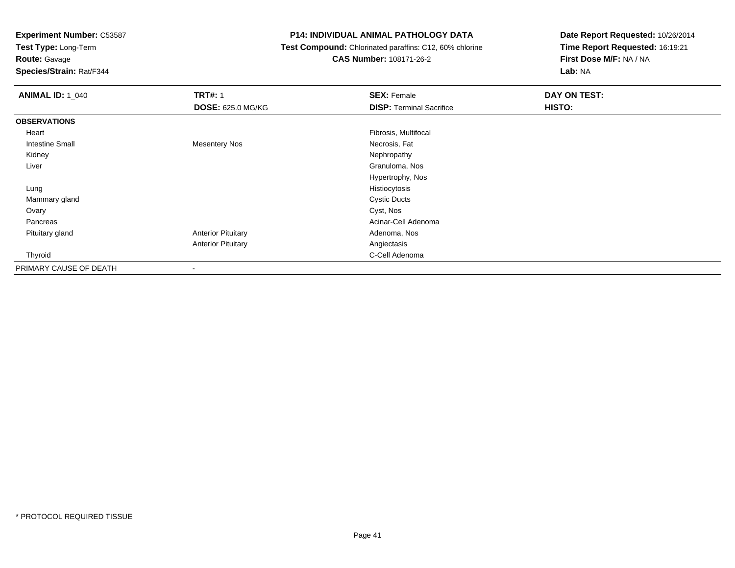**Test Type:** Long-Term

# **Route:** Gavage

**Species/Strain:** Rat/F344

### **P14: INDIVIDUAL ANIMAL PATHOLOGY DATA**

### **Test Compound:** Chlorinated paraffins: C12, 60% chlorine**CAS Number:** 108171-26-2

| <b>ANIMAL ID: 1 040</b> | <b>TRT#: 1</b>            | <b>SEX: Female</b>              | DAY ON TEST: |  |
|-------------------------|---------------------------|---------------------------------|--------------|--|
|                         | <b>DOSE: 625.0 MG/KG</b>  | <b>DISP: Terminal Sacrifice</b> | HISTO:       |  |
| <b>OBSERVATIONS</b>     |                           |                                 |              |  |
| Heart                   |                           | Fibrosis, Multifocal            |              |  |
| <b>Intestine Small</b>  | <b>Mesentery Nos</b>      | Necrosis, Fat                   |              |  |
| Kidney                  |                           | Nephropathy                     |              |  |
| Liver                   |                           | Granuloma, Nos                  |              |  |
|                         |                           | Hypertrophy, Nos                |              |  |
| Lung                    |                           | Histiocytosis                   |              |  |
| Mammary gland           |                           | <b>Cystic Ducts</b>             |              |  |
| Ovary                   |                           | Cyst, Nos                       |              |  |
| Pancreas                |                           | Acinar-Cell Adenoma             |              |  |
| Pituitary gland         | <b>Anterior Pituitary</b> | Adenoma, Nos                    |              |  |
|                         | <b>Anterior Pituitary</b> | Angiectasis                     |              |  |
| Thyroid                 |                           | C-Cell Adenoma                  |              |  |
| PRIMARY CAUSE OF DEATH  | $\overline{\phantom{a}}$  |                                 |              |  |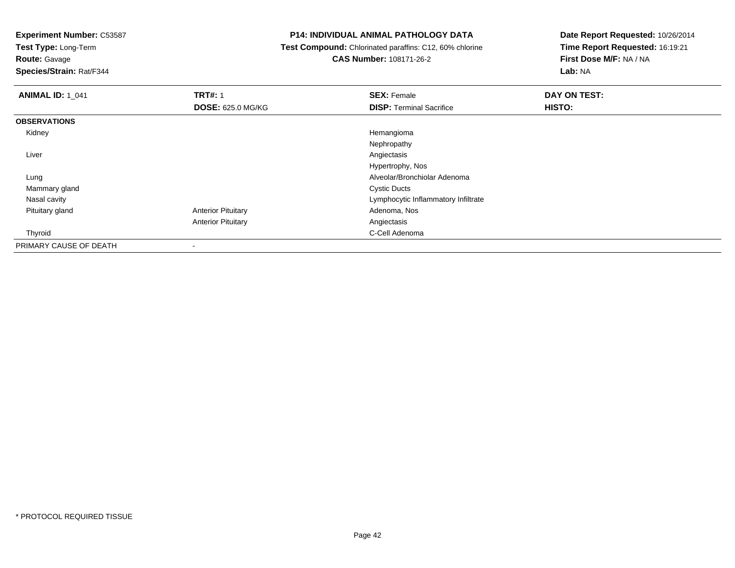**Test Type:** Long-Term

**Route:** Gavage

**Species/Strain:** Rat/F344

### **P14: INDIVIDUAL ANIMAL PATHOLOGY DATA**

 **Test Compound:** Chlorinated paraffins: C12, 60% chlorine**CAS Number:** 108171-26-2

| <b>ANIMAL ID: 1_041</b> | <b>TRT#: 1</b>            | <b>SEX: Female</b>                  | DAY ON TEST: |
|-------------------------|---------------------------|-------------------------------------|--------------|
|                         | <b>DOSE: 625.0 MG/KG</b>  | <b>DISP: Terminal Sacrifice</b>     | HISTO:       |
| <b>OBSERVATIONS</b>     |                           |                                     |              |
| Kidney                  |                           | Hemangioma                          |              |
|                         |                           | Nephropathy                         |              |
| Liver                   |                           | Angiectasis                         |              |
|                         |                           | Hypertrophy, Nos                    |              |
| Lung                    |                           | Alveolar/Bronchiolar Adenoma        |              |
| Mammary gland           |                           | <b>Cystic Ducts</b>                 |              |
| Nasal cavity            |                           | Lymphocytic Inflammatory Infiltrate |              |
| Pituitary gland         | <b>Anterior Pituitary</b> | Adenoma, Nos                        |              |
|                         | <b>Anterior Pituitary</b> | Angiectasis                         |              |
| Thyroid                 |                           | C-Cell Adenoma                      |              |
| PRIMARY CAUSE OF DEATH  |                           |                                     |              |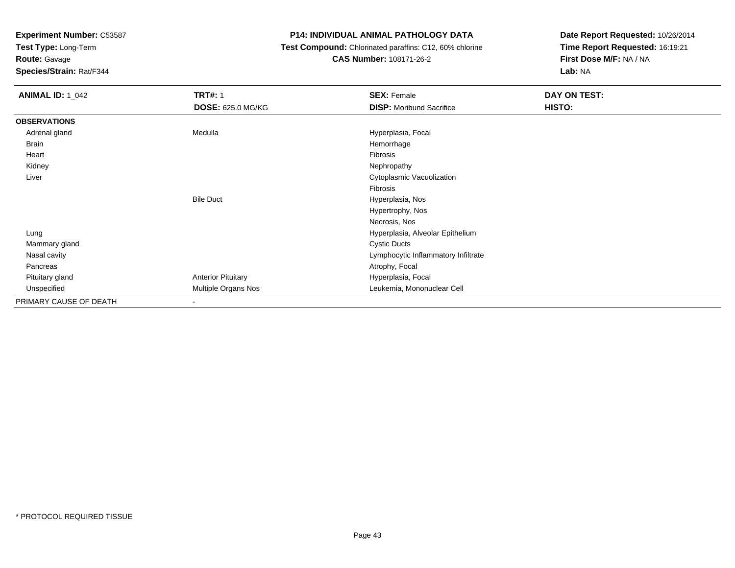**Test Type:** Long-Term

**Route:** Gavage

**Species/Strain:** Rat/F344

### **P14: INDIVIDUAL ANIMAL PATHOLOGY DATA**

 **Test Compound:** Chlorinated paraffins: C12, 60% chlorine**CAS Number:** 108171-26-2

| <b>ANIMAL ID: 1_042</b> | <b>TRT#: 1</b>            | <b>SEX: Female</b>                  | DAY ON TEST: |  |
|-------------------------|---------------------------|-------------------------------------|--------------|--|
|                         | <b>DOSE: 625.0 MG/KG</b>  | <b>DISP: Moribund Sacrifice</b>     | HISTO:       |  |
| <b>OBSERVATIONS</b>     |                           |                                     |              |  |
| Adrenal gland           | Medulla                   | Hyperplasia, Focal                  |              |  |
| Brain                   |                           | Hemorrhage                          |              |  |
| Heart                   |                           | Fibrosis                            |              |  |
| Kidney                  |                           | Nephropathy                         |              |  |
| Liver                   |                           | Cytoplasmic Vacuolization           |              |  |
|                         |                           | Fibrosis                            |              |  |
|                         | <b>Bile Duct</b>          | Hyperplasia, Nos                    |              |  |
|                         |                           | Hypertrophy, Nos                    |              |  |
|                         |                           | Necrosis, Nos                       |              |  |
| Lung                    |                           | Hyperplasia, Alveolar Epithelium    |              |  |
| Mammary gland           |                           | <b>Cystic Ducts</b>                 |              |  |
| Nasal cavity            |                           | Lymphocytic Inflammatory Infiltrate |              |  |
| Pancreas                |                           | Atrophy, Focal                      |              |  |
| Pituitary gland         | <b>Anterior Pituitary</b> | Hyperplasia, Focal                  |              |  |
| Unspecified             | Multiple Organs Nos       | Leukemia, Mononuclear Cell          |              |  |
| PRIMARY CAUSE OF DEATH  | $\overline{\phantom{a}}$  |                                     |              |  |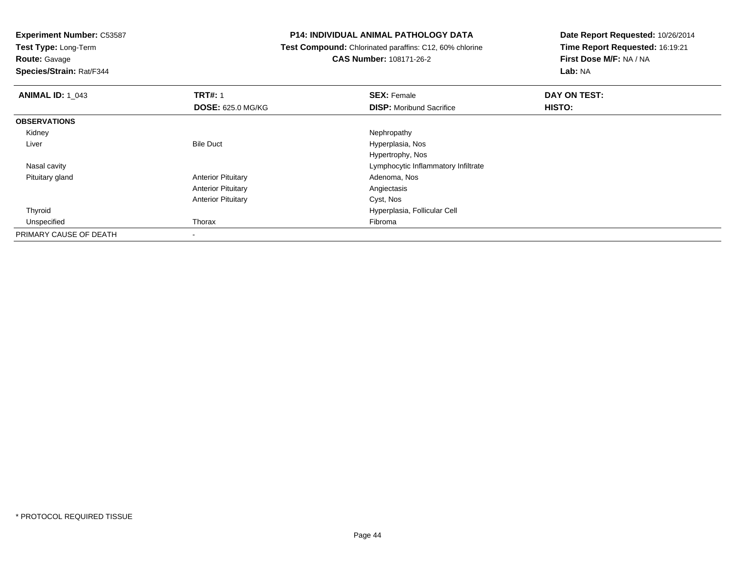**Test Type:** Long-Term

# **Route:** Gavage

**Species/Strain:** Rat/F344

### **P14: INDIVIDUAL ANIMAL PATHOLOGY DATA**

 **Test Compound:** Chlorinated paraffins: C12, 60% chlorine**CAS Number:** 108171-26-2

| <b>ANIMAL ID: 1 043</b> | <b>TRT#: 1</b>            | <b>SEX: Female</b>                  | DAY ON TEST: |  |
|-------------------------|---------------------------|-------------------------------------|--------------|--|
|                         | <b>DOSE: 625.0 MG/KG</b>  | <b>DISP:</b> Moribund Sacrifice     | HISTO:       |  |
| <b>OBSERVATIONS</b>     |                           |                                     |              |  |
| Kidney                  |                           | Nephropathy                         |              |  |
| Liver                   | <b>Bile Duct</b>          | Hyperplasia, Nos                    |              |  |
|                         |                           | Hypertrophy, Nos                    |              |  |
| Nasal cavity            |                           | Lymphocytic Inflammatory Infiltrate |              |  |
| Pituitary gland         | <b>Anterior Pituitary</b> | Adenoma, Nos                        |              |  |
|                         | <b>Anterior Pituitary</b> | Angiectasis                         |              |  |
|                         | <b>Anterior Pituitary</b> | Cyst, Nos                           |              |  |
| Thyroid                 |                           | Hyperplasia, Follicular Cell        |              |  |
| Unspecified             | Thorax                    | Fibroma                             |              |  |
| PRIMARY CAUSE OF DEATH  |                           |                                     |              |  |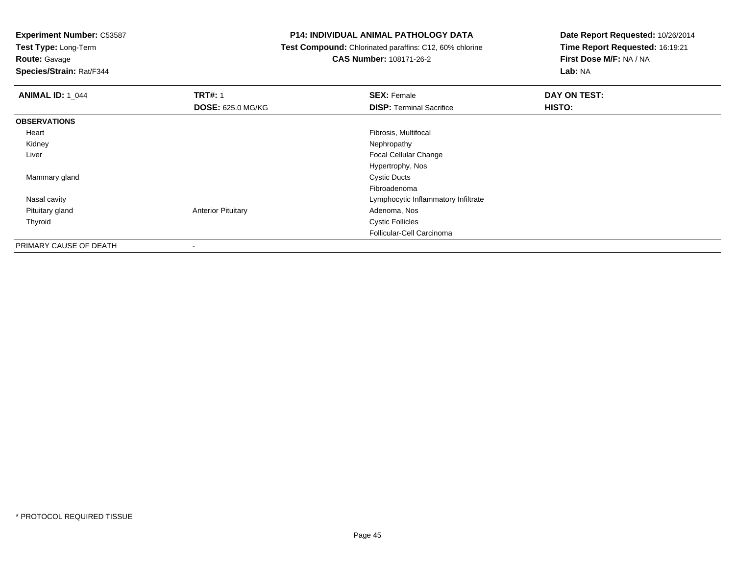**Test Type:** Long-Term

**Route:** Gavage

**Species/Strain:** Rat/F344

### **P14: INDIVIDUAL ANIMAL PATHOLOGY DATA**

 **Test Compound:** Chlorinated paraffins: C12, 60% chlorine**CAS Number:** 108171-26-2

| <b>ANIMAL ID: 1 044</b> | <b>TRT#: 1</b>            | <b>SEX: Female</b>                  | DAY ON TEST: |  |
|-------------------------|---------------------------|-------------------------------------|--------------|--|
|                         | <b>DOSE: 625.0 MG/KG</b>  | <b>DISP: Terminal Sacrifice</b>     | HISTO:       |  |
| <b>OBSERVATIONS</b>     |                           |                                     |              |  |
| Heart                   |                           | Fibrosis, Multifocal                |              |  |
| Kidney                  |                           | Nephropathy                         |              |  |
| Liver                   |                           | <b>Focal Cellular Change</b>        |              |  |
|                         |                           | Hypertrophy, Nos                    |              |  |
| Mammary gland           |                           | <b>Cystic Ducts</b>                 |              |  |
|                         |                           | Fibroadenoma                        |              |  |
| Nasal cavity            |                           | Lymphocytic Inflammatory Infiltrate |              |  |
| Pituitary gland         | <b>Anterior Pituitary</b> | Adenoma, Nos                        |              |  |
| Thyroid                 |                           | <b>Cystic Follicles</b>             |              |  |
|                         |                           | Follicular-Cell Carcinoma           |              |  |
| PRIMARY CAUSE OF DEATH  | ۰                         |                                     |              |  |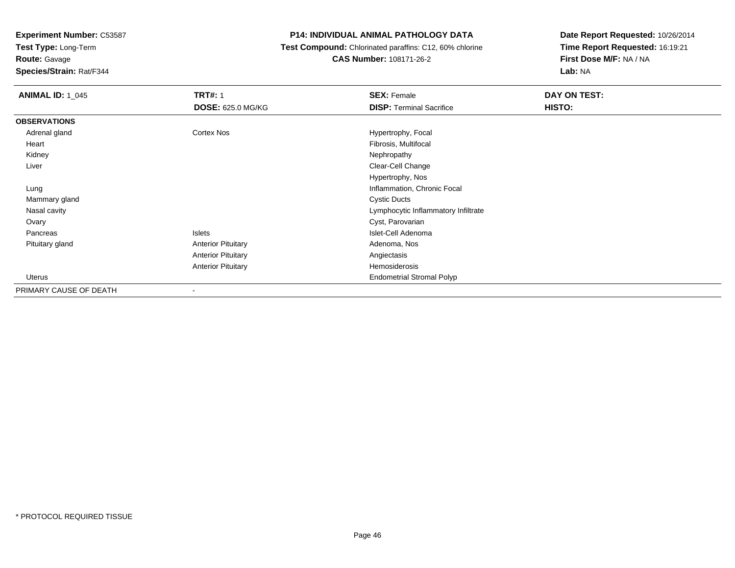**Test Type:** Long-Term

**Route:** Gavage

**Species/Strain:** Rat/F344

### **P14: INDIVIDUAL ANIMAL PATHOLOGY DATA**

 **Test Compound:** Chlorinated paraffins: C12, 60% chlorine**CAS Number:** 108171-26-2

| <b>ANIMAL ID: 1 045</b> | <b>TRT#: 1</b>            | <b>SEX: Female</b>                  | DAY ON TEST:  |
|-------------------------|---------------------------|-------------------------------------|---------------|
|                         | <b>DOSE: 625.0 MG/KG</b>  | <b>DISP: Terminal Sacrifice</b>     | <b>HISTO:</b> |
| <b>OBSERVATIONS</b>     |                           |                                     |               |
| Adrenal gland           | Cortex Nos                | Hypertrophy, Focal                  |               |
| Heart                   |                           | Fibrosis, Multifocal                |               |
| Kidney                  |                           | Nephropathy                         |               |
| Liver                   |                           | Clear-Cell Change                   |               |
|                         |                           | Hypertrophy, Nos                    |               |
| Lung                    |                           | Inflammation, Chronic Focal         |               |
| Mammary gland           |                           | <b>Cystic Ducts</b>                 |               |
| Nasal cavity            |                           | Lymphocytic Inflammatory Infiltrate |               |
| Ovary                   |                           | Cyst, Parovarian                    |               |
| Pancreas                | Islets                    | Islet-Cell Adenoma                  |               |
| Pituitary gland         | <b>Anterior Pituitary</b> | Adenoma, Nos                        |               |
|                         | <b>Anterior Pituitary</b> | Angiectasis                         |               |
|                         | <b>Anterior Pituitary</b> | Hemosiderosis                       |               |
| Uterus                  |                           | <b>Endometrial Stromal Polyp</b>    |               |
| PRIMARY CAUSE OF DEATH  | $\overline{\phantom{0}}$  |                                     |               |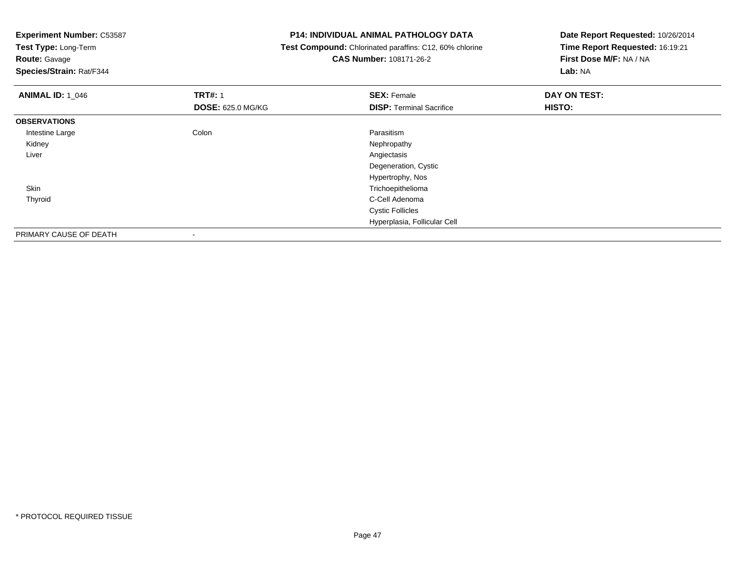| <b>Experiment Number: C53587</b>          | <b>P14: INDIVIDUAL ANIMAL PATHOLOGY DATA</b>            | Date Report Requested: 10/26/2014<br>Time Report Requested: 16:19:21 |  |
|-------------------------------------------|---------------------------------------------------------|----------------------------------------------------------------------|--|
| Test Type: Long-Term                      | Test Compound: Chlorinated paraffins: C12, 60% chlorine |                                                                      |  |
| <b>Route: Gavage</b>                      | <b>CAS Number: 108171-26-2</b>                          | First Dose M/F: NA / NA                                              |  |
| Species/Strain: Rat/F344                  |                                                         | Lab: NA                                                              |  |
| <b>TRT#: 1</b><br><b>ANIMAL ID: 1 046</b> | <b>SEX: Female</b>                                      | DAY ON TEST:                                                         |  |
| <b>DOSE: 625.0 MG/KG</b>                  | <b>DISP:</b> Terminal Sacrifice                         | HISTO:                                                               |  |
| <b>OBSERVATIONS</b>                       |                                                         |                                                                      |  |
| Colon<br>Intestine Large                  | Parasitism                                              |                                                                      |  |
| Kidney                                    | Nephropathy                                             |                                                                      |  |
| Liver                                     | Angiectasis                                             |                                                                      |  |
|                                           | Degeneration, Cystic                                    |                                                                      |  |
|                                           | Hypertrophy, Nos                                        |                                                                      |  |
| Skin                                      | Trichoepithelioma                                       |                                                                      |  |
| Thyroid                                   | C-Cell Adenoma                                          |                                                                      |  |
|                                           | <b>Cystic Follicles</b>                                 |                                                                      |  |
|                                           | Hyperplasia, Follicular Cell                            |                                                                      |  |
| PRIMARY CAUSE OF DEATH                    |                                                         |                                                                      |  |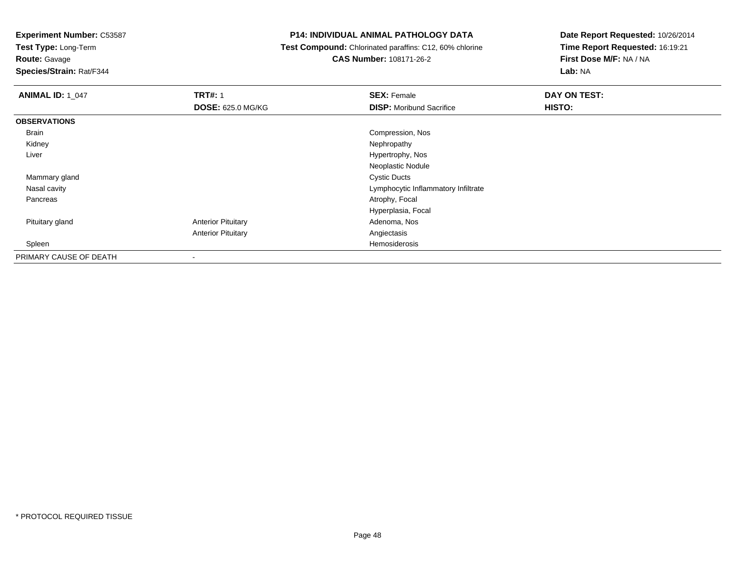**Test Type:** Long-Term

# **Route:** Gavage

**Species/Strain:** Rat/F344

### **P14: INDIVIDUAL ANIMAL PATHOLOGY DATA**

### **Test Compound:** Chlorinated paraffins: C12, 60% chlorine**CAS Number:** 108171-26-2

| <b>ANIMAL ID: 1_047</b> | <b>TRT#: 1</b><br><b>DOSE: 625.0 MG/KG</b> | <b>SEX: Female</b><br><b>DISP: Moribund Sacrifice</b> | DAY ON TEST:<br>HISTO: |
|-------------------------|--------------------------------------------|-------------------------------------------------------|------------------------|
| <b>OBSERVATIONS</b>     |                                            |                                                       |                        |
| Brain                   |                                            | Compression, Nos                                      |                        |
| Kidney                  |                                            | Nephropathy                                           |                        |
| Liver                   |                                            | Hypertrophy, Nos                                      |                        |
|                         |                                            | Neoplastic Nodule                                     |                        |
| Mammary gland           |                                            | <b>Cystic Ducts</b>                                   |                        |
| Nasal cavity            |                                            | Lymphocytic Inflammatory Infiltrate                   |                        |
| Pancreas                |                                            | Atrophy, Focal                                        |                        |
|                         |                                            | Hyperplasia, Focal                                    |                        |
| Pituitary gland         | <b>Anterior Pituitary</b>                  | Adenoma, Nos                                          |                        |
|                         | <b>Anterior Pituitary</b>                  | Angiectasis                                           |                        |
| Spleen                  |                                            | Hemosiderosis                                         |                        |
| PRIMARY CAUSE OF DEATH  | $\overline{\phantom{a}}$                   |                                                       |                        |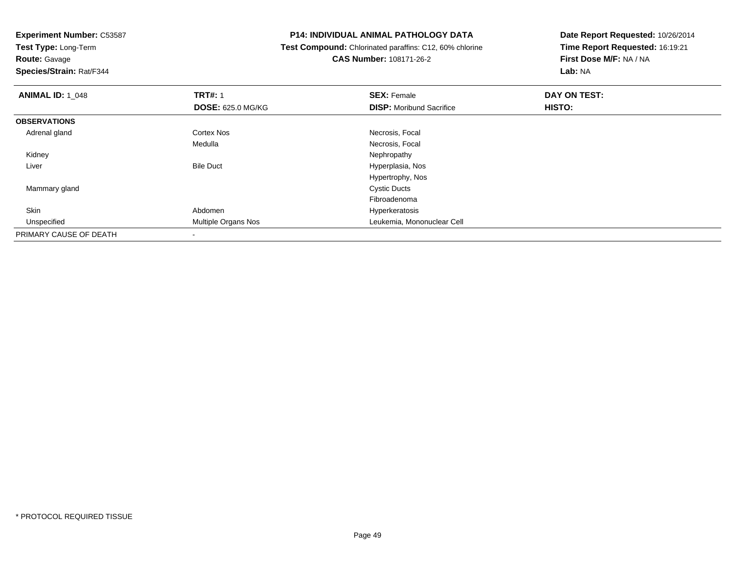**Experiment Number:** C53587**Test Type:** Long-Term**Route:** Gavage **Species/Strain:** Rat/F344**P14: INDIVIDUAL ANIMAL PATHOLOGY DATA Test Compound:** Chlorinated paraffins: C12, 60% chlorine**CAS Number:** 108171-26-2**Date Report Requested:** 10/26/2014**Time Report Requested:** 16:19:21**First Dose M/F:** NA / NA**Lab:** NA**ANIMAL ID: 1\_048 REX:** Female **DAY ON TEST: CONSIST: SEX:** Female **DAY ON TEST: DOSE:** 625.0 MG/KG**DISP:** Moribund Sacrifice **HISTO: OBSERVATIONS** Adrenal glandd **Cortex Nos** Cortex Nos and the Cortex Nos and the Cortex Nos and the Necrosis, Focal and the Cortex Nos and the Necrosia, Focal and the Cortex Nos and the Cortex Nos and the Cortex Nos and the Cortex Nos and the Cortex MedullaNecrosis, Focal<br>Nephropathy Kidneyy the control of the control of the control of the control of the control of the control of the control of the control of the control of the control of the control of the control of the control of the control of the contro LiverBile Duct **Hyperplasia**, Nos Hypertrophy, Nos Mammary glandd Cystic Ducts FibroadenomaHyperkeratosis Skinn and the settlement of the Abdomen and the Settlement of the Hyperkeratosis of the Abdoment of the Abdoment of the Hyperkeratosis of the Abdoment of the Abdoment of the Abdoment of the Abdoment of the Abdoment of the Abdo UnspecifiedMultiple Organs Nos **Multiple Organs Nos** Leukemia, Mononuclear Cell PRIMARY CAUSE OF DEATH

-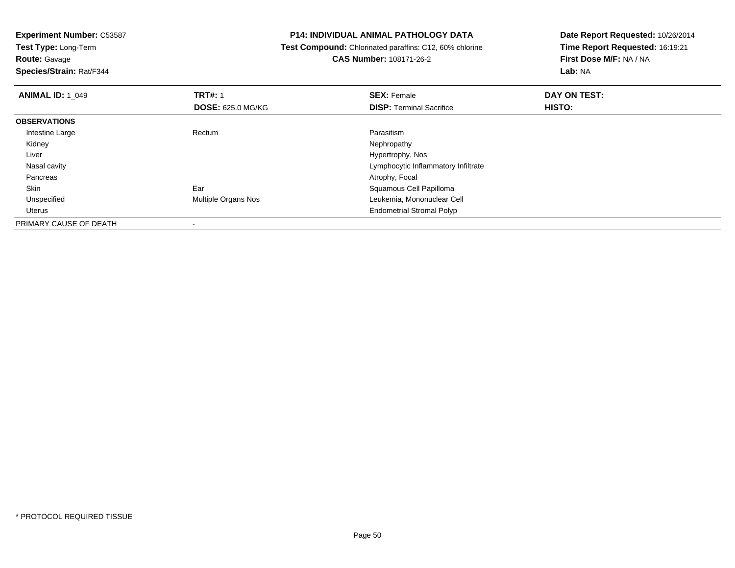**Test Type:** Long-Term**Route:** Gavage

**Species/Strain:** Rat/F344

### **P14: INDIVIDUAL ANIMAL PATHOLOGY DATA**

 **Test Compound:** Chlorinated paraffins: C12, 60% chlorine**CAS Number:** 108171-26-2

| <b>ANIMAL ID: 1 049</b> | <b>TRT#: 1</b>           | <b>SEX: Female</b>                  | DAY ON TEST:  |  |
|-------------------------|--------------------------|-------------------------------------|---------------|--|
|                         | <b>DOSE: 625.0 MG/KG</b> | <b>DISP:</b> Terminal Sacrifice     | <b>HISTO:</b> |  |
| <b>OBSERVATIONS</b>     |                          |                                     |               |  |
| Intestine Large         | Rectum                   | Parasitism                          |               |  |
| Kidney                  |                          | Nephropathy                         |               |  |
| Liver                   |                          | Hypertrophy, Nos                    |               |  |
| Nasal cavity            |                          | Lymphocytic Inflammatory Infiltrate |               |  |
| Pancreas                |                          | Atrophy, Focal                      |               |  |
| Skin                    | Ear                      | Squamous Cell Papilloma             |               |  |
| Unspecified             | Multiple Organs Nos      | Leukemia, Mononuclear Cell          |               |  |
| Uterus                  |                          | <b>Endometrial Stromal Polyp</b>    |               |  |
| PRIMARY CAUSE OF DEATH  |                          |                                     |               |  |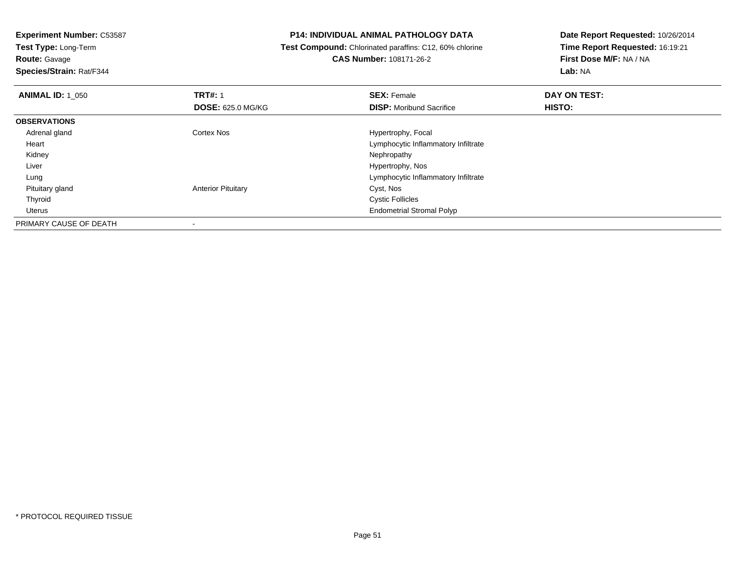**Experiment Number:** C53587**Test Type:** Long-Term

**Route:** Gavage

**Species/Strain:** Rat/F344

### **P14: INDIVIDUAL ANIMAL PATHOLOGY DATA**

 **Test Compound:** Chlorinated paraffins: C12, 60% chlorine**CAS Number:** 108171-26-2

| <b>ANIMAL ID: 1 050</b> | <b>TRT#: 1</b>            | <b>SEX: Female</b>                  | DAY ON TEST: |  |
|-------------------------|---------------------------|-------------------------------------|--------------|--|
|                         | <b>DOSE: 625.0 MG/KG</b>  | <b>DISP:</b> Moribund Sacrifice     | HISTO:       |  |
| <b>OBSERVATIONS</b>     |                           |                                     |              |  |
| Adrenal gland           | <b>Cortex Nos</b>         | Hypertrophy, Focal                  |              |  |
| Heart                   |                           | Lymphocytic Inflammatory Infiltrate |              |  |
| Kidney                  |                           | Nephropathy                         |              |  |
| Liver                   |                           | Hypertrophy, Nos                    |              |  |
| Lung                    |                           | Lymphocytic Inflammatory Infiltrate |              |  |
| Pituitary gland         | <b>Anterior Pituitary</b> | Cyst, Nos                           |              |  |
| Thyroid                 |                           | <b>Cystic Follicles</b>             |              |  |
| Uterus                  |                           | <b>Endometrial Stromal Polyp</b>    |              |  |
| PRIMARY CAUSE OF DEATH  |                           |                                     |              |  |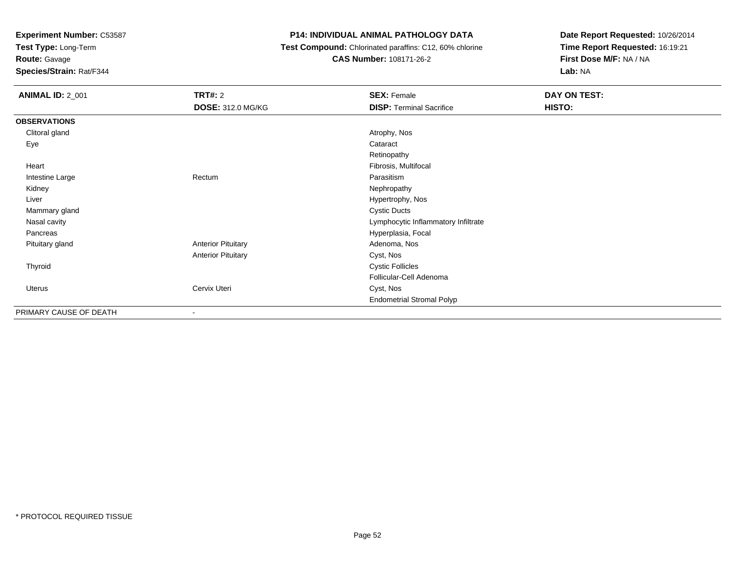**Test Type:** Long-Term

# **Route:** Gavage

**Species/Strain:** Rat/F344

### **P14: INDIVIDUAL ANIMAL PATHOLOGY DATA**

 **Test Compound:** Chlorinated paraffins: C12, 60% chlorine**CAS Number:** 108171-26-2

| <b>ANIMAL ID: 2_001</b> | <b>TRT#: 2</b>            | <b>SEX: Female</b>                  | DAY ON TEST: |
|-------------------------|---------------------------|-------------------------------------|--------------|
|                         | <b>DOSE: 312.0 MG/KG</b>  | <b>DISP: Terminal Sacrifice</b>     | HISTO:       |
| <b>OBSERVATIONS</b>     |                           |                                     |              |
| Clitoral gland          |                           | Atrophy, Nos                        |              |
| Eye                     |                           | Cataract                            |              |
|                         |                           | Retinopathy                         |              |
| Heart                   |                           | Fibrosis, Multifocal                |              |
| Intestine Large         | Rectum                    | Parasitism                          |              |
| Kidney                  |                           | Nephropathy                         |              |
| Liver                   |                           | Hypertrophy, Nos                    |              |
| Mammary gland           |                           | <b>Cystic Ducts</b>                 |              |
| Nasal cavity            |                           | Lymphocytic Inflammatory Infiltrate |              |
| Pancreas                |                           | Hyperplasia, Focal                  |              |
| Pituitary gland         | <b>Anterior Pituitary</b> | Adenoma, Nos                        |              |
|                         | <b>Anterior Pituitary</b> | Cyst, Nos                           |              |
| Thyroid                 |                           | <b>Cystic Follicles</b>             |              |
|                         |                           | Follicular-Cell Adenoma             |              |
| Uterus                  | Cervix Uteri              | Cyst, Nos                           |              |
|                         |                           | <b>Endometrial Stromal Polyp</b>    |              |
| PRIMARY CAUSE OF DEATH  | $\overline{\phantom{a}}$  |                                     |              |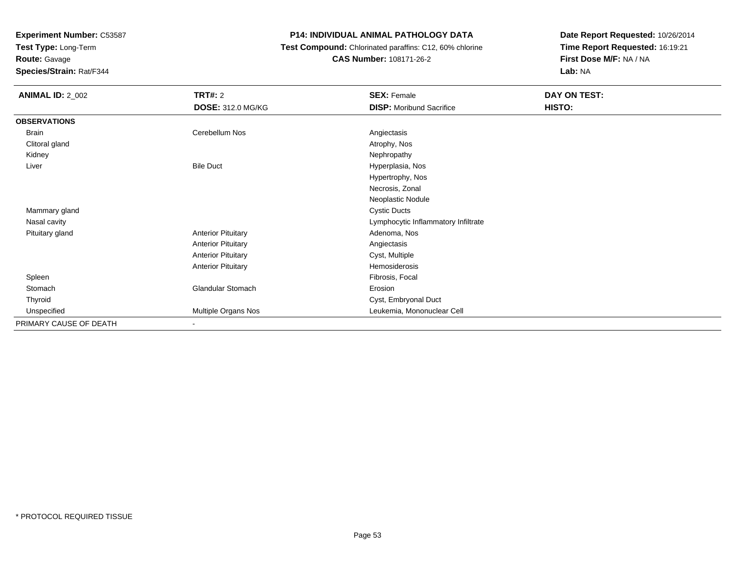**Test Type:** Long-Term

**Route:** Gavage

**Species/Strain:** Rat/F344

### **P14: INDIVIDUAL ANIMAL PATHOLOGY DATA**

 **Test Compound:** Chlorinated paraffins: C12, 60% chlorine**CAS Number:** 108171-26-2

| <b>ANIMAL ID: 2_002</b> | TRT#: 2                   | <b>SEX: Female</b>                  | DAY ON TEST: |
|-------------------------|---------------------------|-------------------------------------|--------------|
|                         | <b>DOSE: 312.0 MG/KG</b>  | <b>DISP: Moribund Sacrifice</b>     | HISTO:       |
| <b>OBSERVATIONS</b>     |                           |                                     |              |
| Brain                   | Cerebellum Nos            | Angiectasis                         |              |
| Clitoral gland          |                           | Atrophy, Nos                        |              |
| Kidney                  |                           | Nephropathy                         |              |
| Liver                   | <b>Bile Duct</b>          | Hyperplasia, Nos                    |              |
|                         |                           | Hypertrophy, Nos                    |              |
|                         |                           | Necrosis, Zonal                     |              |
|                         |                           | Neoplastic Nodule                   |              |
| Mammary gland           |                           | <b>Cystic Ducts</b>                 |              |
| Nasal cavity            |                           | Lymphocytic Inflammatory Infiltrate |              |
| Pituitary gland         | <b>Anterior Pituitary</b> | Adenoma, Nos                        |              |
|                         | <b>Anterior Pituitary</b> | Angiectasis                         |              |
|                         | <b>Anterior Pituitary</b> | Cyst, Multiple                      |              |
|                         | <b>Anterior Pituitary</b> | Hemosiderosis                       |              |
| Spleen                  |                           | Fibrosis, Focal                     |              |
| Stomach                 | Glandular Stomach         | Erosion                             |              |
| Thyroid                 |                           | Cyst, Embryonal Duct                |              |
| Unspecified             | Multiple Organs Nos       | Leukemia, Mononuclear Cell          |              |
| PRIMARY CAUSE OF DEATH  | $\overline{\phantom{0}}$  |                                     |              |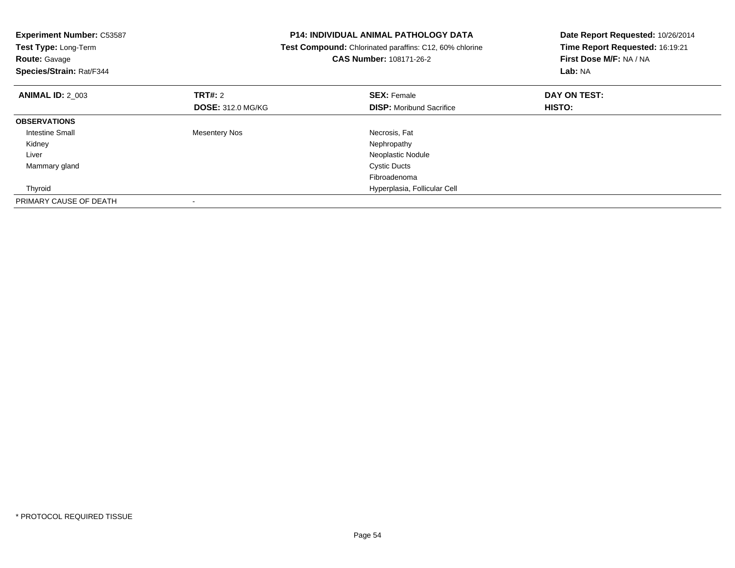| <b>Experiment Number: C53587</b><br>Test Type: Long-Term<br><b>Route: Gavage</b><br>Species/Strain: Rat/F344 |                          | <b>P14: INDIVIDUAL ANIMAL PATHOLOGY DATA</b><br>Test Compound: Chlorinated paraffins: C12, 60% chlorine<br><b>CAS Number: 108171-26-2</b> | Date Report Requested: 10/26/2014<br>Time Report Requested: 16:19:21<br>First Dose M/F: NA / NA<br>Lab: NA |
|--------------------------------------------------------------------------------------------------------------|--------------------------|-------------------------------------------------------------------------------------------------------------------------------------------|------------------------------------------------------------------------------------------------------------|
| <b>ANIMAL ID: 2 003</b>                                                                                      | <b>TRT#: 2</b>           | <b>SEX: Female</b>                                                                                                                        | DAY ON TEST:                                                                                               |
|                                                                                                              | <b>DOSE: 312.0 MG/KG</b> | <b>DISP:</b> Moribund Sacrifice                                                                                                           | HISTO:                                                                                                     |
| <b>OBSERVATIONS</b>                                                                                          |                          |                                                                                                                                           |                                                                                                            |
| <b>Intestine Small</b>                                                                                       | <b>Mesentery Nos</b>     | Necrosis, Fat                                                                                                                             |                                                                                                            |
| Kidney                                                                                                       |                          | Nephropathy                                                                                                                               |                                                                                                            |
| Liver                                                                                                        |                          | Neoplastic Nodule                                                                                                                         |                                                                                                            |
| Mammary gland                                                                                                |                          | <b>Cystic Ducts</b>                                                                                                                       |                                                                                                            |
|                                                                                                              |                          | Fibroadenoma                                                                                                                              |                                                                                                            |
| Thyroid                                                                                                      |                          | Hyperplasia, Follicular Cell                                                                                                              |                                                                                                            |
| PRIMARY CAUSE OF DEATH                                                                                       |                          |                                                                                                                                           |                                                                                                            |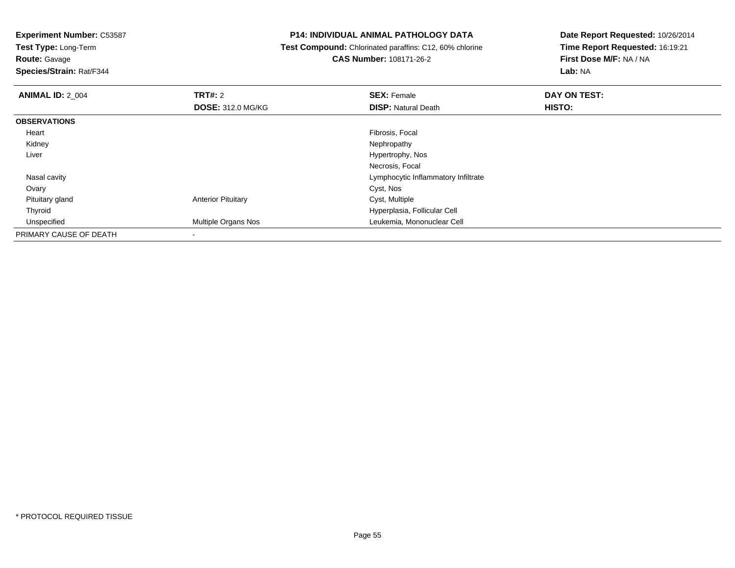**Test Type:** Long-Term

# **Route:** Gavage

**Species/Strain:** Rat/F344

### **P14: INDIVIDUAL ANIMAL PATHOLOGY DATA**

 **Test Compound:** Chlorinated paraffins: C12, 60% chlorine**CAS Number:** 108171-26-2

| <b>ANIMAL ID: 2 004</b> | TRT#: 2                   | <b>SEX: Female</b>                  | DAY ON TEST: |  |
|-------------------------|---------------------------|-------------------------------------|--------------|--|
|                         | <b>DOSE: 312.0 MG/KG</b>  | <b>DISP: Natural Death</b>          | HISTO:       |  |
| <b>OBSERVATIONS</b>     |                           |                                     |              |  |
| Heart                   |                           | Fibrosis, Focal                     |              |  |
| Kidney                  |                           | Nephropathy                         |              |  |
| Liver                   |                           | Hypertrophy, Nos                    |              |  |
|                         |                           | Necrosis, Focal                     |              |  |
| Nasal cavity            |                           | Lymphocytic Inflammatory Infiltrate |              |  |
| Ovary                   |                           | Cyst, Nos                           |              |  |
| Pituitary gland         | <b>Anterior Pituitary</b> | Cyst, Multiple                      |              |  |
| Thyroid                 |                           | Hyperplasia, Follicular Cell        |              |  |
| Unspecified             | Multiple Organs Nos       | Leukemia, Mononuclear Cell          |              |  |
| PRIMARY CAUSE OF DEATH  |                           |                                     |              |  |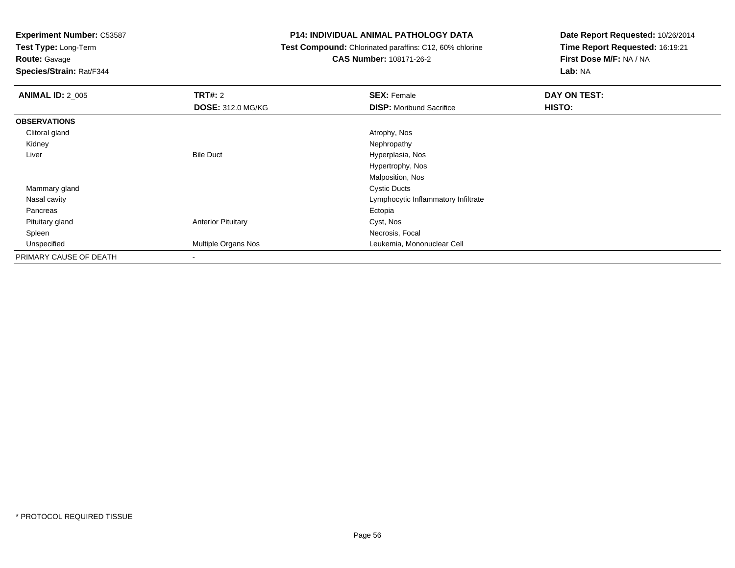**Test Type:** Long-Term

**Route:** Gavage

**Species/Strain:** Rat/F344

### **P14: INDIVIDUAL ANIMAL PATHOLOGY DATA**

 **Test Compound:** Chlorinated paraffins: C12, 60% chlorine**CAS Number:** 108171-26-2

| <b>ANIMAL ID: 2_005</b> | TRT#: 2                   | <b>SEX: Female</b>                  | DAY ON TEST: |
|-------------------------|---------------------------|-------------------------------------|--------------|
|                         | <b>DOSE: 312.0 MG/KG</b>  | <b>DISP:</b> Moribund Sacrifice     | HISTO:       |
| <b>OBSERVATIONS</b>     |                           |                                     |              |
| Clitoral gland          |                           | Atrophy, Nos                        |              |
| Kidney                  |                           | Nephropathy                         |              |
| Liver                   | <b>Bile Duct</b>          | Hyperplasia, Nos                    |              |
|                         |                           | Hypertrophy, Nos                    |              |
|                         |                           | Malposition, Nos                    |              |
| Mammary gland           |                           | <b>Cystic Ducts</b>                 |              |
| Nasal cavity            |                           | Lymphocytic Inflammatory Infiltrate |              |
| Pancreas                |                           | Ectopia                             |              |
| Pituitary gland         | <b>Anterior Pituitary</b> | Cyst, Nos                           |              |
| Spleen                  |                           | Necrosis, Focal                     |              |
| Unspecified             | Multiple Organs Nos       | Leukemia, Mononuclear Cell          |              |
| PRIMARY CAUSE OF DEATH  | $\blacksquare$            |                                     |              |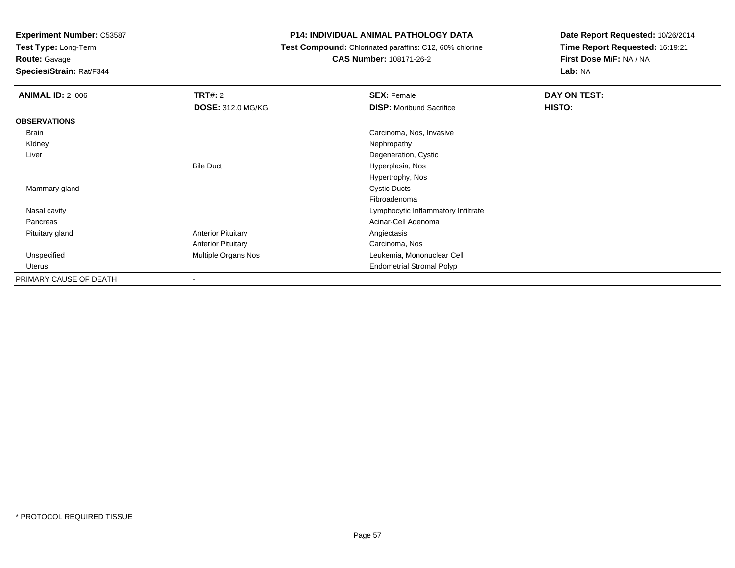**Test Type:** Long-Term

**Route:** Gavage

**Species/Strain:** Rat/F344

### **P14: INDIVIDUAL ANIMAL PATHOLOGY DATA**

 **Test Compound:** Chlorinated paraffins: C12, 60% chlorine**CAS Number:** 108171-26-2

| <b>ANIMAL ID: 2_006</b> | <b>TRT#: 2</b>            | <b>SEX: Female</b>                  | DAY ON TEST: |  |
|-------------------------|---------------------------|-------------------------------------|--------------|--|
|                         | <b>DOSE: 312.0 MG/KG</b>  | <b>DISP:</b> Moribund Sacrifice     | HISTO:       |  |
| <b>OBSERVATIONS</b>     |                           |                                     |              |  |
| Brain                   |                           | Carcinoma, Nos, Invasive            |              |  |
| Kidney                  |                           | Nephropathy                         |              |  |
| Liver                   |                           | Degeneration, Cystic                |              |  |
|                         | <b>Bile Duct</b>          | Hyperplasia, Nos                    |              |  |
|                         |                           | Hypertrophy, Nos                    |              |  |
| Mammary gland           |                           | <b>Cystic Ducts</b>                 |              |  |
|                         |                           | Fibroadenoma                        |              |  |
| Nasal cavity            |                           | Lymphocytic Inflammatory Infiltrate |              |  |
| Pancreas                |                           | Acinar-Cell Adenoma                 |              |  |
| Pituitary gland         | <b>Anterior Pituitary</b> | Angiectasis                         |              |  |
|                         | <b>Anterior Pituitary</b> | Carcinoma, Nos                      |              |  |
| Unspecified             | Multiple Organs Nos       | Leukemia, Mononuclear Cell          |              |  |
| Uterus                  |                           | <b>Endometrial Stromal Polyp</b>    |              |  |
| PRIMARY CAUSE OF DEATH  | $\overline{\phantom{a}}$  |                                     |              |  |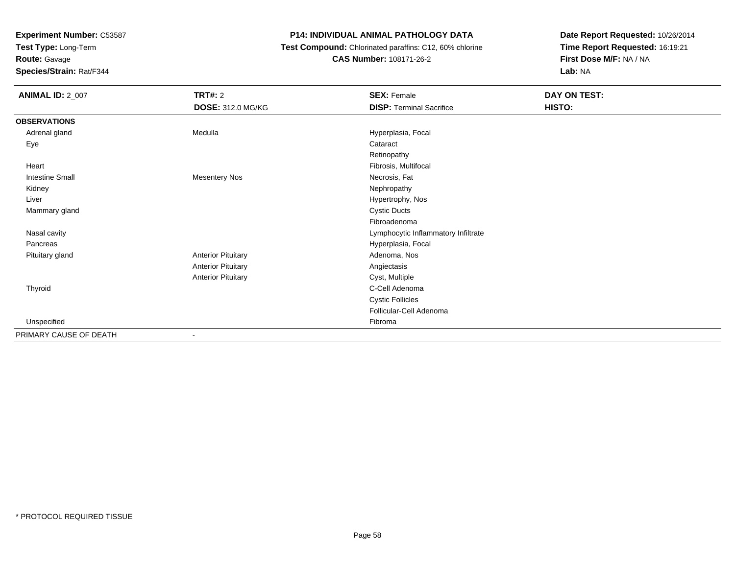**Test Type:** Long-Term

### **Route:** Gavage

**Species/Strain:** Rat/F344

### **P14: INDIVIDUAL ANIMAL PATHOLOGY DATA**

### **Test Compound:** Chlorinated paraffins: C12, 60% chlorine**CAS Number:** 108171-26-2

| <b>ANIMAL ID: 2_007</b> | <b>TRT#: 2</b>            | <b>SEX: Female</b>                  | DAY ON TEST: |  |
|-------------------------|---------------------------|-------------------------------------|--------------|--|
|                         | DOSE: 312.0 MG/KG         | <b>DISP: Terminal Sacrifice</b>     | HISTO:       |  |
| <b>OBSERVATIONS</b>     |                           |                                     |              |  |
| Adrenal gland           | Medulla                   | Hyperplasia, Focal                  |              |  |
| Eye                     |                           | Cataract                            |              |  |
|                         |                           | Retinopathy                         |              |  |
| Heart                   |                           | Fibrosis, Multifocal                |              |  |
| <b>Intestine Small</b>  | <b>Mesentery Nos</b>      | Necrosis, Fat                       |              |  |
| Kidney                  |                           | Nephropathy                         |              |  |
| Liver                   |                           | Hypertrophy, Nos                    |              |  |
| Mammary gland           |                           | <b>Cystic Ducts</b>                 |              |  |
|                         |                           | Fibroadenoma                        |              |  |
| Nasal cavity            |                           | Lymphocytic Inflammatory Infiltrate |              |  |
| Pancreas                |                           | Hyperplasia, Focal                  |              |  |
| Pituitary gland         | <b>Anterior Pituitary</b> | Adenoma, Nos                        |              |  |
|                         | <b>Anterior Pituitary</b> | Angiectasis                         |              |  |
|                         | <b>Anterior Pituitary</b> | Cyst, Multiple                      |              |  |
| Thyroid                 |                           | C-Cell Adenoma                      |              |  |
|                         |                           | <b>Cystic Follicles</b>             |              |  |
|                         |                           | Follicular-Cell Adenoma             |              |  |
| Unspecified             |                           | Fibroma                             |              |  |
| PRIMARY CAUSE OF DEATH  |                           |                                     |              |  |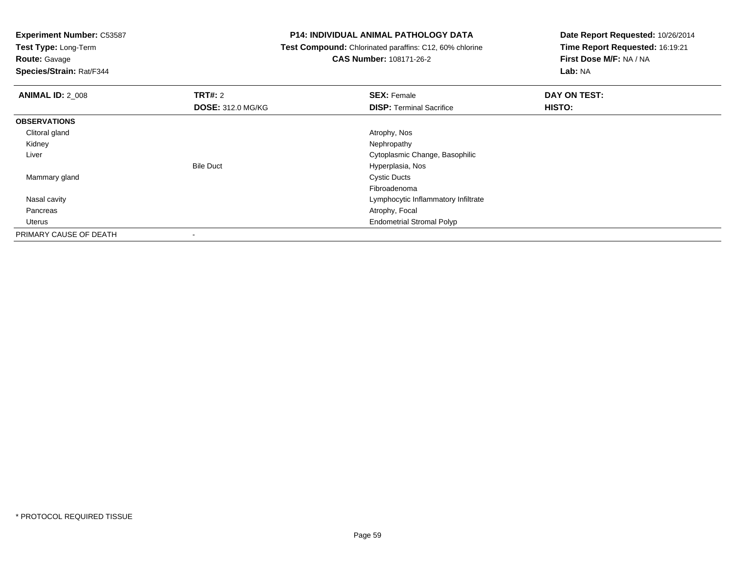**Test Type:** Long-Term

**Route:** Gavage

**Species/Strain:** Rat/F344

### **P14: INDIVIDUAL ANIMAL PATHOLOGY DATA**

 **Test Compound:** Chlorinated paraffins: C12, 60% chlorine**CAS Number:** 108171-26-2

| <b>ANIMAL ID: 2_008</b> | TRT#: 2                  | <b>SEX: Female</b>                  | DAY ON TEST: |  |
|-------------------------|--------------------------|-------------------------------------|--------------|--|
|                         | <b>DOSE: 312.0 MG/KG</b> | <b>DISP: Terminal Sacrifice</b>     | HISTO:       |  |
| <b>OBSERVATIONS</b>     |                          |                                     |              |  |
| Clitoral gland          |                          | Atrophy, Nos                        |              |  |
| Kidney                  |                          | Nephropathy                         |              |  |
| Liver                   |                          | Cytoplasmic Change, Basophilic      |              |  |
|                         | <b>Bile Duct</b>         | Hyperplasia, Nos                    |              |  |
| Mammary gland           |                          | <b>Cystic Ducts</b>                 |              |  |
|                         |                          | Fibroadenoma                        |              |  |
| Nasal cavity            |                          | Lymphocytic Inflammatory Infiltrate |              |  |
| Pancreas                |                          | Atrophy, Focal                      |              |  |
| Uterus                  |                          | <b>Endometrial Stromal Polyp</b>    |              |  |
| PRIMARY CAUSE OF DEATH  |                          |                                     |              |  |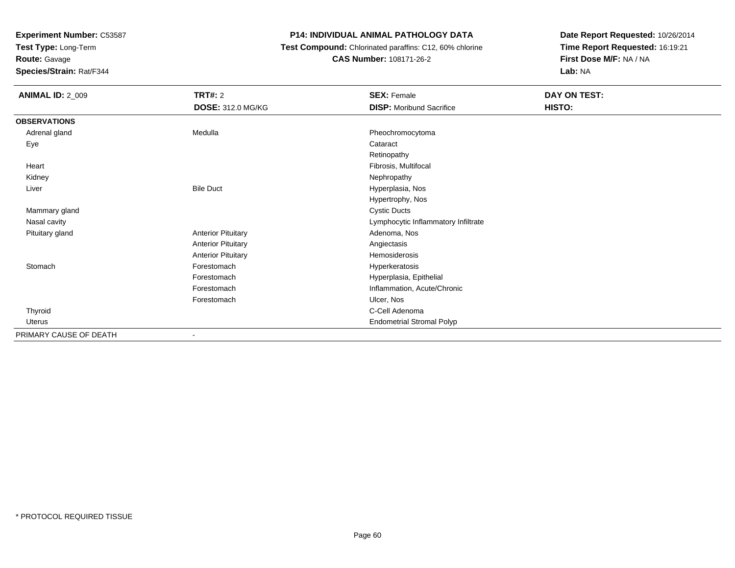**Test Type:** Long-Term

**Route:** Gavage

**Species/Strain:** Rat/F344

### **P14: INDIVIDUAL ANIMAL PATHOLOGY DATA**

 **Test Compound:** Chlorinated paraffins: C12, 60% chlorine**CAS Number:** 108171-26-2

| <b>ANIMAL ID: 2_009</b> | TRT#: 2                   | <b>SEX: Female</b>                  | DAY ON TEST: |
|-------------------------|---------------------------|-------------------------------------|--------------|
|                         | <b>DOSE: 312.0 MG/KG</b>  | <b>DISP:</b> Moribund Sacrifice     | HISTO:       |
| <b>OBSERVATIONS</b>     |                           |                                     |              |
| Adrenal gland           | Medulla                   | Pheochromocytoma                    |              |
| Eye                     |                           | Cataract                            |              |
|                         |                           | Retinopathy                         |              |
| Heart                   |                           | Fibrosis, Multifocal                |              |
| Kidney                  |                           | Nephropathy                         |              |
| Liver                   | <b>Bile Duct</b>          | Hyperplasia, Nos                    |              |
|                         |                           | Hypertrophy, Nos                    |              |
| Mammary gland           |                           | <b>Cystic Ducts</b>                 |              |
| Nasal cavity            |                           | Lymphocytic Inflammatory Infiltrate |              |
| Pituitary gland         | <b>Anterior Pituitary</b> | Adenoma, Nos                        |              |
|                         | <b>Anterior Pituitary</b> | Angiectasis                         |              |
|                         | <b>Anterior Pituitary</b> | Hemosiderosis                       |              |
| Stomach                 | Forestomach               | Hyperkeratosis                      |              |
|                         | Forestomach               | Hyperplasia, Epithelial             |              |
|                         | Forestomach               | Inflammation, Acute/Chronic         |              |
|                         | Forestomach               | Ulcer, Nos                          |              |
| Thyroid                 |                           | C-Cell Adenoma                      |              |
| Uterus                  |                           | <b>Endometrial Stromal Polyp</b>    |              |
| PRIMARY CAUSE OF DEATH  |                           |                                     |              |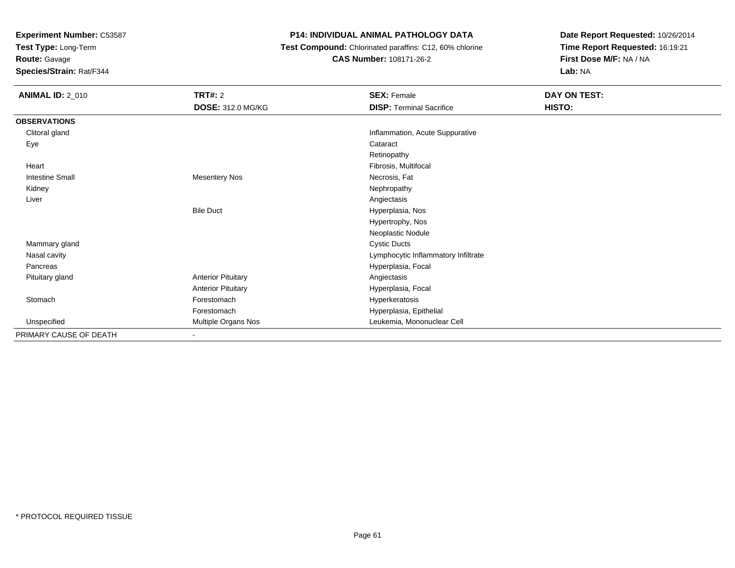**Test Type:** Long-Term

**Route:** Gavage

**Species/Strain:** Rat/F344

### **P14: INDIVIDUAL ANIMAL PATHOLOGY DATA**

 **Test Compound:** Chlorinated paraffins: C12, 60% chlorine**CAS Number:** 108171-26-2

| <b>ANIMAL ID: 2_010</b> | TRT#: 2                   | <b>SEX: Female</b>                  | DAY ON TEST: |
|-------------------------|---------------------------|-------------------------------------|--------------|
|                         | <b>DOSE: 312.0 MG/KG</b>  | <b>DISP: Terminal Sacrifice</b>     | HISTO:       |
| <b>OBSERVATIONS</b>     |                           |                                     |              |
| Clitoral gland          |                           | Inflammation, Acute Suppurative     |              |
| Eye                     |                           | Cataract                            |              |
|                         |                           | Retinopathy                         |              |
| Heart                   |                           | Fibrosis, Multifocal                |              |
| <b>Intestine Small</b>  | <b>Mesentery Nos</b>      | Necrosis, Fat                       |              |
| Kidney                  |                           | Nephropathy                         |              |
| Liver                   |                           | Angiectasis                         |              |
|                         | <b>Bile Duct</b>          | Hyperplasia, Nos                    |              |
|                         |                           | Hypertrophy, Nos                    |              |
|                         |                           | Neoplastic Nodule                   |              |
| Mammary gland           |                           | <b>Cystic Ducts</b>                 |              |
| Nasal cavity            |                           | Lymphocytic Inflammatory Infiltrate |              |
| Pancreas                |                           | Hyperplasia, Focal                  |              |
| Pituitary gland         | <b>Anterior Pituitary</b> | Angiectasis                         |              |
|                         | <b>Anterior Pituitary</b> | Hyperplasia, Focal                  |              |
| Stomach                 | Forestomach               | Hyperkeratosis                      |              |
|                         | Forestomach               | Hyperplasia, Epithelial             |              |
| Unspecified             | Multiple Organs Nos       | Leukemia, Mononuclear Cell          |              |
| PRIMARY CAUSE OF DEATH  | $\overline{\phantom{a}}$  |                                     |              |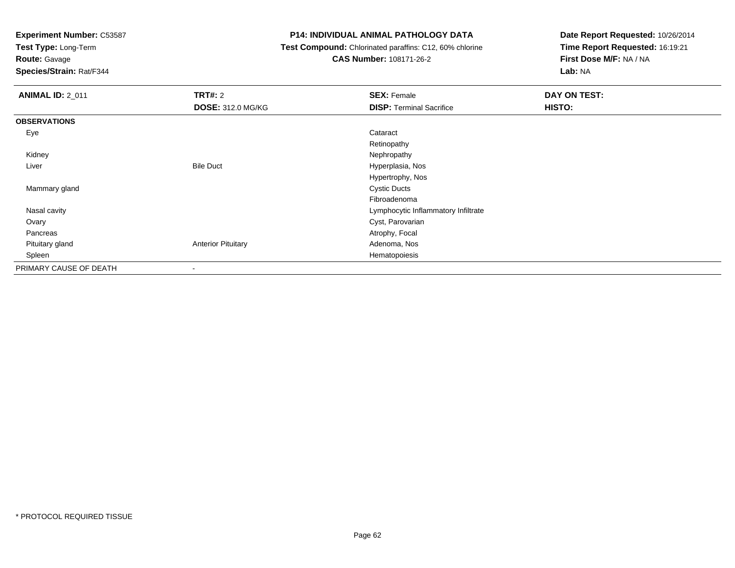**Test Type:** Long-Term

**Route:** Gavage

**Species/Strain:** Rat/F344

### **P14: INDIVIDUAL ANIMAL PATHOLOGY DATA**

 **Test Compound:** Chlorinated paraffins: C12, 60% chlorine**CAS Number:** 108171-26-2

| <b>ANIMAL ID: 2_011</b> | TRT#: 2<br><b>DOSE: 312.0 MG/KG</b> | <b>SEX: Female</b><br><b>DISP: Terminal Sacrifice</b> | DAY ON TEST:<br>HISTO: |
|-------------------------|-------------------------------------|-------------------------------------------------------|------------------------|
| <b>OBSERVATIONS</b>     |                                     |                                                       |                        |
| Eye                     |                                     | Cataract                                              |                        |
|                         |                                     | Retinopathy                                           |                        |
| Kidney                  |                                     | Nephropathy                                           |                        |
| Liver                   | <b>Bile Duct</b>                    | Hyperplasia, Nos                                      |                        |
|                         |                                     | Hypertrophy, Nos                                      |                        |
| Mammary gland           |                                     | <b>Cystic Ducts</b>                                   |                        |
|                         |                                     | Fibroadenoma                                          |                        |
| Nasal cavity            |                                     | Lymphocytic Inflammatory Infiltrate                   |                        |
| Ovary                   |                                     | Cyst, Parovarian                                      |                        |
| Pancreas                |                                     | Atrophy, Focal                                        |                        |
| Pituitary gland         | <b>Anterior Pituitary</b>           | Adenoma, Nos                                          |                        |
| Spleen                  |                                     | Hematopoiesis                                         |                        |
| PRIMARY CAUSE OF DEATH  | $\overline{\phantom{a}}$            |                                                       |                        |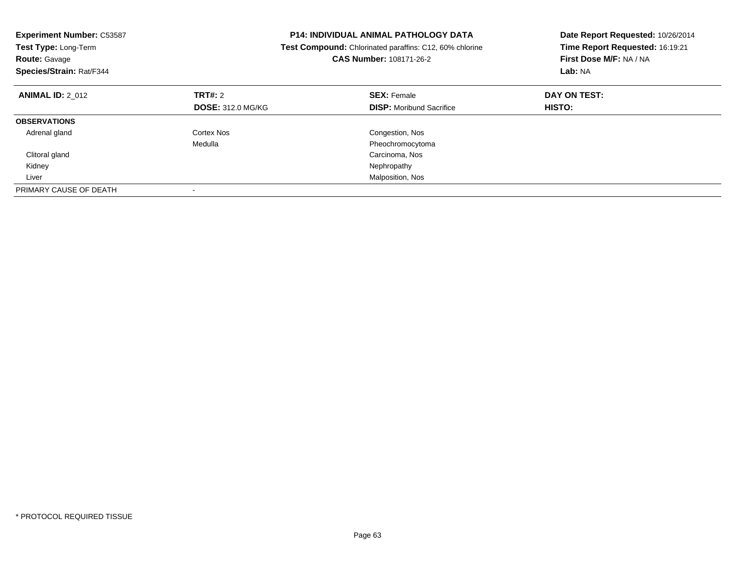| <b>Experiment Number: C53587</b><br>Test Type: Long-Term<br><b>Route: Gavage</b><br>Species/Strain: Rat/F344 | <b>P14: INDIVIDUAL ANIMAL PATHOLOGY DATA</b><br>Test Compound: Chlorinated paraffins: C12, 60% chlorine<br><b>CAS Number: 108171-26-2</b> |                                 | Date Report Requested: 10/26/2014<br>Time Report Requested: 16:19:21<br>First Dose M/F: NA / NA<br>Lab: NA |
|--------------------------------------------------------------------------------------------------------------|-------------------------------------------------------------------------------------------------------------------------------------------|---------------------------------|------------------------------------------------------------------------------------------------------------|
| <b>ANIMAL ID: 2 012</b>                                                                                      | TRT#: 2                                                                                                                                   | <b>SEX: Female</b>              | DAY ON TEST:                                                                                               |
|                                                                                                              | <b>DOSE: 312.0 MG/KG</b>                                                                                                                  | <b>DISP:</b> Moribund Sacrifice | HISTO:                                                                                                     |
| <b>OBSERVATIONS</b>                                                                                          |                                                                                                                                           |                                 |                                                                                                            |
| Adrenal gland                                                                                                | Cortex Nos                                                                                                                                | Congestion, Nos                 |                                                                                                            |
|                                                                                                              | Medulla                                                                                                                                   | Pheochromocytoma                |                                                                                                            |
| Clitoral gland                                                                                               |                                                                                                                                           | Carcinoma, Nos                  |                                                                                                            |
| Kidney                                                                                                       |                                                                                                                                           | Nephropathy                     |                                                                                                            |
| Liver                                                                                                        |                                                                                                                                           | Malposition, Nos                |                                                                                                            |
| PRIMARY CAUSE OF DEATH                                                                                       |                                                                                                                                           |                                 |                                                                                                            |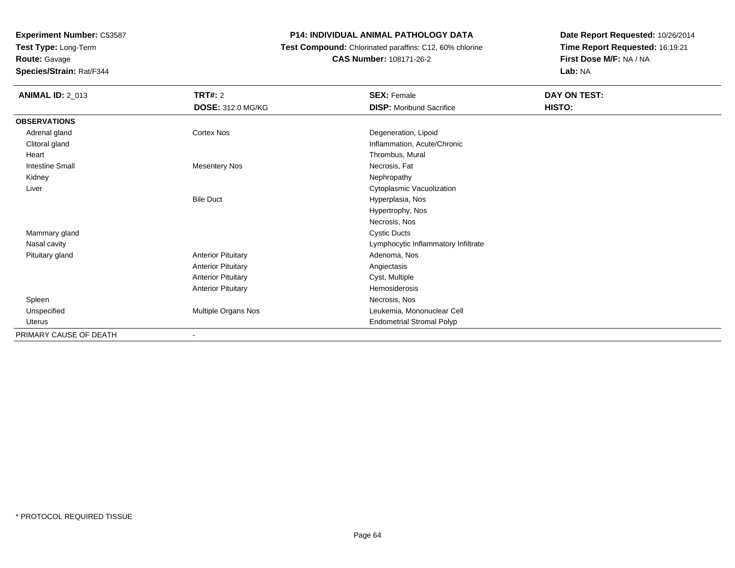**Experiment Number:** C53587**Test Type:** Long-Term

**Route:** Gavage

**Species/Strain:** Rat/F344

### **P14: INDIVIDUAL ANIMAL PATHOLOGY DATA**

 **Test Compound:** Chlorinated paraffins: C12, 60% chlorine**CAS Number:** 108171-26-2

| <b>ANIMAL ID: 2_013</b> | <b>TRT#: 2</b>            | <b>SEX: Female</b>                  | <b>DAY ON TEST:</b> |  |
|-------------------------|---------------------------|-------------------------------------|---------------------|--|
|                         | DOSE: 312.0 MG/KG         | <b>DISP: Moribund Sacrifice</b>     | HISTO:              |  |
| <b>OBSERVATIONS</b>     |                           |                                     |                     |  |
| Adrenal gland           | Cortex Nos                | Degeneration, Lipoid                |                     |  |
| Clitoral gland          |                           | Inflammation, Acute/Chronic         |                     |  |
| Heart                   |                           | Thrombus, Mural                     |                     |  |
| <b>Intestine Small</b>  | <b>Mesentery Nos</b>      | Necrosis, Fat                       |                     |  |
| Kidney                  |                           | Nephropathy                         |                     |  |
| Liver                   |                           | Cytoplasmic Vacuolization           |                     |  |
|                         | <b>Bile Duct</b>          | Hyperplasia, Nos                    |                     |  |
|                         |                           | Hypertrophy, Nos                    |                     |  |
|                         |                           | Necrosis, Nos                       |                     |  |
| Mammary gland           |                           | <b>Cystic Ducts</b>                 |                     |  |
| Nasal cavity            |                           | Lymphocytic Inflammatory Infiltrate |                     |  |
| Pituitary gland         | <b>Anterior Pituitary</b> | Adenoma, Nos                        |                     |  |
|                         | <b>Anterior Pituitary</b> | Angiectasis                         |                     |  |
|                         | <b>Anterior Pituitary</b> | Cyst, Multiple                      |                     |  |
|                         | <b>Anterior Pituitary</b> | Hemosiderosis                       |                     |  |
| Spleen                  |                           | Necrosis, Nos                       |                     |  |
| Unspecified             | Multiple Organs Nos       | Leukemia, Mononuclear Cell          |                     |  |
| <b>Uterus</b>           |                           | <b>Endometrial Stromal Polyp</b>    |                     |  |
| PRIMARY CAUSE OF DEATH  | $\overline{\phantom{a}}$  |                                     |                     |  |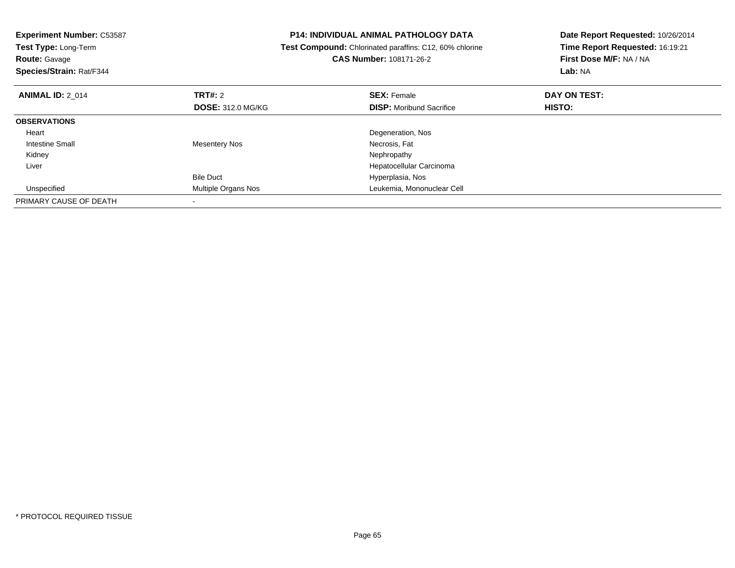| <b>Experiment Number: C53587</b><br><b>Test Type: Long-Term</b><br><b>Route: Gavage</b><br>Species/Strain: Rat/F344 |                          | <b>P14: INDIVIDUAL ANIMAL PATHOLOGY DATA</b><br>Test Compound: Chlorinated paraffins: C12, 60% chlorine<br>CAS Number: 108171-26-2 | Date Report Requested: 10/26/2014<br>Time Report Requested: 16:19:21<br>First Dose M/F: NA / NA<br>Lab: NA |
|---------------------------------------------------------------------------------------------------------------------|--------------------------|------------------------------------------------------------------------------------------------------------------------------------|------------------------------------------------------------------------------------------------------------|
| <b>ANIMAL ID: 2 014</b>                                                                                             | TRT#: 2                  | <b>SEX: Female</b>                                                                                                                 | DAY ON TEST:                                                                                               |
|                                                                                                                     | <b>DOSE: 312.0 MG/KG</b> | <b>DISP:</b> Moribund Sacrifice                                                                                                    | <b>HISTO:</b>                                                                                              |
| <b>OBSERVATIONS</b>                                                                                                 |                          |                                                                                                                                    |                                                                                                            |
| Heart                                                                                                               |                          | Degeneration, Nos                                                                                                                  |                                                                                                            |
| Intestine Small                                                                                                     | <b>Mesentery Nos</b>     | Necrosis, Fat                                                                                                                      |                                                                                                            |
| Kidney                                                                                                              |                          | Nephropathy                                                                                                                        |                                                                                                            |
| Liver                                                                                                               |                          | Hepatocellular Carcinoma                                                                                                           |                                                                                                            |
|                                                                                                                     | <b>Bile Duct</b>         | Hyperplasia, Nos                                                                                                                   |                                                                                                            |
| Unspecified                                                                                                         | Multiple Organs Nos      | Leukemia, Mononuclear Cell                                                                                                         |                                                                                                            |
| PRIMARY CAUSE OF DEATH                                                                                              |                          |                                                                                                                                    |                                                                                                            |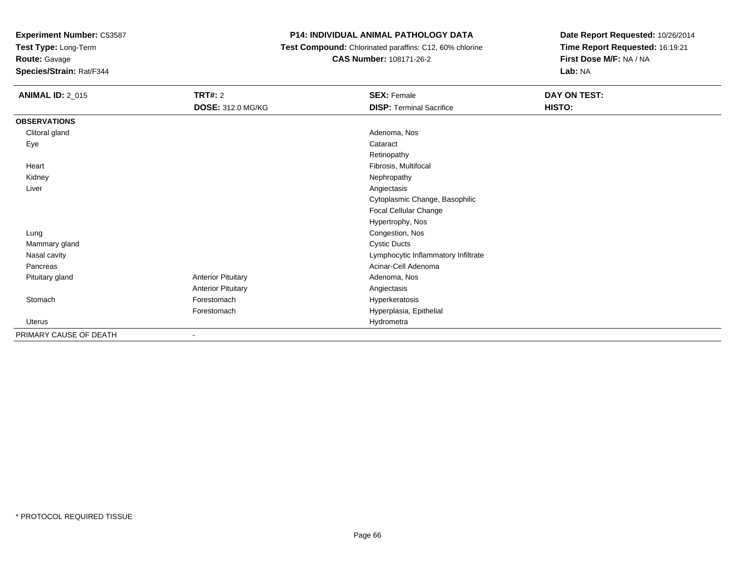**Test Type:** Long-Term

# **Route:** Gavage

**Species/Strain:** Rat/F344

### **P14: INDIVIDUAL ANIMAL PATHOLOGY DATA**

 **Test Compound:** Chlorinated paraffins: C12, 60% chlorine**CAS Number:** 108171-26-2

| <b>ANIMAL ID: 2_015</b> | <b>TRT#: 2</b>            | <b>SEX: Female</b>                  | DAY ON TEST: |  |
|-------------------------|---------------------------|-------------------------------------|--------------|--|
|                         | <b>DOSE: 312.0 MG/KG</b>  | <b>DISP: Terminal Sacrifice</b>     | HISTO:       |  |
| <b>OBSERVATIONS</b>     |                           |                                     |              |  |
| Clitoral gland          |                           | Adenoma, Nos                        |              |  |
| Eye                     |                           | Cataract                            |              |  |
|                         |                           | Retinopathy                         |              |  |
| Heart                   |                           | Fibrosis, Multifocal                |              |  |
| Kidney                  |                           | Nephropathy                         |              |  |
| Liver                   |                           | Angiectasis                         |              |  |
|                         |                           | Cytoplasmic Change, Basophilic      |              |  |
|                         |                           | Focal Cellular Change               |              |  |
|                         |                           | Hypertrophy, Nos                    |              |  |
| Lung                    |                           | Congestion, Nos                     |              |  |
| Mammary gland           |                           | <b>Cystic Ducts</b>                 |              |  |
| Nasal cavity            |                           | Lymphocytic Inflammatory Infiltrate |              |  |
| Pancreas                |                           | Acinar-Cell Adenoma                 |              |  |
| Pituitary gland         | <b>Anterior Pituitary</b> | Adenoma, Nos                        |              |  |
|                         | <b>Anterior Pituitary</b> | Angiectasis                         |              |  |
| Stomach                 | Forestomach               | Hyperkeratosis                      |              |  |
|                         | Forestomach               | Hyperplasia, Epithelial             |              |  |
| Uterus                  |                           | Hydrometra                          |              |  |
| PRIMARY CAUSE OF DEATH  | $\overline{\phantom{a}}$  |                                     |              |  |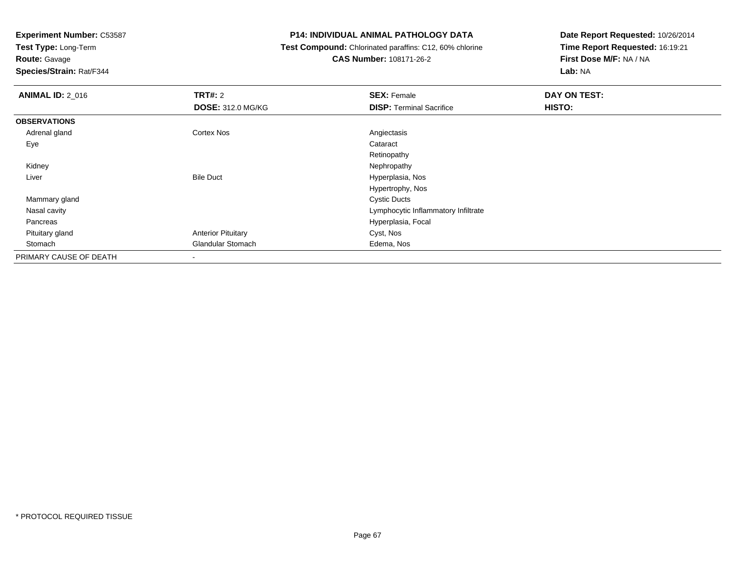**Test Type:** Long-Term

**Route:** Gavage

**Species/Strain:** Rat/F344

### **P14: INDIVIDUAL ANIMAL PATHOLOGY DATA**

 **Test Compound:** Chlorinated paraffins: C12, 60% chlorine**CAS Number:** 108171-26-2

| <b>ANIMAL ID: 2_016</b> | TRT#: 2                   | <b>SEX: Female</b>                  | DAY ON TEST: |
|-------------------------|---------------------------|-------------------------------------|--------------|
|                         | <b>DOSE: 312.0 MG/KG</b>  | <b>DISP: Terminal Sacrifice</b>     | HISTO:       |
| <b>OBSERVATIONS</b>     |                           |                                     |              |
| Adrenal gland           | Cortex Nos                | Angiectasis                         |              |
| Eye                     |                           | Cataract                            |              |
|                         |                           | Retinopathy                         |              |
| Kidney                  |                           | Nephropathy                         |              |
| Liver                   | <b>Bile Duct</b>          | Hyperplasia, Nos                    |              |
|                         |                           | Hypertrophy, Nos                    |              |
| Mammary gland           |                           | <b>Cystic Ducts</b>                 |              |
| Nasal cavity            |                           | Lymphocytic Inflammatory Infiltrate |              |
| Pancreas                |                           | Hyperplasia, Focal                  |              |
| Pituitary gland         | <b>Anterior Pituitary</b> | Cyst, Nos                           |              |
| Stomach                 | <b>Glandular Stomach</b>  | Edema, Nos                          |              |
| PRIMARY CAUSE OF DEATH  | $\blacksquare$            |                                     |              |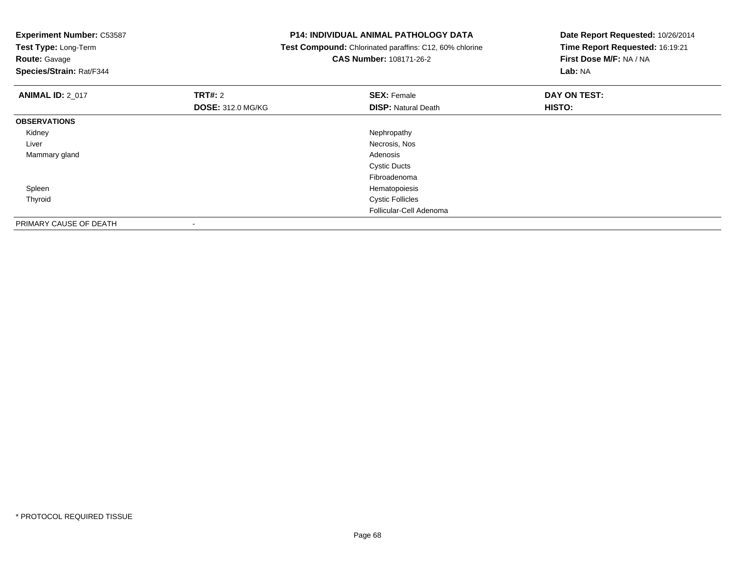| <b>Experiment Number: C53587</b><br>Test Type: Long-Term<br><b>Route: Gavage</b><br>Species/Strain: Rat/F344 |                          | <b>P14: INDIVIDUAL ANIMAL PATHOLOGY DATA</b><br>Test Compound: Chlorinated paraffins: C12, 60% chlorine<br>CAS Number: 108171-26-2 | Date Report Requested: 10/26/2014<br>Time Report Requested: 16:19:21<br>First Dose M/F: NA / NA<br><b>Lab: NA</b> |
|--------------------------------------------------------------------------------------------------------------|--------------------------|------------------------------------------------------------------------------------------------------------------------------------|-------------------------------------------------------------------------------------------------------------------|
| <b>ANIMAL ID: 2 017</b>                                                                                      | <b>TRT#:</b> 2           | <b>SEX: Female</b>                                                                                                                 | DAY ON TEST:                                                                                                      |
|                                                                                                              | <b>DOSE: 312.0 MG/KG</b> | <b>DISP: Natural Death</b>                                                                                                         | HISTO:                                                                                                            |
| <b>OBSERVATIONS</b>                                                                                          |                          |                                                                                                                                    |                                                                                                                   |
| Kidney                                                                                                       |                          | Nephropathy                                                                                                                        |                                                                                                                   |
| Liver                                                                                                        |                          | Necrosis, Nos                                                                                                                      |                                                                                                                   |
| Mammary gland                                                                                                |                          | Adenosis                                                                                                                           |                                                                                                                   |
|                                                                                                              |                          | <b>Cystic Ducts</b>                                                                                                                |                                                                                                                   |
|                                                                                                              |                          | Fibroadenoma                                                                                                                       |                                                                                                                   |
| Spleen                                                                                                       |                          | Hematopoiesis                                                                                                                      |                                                                                                                   |
| Thyroid                                                                                                      |                          | <b>Cystic Follicles</b>                                                                                                            |                                                                                                                   |
|                                                                                                              |                          | Follicular-Cell Adenoma                                                                                                            |                                                                                                                   |
| PRIMARY CAUSE OF DEATH                                                                                       |                          |                                                                                                                                    |                                                                                                                   |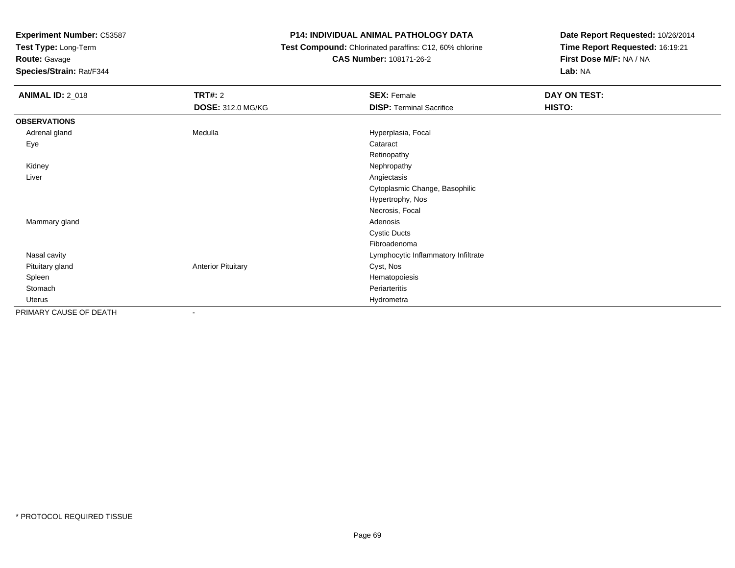**Test Type:** Long-Term

**Route:** Gavage

**Species/Strain:** Rat/F344

### **P14: INDIVIDUAL ANIMAL PATHOLOGY DATA**

 **Test Compound:** Chlorinated paraffins: C12, 60% chlorine**CAS Number:** 108171-26-2

| <b>ANIMAL ID: 2_018</b> | <b>TRT#: 2</b>            | <b>SEX: Female</b>                  | DAY ON TEST: |  |
|-------------------------|---------------------------|-------------------------------------|--------------|--|
|                         | <b>DOSE: 312.0 MG/KG</b>  | <b>DISP: Terminal Sacrifice</b>     | HISTO:       |  |
| <b>OBSERVATIONS</b>     |                           |                                     |              |  |
| Adrenal gland           | Medulla                   | Hyperplasia, Focal                  |              |  |
| Eye                     |                           | Cataract                            |              |  |
|                         |                           | Retinopathy                         |              |  |
| Kidney                  |                           | Nephropathy                         |              |  |
| Liver                   |                           | Angiectasis                         |              |  |
|                         |                           | Cytoplasmic Change, Basophilic      |              |  |
|                         |                           | Hypertrophy, Nos                    |              |  |
|                         |                           | Necrosis, Focal                     |              |  |
| Mammary gland           |                           | Adenosis                            |              |  |
|                         |                           | <b>Cystic Ducts</b>                 |              |  |
|                         |                           | Fibroadenoma                        |              |  |
| Nasal cavity            |                           | Lymphocytic Inflammatory Infiltrate |              |  |
| Pituitary gland         | <b>Anterior Pituitary</b> | Cyst, Nos                           |              |  |
| Spleen                  |                           | Hematopoiesis                       |              |  |
| Stomach                 |                           | Periarteritis                       |              |  |
| Uterus                  |                           | Hydrometra                          |              |  |
| PRIMARY CAUSE OF DEATH  | $\blacksquare$            |                                     |              |  |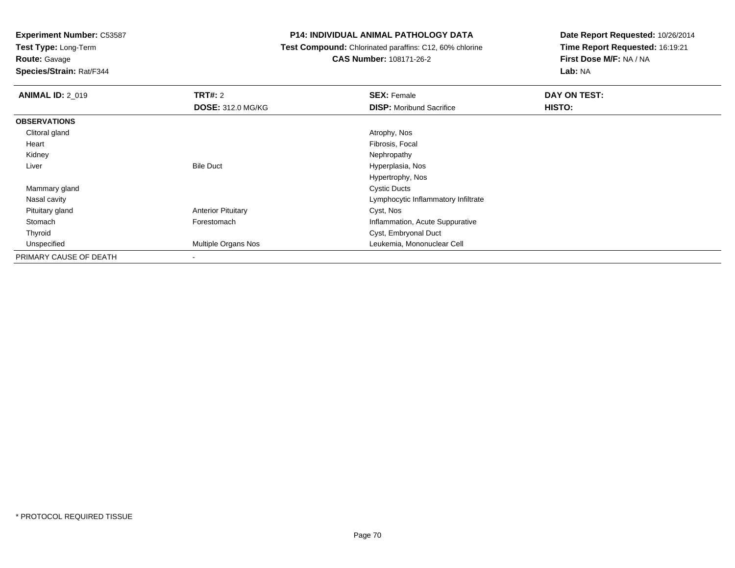**Test Type:** Long-Term

**Route:** Gavage

**Species/Strain:** Rat/F344

### **P14: INDIVIDUAL ANIMAL PATHOLOGY DATA**

 **Test Compound:** Chlorinated paraffins: C12, 60% chlorine**CAS Number:** 108171-26-2

| <b>ANIMAL ID: 2_019</b> | TRT#: 2                   | <b>SEX: Female</b>                  | DAY ON TEST: |  |
|-------------------------|---------------------------|-------------------------------------|--------------|--|
|                         | <b>DOSE: 312.0 MG/KG</b>  | <b>DISP:</b> Moribund Sacrifice     | HISTO:       |  |
| <b>OBSERVATIONS</b>     |                           |                                     |              |  |
| Clitoral gland          |                           | Atrophy, Nos                        |              |  |
| Heart                   |                           | Fibrosis, Focal                     |              |  |
| Kidney                  |                           | Nephropathy                         |              |  |
| Liver                   | <b>Bile Duct</b>          | Hyperplasia, Nos                    |              |  |
|                         |                           | Hypertrophy, Nos                    |              |  |
| Mammary gland           |                           | <b>Cystic Ducts</b>                 |              |  |
| Nasal cavity            |                           | Lymphocytic Inflammatory Infiltrate |              |  |
| Pituitary gland         | <b>Anterior Pituitary</b> | Cyst, Nos                           |              |  |
| Stomach                 | Forestomach               | Inflammation, Acute Suppurative     |              |  |
| Thyroid                 |                           | Cyst, Embryonal Duct                |              |  |
| Unspecified             | Multiple Organs Nos       | Leukemia, Mononuclear Cell          |              |  |
| PRIMARY CAUSE OF DEATH  | $\overline{\phantom{a}}$  |                                     |              |  |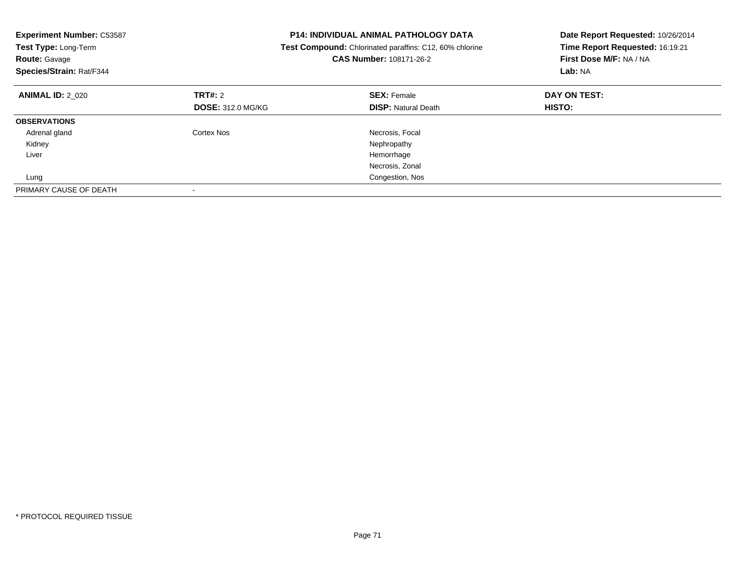| <b>Experiment Number: C53587</b><br>Test Type: Long-Term<br><b>Route: Gavage</b><br>Species/Strain: Rat/F344 |                          | <b>P14: INDIVIDUAL ANIMAL PATHOLOGY DATA</b><br>Test Compound: Chlorinated paraffins: C12, 60% chlorine<br>CAS Number: 108171-26-2 | Date Report Requested: 10/26/2014<br>Time Report Requested: 16:19:21<br>First Dose M/F: NA / NA<br>Lab: NA |
|--------------------------------------------------------------------------------------------------------------|--------------------------|------------------------------------------------------------------------------------------------------------------------------------|------------------------------------------------------------------------------------------------------------|
| <b>ANIMAL ID: 2 020</b>                                                                                      | <b>TRT#: 2</b>           | <b>SEX: Female</b>                                                                                                                 | DAY ON TEST:                                                                                               |
|                                                                                                              | <b>DOSE: 312.0 MG/KG</b> | <b>DISP: Natural Death</b>                                                                                                         | <b>HISTO:</b>                                                                                              |
| <b>OBSERVATIONS</b>                                                                                          |                          |                                                                                                                                    |                                                                                                            |
| Adrenal gland                                                                                                | Cortex Nos               | Necrosis, Focal                                                                                                                    |                                                                                                            |
| Kidney                                                                                                       |                          | Nephropathy                                                                                                                        |                                                                                                            |
| Liver                                                                                                        |                          | Hemorrhage                                                                                                                         |                                                                                                            |
|                                                                                                              |                          | Necrosis, Zonal                                                                                                                    |                                                                                                            |
| Lung                                                                                                         |                          | Congestion, Nos                                                                                                                    |                                                                                                            |
| PRIMARY CAUSE OF DEATH                                                                                       |                          |                                                                                                                                    |                                                                                                            |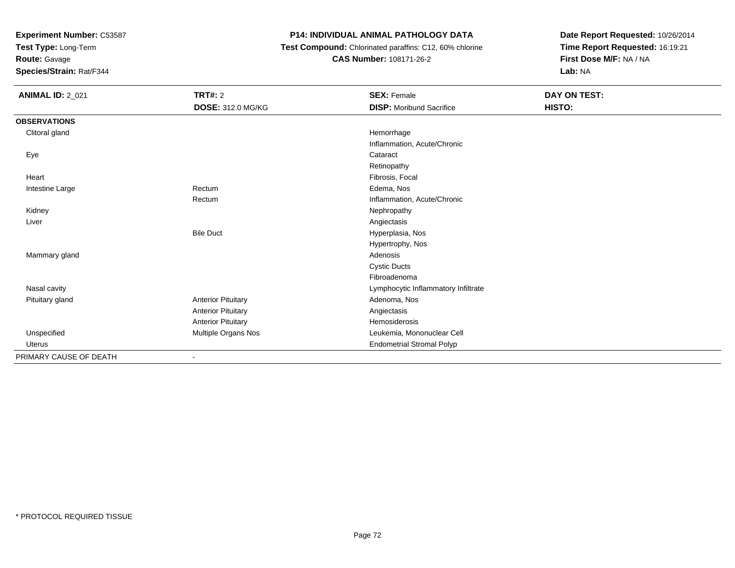**Test Type:** Long-Term

**Route:** Gavage

**Species/Strain:** Rat/F344

### **P14: INDIVIDUAL ANIMAL PATHOLOGY DATA**

 **Test Compound:** Chlorinated paraffins: C12, 60% chlorine**CAS Number:** 108171-26-2

| <b>ANIMAL ID: 2_021</b> | <b>TRT#: 2</b>            | <b>SEX: Female</b>                  | <b>DAY ON TEST:</b> |
|-------------------------|---------------------------|-------------------------------------|---------------------|
|                         | <b>DOSE: 312.0 MG/KG</b>  | <b>DISP:</b> Moribund Sacrifice     | HISTO:              |
| <b>OBSERVATIONS</b>     |                           |                                     |                     |
| Clitoral gland          |                           | Hemorrhage                          |                     |
|                         |                           | Inflammation, Acute/Chronic         |                     |
| Eye                     |                           | Cataract                            |                     |
|                         |                           | Retinopathy                         |                     |
| Heart                   |                           | Fibrosis, Focal                     |                     |
| Intestine Large         | Rectum                    | Edema, Nos                          |                     |
|                         | Rectum                    | Inflammation, Acute/Chronic         |                     |
| Kidney                  |                           | Nephropathy                         |                     |
| Liver                   |                           | Angiectasis                         |                     |
|                         | <b>Bile Duct</b>          | Hyperplasia, Nos                    |                     |
|                         |                           | Hypertrophy, Nos                    |                     |
| Mammary gland           |                           | Adenosis                            |                     |
|                         |                           | <b>Cystic Ducts</b>                 |                     |
|                         |                           | Fibroadenoma                        |                     |
| Nasal cavity            |                           | Lymphocytic Inflammatory Infiltrate |                     |
| Pituitary gland         | <b>Anterior Pituitary</b> | Adenoma, Nos                        |                     |
|                         | <b>Anterior Pituitary</b> | Angiectasis                         |                     |
|                         | <b>Anterior Pituitary</b> | Hemosiderosis                       |                     |
| Unspecified             | Multiple Organs Nos       | Leukemia, Mononuclear Cell          |                     |
| <b>Uterus</b>           |                           | <b>Endometrial Stromal Polyp</b>    |                     |
| PRIMARY CAUSE OF DEATH  |                           |                                     |                     |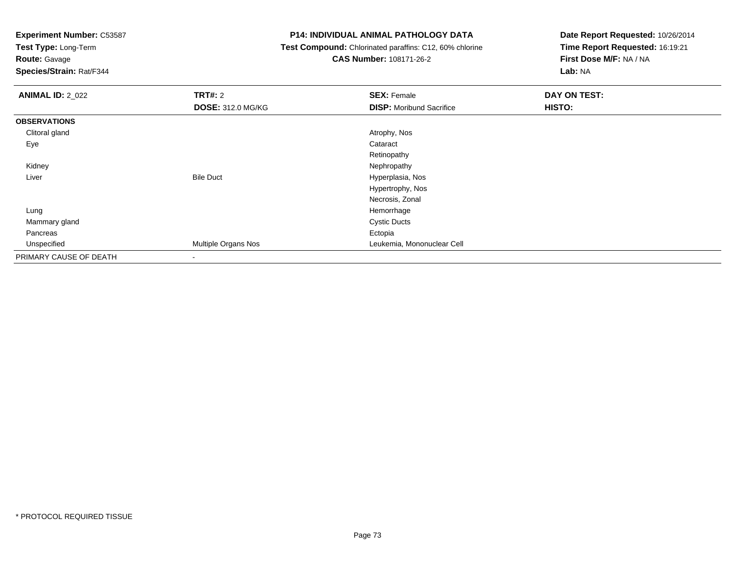**Test Type:** Long-Term

**Route:** Gavage

**Species/Strain:** Rat/F344

#### **P14: INDIVIDUAL ANIMAL PATHOLOGY DATA**

 **Test Compound:** Chlorinated paraffins: C12, 60% chlorine**CAS Number:** 108171-26-2

| <b>ANIMAL ID: 2_022</b> | <b>TRT#: 2</b>           | <b>SEX: Female</b>              | DAY ON TEST: |  |
|-------------------------|--------------------------|---------------------------------|--------------|--|
|                         | <b>DOSE: 312.0 MG/KG</b> | <b>DISP:</b> Moribund Sacrifice | HISTO:       |  |
| <b>OBSERVATIONS</b>     |                          |                                 |              |  |
| Clitoral gland          |                          | Atrophy, Nos                    |              |  |
| Eye                     |                          | Cataract                        |              |  |
|                         |                          | Retinopathy                     |              |  |
| Kidney                  |                          | Nephropathy                     |              |  |
| Liver                   | <b>Bile Duct</b>         | Hyperplasia, Nos                |              |  |
|                         |                          | Hypertrophy, Nos                |              |  |
|                         |                          | Necrosis, Zonal                 |              |  |
| Lung                    |                          | Hemorrhage                      |              |  |
| Mammary gland           |                          | <b>Cystic Ducts</b>             |              |  |
| Pancreas                |                          | Ectopia                         |              |  |
| Unspecified             | Multiple Organs Nos      | Leukemia, Mononuclear Cell      |              |  |
| PRIMARY CAUSE OF DEATH  | $\overline{\phantom{0}}$ |                                 |              |  |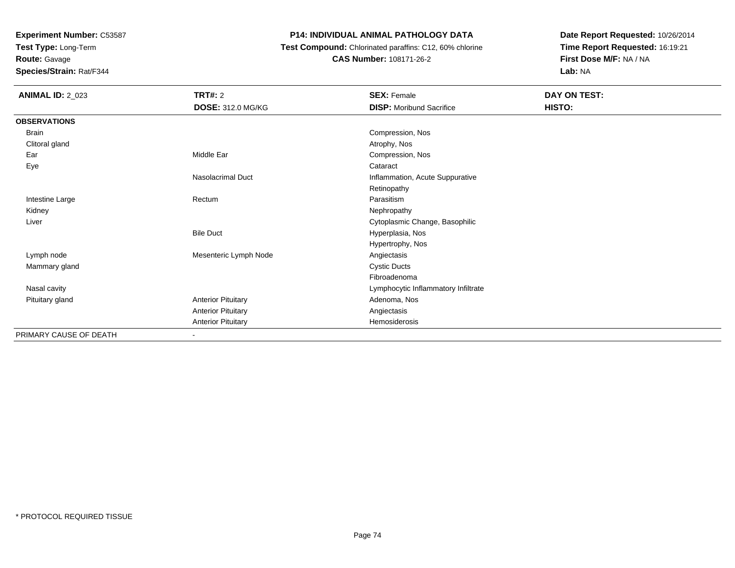**Test Type:** Long-Term

**Route:** Gavage

**Species/Strain:** Rat/F344

#### **P14: INDIVIDUAL ANIMAL PATHOLOGY DATA**

 **Test Compound:** Chlorinated paraffins: C12, 60% chlorine**CAS Number:** 108171-26-2

| <b>ANIMAL ID: 2_023</b> | <b>TRT#: 2</b>            | <b>SEX: Female</b>                  | DAY ON TEST: |
|-------------------------|---------------------------|-------------------------------------|--------------|
|                         | <b>DOSE: 312.0 MG/KG</b>  | <b>DISP: Moribund Sacrifice</b>     | HISTO:       |
| <b>OBSERVATIONS</b>     |                           |                                     |              |
| Brain                   |                           | Compression, Nos                    |              |
| Clitoral gland          |                           | Atrophy, Nos                        |              |
| Ear                     | Middle Ear                | Compression, Nos                    |              |
| Eye                     |                           | Cataract                            |              |
|                         | Nasolacrimal Duct         | Inflammation, Acute Suppurative     |              |
|                         |                           | Retinopathy                         |              |
| Intestine Large         | Rectum                    | Parasitism                          |              |
| Kidney                  |                           | Nephropathy                         |              |
| Liver                   |                           | Cytoplasmic Change, Basophilic      |              |
|                         | <b>Bile Duct</b>          | Hyperplasia, Nos                    |              |
|                         |                           | Hypertrophy, Nos                    |              |
| Lymph node              | Mesenteric Lymph Node     | Angiectasis                         |              |
| Mammary gland           |                           | <b>Cystic Ducts</b>                 |              |
|                         |                           | Fibroadenoma                        |              |
| Nasal cavity            |                           | Lymphocytic Inflammatory Infiltrate |              |
| Pituitary gland         | <b>Anterior Pituitary</b> | Adenoma, Nos                        |              |
|                         | <b>Anterior Pituitary</b> | Angiectasis                         |              |
|                         | <b>Anterior Pituitary</b> | Hemosiderosis                       |              |
| PRIMARY CAUSE OF DEATH  | $\overline{\phantom{a}}$  |                                     |              |
|                         |                           |                                     |              |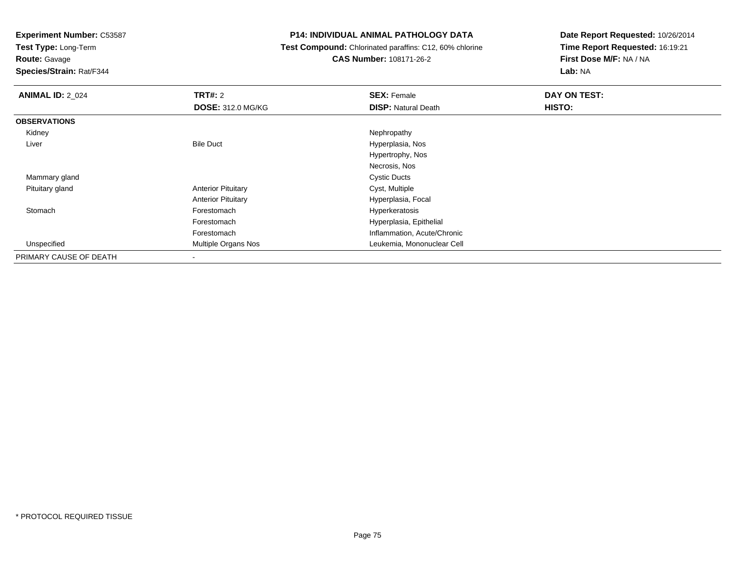**Test Type:** Long-Term

**Route:** Gavage

**Species/Strain:** Rat/F344

#### **P14: INDIVIDUAL ANIMAL PATHOLOGY DATA**

 **Test Compound:** Chlorinated paraffins: C12, 60% chlorine**CAS Number:** 108171-26-2

| <b>ANIMAL ID: 2_024</b> | <b>TRT#: 2</b><br><b>DOSE: 312.0 MG/KG</b> | <b>SEX: Female</b><br><b>DISP: Natural Death</b> | DAY ON TEST:<br><b>HISTO:</b> |
|-------------------------|--------------------------------------------|--------------------------------------------------|-------------------------------|
| <b>OBSERVATIONS</b>     |                                            |                                                  |                               |
| Kidney                  |                                            | Nephropathy                                      |                               |
| Liver                   | <b>Bile Duct</b>                           | Hyperplasia, Nos                                 |                               |
|                         |                                            | Hypertrophy, Nos                                 |                               |
|                         |                                            | Necrosis, Nos                                    |                               |
| Mammary gland           |                                            | <b>Cystic Ducts</b>                              |                               |
| Pituitary gland         | <b>Anterior Pituitary</b>                  | Cyst, Multiple                                   |                               |
|                         | <b>Anterior Pituitary</b>                  | Hyperplasia, Focal                               |                               |
| Stomach                 | Forestomach                                | Hyperkeratosis                                   |                               |
|                         | Forestomach                                | Hyperplasia, Epithelial                          |                               |
|                         | Forestomach                                | Inflammation, Acute/Chronic                      |                               |
| Unspecified             | Multiple Organs Nos                        | Leukemia, Mononuclear Cell                       |                               |
| PRIMARY CAUSE OF DEATH  |                                            |                                                  |                               |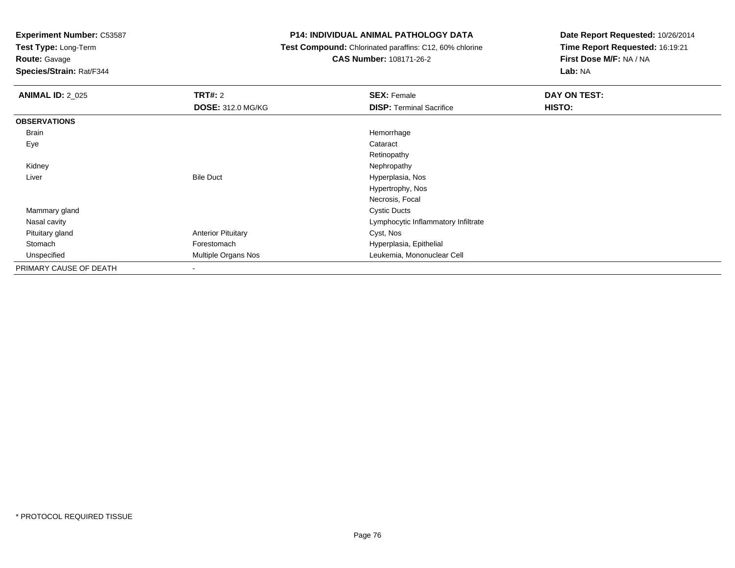**Test Type:** Long-Term

## **Route:** Gavage

**Species/Strain:** Rat/F344

#### **P14: INDIVIDUAL ANIMAL PATHOLOGY DATA**

#### **Test Compound:** Chlorinated paraffins: C12, 60% chlorine**CAS Number:** 108171-26-2

| <b>ANIMAL ID: 2 025</b> | <b>TRT#: 2</b>             | <b>SEX: Female</b>                  | <b>DAY ON TEST:</b> |
|-------------------------|----------------------------|-------------------------------------|---------------------|
|                         | <b>DOSE: 312.0 MG/KG</b>   | <b>DISP: Terminal Sacrifice</b>     | HISTO:              |
| <b>OBSERVATIONS</b>     |                            |                                     |                     |
| Brain                   |                            | Hemorrhage                          |                     |
| Eye                     |                            | Cataract                            |                     |
|                         |                            | Retinopathy                         |                     |
| Kidney                  |                            | Nephropathy                         |                     |
| Liver                   | <b>Bile Duct</b>           | Hyperplasia, Nos                    |                     |
|                         |                            | Hypertrophy, Nos                    |                     |
|                         |                            | Necrosis, Focal                     |                     |
| Mammary gland           |                            | <b>Cystic Ducts</b>                 |                     |
| Nasal cavity            |                            | Lymphocytic Inflammatory Infiltrate |                     |
| Pituitary gland         | <b>Anterior Pituitary</b>  | Cyst, Nos                           |                     |
| Stomach                 | Forestomach                | Hyperplasia, Epithelial             |                     |
| Unspecified             | <b>Multiple Organs Nos</b> | Leukemia, Mononuclear Cell          |                     |
| PRIMARY CAUSE OF DEATH  |                            |                                     |                     |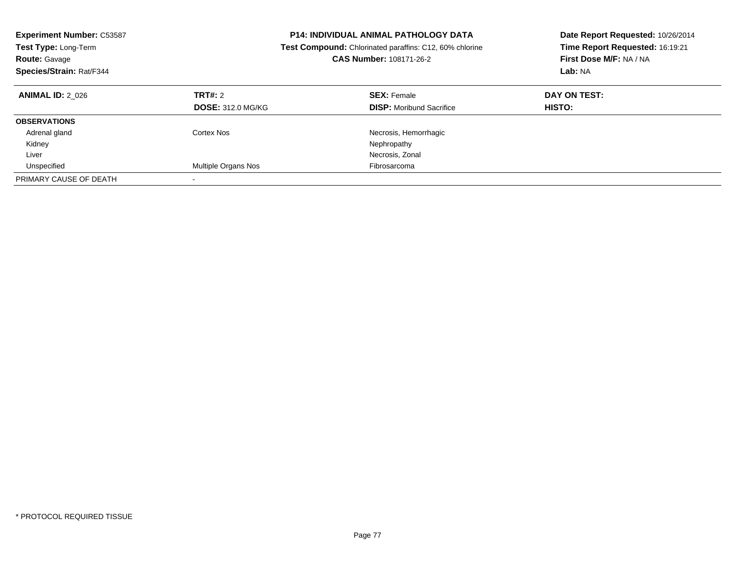| <b>Experiment Number: C53587</b><br><b>Test Type: Long-Term</b><br><b>Route: Gavage</b><br>Species/Strain: Rat/F344 |                                     | <b>P14: INDIVIDUAL ANIMAL PATHOLOGY DATA</b><br><b>Test Compound:</b> Chlorinated paraffins: C12, 60% chlorine<br><b>CAS Number: 108171-26-2</b> | Date Report Requested: 10/26/2014<br>Time Report Requested: 16:19:21<br>First Dose M/F: NA / NA<br>Lab: NA |
|---------------------------------------------------------------------------------------------------------------------|-------------------------------------|--------------------------------------------------------------------------------------------------------------------------------------------------|------------------------------------------------------------------------------------------------------------|
| <b>ANIMAL ID: 2 026</b>                                                                                             | TRT#: 2<br><b>DOSE: 312.0 MG/KG</b> | <b>SEX: Female</b><br><b>DISP:</b> Moribund Sacrifice                                                                                            | DAY ON TEST:<br>HISTO:                                                                                     |
| <b>OBSERVATIONS</b>                                                                                                 |                                     |                                                                                                                                                  |                                                                                                            |
| Adrenal gland                                                                                                       | Cortex Nos                          | Necrosis, Hemorrhagic                                                                                                                            |                                                                                                            |
| Kidney                                                                                                              |                                     | Nephropathy                                                                                                                                      |                                                                                                            |
| Liver                                                                                                               |                                     | Necrosis, Zonal                                                                                                                                  |                                                                                                            |
| Unspecified                                                                                                         | Multiple Organs Nos                 | Fibrosarcoma                                                                                                                                     |                                                                                                            |
| PRIMARY CAUSE OF DEATH                                                                                              |                                     |                                                                                                                                                  |                                                                                                            |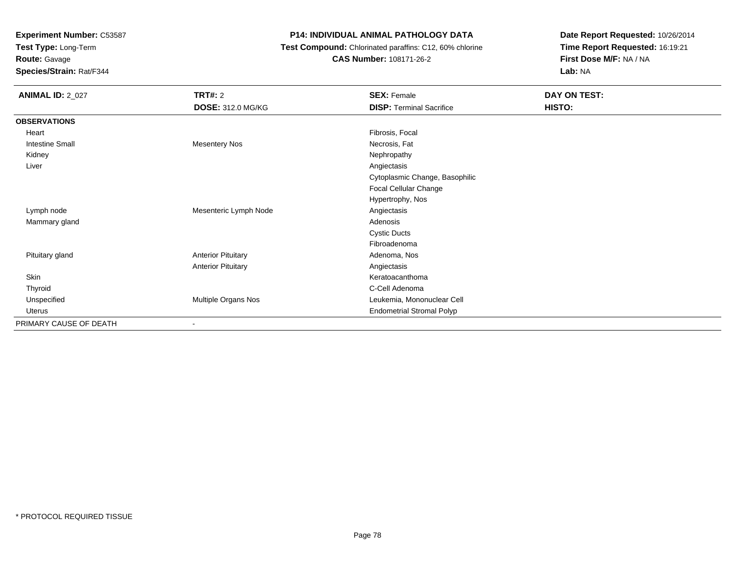**Test Type:** Long-Term

**Route:** Gavage

**Species/Strain:** Rat/F344

#### **P14: INDIVIDUAL ANIMAL PATHOLOGY DATA**

 **Test Compound:** Chlorinated paraffins: C12, 60% chlorine**CAS Number:** 108171-26-2

| <b>ANIMAL ID: 2_027</b> | TRT#: 2                   | <b>SEX: Female</b>               | DAY ON TEST: |
|-------------------------|---------------------------|----------------------------------|--------------|
|                         | <b>DOSE: 312.0 MG/KG</b>  | <b>DISP: Terminal Sacrifice</b>  | HISTO:       |
| <b>OBSERVATIONS</b>     |                           |                                  |              |
| Heart                   |                           | Fibrosis, Focal                  |              |
| <b>Intestine Small</b>  | <b>Mesentery Nos</b>      | Necrosis, Fat                    |              |
| Kidney                  |                           | Nephropathy                      |              |
| Liver                   |                           | Angiectasis                      |              |
|                         |                           | Cytoplasmic Change, Basophilic   |              |
|                         |                           | Focal Cellular Change            |              |
|                         |                           | Hypertrophy, Nos                 |              |
| Lymph node              | Mesenteric Lymph Node     | Angiectasis                      |              |
| Mammary gland           |                           | Adenosis                         |              |
|                         |                           | <b>Cystic Ducts</b>              |              |
|                         |                           | Fibroadenoma                     |              |
| Pituitary gland         | <b>Anterior Pituitary</b> | Adenoma, Nos                     |              |
|                         | <b>Anterior Pituitary</b> | Angiectasis                      |              |
| Skin                    |                           | Keratoacanthoma                  |              |
| Thyroid                 |                           | C-Cell Adenoma                   |              |
| Unspecified             | Multiple Organs Nos       | Leukemia, Mononuclear Cell       |              |
| Uterus                  |                           | <b>Endometrial Stromal Polyp</b> |              |
| PRIMARY CAUSE OF DEATH  |                           |                                  |              |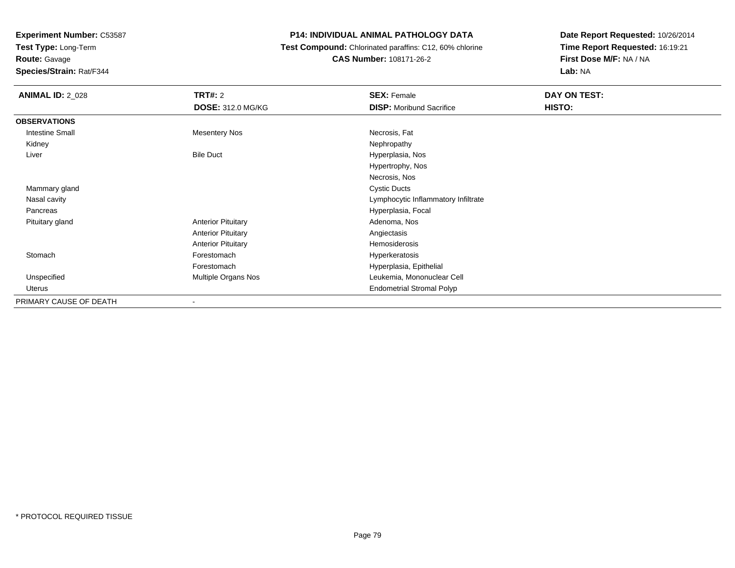**Test Type:** Long-Term

**Route:** Gavage

**Species/Strain:** Rat/F344

#### **P14: INDIVIDUAL ANIMAL PATHOLOGY DATA**

 **Test Compound:** Chlorinated paraffins: C12, 60% chlorine**CAS Number:** 108171-26-2

| <b>ANIMAL ID: 2_028</b> | <b>TRT#: 2</b>            | <b>SEX: Female</b>                  | DAY ON TEST: |
|-------------------------|---------------------------|-------------------------------------|--------------|
|                         | <b>DOSE: 312.0 MG/KG</b>  | <b>DISP:</b> Moribund Sacrifice     | HISTO:       |
| <b>OBSERVATIONS</b>     |                           |                                     |              |
| <b>Intestine Small</b>  | <b>Mesentery Nos</b>      | Necrosis, Fat                       |              |
| Kidney                  |                           | Nephropathy                         |              |
| Liver                   | <b>Bile Duct</b>          | Hyperplasia, Nos                    |              |
|                         |                           | Hypertrophy, Nos                    |              |
|                         |                           | Necrosis, Nos                       |              |
| Mammary gland           |                           | <b>Cystic Ducts</b>                 |              |
| Nasal cavity            |                           | Lymphocytic Inflammatory Infiltrate |              |
| Pancreas                |                           | Hyperplasia, Focal                  |              |
| Pituitary gland         | <b>Anterior Pituitary</b> | Adenoma, Nos                        |              |
|                         | <b>Anterior Pituitary</b> | Angiectasis                         |              |
|                         | <b>Anterior Pituitary</b> | Hemosiderosis                       |              |
| Stomach                 | Forestomach               | Hyperkeratosis                      |              |
|                         | Forestomach               | Hyperplasia, Epithelial             |              |
| Unspecified             | Multiple Organs Nos       | Leukemia, Mononuclear Cell          |              |
| Uterus                  |                           | <b>Endometrial Stromal Polyp</b>    |              |
| PRIMARY CAUSE OF DEATH  | ۰                         |                                     |              |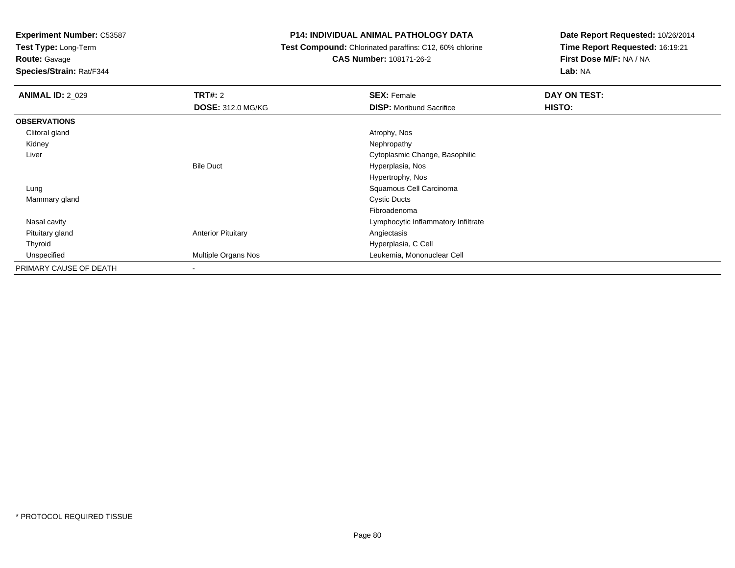**Test Type:** Long-Term

**Route:** Gavage

**Species/Strain:** Rat/F344

#### **P14: INDIVIDUAL ANIMAL PATHOLOGY DATA**

 **Test Compound:** Chlorinated paraffins: C12, 60% chlorine**CAS Number:** 108171-26-2

| <b>ANIMAL ID: 2 029</b> | TRT#: 2                   | <b>SEX: Female</b>                  | DAY ON TEST: |  |
|-------------------------|---------------------------|-------------------------------------|--------------|--|
|                         | <b>DOSE: 312.0 MG/KG</b>  | <b>DISP:</b> Moribund Sacrifice     | HISTO:       |  |
| <b>OBSERVATIONS</b>     |                           |                                     |              |  |
| Clitoral gland          |                           | Atrophy, Nos                        |              |  |
| Kidney                  |                           | Nephropathy                         |              |  |
| Liver                   |                           | Cytoplasmic Change, Basophilic      |              |  |
|                         | <b>Bile Duct</b>          | Hyperplasia, Nos                    |              |  |
|                         |                           | Hypertrophy, Nos                    |              |  |
| Lung                    |                           | Squamous Cell Carcinoma             |              |  |
| Mammary gland           |                           | <b>Cystic Ducts</b>                 |              |  |
|                         |                           | Fibroadenoma                        |              |  |
| Nasal cavity            |                           | Lymphocytic Inflammatory Infiltrate |              |  |
| Pituitary gland         | <b>Anterior Pituitary</b> | Angiectasis                         |              |  |
| Thyroid                 |                           | Hyperplasia, C Cell                 |              |  |
| Unspecified             | Multiple Organs Nos       | Leukemia, Mononuclear Cell          |              |  |
| PRIMARY CAUSE OF DEATH  | ۰                         |                                     |              |  |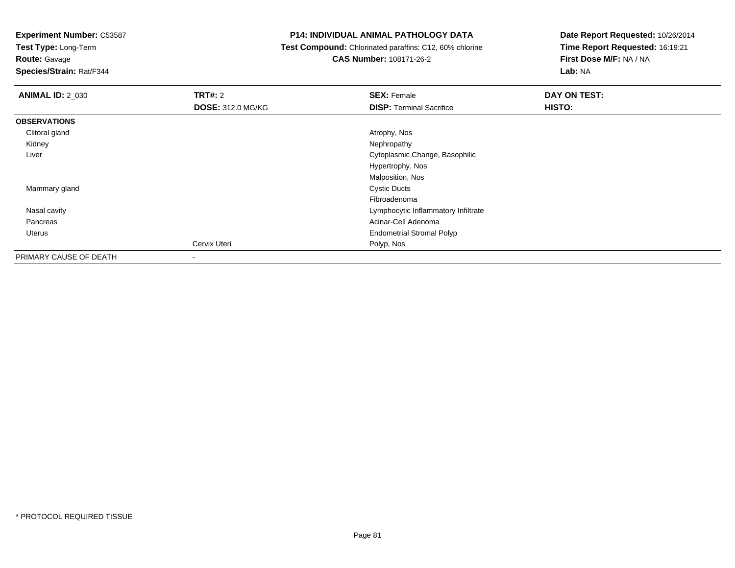**Test Type:** Long-Term

## **Route:** Gavage

**Species/Strain:** Rat/F344

#### **P14: INDIVIDUAL ANIMAL PATHOLOGY DATA**

#### **Test Compound:** Chlorinated paraffins: C12, 60% chlorine**CAS Number:** 108171-26-2

| <b>ANIMAL ID: 2 030</b> | TRT#: 2                  | <b>SEX: Female</b>                  | DAY ON TEST: |
|-------------------------|--------------------------|-------------------------------------|--------------|
|                         | <b>DOSE: 312.0 MG/KG</b> | <b>DISP: Terminal Sacrifice</b>     | HISTO:       |
| <b>OBSERVATIONS</b>     |                          |                                     |              |
| Clitoral gland          |                          | Atrophy, Nos                        |              |
| Kidney                  |                          | Nephropathy                         |              |
| Liver                   |                          | Cytoplasmic Change, Basophilic      |              |
|                         |                          | Hypertrophy, Nos                    |              |
|                         |                          | Malposition, Nos                    |              |
| Mammary gland           |                          | <b>Cystic Ducts</b>                 |              |
|                         |                          | Fibroadenoma                        |              |
| Nasal cavity            |                          | Lymphocytic Inflammatory Infiltrate |              |
| Pancreas                |                          | Acinar-Cell Adenoma                 |              |
| <b>Uterus</b>           |                          | <b>Endometrial Stromal Polyp</b>    |              |
|                         | Cervix Uteri             | Polyp, Nos                          |              |
| PRIMARY CAUSE OF DEATH  | $\blacksquare$           |                                     |              |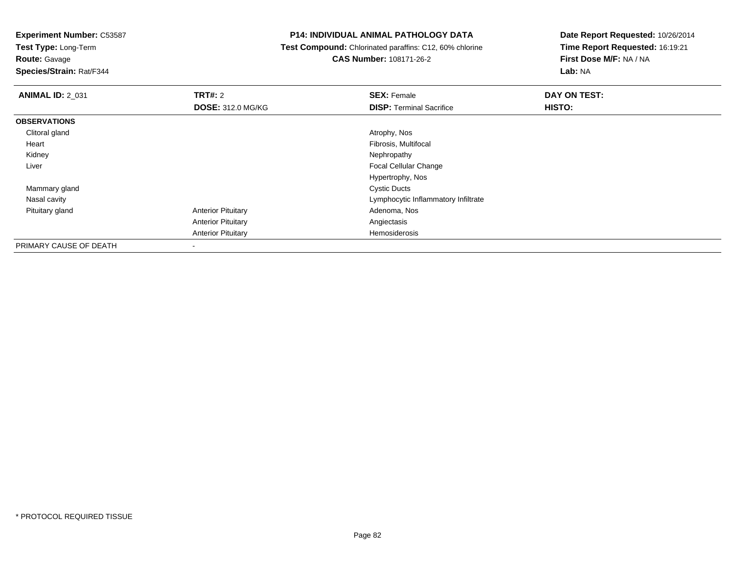**Test Type:** Long-Term

**Route:** Gavage

**Species/Strain:** Rat/F344

#### **P14: INDIVIDUAL ANIMAL PATHOLOGY DATA**

 **Test Compound:** Chlorinated paraffins: C12, 60% chlorine**CAS Number:** 108171-26-2

| <b>ANIMAL ID: 2 031</b> | TRT#: 2                   | <b>SEX: Female</b>                  | DAY ON TEST: |  |
|-------------------------|---------------------------|-------------------------------------|--------------|--|
|                         | <b>DOSE: 312.0 MG/KG</b>  | <b>DISP: Terminal Sacrifice</b>     | HISTO:       |  |
| <b>OBSERVATIONS</b>     |                           |                                     |              |  |
| Clitoral gland          |                           | Atrophy, Nos                        |              |  |
| Heart                   |                           | Fibrosis, Multifocal                |              |  |
| Kidney                  |                           | Nephropathy                         |              |  |
| Liver                   |                           | Focal Cellular Change               |              |  |
|                         |                           | Hypertrophy, Nos                    |              |  |
| Mammary gland           |                           | <b>Cystic Ducts</b>                 |              |  |
| Nasal cavity            |                           | Lymphocytic Inflammatory Infiltrate |              |  |
| Pituitary gland         | <b>Anterior Pituitary</b> | Adenoma, Nos                        |              |  |
|                         | <b>Anterior Pituitary</b> | Angiectasis                         |              |  |
|                         | <b>Anterior Pituitary</b> | Hemosiderosis                       |              |  |
| PRIMARY CAUSE OF DEATH  | ۰                         |                                     |              |  |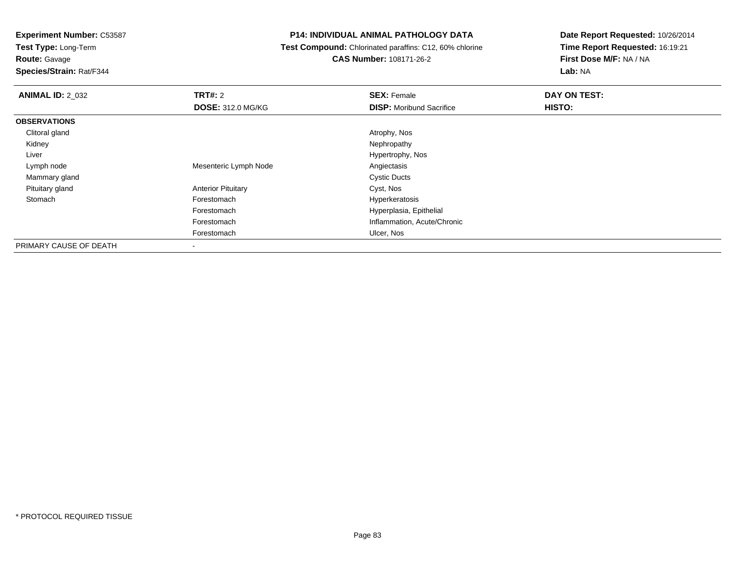**Test Type:** Long-Term**Route:** Gavage

**Species/Strain:** Rat/F344

#### **P14: INDIVIDUAL ANIMAL PATHOLOGY DATA**

 **Test Compound:** Chlorinated paraffins: C12, 60% chlorine**CAS Number:** 108171-26-2

| <b>ANIMAL ID: 2 032</b> | TRT#: 2                   | <b>SEX: Female</b>              | DAY ON TEST:  |  |
|-------------------------|---------------------------|---------------------------------|---------------|--|
|                         | <b>DOSE: 312.0 MG/KG</b>  | <b>DISP:</b> Moribund Sacrifice | <b>HISTO:</b> |  |
| <b>OBSERVATIONS</b>     |                           |                                 |               |  |
| Clitoral gland          |                           | Atrophy, Nos                    |               |  |
| Kidney                  |                           | Nephropathy                     |               |  |
| Liver                   |                           | Hypertrophy, Nos                |               |  |
| Lymph node              | Mesenteric Lymph Node     | Angiectasis                     |               |  |
| Mammary gland           |                           | <b>Cystic Ducts</b>             |               |  |
| Pituitary gland         | <b>Anterior Pituitary</b> | Cyst, Nos                       |               |  |
| Stomach                 | Forestomach               | Hyperkeratosis                  |               |  |
|                         | Forestomach               | Hyperplasia, Epithelial         |               |  |
|                         | Forestomach               | Inflammation, Acute/Chronic     |               |  |
|                         | Forestomach               | Ulcer, Nos                      |               |  |
| PRIMARY CAUSE OF DEATH  | $\blacksquare$            |                                 |               |  |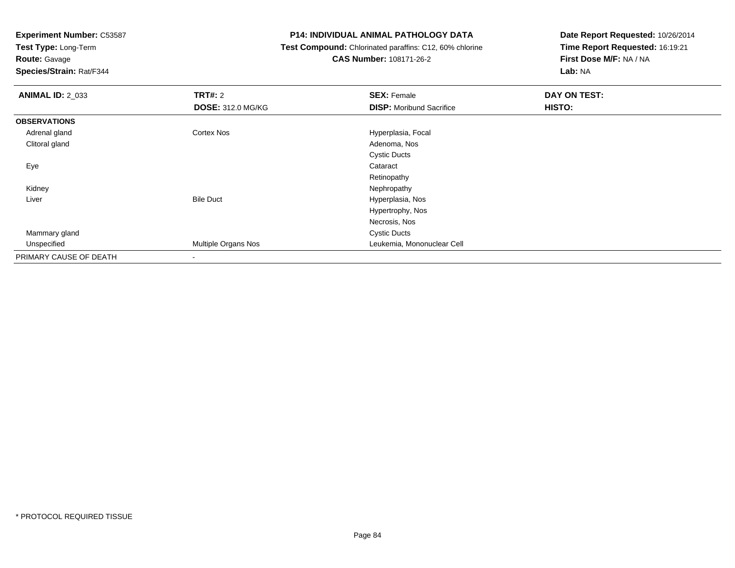**Test Type:** Long-Term

**Route:** Gavage

**Species/Strain:** Rat/F344

#### **P14: INDIVIDUAL ANIMAL PATHOLOGY DATA**

 **Test Compound:** Chlorinated paraffins: C12, 60% chlorine**CAS Number:** 108171-26-2

| <b>ANIMAL ID: 2_033</b> | TRT#: 2<br><b>DOSE: 312.0 MG/KG</b> | <b>SEX: Female</b><br><b>DISP:</b> Moribund Sacrifice | DAY ON TEST:<br>HISTO: |
|-------------------------|-------------------------------------|-------------------------------------------------------|------------------------|
| <b>OBSERVATIONS</b>     |                                     |                                                       |                        |
| Adrenal gland           | Cortex Nos                          | Hyperplasia, Focal                                    |                        |
| Clitoral gland          |                                     | Adenoma, Nos                                          |                        |
|                         |                                     | <b>Cystic Ducts</b>                                   |                        |
| Eye                     |                                     | Cataract                                              |                        |
|                         |                                     | Retinopathy                                           |                        |
| Kidney                  |                                     | Nephropathy                                           |                        |
| Liver                   | <b>Bile Duct</b>                    | Hyperplasia, Nos                                      |                        |
|                         |                                     | Hypertrophy, Nos                                      |                        |
|                         |                                     | Necrosis, Nos                                         |                        |
| Mammary gland           |                                     | <b>Cystic Ducts</b>                                   |                        |
| Unspecified             | Multiple Organs Nos                 | Leukemia, Mononuclear Cell                            |                        |
| PRIMARY CAUSE OF DEATH  | $\,$                                |                                                       |                        |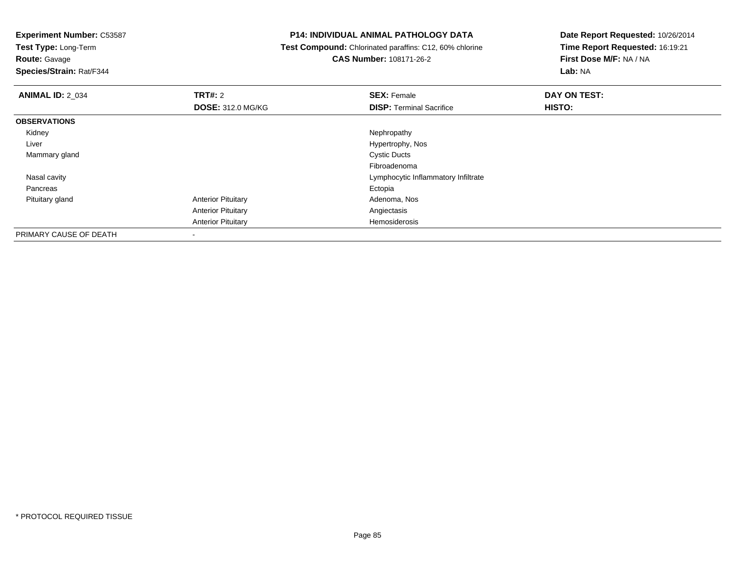**Test Type:** Long-Term

**Route:** Gavage

**Species/Strain:** Rat/F344

#### **P14: INDIVIDUAL ANIMAL PATHOLOGY DATA**

 **Test Compound:** Chlorinated paraffins: C12, 60% chlorine**CAS Number:** 108171-26-2

| <b>ANIMAL ID: 2 034</b> | TRT#: 2                   | <b>SEX: Female</b>                  | DAY ON TEST: |  |
|-------------------------|---------------------------|-------------------------------------|--------------|--|
|                         | <b>DOSE: 312.0 MG/KG</b>  | <b>DISP: Terminal Sacrifice</b>     | HISTO:       |  |
| <b>OBSERVATIONS</b>     |                           |                                     |              |  |
| Kidney                  |                           | Nephropathy                         |              |  |
| Liver                   |                           | Hypertrophy, Nos                    |              |  |
| Mammary gland           |                           | <b>Cystic Ducts</b>                 |              |  |
|                         |                           | Fibroadenoma                        |              |  |
| Nasal cavity            |                           | Lymphocytic Inflammatory Infiltrate |              |  |
| Pancreas                |                           | Ectopia                             |              |  |
| Pituitary gland         | <b>Anterior Pituitary</b> | Adenoma, Nos                        |              |  |
|                         | <b>Anterior Pituitary</b> | Angiectasis                         |              |  |
|                         | <b>Anterior Pituitary</b> | Hemosiderosis                       |              |  |
| PRIMARY CAUSE OF DEATH  | $\overline{\phantom{a}}$  |                                     |              |  |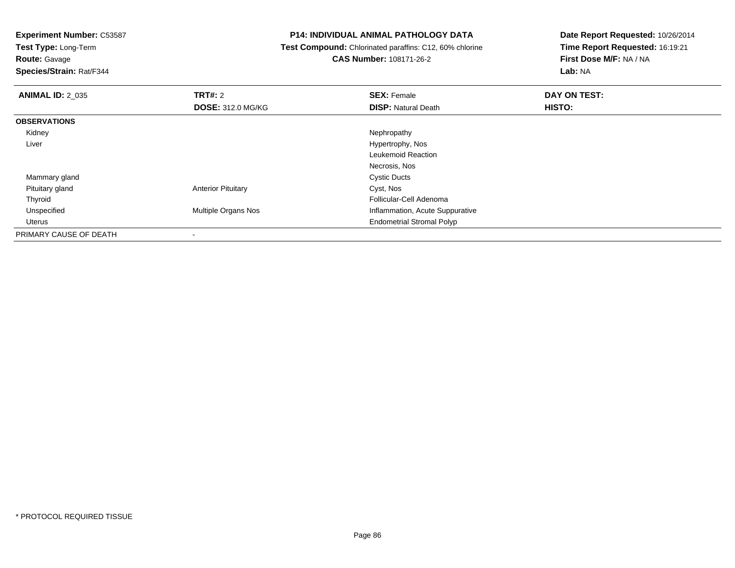**Test Type:** Long-Term

## **Route:** Gavage

**Species/Strain:** Rat/F344

#### **P14: INDIVIDUAL ANIMAL PATHOLOGY DATA**

 **Test Compound:** Chlorinated paraffins: C12, 60% chlorine**CAS Number:** 108171-26-2

| <b>ANIMAL ID: 2 035</b> | TRT#: 2                    | <b>SEX: Female</b>               | DAY ON TEST: |
|-------------------------|----------------------------|----------------------------------|--------------|
|                         | <b>DOSE: 312.0 MG/KG</b>   | <b>DISP: Natural Death</b>       | HISTO:       |
| <b>OBSERVATIONS</b>     |                            |                                  |              |
| Kidney                  |                            | Nephropathy                      |              |
| Liver                   |                            | Hypertrophy, Nos                 |              |
|                         |                            | Leukemoid Reaction               |              |
|                         |                            | Necrosis, Nos                    |              |
| Mammary gland           |                            | <b>Cystic Ducts</b>              |              |
| Pituitary gland         | <b>Anterior Pituitary</b>  | Cyst, Nos                        |              |
| Thyroid                 |                            | Follicular-Cell Adenoma          |              |
| Unspecified             | <b>Multiple Organs Nos</b> | Inflammation, Acute Suppurative  |              |
| Uterus                  |                            | <b>Endometrial Stromal Polyp</b> |              |
| PRIMARY CAUSE OF DEATH  |                            |                                  |              |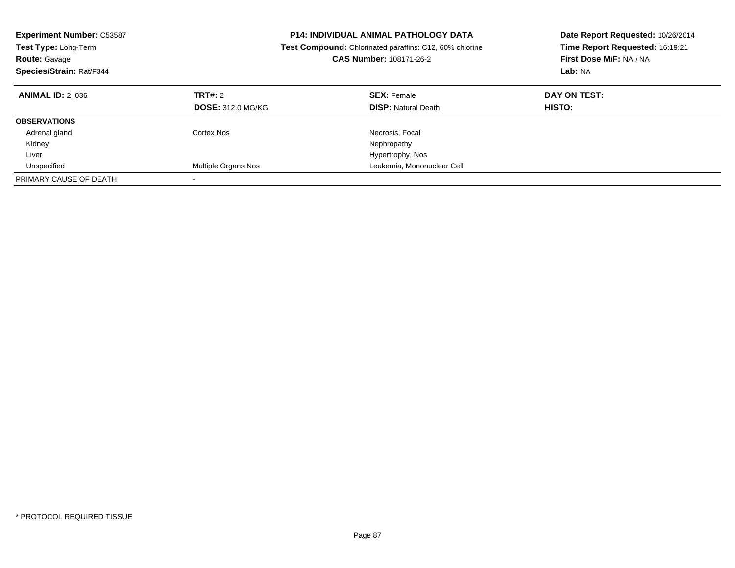| <b>Experiment Number: C53587</b><br><b>Test Type: Long-Term</b><br><b>Route: Gavage</b><br>Species/Strain: Rat/F344 |                                            | <b>P14: INDIVIDUAL ANIMAL PATHOLOGY DATA</b><br><b>Test Compound:</b> Chlorinated paraffins: C12, 60% chlorine<br><b>CAS Number: 108171-26-2</b> | Date Report Requested: 10/26/2014<br>Time Report Requested: 16:19:21<br>First Dose M/F: NA / NA<br>Lab: NA |
|---------------------------------------------------------------------------------------------------------------------|--------------------------------------------|--------------------------------------------------------------------------------------------------------------------------------------------------|------------------------------------------------------------------------------------------------------------|
| <b>ANIMAL ID: 2 036</b>                                                                                             | <b>TRT#: 2</b><br><b>DOSE: 312.0 MG/KG</b> | <b>SEX: Female</b><br><b>DISP: Natural Death</b>                                                                                                 | DAY ON TEST:<br><b>HISTO:</b>                                                                              |
| <b>OBSERVATIONS</b>                                                                                                 |                                            |                                                                                                                                                  |                                                                                                            |
| Adrenal gland                                                                                                       | Cortex Nos                                 | Necrosis, Focal                                                                                                                                  |                                                                                                            |
| Kidney                                                                                                              |                                            | Nephropathy                                                                                                                                      |                                                                                                            |
| Liver                                                                                                               |                                            | Hypertrophy, Nos                                                                                                                                 |                                                                                                            |
| Unspecified                                                                                                         | Multiple Organs Nos                        | Leukemia, Mononuclear Cell                                                                                                                       |                                                                                                            |
| PRIMARY CAUSE OF DEATH                                                                                              |                                            |                                                                                                                                                  |                                                                                                            |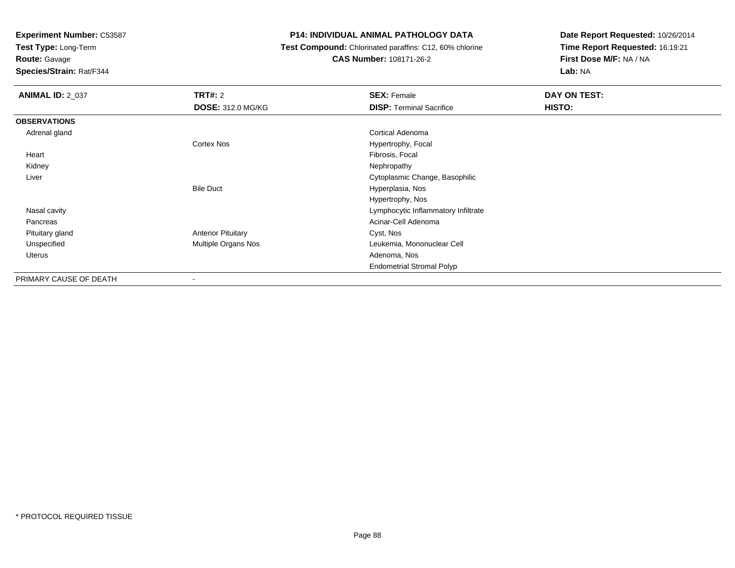**Test Type:** Long-Term

### **Route:** Gavage

**Species/Strain:** Rat/F344

#### **P14: INDIVIDUAL ANIMAL PATHOLOGY DATA**

#### **Test Compound:** Chlorinated paraffins: C12, 60% chlorine**CAS Number:** 108171-26-2

| <b>ANIMAL ID: 2_037</b> | <b>TRT#: 2</b><br><b>DOSE: 312.0 MG/KG</b> | <b>SEX: Female</b><br><b>DISP: Terminal Sacrifice</b> | DAY ON TEST:<br>HISTO: |
|-------------------------|--------------------------------------------|-------------------------------------------------------|------------------------|
| <b>OBSERVATIONS</b>     |                                            |                                                       |                        |
| Adrenal gland           |                                            | Cortical Adenoma                                      |                        |
|                         | Cortex Nos                                 | Hypertrophy, Focal                                    |                        |
| Heart                   |                                            | Fibrosis, Focal                                       |                        |
| Kidney                  |                                            | Nephropathy                                           |                        |
| Liver                   |                                            | Cytoplasmic Change, Basophilic                        |                        |
|                         | <b>Bile Duct</b>                           | Hyperplasia, Nos                                      |                        |
|                         |                                            | Hypertrophy, Nos                                      |                        |
| Nasal cavity            |                                            | Lymphocytic Inflammatory Infiltrate                   |                        |
| Pancreas                |                                            | Acinar-Cell Adenoma                                   |                        |
| Pituitary gland         | <b>Anterior Pituitary</b>                  | Cyst, Nos                                             |                        |
| Unspecified             | Multiple Organs Nos                        | Leukemia, Mononuclear Cell                            |                        |
| <b>Uterus</b>           |                                            | Adenoma, Nos                                          |                        |
|                         |                                            | <b>Endometrial Stromal Polyp</b>                      |                        |
| PRIMARY CAUSE OF DEATH  | ۰                                          |                                                       |                        |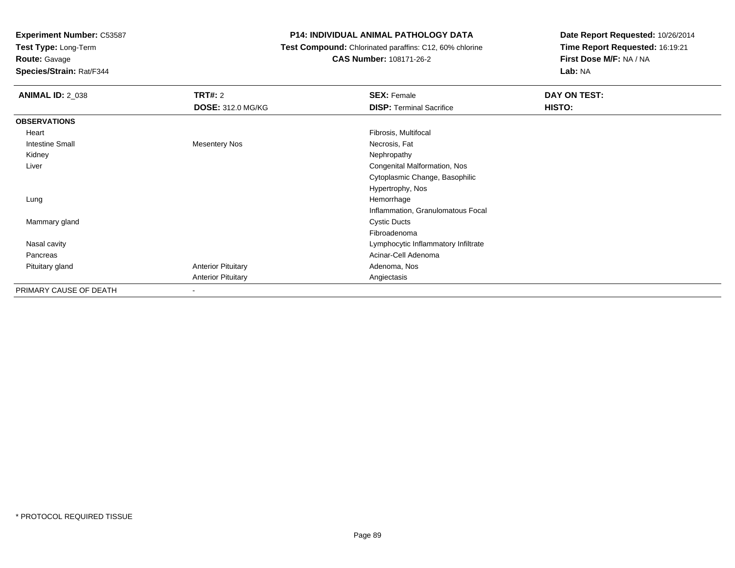**Test Type:** Long-Term

**Route:** Gavage

**Species/Strain:** Rat/F344

#### **P14: INDIVIDUAL ANIMAL PATHOLOGY DATA**

 **Test Compound:** Chlorinated paraffins: C12, 60% chlorine**CAS Number:** 108171-26-2

| <b>ANIMAL ID: 2_038</b> | <b>TRT#: 2</b>            | <b>SEX: Female</b>                  | DAY ON TEST: |
|-------------------------|---------------------------|-------------------------------------|--------------|
|                         | <b>DOSE: 312.0 MG/KG</b>  | <b>DISP: Terminal Sacrifice</b>     | HISTO:       |
| <b>OBSERVATIONS</b>     |                           |                                     |              |
| Heart                   |                           | Fibrosis, Multifocal                |              |
| <b>Intestine Small</b>  | <b>Mesentery Nos</b>      | Necrosis, Fat                       |              |
| Kidney                  |                           | Nephropathy                         |              |
| Liver                   |                           | Congenital Malformation, Nos        |              |
|                         |                           | Cytoplasmic Change, Basophilic      |              |
|                         |                           | Hypertrophy, Nos                    |              |
| Lung                    |                           | Hemorrhage                          |              |
|                         |                           | Inflammation, Granulomatous Focal   |              |
| Mammary gland           |                           | <b>Cystic Ducts</b>                 |              |
|                         |                           | Fibroadenoma                        |              |
| Nasal cavity            |                           | Lymphocytic Inflammatory Infiltrate |              |
| Pancreas                |                           | Acinar-Cell Adenoma                 |              |
| Pituitary gland         | <b>Anterior Pituitary</b> | Adenoma, Nos                        |              |
|                         | <b>Anterior Pituitary</b> | Angiectasis                         |              |
| PRIMARY CAUSE OF DEATH  | $\blacksquare$            |                                     |              |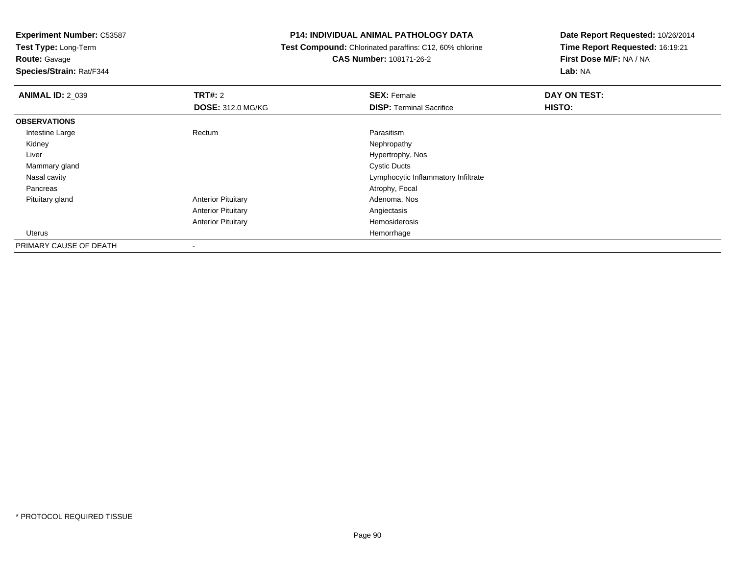**Test Type:** Long-Term**Route:** Gavage

**Species/Strain:** Rat/F344

#### **P14: INDIVIDUAL ANIMAL PATHOLOGY DATA**

 **Test Compound:** Chlorinated paraffins: C12, 60% chlorine**CAS Number:** 108171-26-2

| <b>ANIMAL ID: 2 039</b> | <b>TRT#: 2</b>            | <b>SEX: Female</b>                  | DAY ON TEST: |
|-------------------------|---------------------------|-------------------------------------|--------------|
|                         | <b>DOSE: 312.0 MG/KG</b>  | <b>DISP: Terminal Sacrifice</b>     | HISTO:       |
| <b>OBSERVATIONS</b>     |                           |                                     |              |
| Intestine Large         | Rectum                    | Parasitism                          |              |
| Kidney                  |                           | Nephropathy                         |              |
| Liver                   |                           | Hypertrophy, Nos                    |              |
| Mammary gland           |                           | <b>Cystic Ducts</b>                 |              |
| Nasal cavity            |                           | Lymphocytic Inflammatory Infiltrate |              |
| Pancreas                |                           | Atrophy, Focal                      |              |
| Pituitary gland         | <b>Anterior Pituitary</b> | Adenoma, Nos                        |              |
|                         | <b>Anterior Pituitary</b> | Angiectasis                         |              |
|                         | <b>Anterior Pituitary</b> | Hemosiderosis                       |              |
| Uterus                  |                           | Hemorrhage                          |              |
| PRIMARY CAUSE OF DEATH  | $\,$ $\,$                 |                                     |              |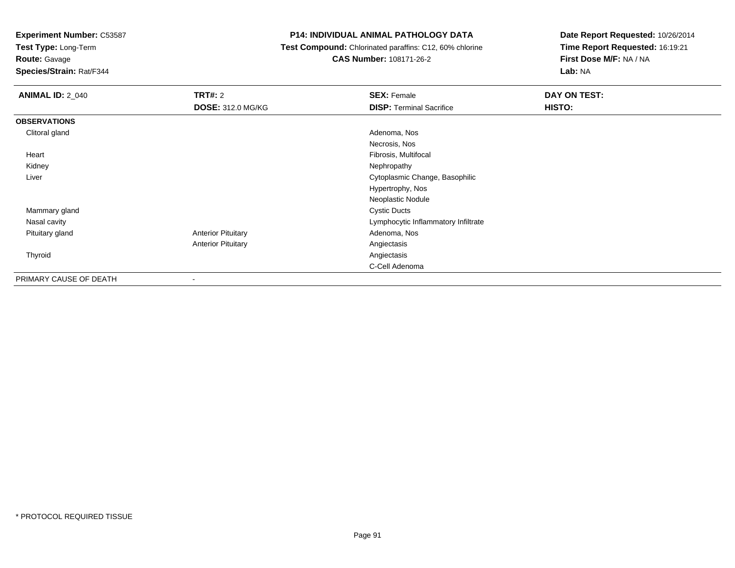**Test Type:** Long-Term

**Route:** Gavage

**Species/Strain:** Rat/F344

#### **P14: INDIVIDUAL ANIMAL PATHOLOGY DATA**

 **Test Compound:** Chlorinated paraffins: C12, 60% chlorine**CAS Number:** 108171-26-2

| <b>ANIMAL ID: 2_040</b> | TRT#: 2                   | <b>SEX: Female</b>                  | DAY ON TEST:  |
|-------------------------|---------------------------|-------------------------------------|---------------|
|                         | <b>DOSE: 312.0 MG/KG</b>  | <b>DISP: Terminal Sacrifice</b>     | <b>HISTO:</b> |
| <b>OBSERVATIONS</b>     |                           |                                     |               |
| Clitoral gland          |                           | Adenoma, Nos                        |               |
|                         |                           | Necrosis, Nos                       |               |
| Heart                   |                           | Fibrosis, Multifocal                |               |
| Kidney                  |                           | Nephropathy                         |               |
| Liver                   |                           | Cytoplasmic Change, Basophilic      |               |
|                         |                           | Hypertrophy, Nos                    |               |
|                         |                           | Neoplastic Nodule                   |               |
| Mammary gland           |                           | <b>Cystic Ducts</b>                 |               |
| Nasal cavity            |                           | Lymphocytic Inflammatory Infiltrate |               |
| Pituitary gland         | <b>Anterior Pituitary</b> | Adenoma, Nos                        |               |
|                         | <b>Anterior Pituitary</b> | Angiectasis                         |               |
| Thyroid                 |                           | Angiectasis                         |               |
|                         |                           | C-Cell Adenoma                      |               |
| PRIMARY CAUSE OF DEATH  |                           |                                     |               |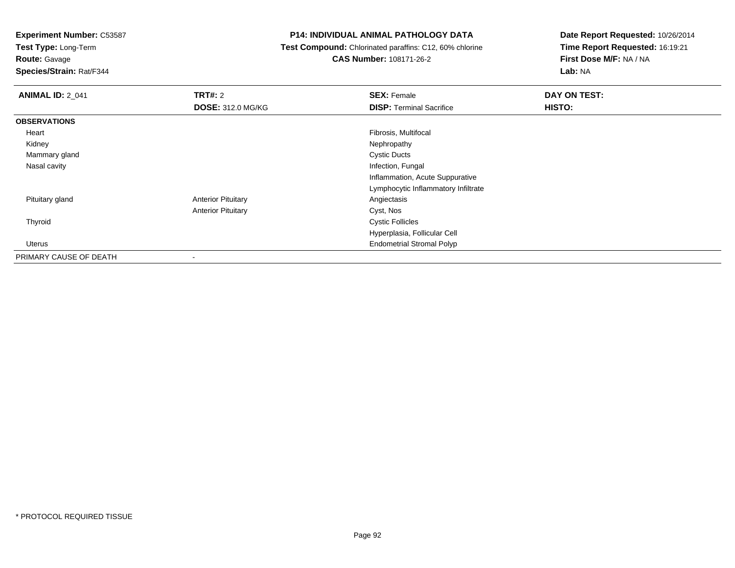**Test Type:** Long-Term

## **Route:** Gavage

**Species/Strain:** Rat/F344

#### **P14: INDIVIDUAL ANIMAL PATHOLOGY DATA**

#### **Test Compound:** Chlorinated paraffins: C12, 60% chlorine**CAS Number:** 108171-26-2

| <b>ANIMAL ID: 2_041</b> | <b>TRT#: 2</b>            | <b>SEX: Female</b>                  | DAY ON TEST: |
|-------------------------|---------------------------|-------------------------------------|--------------|
|                         | <b>DOSE: 312.0 MG/KG</b>  | <b>DISP: Terminal Sacrifice</b>     | HISTO:       |
| <b>OBSERVATIONS</b>     |                           |                                     |              |
| Heart                   |                           | Fibrosis, Multifocal                |              |
| Kidney                  |                           | Nephropathy                         |              |
| Mammary gland           |                           | <b>Cystic Ducts</b>                 |              |
| Nasal cavity            |                           | Infection, Fungal                   |              |
|                         |                           | Inflammation, Acute Suppurative     |              |
|                         |                           | Lymphocytic Inflammatory Infiltrate |              |
| Pituitary gland         | <b>Anterior Pituitary</b> | Angiectasis                         |              |
|                         | <b>Anterior Pituitary</b> | Cyst, Nos                           |              |
| Thyroid                 |                           | <b>Cystic Follicles</b>             |              |
|                         |                           | Hyperplasia, Follicular Cell        |              |
| Uterus                  |                           | <b>Endometrial Stromal Polyp</b>    |              |
| PRIMARY CAUSE OF DEATH  | ۰                         |                                     |              |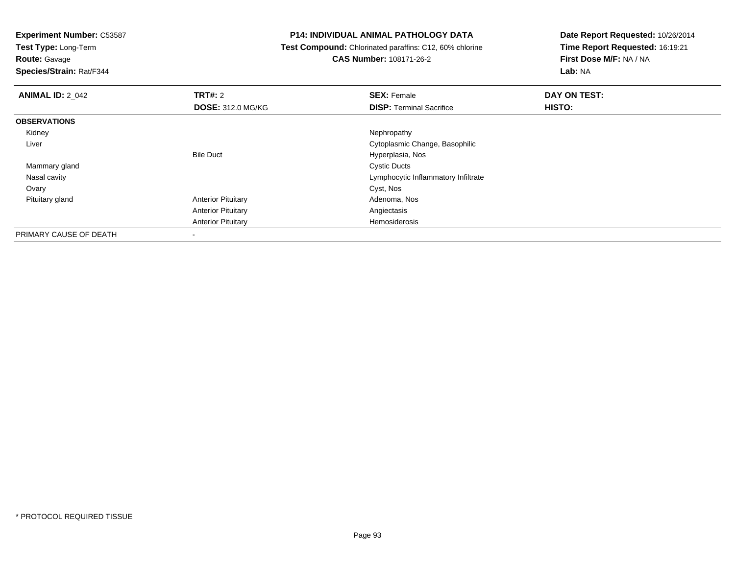**Test Type:** Long-Term

**Route:** Gavage

**Species/Strain:** Rat/F344

#### **P14: INDIVIDUAL ANIMAL PATHOLOGY DATA**

 **Test Compound:** Chlorinated paraffins: C12, 60% chlorine**CAS Number:** 108171-26-2

| <b>ANIMAL ID: 2_042</b> | <b>TRT#: 2</b>            | <b>SEX: Female</b>                  | DAY ON TEST: |  |
|-------------------------|---------------------------|-------------------------------------|--------------|--|
|                         | <b>DOSE: 312.0 MG/KG</b>  | <b>DISP: Terminal Sacrifice</b>     | HISTO:       |  |
| <b>OBSERVATIONS</b>     |                           |                                     |              |  |
| Kidney                  |                           | Nephropathy                         |              |  |
| Liver                   |                           | Cytoplasmic Change, Basophilic      |              |  |
|                         | <b>Bile Duct</b>          | Hyperplasia, Nos                    |              |  |
| Mammary gland           |                           | <b>Cystic Ducts</b>                 |              |  |
| Nasal cavity            |                           | Lymphocytic Inflammatory Infiltrate |              |  |
| Ovary                   |                           | Cyst, Nos                           |              |  |
| Pituitary gland         | <b>Anterior Pituitary</b> | Adenoma, Nos                        |              |  |
|                         | <b>Anterior Pituitary</b> | Angiectasis                         |              |  |
|                         | <b>Anterior Pituitary</b> | Hemosiderosis                       |              |  |
| PRIMARY CAUSE OF DEATH  |                           |                                     |              |  |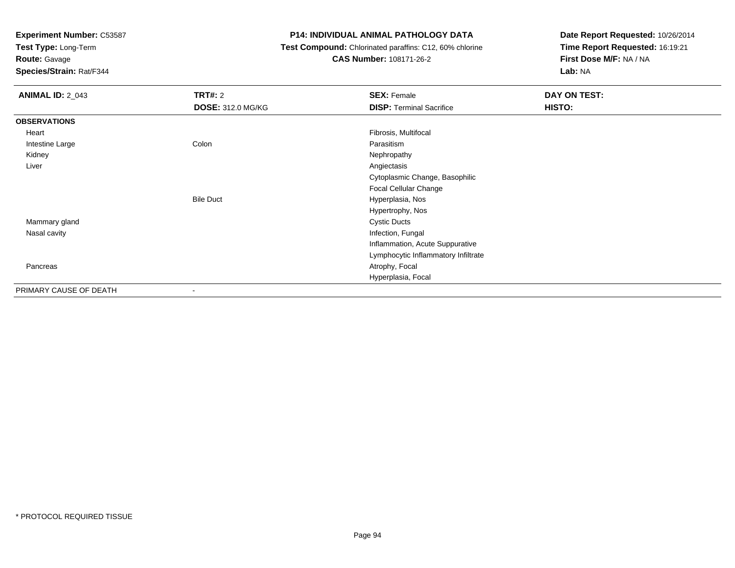**Test Type:** Long-Term

**Route:** Gavage

**Species/Strain:** Rat/F344

#### **P14: INDIVIDUAL ANIMAL PATHOLOGY DATA**

 **Test Compound:** Chlorinated paraffins: C12, 60% chlorine**CAS Number:** 108171-26-2

| <b>ANIMAL ID: 2_043</b> | <b>TRT#: 2</b>           | <b>SEX: Female</b>                  | DAY ON TEST: |  |
|-------------------------|--------------------------|-------------------------------------|--------------|--|
|                         | <b>DOSE: 312.0 MG/KG</b> | <b>DISP: Terminal Sacrifice</b>     | HISTO:       |  |
| <b>OBSERVATIONS</b>     |                          |                                     |              |  |
| Heart                   |                          | Fibrosis, Multifocal                |              |  |
| Intestine Large         | Colon                    | Parasitism                          |              |  |
| Kidney                  |                          | Nephropathy                         |              |  |
| Liver                   |                          | Angiectasis                         |              |  |
|                         |                          | Cytoplasmic Change, Basophilic      |              |  |
|                         |                          | Focal Cellular Change               |              |  |
|                         | <b>Bile Duct</b>         | Hyperplasia, Nos                    |              |  |
|                         |                          | Hypertrophy, Nos                    |              |  |
| Mammary gland           |                          | <b>Cystic Ducts</b>                 |              |  |
| Nasal cavity            |                          | Infection, Fungal                   |              |  |
|                         |                          | Inflammation, Acute Suppurative     |              |  |
|                         |                          | Lymphocytic Inflammatory Infiltrate |              |  |
| Pancreas                |                          | Atrophy, Focal                      |              |  |
|                         |                          | Hyperplasia, Focal                  |              |  |
| PRIMARY CAUSE OF DEATH  | ٠                        |                                     |              |  |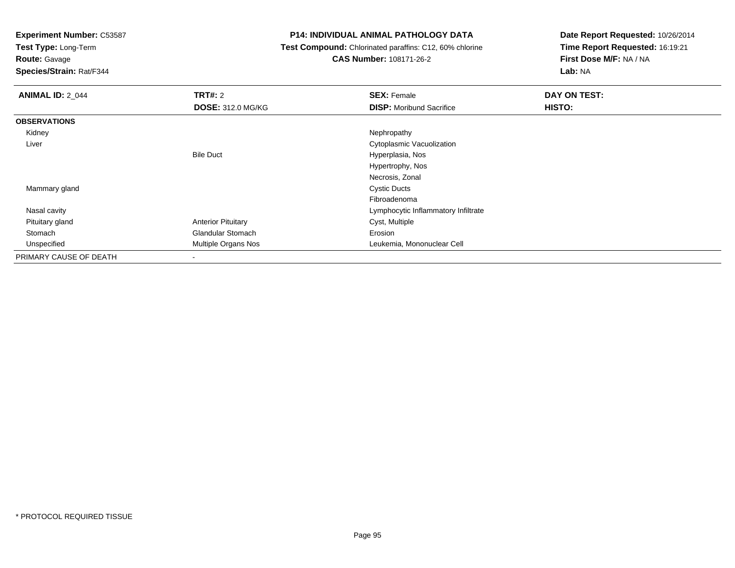**Test Type:** Long-Term

**Route:** Gavage

**Species/Strain:** Rat/F344

#### **P14: INDIVIDUAL ANIMAL PATHOLOGY DATA**

 **Test Compound:** Chlorinated paraffins: C12, 60% chlorine**CAS Number:** 108171-26-2

| <b>ANIMAL ID: 2_044</b> | <b>TRT#: 2</b>            | <b>SEX: Female</b>                  | DAY ON TEST: |
|-------------------------|---------------------------|-------------------------------------|--------------|
|                         | <b>DOSE: 312.0 MG/KG</b>  | <b>DISP:</b> Moribund Sacrifice     | HISTO:       |
| <b>OBSERVATIONS</b>     |                           |                                     |              |
| Kidney                  |                           | Nephropathy                         |              |
| Liver                   |                           | Cytoplasmic Vacuolization           |              |
|                         | <b>Bile Duct</b>          | Hyperplasia, Nos                    |              |
|                         |                           | Hypertrophy, Nos                    |              |
|                         |                           | Necrosis, Zonal                     |              |
| Mammary gland           |                           | <b>Cystic Ducts</b>                 |              |
|                         |                           | Fibroadenoma                        |              |
| Nasal cavity            |                           | Lymphocytic Inflammatory Infiltrate |              |
| Pituitary gland         | <b>Anterior Pituitary</b> | Cyst, Multiple                      |              |
| Stomach                 | <b>Glandular Stomach</b>  | Erosion                             |              |
| Unspecified             | Multiple Organs Nos       | Leukemia, Mononuclear Cell          |              |
| PRIMARY CAUSE OF DEATH  |                           |                                     |              |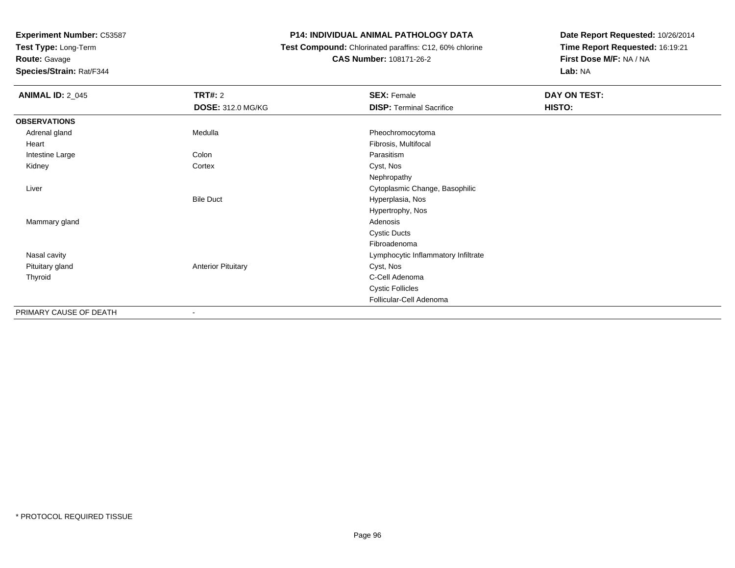**Test Type:** Long-Term

**Route:** Gavage

**Species/Strain:** Rat/F344

#### **P14: INDIVIDUAL ANIMAL PATHOLOGY DATA**

 **Test Compound:** Chlorinated paraffins: C12, 60% chlorine**CAS Number:** 108171-26-2

| <b>ANIMAL ID: 2_045</b> | TRT#: 2                   | <b>SEX: Female</b>                  | DAY ON TEST: |
|-------------------------|---------------------------|-------------------------------------|--------------|
|                         | <b>DOSE: 312.0 MG/KG</b>  | <b>DISP: Terminal Sacrifice</b>     | HISTO:       |
| <b>OBSERVATIONS</b>     |                           |                                     |              |
| Adrenal gland           | Medulla                   | Pheochromocytoma                    |              |
| Heart                   |                           | Fibrosis, Multifocal                |              |
| Intestine Large         | Colon                     | Parasitism                          |              |
| Kidney                  | Cortex                    | Cyst, Nos                           |              |
|                         |                           | Nephropathy                         |              |
| Liver                   |                           | Cytoplasmic Change, Basophilic      |              |
|                         | <b>Bile Duct</b>          | Hyperplasia, Nos                    |              |
|                         |                           | Hypertrophy, Nos                    |              |
| Mammary gland           |                           | Adenosis                            |              |
|                         |                           | <b>Cystic Ducts</b>                 |              |
|                         |                           | Fibroadenoma                        |              |
| Nasal cavity            |                           | Lymphocytic Inflammatory Infiltrate |              |
| Pituitary gland         | <b>Anterior Pituitary</b> | Cyst, Nos                           |              |
| Thyroid                 |                           | C-Cell Adenoma                      |              |
|                         |                           | <b>Cystic Follicles</b>             |              |
|                         |                           | Follicular-Cell Adenoma             |              |
| PRIMARY CAUSE OF DEATH  | $\blacksquare$            |                                     |              |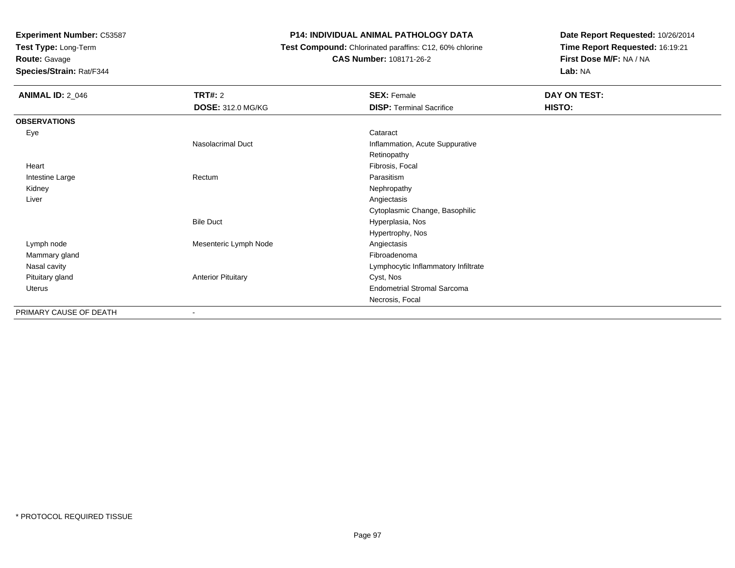**Test Type:** Long-Term

**Route:** Gavage

**Species/Strain:** Rat/F344

#### **P14: INDIVIDUAL ANIMAL PATHOLOGY DATA**

 **Test Compound:** Chlorinated paraffins: C12, 60% chlorine**CAS Number:** 108171-26-2

| <b>ANIMAL ID: 2_046</b> | <b>TRT#: 2</b><br><b>DOSE: 312.0 MG/KG</b> | <b>SEX: Female</b><br><b>DISP: Terminal Sacrifice</b> | DAY ON TEST:<br>HISTO: |
|-------------------------|--------------------------------------------|-------------------------------------------------------|------------------------|
|                         |                                            |                                                       |                        |
| <b>OBSERVATIONS</b>     |                                            |                                                       |                        |
| Eye                     |                                            | Cataract                                              |                        |
|                         | Nasolacrimal Duct                          | Inflammation, Acute Suppurative                       |                        |
|                         |                                            | Retinopathy                                           |                        |
| Heart                   |                                            | Fibrosis, Focal                                       |                        |
| Intestine Large         | Rectum                                     | Parasitism                                            |                        |
| Kidney                  |                                            | Nephropathy                                           |                        |
| Liver                   |                                            | Angiectasis                                           |                        |
|                         |                                            | Cytoplasmic Change, Basophilic                        |                        |
|                         | <b>Bile Duct</b>                           | Hyperplasia, Nos                                      |                        |
|                         |                                            | Hypertrophy, Nos                                      |                        |
| Lymph node              | Mesenteric Lymph Node                      | Angiectasis                                           |                        |
| Mammary gland           |                                            | Fibroadenoma                                          |                        |
| Nasal cavity            |                                            | Lymphocytic Inflammatory Infiltrate                   |                        |
| Pituitary gland         | <b>Anterior Pituitary</b>                  | Cyst, Nos                                             |                        |
| <b>Uterus</b>           |                                            | <b>Endometrial Stromal Sarcoma</b>                    |                        |
|                         |                                            | Necrosis, Focal                                       |                        |
| PRIMARY CAUSE OF DEATH  | $\overline{\phantom{a}}$                   |                                                       |                        |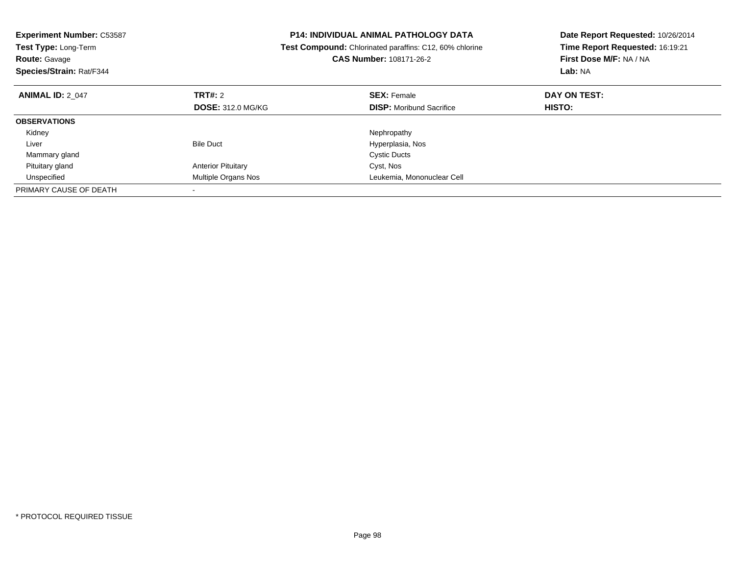| <b>Experiment Number: C53587</b><br>Test Type: Long-Term<br><b>Route: Gavage</b><br>Species/Strain: Rat/F344 |                           | <b>P14: INDIVIDUAL ANIMAL PATHOLOGY DATA</b><br>Test Compound: Chlorinated paraffins: C12, 60% chlorine<br>CAS Number: 108171-26-2 | Date Report Requested: 10/26/2014<br>Time Report Requested: 16:19:21<br>First Dose M/F: NA / NA<br>Lab: NA |
|--------------------------------------------------------------------------------------------------------------|---------------------------|------------------------------------------------------------------------------------------------------------------------------------|------------------------------------------------------------------------------------------------------------|
| <b>ANIMAL ID: 2 047</b>                                                                                      | TRT#: 2                   | <b>SEX: Female</b>                                                                                                                 | DAY ON TEST:                                                                                               |
|                                                                                                              | <b>DOSE: 312.0 MG/KG</b>  | <b>DISP:</b> Moribund Sacrifice                                                                                                    | HISTO:                                                                                                     |
| <b>OBSERVATIONS</b>                                                                                          |                           |                                                                                                                                    |                                                                                                            |
| Kidney                                                                                                       |                           | Nephropathy                                                                                                                        |                                                                                                            |
| Liver                                                                                                        | <b>Bile Duct</b>          | Hyperplasia, Nos                                                                                                                   |                                                                                                            |
| Mammary gland                                                                                                |                           | <b>Cystic Ducts</b>                                                                                                                |                                                                                                            |
| Pituitary gland                                                                                              | <b>Anterior Pituitary</b> | Cyst, Nos                                                                                                                          |                                                                                                            |
| Unspecified                                                                                                  | Multiple Organs Nos       | Leukemia, Mononuclear Cell                                                                                                         |                                                                                                            |
| PRIMARY CAUSE OF DEATH                                                                                       |                           |                                                                                                                                    |                                                                                                            |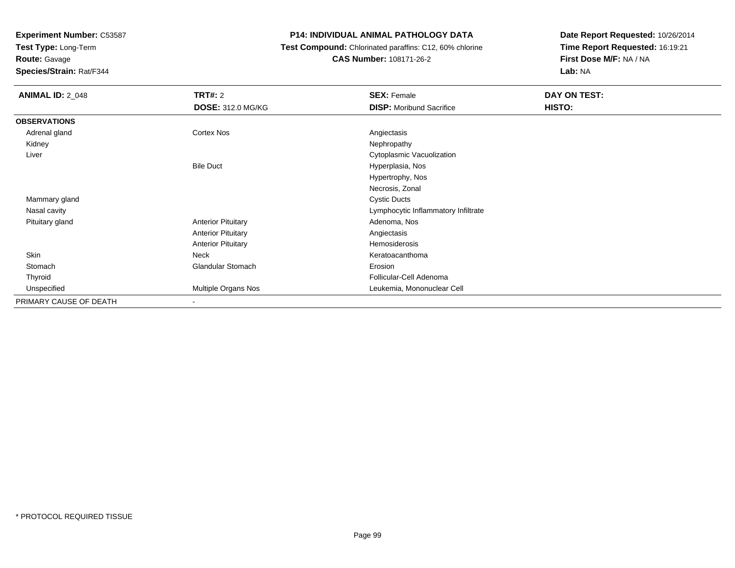**Test Type:** Long-Term

# **Route:** Gavage

**Species/Strain:** Rat/F344

#### **P14: INDIVIDUAL ANIMAL PATHOLOGY DATA**

#### **Test Compound:** Chlorinated paraffins: C12, 60% chlorine**CAS Number:** 108171-26-2

| <b>ANIMAL ID: 2_048</b> | <b>TRT#: 2</b>            | <b>SEX: Female</b>                  | DAY ON TEST: |  |
|-------------------------|---------------------------|-------------------------------------|--------------|--|
|                         | <b>DOSE: 312.0 MG/KG</b>  | <b>DISP:</b> Moribund Sacrifice     | HISTO:       |  |
| <b>OBSERVATIONS</b>     |                           |                                     |              |  |
| Adrenal gland           | Cortex Nos                | Angiectasis                         |              |  |
| Kidney                  |                           | Nephropathy                         |              |  |
| Liver                   |                           | Cytoplasmic Vacuolization           |              |  |
|                         | <b>Bile Duct</b>          | Hyperplasia, Nos                    |              |  |
|                         |                           | Hypertrophy, Nos                    |              |  |
|                         |                           | Necrosis, Zonal                     |              |  |
| Mammary gland           |                           | <b>Cystic Ducts</b>                 |              |  |
| Nasal cavity            |                           | Lymphocytic Inflammatory Infiltrate |              |  |
| Pituitary gland         | <b>Anterior Pituitary</b> | Adenoma, Nos                        |              |  |
|                         | <b>Anterior Pituitary</b> | Angiectasis                         |              |  |
|                         | <b>Anterior Pituitary</b> | Hemosiderosis                       |              |  |
| Skin                    | Neck                      | Keratoacanthoma                     |              |  |
| Stomach                 | Glandular Stomach         | Erosion                             |              |  |
| Thyroid                 |                           | Follicular-Cell Adenoma             |              |  |
| Unspecified             | Multiple Organs Nos       | Leukemia, Mononuclear Cell          |              |  |
| PRIMARY CAUSE OF DEATH  | ۰                         |                                     |              |  |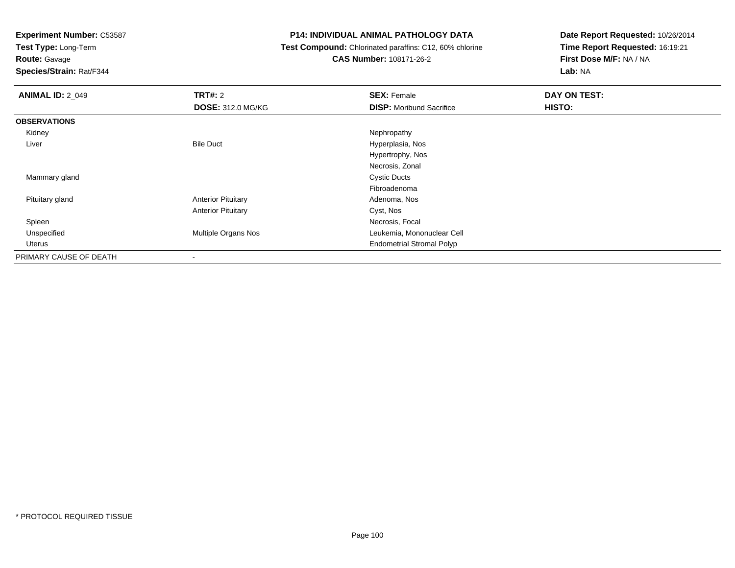**Test Type:** Long-Term

## **Route:** Gavage

**Species/Strain:** Rat/F344

#### **P14: INDIVIDUAL ANIMAL PATHOLOGY DATA**

#### **Test Compound:** Chlorinated paraffins: C12, 60% chlorine**CAS Number:** 108171-26-2

| <b>ANIMAL ID: 2_049</b> | TRT#: 2                    | <b>SEX: Female</b>               | DAY ON TEST: |
|-------------------------|----------------------------|----------------------------------|--------------|
|                         | <b>DOSE: 312.0 MG/KG</b>   | <b>DISP:</b> Moribund Sacrifice  | HISTO:       |
| <b>OBSERVATIONS</b>     |                            |                                  |              |
| Kidney                  |                            | Nephropathy                      |              |
| Liver                   | <b>Bile Duct</b>           | Hyperplasia, Nos                 |              |
|                         |                            | Hypertrophy, Nos                 |              |
|                         |                            | Necrosis, Zonal                  |              |
| Mammary gland           |                            | <b>Cystic Ducts</b>              |              |
|                         |                            | Fibroadenoma                     |              |
| Pituitary gland         | <b>Anterior Pituitary</b>  | Adenoma, Nos                     |              |
|                         | <b>Anterior Pituitary</b>  | Cyst, Nos                        |              |
| Spleen                  |                            | Necrosis, Focal                  |              |
| Unspecified             | <b>Multiple Organs Nos</b> | Leukemia, Mononuclear Cell       |              |
| Uterus                  |                            | <b>Endometrial Stromal Polyp</b> |              |
| PRIMARY CAUSE OF DEATH  | $\,$ $\,$                  |                                  |              |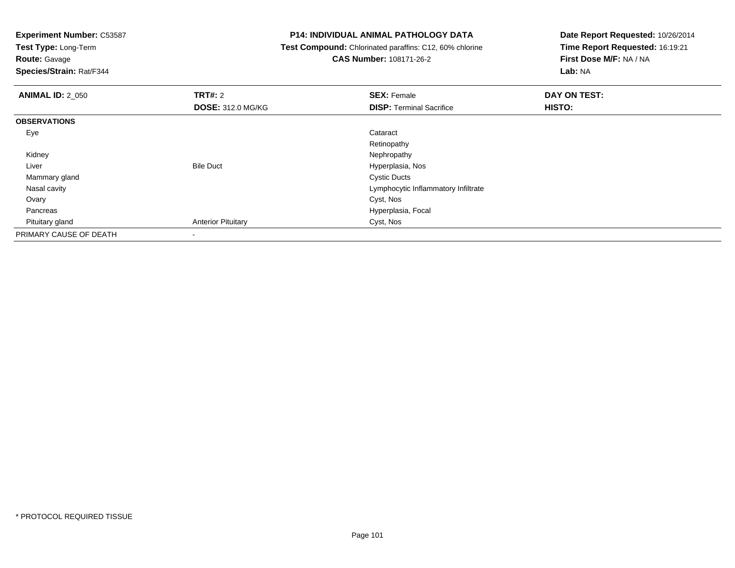**Test Type:** Long-Term

### **Route:** Gavage

**Species/Strain:** Rat/F344

#### **P14: INDIVIDUAL ANIMAL PATHOLOGY DATA**

 **Test Compound:** Chlorinated paraffins: C12, 60% chlorine**CAS Number:** 108171-26-2

| <b>ANIMAL ID: 2 050</b> | TRT#: 2                   | <b>SEX: Female</b>                  | DAY ON TEST: |  |
|-------------------------|---------------------------|-------------------------------------|--------------|--|
|                         | <b>DOSE: 312.0 MG/KG</b>  | <b>DISP: Terminal Sacrifice</b>     | HISTO:       |  |
| <b>OBSERVATIONS</b>     |                           |                                     |              |  |
| Eye                     |                           | Cataract                            |              |  |
|                         |                           | Retinopathy                         |              |  |
| Kidney                  |                           | Nephropathy                         |              |  |
| Liver                   | <b>Bile Duct</b>          | Hyperplasia, Nos                    |              |  |
| Mammary gland           |                           | <b>Cystic Ducts</b>                 |              |  |
| Nasal cavity            |                           | Lymphocytic Inflammatory Infiltrate |              |  |
| Ovary                   |                           | Cyst, Nos                           |              |  |
| Pancreas                |                           | Hyperplasia, Focal                  |              |  |
| Pituitary gland         | <b>Anterior Pituitary</b> | Cyst, Nos                           |              |  |
| PRIMARY CAUSE OF DEATH  | $\,$                      |                                     |              |  |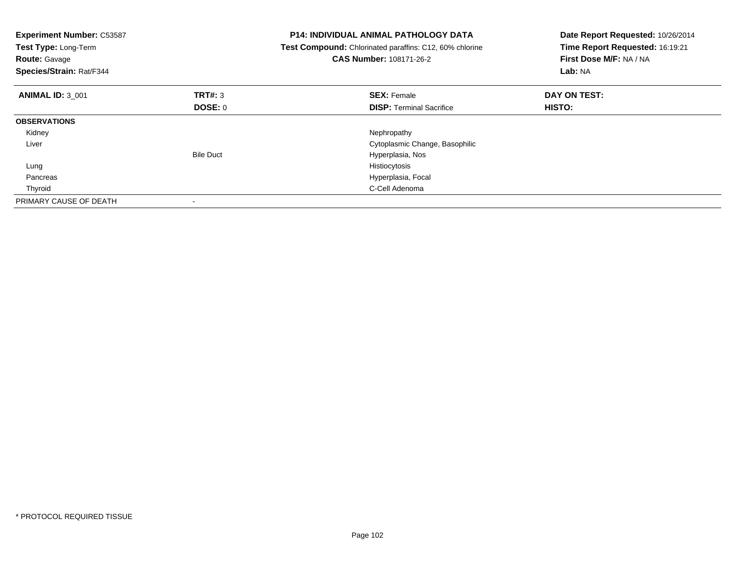| <b>Experiment Number: C53587</b><br>Test Type: Long-Term<br><b>Route: Gavage</b><br>Species/Strain: Rat/F344 |                  | <b>P14: INDIVIDUAL ANIMAL PATHOLOGY DATA</b><br>Test Compound: Chlorinated paraffins: C12, 60% chlorine<br><b>CAS Number: 108171-26-2</b> | Date Report Requested: 10/26/2014<br>Time Report Requested: 16:19:21<br>First Dose M/F: NA / NA<br>Lab: NA |
|--------------------------------------------------------------------------------------------------------------|------------------|-------------------------------------------------------------------------------------------------------------------------------------------|------------------------------------------------------------------------------------------------------------|
| <b>ANIMAL ID: 3 001</b>                                                                                      | TRT#: 3          | <b>SEX: Female</b>                                                                                                                        | DAY ON TEST:                                                                                               |
|                                                                                                              | DOSE: 0          | <b>DISP:</b> Terminal Sacrifice                                                                                                           | <b>HISTO:</b>                                                                                              |
| <b>OBSERVATIONS</b>                                                                                          |                  |                                                                                                                                           |                                                                                                            |
| Kidney                                                                                                       |                  | Nephropathy                                                                                                                               |                                                                                                            |
| Liver                                                                                                        |                  | Cytoplasmic Change, Basophilic                                                                                                            |                                                                                                            |
|                                                                                                              | <b>Bile Duct</b> | Hyperplasia, Nos                                                                                                                          |                                                                                                            |
| Lung                                                                                                         |                  | Histiocytosis                                                                                                                             |                                                                                                            |
| Pancreas                                                                                                     |                  | Hyperplasia, Focal                                                                                                                        |                                                                                                            |
| Thyroid                                                                                                      |                  | C-Cell Adenoma                                                                                                                            |                                                                                                            |
| PRIMARY CAUSE OF DEATH                                                                                       |                  |                                                                                                                                           |                                                                                                            |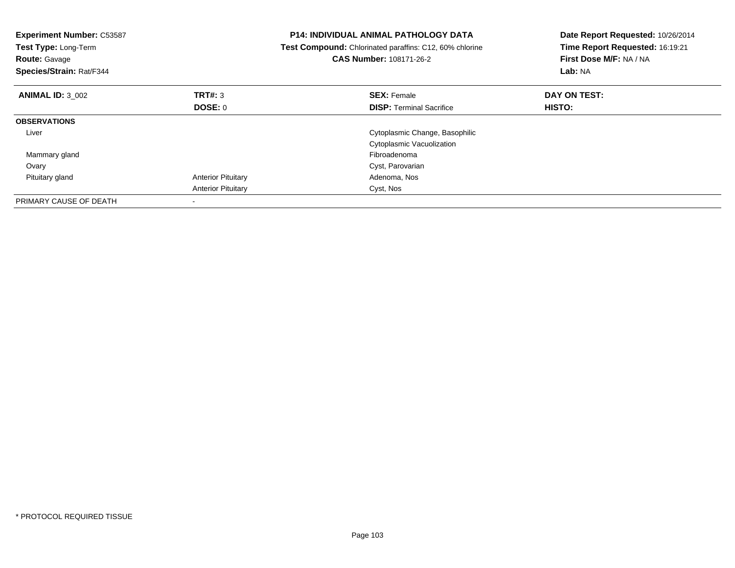| <b>Experiment Number: C53587</b><br>Test Type: Long-Term<br><b>Route: Gavage</b><br>Species/Strain: Rat/F344 |                           | <b>P14: INDIVIDUAL ANIMAL PATHOLOGY DATA</b><br>Test Compound: Chlorinated paraffins: C12, 60% chlorine<br><b>CAS Number: 108171-26-2</b> | Date Report Requested: 10/26/2014<br>Time Report Requested: 16:19:21<br>First Dose M/F: NA / NA<br>Lab: NA |
|--------------------------------------------------------------------------------------------------------------|---------------------------|-------------------------------------------------------------------------------------------------------------------------------------------|------------------------------------------------------------------------------------------------------------|
| <b>ANIMAL ID: 3 002</b>                                                                                      | TRT#: 3                   | <b>SEX: Female</b>                                                                                                                        | DAY ON TEST:                                                                                               |
|                                                                                                              | <b>DOSE: 0</b>            | <b>DISP:</b> Terminal Sacrifice                                                                                                           | <b>HISTO:</b>                                                                                              |
| <b>OBSERVATIONS</b>                                                                                          |                           |                                                                                                                                           |                                                                                                            |
| Liver                                                                                                        |                           | Cytoplasmic Change, Basophilic                                                                                                            |                                                                                                            |
|                                                                                                              |                           | Cytoplasmic Vacuolization                                                                                                                 |                                                                                                            |
| Mammary gland                                                                                                |                           | Fibroadenoma                                                                                                                              |                                                                                                            |
| Ovary                                                                                                        |                           | Cyst, Parovarian                                                                                                                          |                                                                                                            |
| Pituitary gland                                                                                              | <b>Anterior Pituitary</b> | Adenoma, Nos                                                                                                                              |                                                                                                            |
|                                                                                                              | <b>Anterior Pituitary</b> | Cyst, Nos                                                                                                                                 |                                                                                                            |
| PRIMARY CAUSE OF DEATH                                                                                       |                           |                                                                                                                                           |                                                                                                            |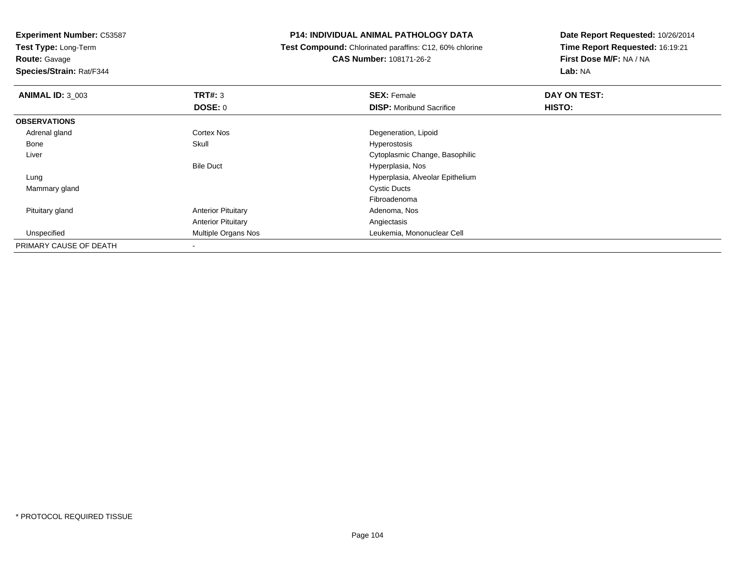**Test Type:** Long-Term**Route:** Gavage

**Species/Strain:** Rat/F344

#### **P14: INDIVIDUAL ANIMAL PATHOLOGY DATA**

 **Test Compound:** Chlorinated paraffins: C12, 60% chlorine**CAS Number:** 108171-26-2

| <b>ANIMAL ID: 3 003</b> | TRT#: 3                   | <b>SEX: Female</b>               | DAY ON TEST: |  |
|-------------------------|---------------------------|----------------------------------|--------------|--|
|                         | DOSE: 0                   | <b>DISP:</b> Moribund Sacrifice  | HISTO:       |  |
| <b>OBSERVATIONS</b>     |                           |                                  |              |  |
| Adrenal gland           | <b>Cortex Nos</b>         | Degeneration, Lipoid             |              |  |
| Bone                    | Skull                     | Hyperostosis                     |              |  |
| Liver                   |                           | Cytoplasmic Change, Basophilic   |              |  |
|                         | <b>Bile Duct</b>          | Hyperplasia, Nos                 |              |  |
| Lung                    |                           | Hyperplasia, Alveolar Epithelium |              |  |
| Mammary gland           |                           | <b>Cystic Ducts</b>              |              |  |
|                         |                           | Fibroadenoma                     |              |  |
| Pituitary gland         | <b>Anterior Pituitary</b> | Adenoma, Nos                     |              |  |
|                         | <b>Anterior Pituitary</b> | Angiectasis                      |              |  |
| Unspecified             | Multiple Organs Nos       | Leukemia, Mononuclear Cell       |              |  |
| PRIMARY CAUSE OF DEATH  |                           |                                  |              |  |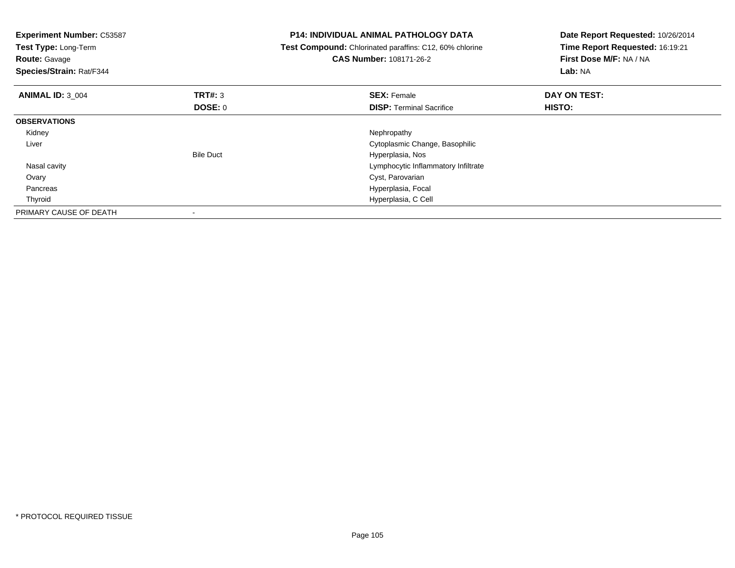| <b>Experiment Number: C53587</b><br>Test Type: Long-Term<br><b>Route: Gavage</b><br>Species/Strain: Rat/F344 |                  | <b>P14: INDIVIDUAL ANIMAL PATHOLOGY DATA</b><br>Test Compound: Chlorinated paraffins: C12, 60% chlorine<br><b>CAS Number: 108171-26-2</b> | Date Report Requested: 10/26/2014<br>Time Report Requested: 16:19:21<br>First Dose M/F: NA / NA<br>Lab: NA |
|--------------------------------------------------------------------------------------------------------------|------------------|-------------------------------------------------------------------------------------------------------------------------------------------|------------------------------------------------------------------------------------------------------------|
| <b>ANIMAL ID: 3 004</b>                                                                                      | <b>TRT#: 3</b>   | <b>SEX: Female</b>                                                                                                                        | DAY ON TEST:                                                                                               |
|                                                                                                              | DOSE: 0          | <b>DISP:</b> Terminal Sacrifice                                                                                                           | <b>HISTO:</b>                                                                                              |
| <b>OBSERVATIONS</b>                                                                                          |                  |                                                                                                                                           |                                                                                                            |
| Kidney                                                                                                       |                  | Nephropathy                                                                                                                               |                                                                                                            |
| Liver                                                                                                        |                  | Cytoplasmic Change, Basophilic                                                                                                            |                                                                                                            |
|                                                                                                              | <b>Bile Duct</b> | Hyperplasia, Nos                                                                                                                          |                                                                                                            |
| Nasal cavity                                                                                                 |                  | Lymphocytic Inflammatory Infiltrate                                                                                                       |                                                                                                            |
| Ovary                                                                                                        |                  | Cyst, Parovarian                                                                                                                          |                                                                                                            |
| Pancreas                                                                                                     |                  | Hyperplasia, Focal                                                                                                                        |                                                                                                            |
| Thyroid                                                                                                      |                  | Hyperplasia, C Cell                                                                                                                       |                                                                                                            |
| PRIMARY CAUSE OF DEATH                                                                                       |                  |                                                                                                                                           |                                                                                                            |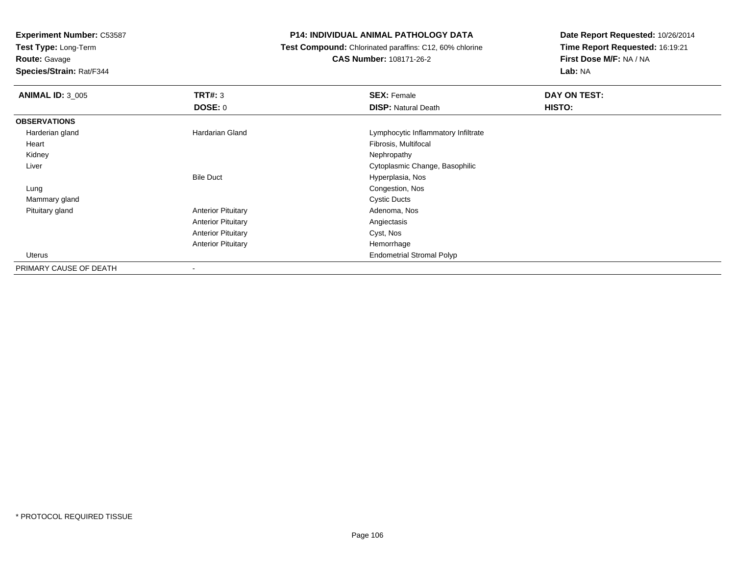**Test Type:** Long-Term

**Route:** Gavage

**Species/Strain:** Rat/F344

#### **P14: INDIVIDUAL ANIMAL PATHOLOGY DATA**

 **Test Compound:** Chlorinated paraffins: C12, 60% chlorine**CAS Number:** 108171-26-2

| <b>ANIMAL ID: 3_005</b> | TRT#: 3                   | <b>SEX: Female</b>                  | DAY ON TEST: |  |
|-------------------------|---------------------------|-------------------------------------|--------------|--|
|                         | <b>DOSE: 0</b>            | <b>DISP: Natural Death</b>          | HISTO:       |  |
| <b>OBSERVATIONS</b>     |                           |                                     |              |  |
| Harderian gland         | Hardarian Gland           | Lymphocytic Inflammatory Infiltrate |              |  |
| Heart                   |                           | Fibrosis, Multifocal                |              |  |
| Kidney                  |                           | Nephropathy                         |              |  |
| Liver                   |                           | Cytoplasmic Change, Basophilic      |              |  |
|                         | <b>Bile Duct</b>          | Hyperplasia, Nos                    |              |  |
| Lung                    |                           | Congestion, Nos                     |              |  |
| Mammary gland           |                           | <b>Cystic Ducts</b>                 |              |  |
| Pituitary gland         | <b>Anterior Pituitary</b> | Adenoma, Nos                        |              |  |
|                         | <b>Anterior Pituitary</b> | Angiectasis                         |              |  |
|                         | <b>Anterior Pituitary</b> | Cyst, Nos                           |              |  |
|                         | <b>Anterior Pituitary</b> | Hemorrhage                          |              |  |
| Uterus                  |                           | <b>Endometrial Stromal Polyp</b>    |              |  |
| PRIMARY CAUSE OF DEATH  |                           |                                     |              |  |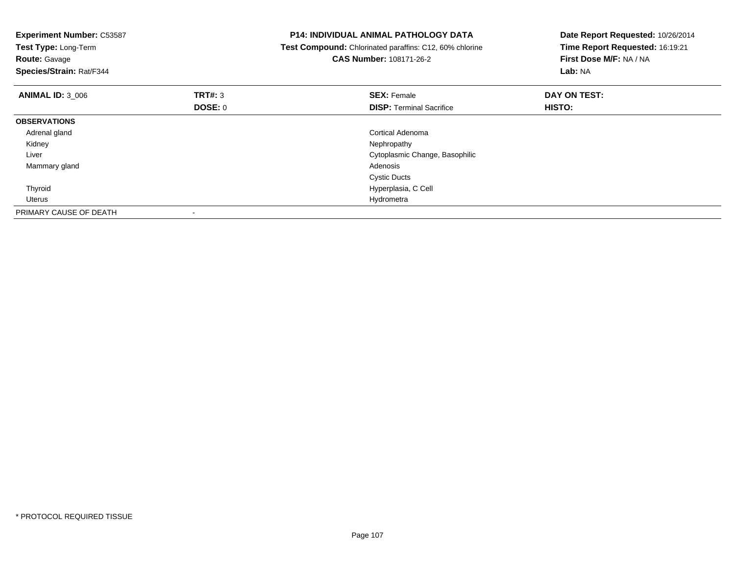| <b>Experiment Number: C53587</b><br>Test Type: Long-Term<br><b>Route: Gavage</b><br>Species/Strain: Rat/F344 |                           | <b>P14: INDIVIDUAL ANIMAL PATHOLOGY DATA</b><br>Test Compound: Chlorinated paraffins: C12, 60% chlorine<br><b>CAS Number: 108171-26-2</b> | Date Report Requested: 10/26/2014<br>Time Report Requested: 16:19:21<br>First Dose M/F: NA / NA<br>Lab: NA |
|--------------------------------------------------------------------------------------------------------------|---------------------------|-------------------------------------------------------------------------------------------------------------------------------------------|------------------------------------------------------------------------------------------------------------|
| <b>ANIMAL ID: 3 006</b>                                                                                      | <b>TRT#: 3</b><br>DOSE: 0 | <b>SEX: Female</b><br><b>DISP:</b> Terminal Sacrifice                                                                                     | DAY ON TEST:<br>HISTO:                                                                                     |
| <b>OBSERVATIONS</b>                                                                                          |                           |                                                                                                                                           |                                                                                                            |
| Adrenal gland                                                                                                |                           | Cortical Adenoma                                                                                                                          |                                                                                                            |
| Kidney                                                                                                       |                           | Nephropathy                                                                                                                               |                                                                                                            |
| Liver                                                                                                        |                           | Cytoplasmic Change, Basophilic                                                                                                            |                                                                                                            |
| Mammary gland                                                                                                |                           | Adenosis                                                                                                                                  |                                                                                                            |
|                                                                                                              |                           | <b>Cystic Ducts</b>                                                                                                                       |                                                                                                            |
| Thyroid                                                                                                      |                           | Hyperplasia, C Cell                                                                                                                       |                                                                                                            |
| Uterus                                                                                                       |                           | Hydrometra                                                                                                                                |                                                                                                            |
| PRIMARY CAUSE OF DEATH                                                                                       |                           |                                                                                                                                           |                                                                                                            |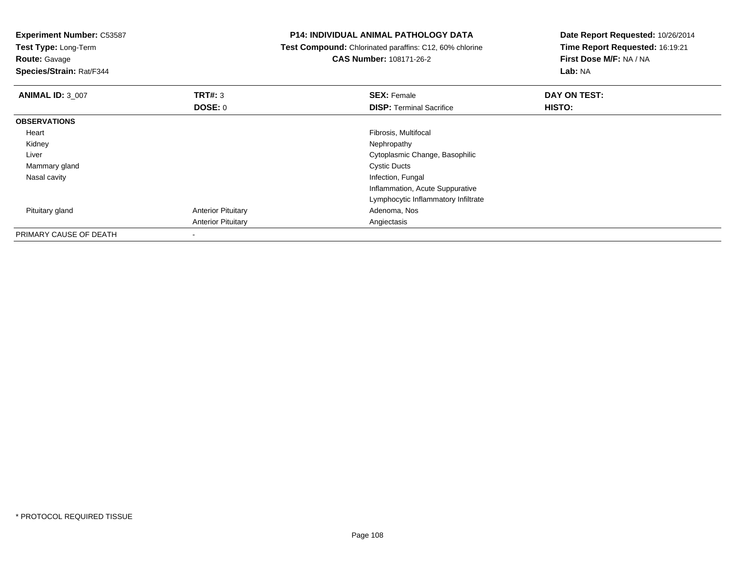| <b>Experiment Number: C53587</b><br><b>Test Type: Long-Term</b><br><b>Route: Gavage</b><br>Species/Strain: Rat/F344 |                           | <b>P14: INDIVIDUAL ANIMAL PATHOLOGY DATA</b><br><b>Test Compound:</b> Chlorinated paraffins: C12, 60% chlorine<br><b>CAS Number: 108171-26-2</b> | Date Report Requested: 10/26/2014<br>Time Report Requested: 16:19:21<br>First Dose M/F: NA / NA<br><b>Lab: NA</b> |
|---------------------------------------------------------------------------------------------------------------------|---------------------------|--------------------------------------------------------------------------------------------------------------------------------------------------|-------------------------------------------------------------------------------------------------------------------|
| <b>ANIMAL ID: 3_007</b>                                                                                             | <b>TRT#: 3</b>            | <b>SEX: Female</b>                                                                                                                               | DAY ON TEST:                                                                                                      |
|                                                                                                                     | DOSE: 0                   | <b>DISP:</b> Terminal Sacrifice                                                                                                                  | <b>HISTO:</b>                                                                                                     |
| <b>OBSERVATIONS</b>                                                                                                 |                           |                                                                                                                                                  |                                                                                                                   |
| Heart                                                                                                               |                           | Fibrosis, Multifocal                                                                                                                             |                                                                                                                   |
| Kidney                                                                                                              |                           | Nephropathy                                                                                                                                      |                                                                                                                   |
| Liver                                                                                                               |                           | Cytoplasmic Change, Basophilic                                                                                                                   |                                                                                                                   |
| Mammary gland                                                                                                       |                           | <b>Cystic Ducts</b>                                                                                                                              |                                                                                                                   |
| Nasal cavity                                                                                                        |                           | Infection, Fungal                                                                                                                                |                                                                                                                   |
|                                                                                                                     |                           | Inflammation, Acute Suppurative                                                                                                                  |                                                                                                                   |
|                                                                                                                     |                           | Lymphocytic Inflammatory Infiltrate                                                                                                              |                                                                                                                   |
| Pituitary gland                                                                                                     | <b>Anterior Pituitary</b> | Adenoma, Nos                                                                                                                                     |                                                                                                                   |
|                                                                                                                     | <b>Anterior Pituitary</b> | Angiectasis                                                                                                                                      |                                                                                                                   |
| PRIMARY CAUSE OF DEATH                                                                                              | ۰                         |                                                                                                                                                  |                                                                                                                   |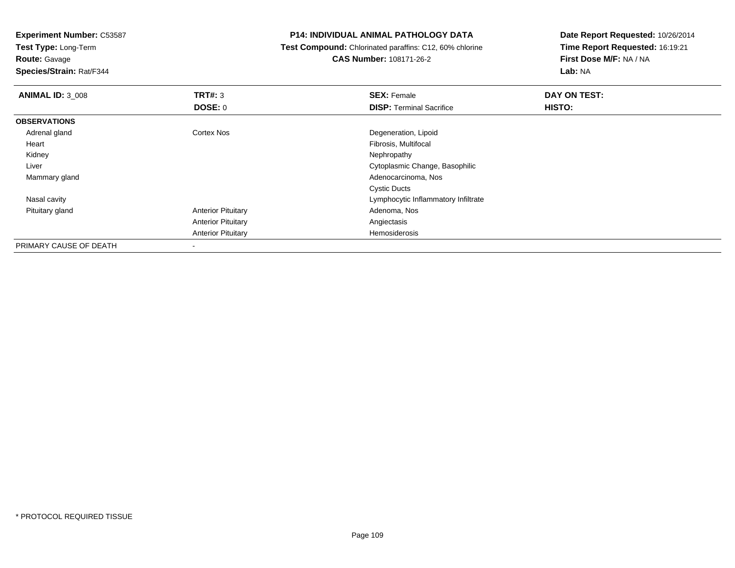**Test Type:** Long-Term

**Route:** Gavage

**Species/Strain:** Rat/F344

#### **P14: INDIVIDUAL ANIMAL PATHOLOGY DATA**

 **Test Compound:** Chlorinated paraffins: C12, 60% chlorine**CAS Number:** 108171-26-2

| <b>ANIMAL ID: 3 008</b> | <b>TRT#: 3</b>            | <b>SEX: Female</b>                  | DAY ON TEST:  |  |
|-------------------------|---------------------------|-------------------------------------|---------------|--|
|                         | DOSE: 0                   | <b>DISP: Terminal Sacrifice</b>     | <b>HISTO:</b> |  |
| <b>OBSERVATIONS</b>     |                           |                                     |               |  |
| Adrenal gland           | Cortex Nos                | Degeneration, Lipoid                |               |  |
| Heart                   |                           | Fibrosis, Multifocal                |               |  |
| Kidney                  |                           | Nephropathy                         |               |  |
| Liver                   |                           | Cytoplasmic Change, Basophilic      |               |  |
| Mammary gland           |                           | Adenocarcinoma, Nos                 |               |  |
|                         |                           | <b>Cystic Ducts</b>                 |               |  |
| Nasal cavity            |                           | Lymphocytic Inflammatory Infiltrate |               |  |
| Pituitary gland         | <b>Anterior Pituitary</b> | Adenoma, Nos                        |               |  |
|                         | <b>Anterior Pituitary</b> | Angiectasis                         |               |  |
|                         | <b>Anterior Pituitary</b> | Hemosiderosis                       |               |  |
| PRIMARY CAUSE OF DEATH  | ۰                         |                                     |               |  |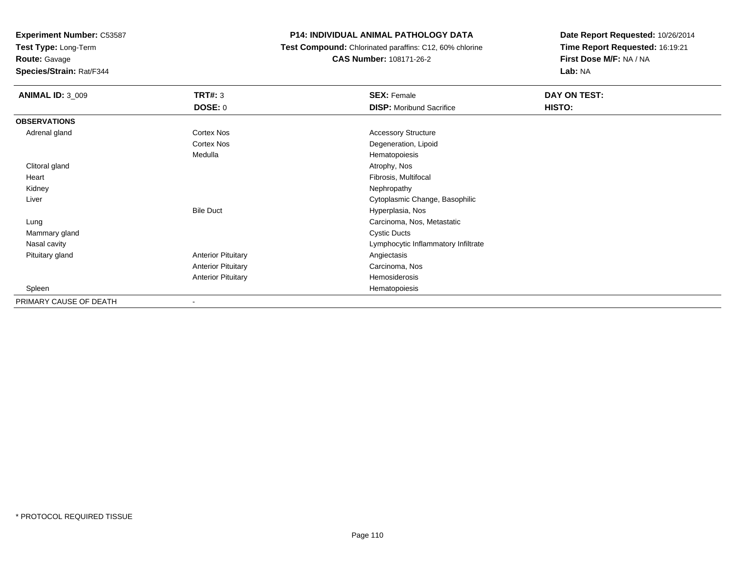**Test Type:** Long-Term

**Route:** Gavage

**Species/Strain:** Rat/F344

#### **P14: INDIVIDUAL ANIMAL PATHOLOGY DATA**

 **Test Compound:** Chlorinated paraffins: C12, 60% chlorine**CAS Number:** 108171-26-2

| <b>ANIMAL ID: 3_009</b> | <b>TRT#: 3</b>            | <b>SEX: Female</b>                  | <b>DAY ON TEST:</b> |
|-------------------------|---------------------------|-------------------------------------|---------------------|
|                         | <b>DOSE: 0</b>            | <b>DISP:</b> Moribund Sacrifice     | HISTO:              |
| <b>OBSERVATIONS</b>     |                           |                                     |                     |
| Adrenal gland           | Cortex Nos                | <b>Accessory Structure</b>          |                     |
|                         | Cortex Nos                | Degeneration, Lipoid                |                     |
|                         | Medulla                   | Hematopoiesis                       |                     |
| Clitoral gland          |                           | Atrophy, Nos                        |                     |
| Heart                   |                           | Fibrosis, Multifocal                |                     |
| Kidney                  |                           | Nephropathy                         |                     |
| Liver                   |                           | Cytoplasmic Change, Basophilic      |                     |
|                         | <b>Bile Duct</b>          | Hyperplasia, Nos                    |                     |
| Lung                    |                           | Carcinoma, Nos, Metastatic          |                     |
| Mammary gland           |                           | <b>Cystic Ducts</b>                 |                     |
| Nasal cavity            |                           | Lymphocytic Inflammatory Infiltrate |                     |
| Pituitary gland         | <b>Anterior Pituitary</b> | Angiectasis                         |                     |
|                         | <b>Anterior Pituitary</b> | Carcinoma, Nos                      |                     |
|                         | <b>Anterior Pituitary</b> | Hemosiderosis                       |                     |
| Spleen                  |                           | Hematopoiesis                       |                     |
| PRIMARY CAUSE OF DEATH  | $\overline{\phantom{a}}$  |                                     |                     |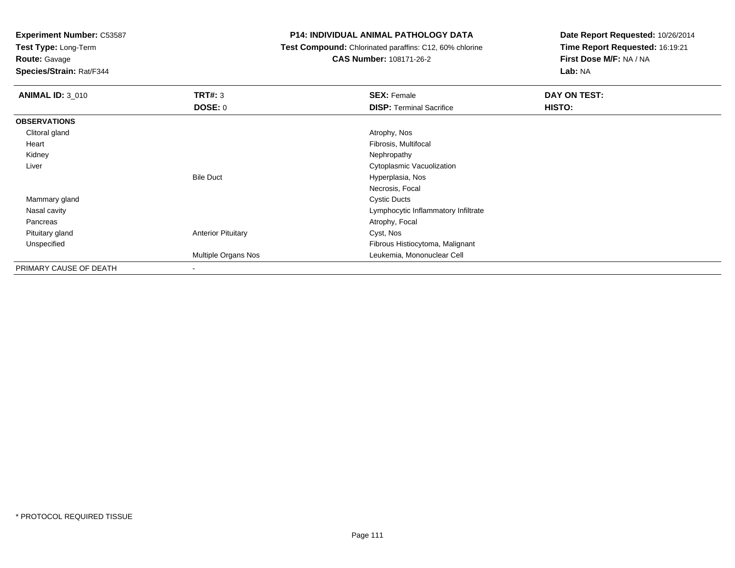**Test Type:** Long-Term

**Route:** Gavage

**Species/Strain:** Rat/F344

### **P14: INDIVIDUAL ANIMAL PATHOLOGY DATA**

 **Test Compound:** Chlorinated paraffins: C12, 60% chlorine**CAS Number:** 108171-26-2

| <b>ANIMAL ID: 3 010</b> | TRT#: 3                   | <b>SEX: Female</b>                  | DAY ON TEST: |  |
|-------------------------|---------------------------|-------------------------------------|--------------|--|
|                         | <b>DOSE: 0</b>            | <b>DISP: Terminal Sacrifice</b>     | HISTO:       |  |
| <b>OBSERVATIONS</b>     |                           |                                     |              |  |
| Clitoral gland          |                           | Atrophy, Nos                        |              |  |
| Heart                   |                           | Fibrosis, Multifocal                |              |  |
| Kidney                  |                           | Nephropathy                         |              |  |
| Liver                   |                           | Cytoplasmic Vacuolization           |              |  |
|                         | <b>Bile Duct</b>          | Hyperplasia, Nos                    |              |  |
|                         |                           | Necrosis, Focal                     |              |  |
| Mammary gland           |                           | <b>Cystic Ducts</b>                 |              |  |
| Nasal cavity            |                           | Lymphocytic Inflammatory Infiltrate |              |  |
| Pancreas                |                           | Atrophy, Focal                      |              |  |
| Pituitary gland         | <b>Anterior Pituitary</b> | Cyst, Nos                           |              |  |
| Unspecified             |                           | Fibrous Histiocytoma, Malignant     |              |  |
|                         | Multiple Organs Nos       | Leukemia, Mononuclear Cell          |              |  |
| PRIMARY CAUSE OF DEATH  |                           |                                     |              |  |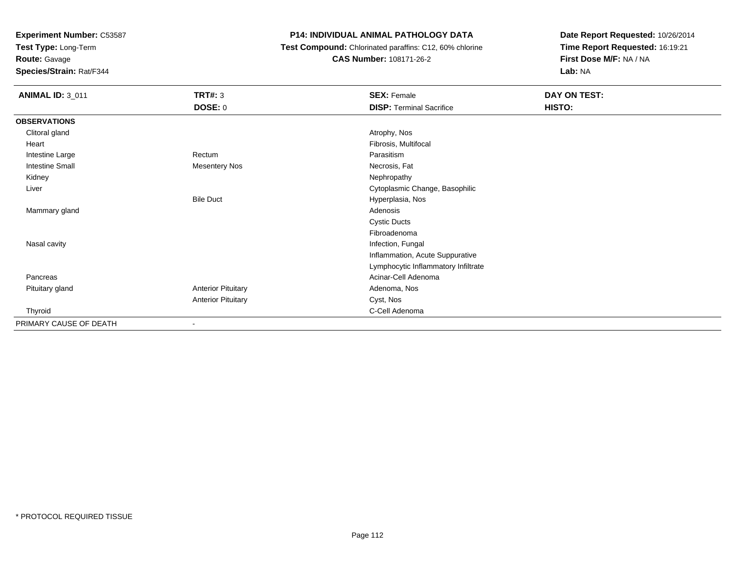**Test Type:** Long-Term

# **Route:** Gavage

**Species/Strain:** Rat/F344

# **P14: INDIVIDUAL ANIMAL PATHOLOGY DATA**

 **Test Compound:** Chlorinated paraffins: C12, 60% chlorine**CAS Number:** 108171-26-2

| <b>ANIMAL ID: 3_011</b> | <b>TRT#: 3</b>            | <b>SEX: Female</b>                  | DAY ON TEST: |  |
|-------------------------|---------------------------|-------------------------------------|--------------|--|
|                         | <b>DOSE: 0</b>            | <b>DISP: Terminal Sacrifice</b>     | HISTO:       |  |
| <b>OBSERVATIONS</b>     |                           |                                     |              |  |
| Clitoral gland          |                           | Atrophy, Nos                        |              |  |
| Heart                   |                           | Fibrosis, Multifocal                |              |  |
| Intestine Large         | Rectum                    | Parasitism                          |              |  |
| <b>Intestine Small</b>  | <b>Mesentery Nos</b>      | Necrosis, Fat                       |              |  |
| Kidney                  |                           | Nephropathy                         |              |  |
| Liver                   |                           | Cytoplasmic Change, Basophilic      |              |  |
|                         | <b>Bile Duct</b>          | Hyperplasia, Nos                    |              |  |
| Mammary gland           |                           | Adenosis                            |              |  |
|                         |                           | <b>Cystic Ducts</b>                 |              |  |
|                         |                           | Fibroadenoma                        |              |  |
| Nasal cavity            |                           | Infection, Fungal                   |              |  |
|                         |                           | Inflammation, Acute Suppurative     |              |  |
|                         |                           | Lymphocytic Inflammatory Infiltrate |              |  |
| Pancreas                |                           | Acinar-Cell Adenoma                 |              |  |
| Pituitary gland         | <b>Anterior Pituitary</b> | Adenoma, Nos                        |              |  |
|                         | <b>Anterior Pituitary</b> | Cyst, Nos                           |              |  |
| Thyroid                 |                           | C-Cell Adenoma                      |              |  |
| PRIMARY CAUSE OF DEATH  |                           |                                     |              |  |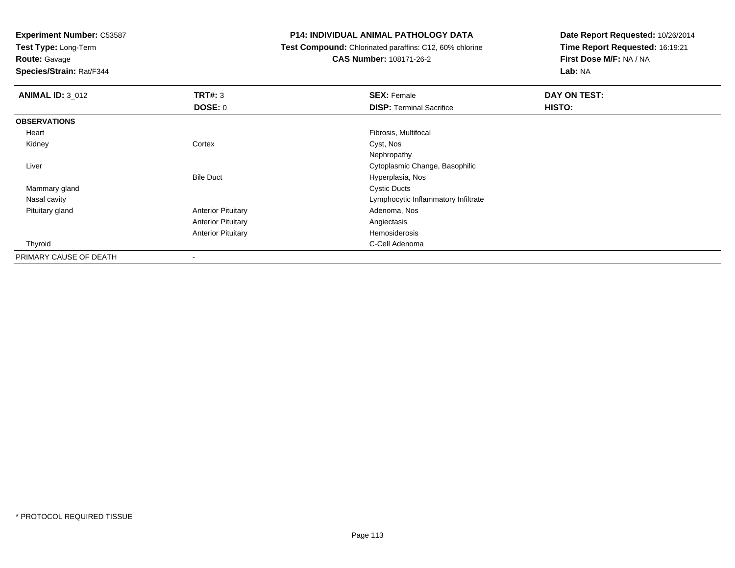**Test Type:** Long-Term

**Route:** Gavage

**Species/Strain:** Rat/F344

### **P14: INDIVIDUAL ANIMAL PATHOLOGY DATA**

 **Test Compound:** Chlorinated paraffins: C12, 60% chlorine**CAS Number:** 108171-26-2

**Date Report Requested:** 10/26/2014**Time Report Requested:** 16:19:21**First Dose M/F:** NA / NA**Lab:** NA

| <b>ANIMAL ID: 3_012</b> | TRT#: 3                   | <b>SEX: Female</b>                  | DAY ON TEST: |  |
|-------------------------|---------------------------|-------------------------------------|--------------|--|
|                         | DOSE: 0                   | <b>DISP: Terminal Sacrifice</b>     | HISTO:       |  |
| <b>OBSERVATIONS</b>     |                           |                                     |              |  |
| Heart                   |                           | Fibrosis, Multifocal                |              |  |
| Kidney                  | Cortex                    | Cyst, Nos                           |              |  |
|                         |                           | Nephropathy                         |              |  |
| Liver                   |                           | Cytoplasmic Change, Basophilic      |              |  |
|                         | <b>Bile Duct</b>          | Hyperplasia, Nos                    |              |  |
| Mammary gland           |                           | <b>Cystic Ducts</b>                 |              |  |
| Nasal cavity            |                           | Lymphocytic Inflammatory Infiltrate |              |  |
| Pituitary gland         | <b>Anterior Pituitary</b> | Adenoma, Nos                        |              |  |
|                         | <b>Anterior Pituitary</b> | Angiectasis                         |              |  |
|                         | <b>Anterior Pituitary</b> | Hemosiderosis                       |              |  |
| Thyroid                 |                           | C-Cell Adenoma                      |              |  |
| PRIMARY CAUSE OF DEATH  | $\,$                      |                                     |              |  |

\* PROTOCOL REQUIRED TISSUE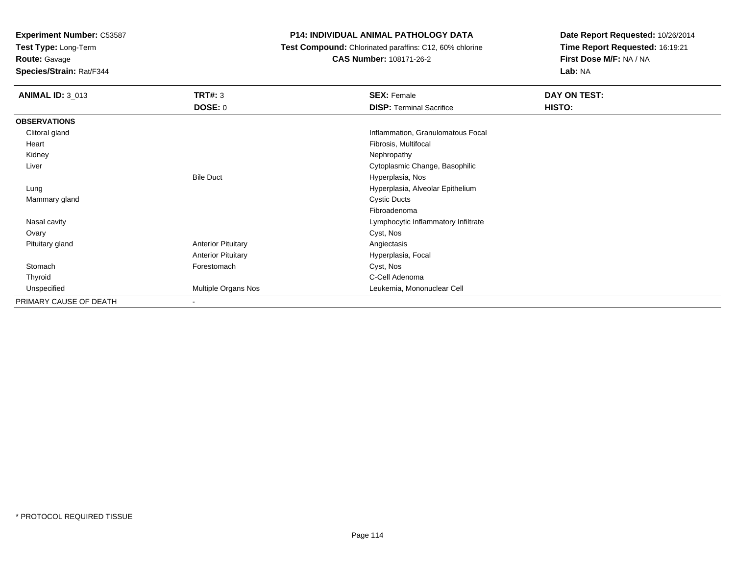**Test Type:** Long-Term

**Route:** Gavage

**Species/Strain:** Rat/F344

### **P14: INDIVIDUAL ANIMAL PATHOLOGY DATA**

**Test Compound:** Chlorinated paraffins: C12, 60% chlorine

**CAS Number:** 108171-26-2

| <b>ANIMAL ID: 3_013</b> | <b>TRT#: 3</b>            | <b>SEX: Female</b>                  | DAY ON TEST: |
|-------------------------|---------------------------|-------------------------------------|--------------|
|                         | <b>DOSE: 0</b>            | <b>DISP: Terminal Sacrifice</b>     | HISTO:       |
| <b>OBSERVATIONS</b>     |                           |                                     |              |
| Clitoral gland          |                           | Inflammation, Granulomatous Focal   |              |
| Heart                   |                           | Fibrosis, Multifocal                |              |
| Kidney                  |                           | Nephropathy                         |              |
| Liver                   |                           | Cytoplasmic Change, Basophilic      |              |
|                         | <b>Bile Duct</b>          | Hyperplasia, Nos                    |              |
| Lung                    |                           | Hyperplasia, Alveolar Epithelium    |              |
| Mammary gland           |                           | <b>Cystic Ducts</b>                 |              |
|                         |                           | Fibroadenoma                        |              |
| Nasal cavity            |                           | Lymphocytic Inflammatory Infiltrate |              |
| Ovary                   |                           | Cyst, Nos                           |              |
| Pituitary gland         | <b>Anterior Pituitary</b> | Angiectasis                         |              |
|                         | <b>Anterior Pituitary</b> | Hyperplasia, Focal                  |              |
| Stomach                 | Forestomach               | Cyst, Nos                           |              |
| Thyroid                 |                           | C-Cell Adenoma                      |              |
| Unspecified             | Multiple Organs Nos       | Leukemia, Mononuclear Cell          |              |
| PRIMARY CAUSE OF DEATH  | -                         |                                     |              |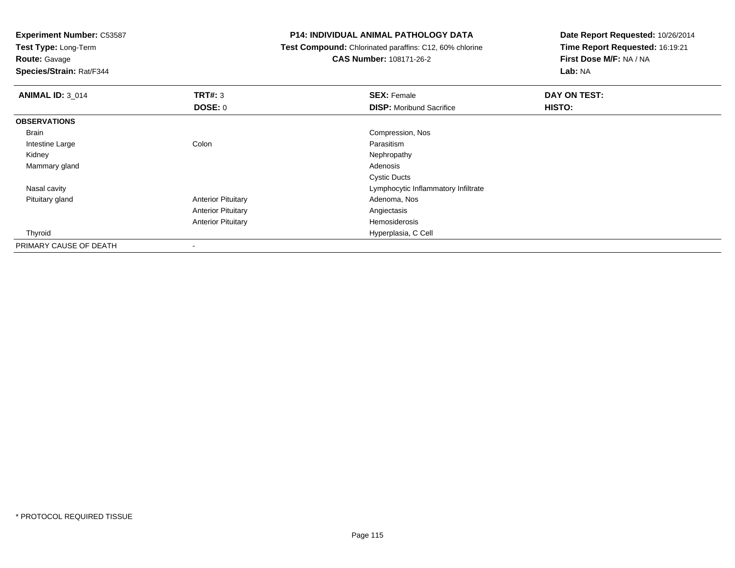**Test Type:** Long-Term

# **Route:** Gavage

**Species/Strain:** Rat/F344

#### **P14: INDIVIDUAL ANIMAL PATHOLOGY DATA**

 **Test Compound:** Chlorinated paraffins: C12, 60% chlorine**CAS Number:** 108171-26-2

| <b>ANIMAL ID: 3_014</b> | <b>TRT#: 3</b>            | <b>SEX: Female</b>                  | DAY ON TEST: |
|-------------------------|---------------------------|-------------------------------------|--------------|
|                         | <b>DOSE: 0</b>            | <b>DISP:</b> Moribund Sacrifice     | HISTO:       |
| <b>OBSERVATIONS</b>     |                           |                                     |              |
| <b>Brain</b>            |                           | Compression, Nos                    |              |
| Intestine Large         | Colon                     | Parasitism                          |              |
| Kidney                  |                           | Nephropathy                         |              |
| Mammary gland           |                           | Adenosis                            |              |
|                         |                           | <b>Cystic Ducts</b>                 |              |
| Nasal cavity            |                           | Lymphocytic Inflammatory Infiltrate |              |
| Pituitary gland         | <b>Anterior Pituitary</b> | Adenoma, Nos                        |              |
|                         | <b>Anterior Pituitary</b> | Angiectasis                         |              |
|                         | <b>Anterior Pituitary</b> | Hemosiderosis                       |              |
| Thyroid                 |                           | Hyperplasia, C Cell                 |              |
| PRIMARY CAUSE OF DEATH  | ٠                         |                                     |              |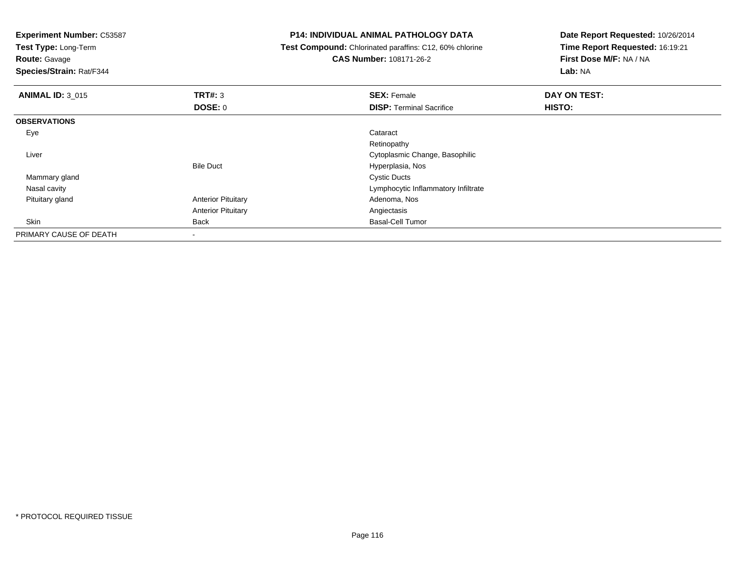**Experiment Number:** C53587**Test Type:** Long-Term**Route:** Gavage **Species/Strain:** Rat/F344**P14: INDIVIDUAL ANIMAL PATHOLOGY DATA Test Compound:** Chlorinated paraffins: C12, 60% chlorine**CAS Number:** 108171-26-2**Date Report Requested:** 10/26/2014**Time Report Requested:** 16:19:21**First Dose M/F:** NA / NA**Lab:** NA**ANIMAL ID: 3 015 TRT#:** <sup>3</sup> **SEX:** Female **DAY ON TEST: DOSE:** 0**DISP:** Terminal Sacrifice **HISTO: OBSERVATIONS** Eyee de la constitución de la constitución de la constitución de la constitución de la constitución de la constitución<br>En el constitución de la constitución de la constitución de la constitución de la constitución de la const Retinopathy**Cytoplasmic Change, Basophilic Change, Basophilic Change, Basophilic Change, Basophilic Change, Basophilic Change, Basophilic Change, Basophilic Change, Basophilic Change, Basophilic Change, Basophilic Change, Basophilic**  LiverBile Duct Hyperplasia, Nos Mammary glandd Cystic Ducts Nasal cavity Lymphocytic Inflammatory Infiltrate Pituitary glandAnterior Pituitary **Adenoma, Nos** Adenoma, Nos Anterior Pituitary Angiectasis SkinBack **Back** Basal-Cell Tumor PRIMARY CAUSE OF DEATH-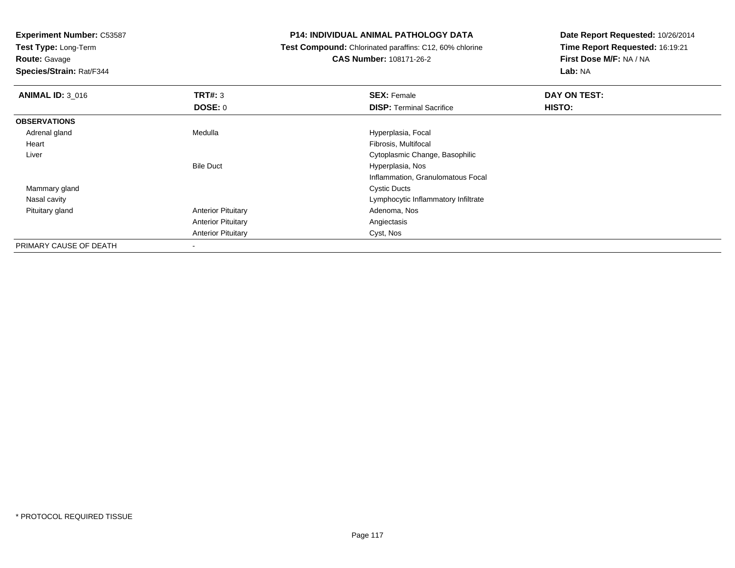**Test Type:** Long-Term

**Route:** Gavage

**Species/Strain:** Rat/F344

#### **P14: INDIVIDUAL ANIMAL PATHOLOGY DATA**

 **Test Compound:** Chlorinated paraffins: C12, 60% chlorine**CAS Number:** 108171-26-2

| <b>ANIMAL ID: 3 016</b> | TRT#: 3                   | <b>SEX: Female</b>                  | DAY ON TEST: |  |
|-------------------------|---------------------------|-------------------------------------|--------------|--|
|                         | DOSE: 0                   | <b>DISP: Terminal Sacrifice</b>     | HISTO:       |  |
| <b>OBSERVATIONS</b>     |                           |                                     |              |  |
| Adrenal gland           | Medulla                   | Hyperplasia, Focal                  |              |  |
| Heart                   |                           | Fibrosis, Multifocal                |              |  |
| Liver                   |                           | Cytoplasmic Change, Basophilic      |              |  |
|                         | <b>Bile Duct</b>          | Hyperplasia, Nos                    |              |  |
|                         |                           | Inflammation, Granulomatous Focal   |              |  |
| Mammary gland           |                           | <b>Cystic Ducts</b>                 |              |  |
| Nasal cavity            |                           | Lymphocytic Inflammatory Infiltrate |              |  |
| Pituitary gland         | <b>Anterior Pituitary</b> | Adenoma, Nos                        |              |  |
|                         | <b>Anterior Pituitary</b> | Angiectasis                         |              |  |
|                         | <b>Anterior Pituitary</b> | Cyst, Nos                           |              |  |
| PRIMARY CAUSE OF DEATH  |                           |                                     |              |  |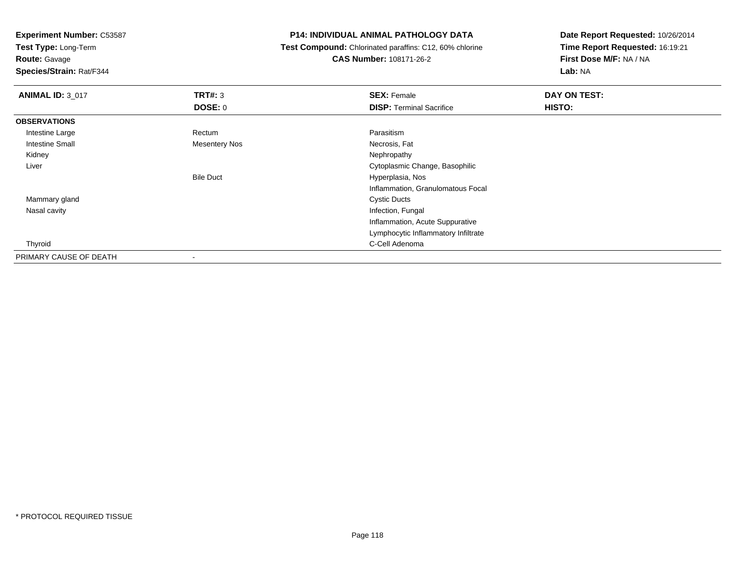**Test Type:** Long-Term

**Route:** Gavage

**Species/Strain:** Rat/F344

### **P14: INDIVIDUAL ANIMAL PATHOLOGY DATA**

 **Test Compound:** Chlorinated paraffins: C12, 60% chlorine**CAS Number:** 108171-26-2

| <b>ANIMAL ID: 3_017</b> | TRT#: 3          | <b>SEX: Female</b>                  | DAY ON TEST: |  |
|-------------------------|------------------|-------------------------------------|--------------|--|
|                         | <b>DOSE: 0</b>   | <b>DISP: Terminal Sacrifice</b>     | HISTO:       |  |
| <b>OBSERVATIONS</b>     |                  |                                     |              |  |
| Intestine Large         | Rectum           | Parasitism                          |              |  |
| Intestine Small         | Mesentery Nos    | Necrosis, Fat                       |              |  |
| Kidney                  |                  | Nephropathy                         |              |  |
| Liver                   |                  | Cytoplasmic Change, Basophilic      |              |  |
|                         | <b>Bile Duct</b> | Hyperplasia, Nos                    |              |  |
|                         |                  | Inflammation, Granulomatous Focal   |              |  |
| Mammary gland           |                  | <b>Cystic Ducts</b>                 |              |  |
| Nasal cavity            |                  | Infection, Fungal                   |              |  |
|                         |                  | Inflammation, Acute Suppurative     |              |  |
|                         |                  | Lymphocytic Inflammatory Infiltrate |              |  |
| Thyroid                 |                  | C-Cell Adenoma                      |              |  |
| PRIMARY CAUSE OF DEATH  | $\,$             |                                     |              |  |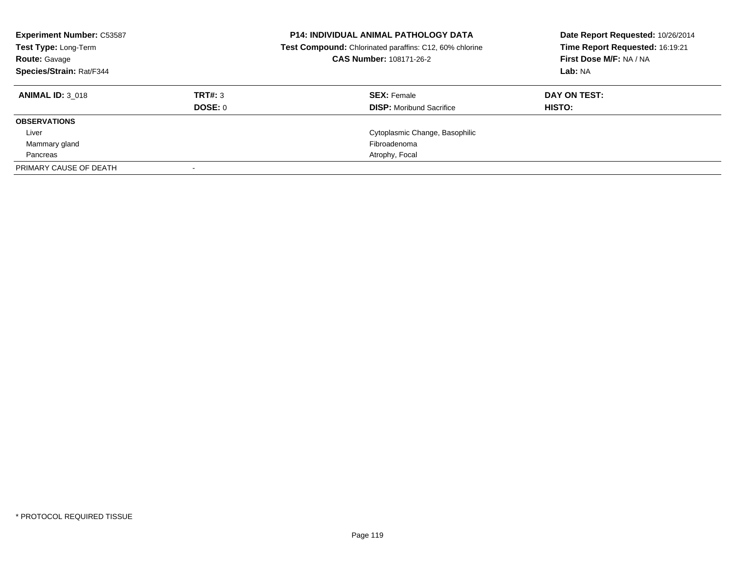| <b>Experiment Number: C53587</b><br>Test Type: Long-Term<br><b>Route: Gavage</b><br>Species/Strain: Rat/F344 |                | <b>P14: INDIVIDUAL ANIMAL PATHOLOGY DATA</b><br>Test Compound: Chlorinated paraffins: C12, 60% chlorine<br>CAS Number: 108171-26-2 | Date Report Requested: 10/26/2014<br>Time Report Requested: 16:19:21<br>First Dose M/F: NA / NA<br>Lab: NA |
|--------------------------------------------------------------------------------------------------------------|----------------|------------------------------------------------------------------------------------------------------------------------------------|------------------------------------------------------------------------------------------------------------|
| <b>ANIMAL ID: 3 018</b>                                                                                      | TRT#: 3        | <b>SEX: Female</b>                                                                                                                 | DAY ON TEST:                                                                                               |
|                                                                                                              | <b>DOSE: 0</b> | <b>DISP:</b> Moribund Sacrifice                                                                                                    | HISTO:                                                                                                     |
| <b>OBSERVATIONS</b>                                                                                          |                |                                                                                                                                    |                                                                                                            |
| Liver                                                                                                        |                | Cytoplasmic Change, Basophilic                                                                                                     |                                                                                                            |
| Mammary gland                                                                                                |                | Fibroadenoma                                                                                                                       |                                                                                                            |
| Pancreas                                                                                                     |                | Atrophy, Focal                                                                                                                     |                                                                                                            |
| PRIMARY CAUSE OF DEATH                                                                                       |                |                                                                                                                                    |                                                                                                            |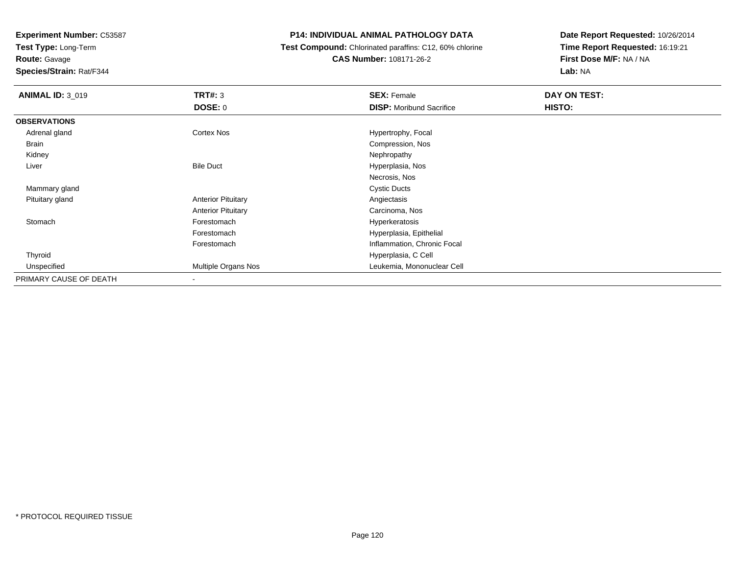**Test Type:** Long-Term

**Route:** Gavage

**Species/Strain:** Rat/F344

# **P14: INDIVIDUAL ANIMAL PATHOLOGY DATA**

 **Test Compound:** Chlorinated paraffins: C12, 60% chlorine**CAS Number:** 108171-26-2

| <b>ANIMAL ID: 3 019</b> | TRT#: 3                   | <b>SEX: Female</b>              | DAY ON TEST: |
|-------------------------|---------------------------|---------------------------------|--------------|
|                         | <b>DOSE: 0</b>            | <b>DISP:</b> Moribund Sacrifice | HISTO:       |
| <b>OBSERVATIONS</b>     |                           |                                 |              |
| Adrenal gland           | <b>Cortex Nos</b>         | Hypertrophy, Focal              |              |
| Brain                   |                           | Compression, Nos                |              |
| Kidney                  |                           | Nephropathy                     |              |
| Liver                   | <b>Bile Duct</b>          | Hyperplasia, Nos                |              |
|                         |                           | Necrosis, Nos                   |              |
| Mammary gland           |                           | <b>Cystic Ducts</b>             |              |
| Pituitary gland         | <b>Anterior Pituitary</b> | Angiectasis                     |              |
|                         | <b>Anterior Pituitary</b> | Carcinoma, Nos                  |              |
| Stomach                 | Forestomach               | Hyperkeratosis                  |              |
|                         | Forestomach               | Hyperplasia, Epithelial         |              |
|                         | Forestomach               | Inflammation, Chronic Focal     |              |
| Thyroid                 |                           | Hyperplasia, C Cell             |              |
| Unspecified             | Multiple Organs Nos       | Leukemia, Mononuclear Cell      |              |
| PRIMARY CAUSE OF DEATH  | $\overline{\phantom{a}}$  |                                 |              |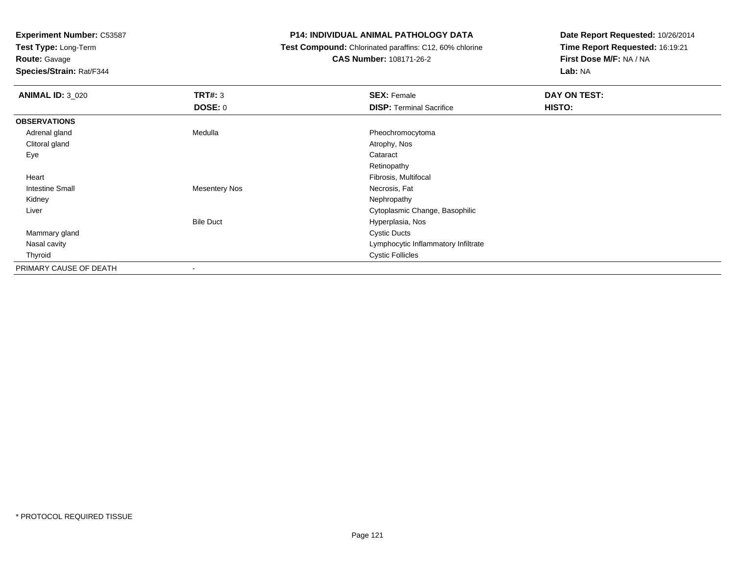**Test Type:** Long-Term

**Route:** Gavage

**Species/Strain:** Rat/F344

### **P14: INDIVIDUAL ANIMAL PATHOLOGY DATA**

 **Test Compound:** Chlorinated paraffins: C12, 60% chlorine**CAS Number:** 108171-26-2

| <b>ANIMAL ID: 3 020</b> | TRT#: 3              | <b>SEX: Female</b>                  | <b>DAY ON TEST:</b> |
|-------------------------|----------------------|-------------------------------------|---------------------|
|                         | <b>DOSE: 0</b>       | <b>DISP: Terminal Sacrifice</b>     | HISTO:              |
| <b>OBSERVATIONS</b>     |                      |                                     |                     |
| Adrenal gland           | Medulla              | Pheochromocytoma                    |                     |
| Clitoral gland          |                      | Atrophy, Nos                        |                     |
| Eye                     |                      | Cataract                            |                     |
|                         |                      | Retinopathy                         |                     |
| Heart                   |                      | Fibrosis, Multifocal                |                     |
| <b>Intestine Small</b>  | <b>Mesentery Nos</b> | Necrosis, Fat                       |                     |
| Kidney                  |                      | Nephropathy                         |                     |
| Liver                   |                      | Cytoplasmic Change, Basophilic      |                     |
|                         | <b>Bile Duct</b>     | Hyperplasia, Nos                    |                     |
| Mammary gland           |                      | <b>Cystic Ducts</b>                 |                     |
| Nasal cavity            |                      | Lymphocytic Inflammatory Infiltrate |                     |
| Thyroid                 |                      | <b>Cystic Follicles</b>             |                     |
| PRIMARY CAUSE OF DEATH  |                      |                                     |                     |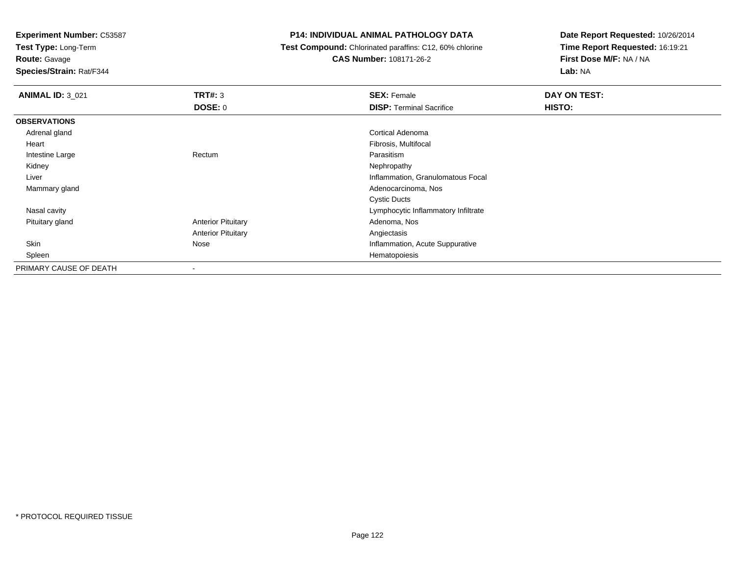**Test Type:** Long-Term

**Route:** Gavage

**Species/Strain:** Rat/F344

#### **P14: INDIVIDUAL ANIMAL PATHOLOGY DATA**

**Test Compound:** Chlorinated paraffins: C12, 60% chlorine

**CAS Number:** 108171-26-2

| <b>ANIMAL ID: 3 021</b> | TRT#: 3                   | <b>SEX: Female</b>                  | <b>DAY ON TEST:</b> |
|-------------------------|---------------------------|-------------------------------------|---------------------|
|                         | <b>DOSE: 0</b>            | <b>DISP: Terminal Sacrifice</b>     | HISTO:              |
| <b>OBSERVATIONS</b>     |                           |                                     |                     |
| Adrenal gland           |                           | Cortical Adenoma                    |                     |
| Heart                   |                           | Fibrosis, Multifocal                |                     |
| Intestine Large         | Rectum                    | Parasitism                          |                     |
| Kidney                  |                           | Nephropathy                         |                     |
| Liver                   |                           | Inflammation, Granulomatous Focal   |                     |
| Mammary gland           |                           | Adenocarcinoma, Nos                 |                     |
|                         |                           | <b>Cystic Ducts</b>                 |                     |
| Nasal cavity            |                           | Lymphocytic Inflammatory Infiltrate |                     |
| Pituitary gland         | <b>Anterior Pituitary</b> | Adenoma, Nos                        |                     |
|                         | <b>Anterior Pituitary</b> | Angiectasis                         |                     |
| Skin                    | Nose                      | Inflammation, Acute Suppurative     |                     |
| Spleen                  |                           | Hematopoiesis                       |                     |
| PRIMARY CAUSE OF DEATH  |                           |                                     |                     |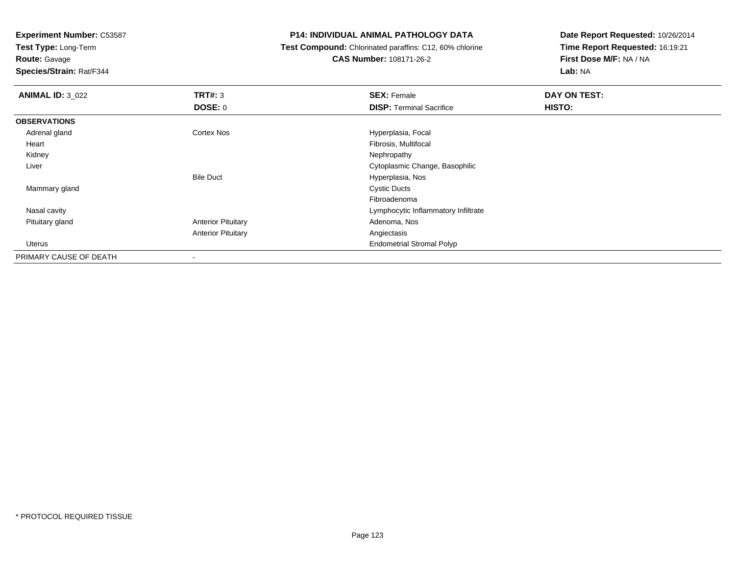**Test Type:** Long-Term

# **Route:** Gavage

**Species/Strain:** Rat/F344

#### **P14: INDIVIDUAL ANIMAL PATHOLOGY DATA**

 **Test Compound:** Chlorinated paraffins: C12, 60% chlorine**CAS Number:** 108171-26-2

| <b>ANIMAL ID: 3_022</b> | TRT#: 3                   | <b>SEX: Female</b>                  | DAY ON TEST: |
|-------------------------|---------------------------|-------------------------------------|--------------|
|                         | DOSE: 0                   | <b>DISP: Terminal Sacrifice</b>     | HISTO:       |
| <b>OBSERVATIONS</b>     |                           |                                     |              |
| Adrenal gland           | Cortex Nos                | Hyperplasia, Focal                  |              |
| Heart                   |                           | Fibrosis, Multifocal                |              |
| Kidney                  |                           | Nephropathy                         |              |
| Liver                   |                           | Cytoplasmic Change, Basophilic      |              |
|                         | <b>Bile Duct</b>          | Hyperplasia, Nos                    |              |
| Mammary gland           |                           | <b>Cystic Ducts</b>                 |              |
|                         |                           | Fibroadenoma                        |              |
| Nasal cavity            |                           | Lymphocytic Inflammatory Infiltrate |              |
| Pituitary gland         | <b>Anterior Pituitary</b> | Adenoma, Nos                        |              |
|                         | <b>Anterior Pituitary</b> | Angiectasis                         |              |
| Uterus                  |                           | <b>Endometrial Stromal Polyp</b>    |              |
| PRIMARY CAUSE OF DEATH  | $\overline{\phantom{a}}$  |                                     |              |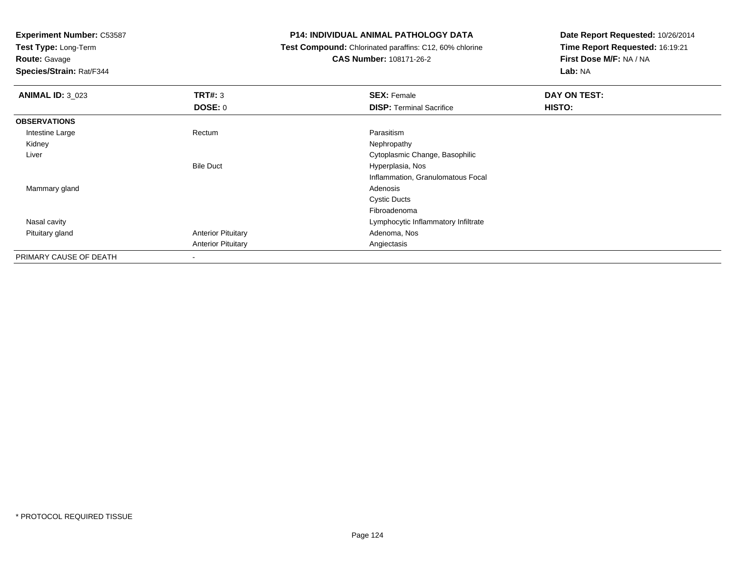**Test Type:** Long-Term

**Route:** Gavage

**Species/Strain:** Rat/F344

#### **P14: INDIVIDUAL ANIMAL PATHOLOGY DATA**

 **Test Compound:** Chlorinated paraffins: C12, 60% chlorine**CAS Number:** 108171-26-2

| <b>ANIMAL ID: 3 023</b> | TRT#: 3                   | <b>SEX: Female</b>                  | DAY ON TEST: |
|-------------------------|---------------------------|-------------------------------------|--------------|
|                         | <b>DOSE: 0</b>            | <b>DISP: Terminal Sacrifice</b>     | HISTO:       |
| <b>OBSERVATIONS</b>     |                           |                                     |              |
| Intestine Large         | Rectum                    | Parasitism                          |              |
| Kidney                  |                           | Nephropathy                         |              |
| Liver                   |                           | Cytoplasmic Change, Basophilic      |              |
|                         | <b>Bile Duct</b>          | Hyperplasia, Nos                    |              |
|                         |                           | Inflammation, Granulomatous Focal   |              |
| Mammary gland           |                           | Adenosis                            |              |
|                         |                           | <b>Cystic Ducts</b>                 |              |
|                         |                           | Fibroadenoma                        |              |
| Nasal cavity            |                           | Lymphocytic Inflammatory Infiltrate |              |
| Pituitary gland         | <b>Anterior Pituitary</b> | Adenoma, Nos                        |              |
|                         | <b>Anterior Pituitary</b> | Angiectasis                         |              |
| PRIMARY CAUSE OF DEATH  | $\blacksquare$            |                                     |              |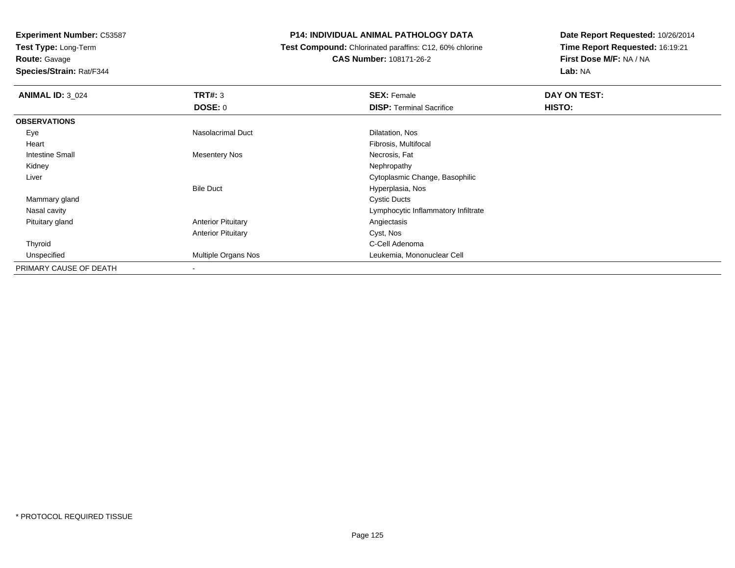**Test Type:** Long-Term**Route:** Gavage

**Species/Strain:** Rat/F344

### **P14: INDIVIDUAL ANIMAL PATHOLOGY DATA**

 **Test Compound:** Chlorinated paraffins: C12, 60% chlorine**CAS Number:** 108171-26-2

| <b>ANIMAL ID: 3 024</b> | TRT#: 3                    | <b>SEX: Female</b>                  | DAY ON TEST: |
|-------------------------|----------------------------|-------------------------------------|--------------|
|                         | <b>DOSE: 0</b>             | <b>DISP: Terminal Sacrifice</b>     | HISTO:       |
| <b>OBSERVATIONS</b>     |                            |                                     |              |
| Eye                     | Nasolacrimal Duct          | Dilatation, Nos                     |              |
| Heart                   |                            | Fibrosis, Multifocal                |              |
| <b>Intestine Small</b>  | <b>Mesentery Nos</b>       | Necrosis, Fat                       |              |
| Kidney                  |                            | Nephropathy                         |              |
| Liver                   |                            | Cytoplasmic Change, Basophilic      |              |
|                         | <b>Bile Duct</b>           | Hyperplasia, Nos                    |              |
| Mammary gland           |                            | <b>Cystic Ducts</b>                 |              |
| Nasal cavity            |                            | Lymphocytic Inflammatory Infiltrate |              |
| Pituitary gland         | <b>Anterior Pituitary</b>  | Angiectasis                         |              |
|                         | <b>Anterior Pituitary</b>  | Cyst, Nos                           |              |
| Thyroid                 |                            | C-Cell Adenoma                      |              |
| Unspecified             | <b>Multiple Organs Nos</b> | Leukemia, Mononuclear Cell          |              |
| PRIMARY CAUSE OF DEATH  | $\overline{\phantom{a}}$   |                                     |              |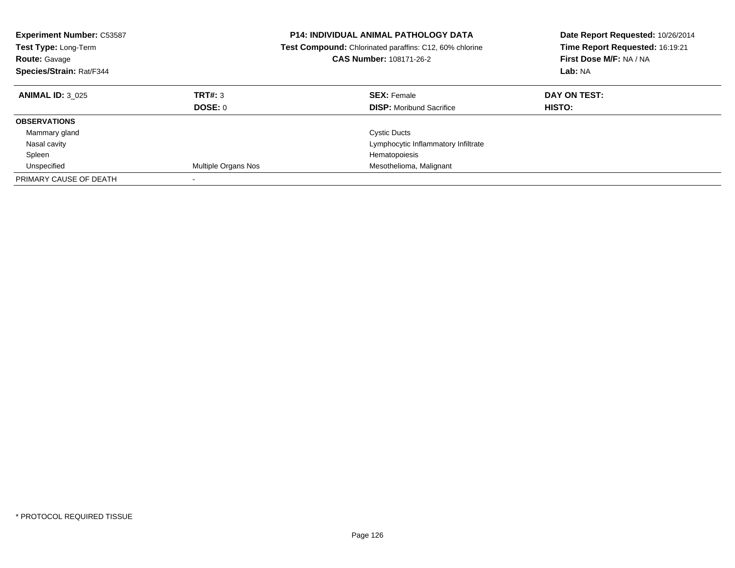| <b>Experiment Number: C53587</b><br><b>Test Type: Long-Term</b><br><b>Route: Gavage</b><br>Species/Strain: Rat/F344 |                            | <b>P14: INDIVIDUAL ANIMAL PATHOLOGY DATA</b><br>Date Report Requested: 10/26/2014<br>Time Report Requested: 16:19:21<br><b>Test Compound:</b> Chlorinated paraffins: C12, 60% chlorine<br>First Dose M/F: NA / NA<br><b>CAS Number: 108171-26-2</b><br>Lab: NA |                               |
|---------------------------------------------------------------------------------------------------------------------|----------------------------|----------------------------------------------------------------------------------------------------------------------------------------------------------------------------------------------------------------------------------------------------------------|-------------------------------|
| <b>ANIMAL ID: 3 025</b>                                                                                             | TRT#: 3<br>DOSE: 0         | <b>SEX: Female</b><br><b>DISP:</b> Moribund Sacrifice                                                                                                                                                                                                          | DAY ON TEST:<br><b>HISTO:</b> |
|                                                                                                                     |                            |                                                                                                                                                                                                                                                                |                               |
| <b>OBSERVATIONS</b>                                                                                                 |                            |                                                                                                                                                                                                                                                                |                               |
| Mammary gland                                                                                                       |                            | <b>Cystic Ducts</b>                                                                                                                                                                                                                                            |                               |
| Nasal cavity                                                                                                        |                            | Lymphocytic Inflammatory Infiltrate                                                                                                                                                                                                                            |                               |
| Spleen                                                                                                              |                            | Hematopoiesis                                                                                                                                                                                                                                                  |                               |
| Unspecified                                                                                                         | <b>Multiple Organs Nos</b> | Mesothelioma, Malignant                                                                                                                                                                                                                                        |                               |
| PRIMARY CAUSE OF DEATH                                                                                              |                            |                                                                                                                                                                                                                                                                |                               |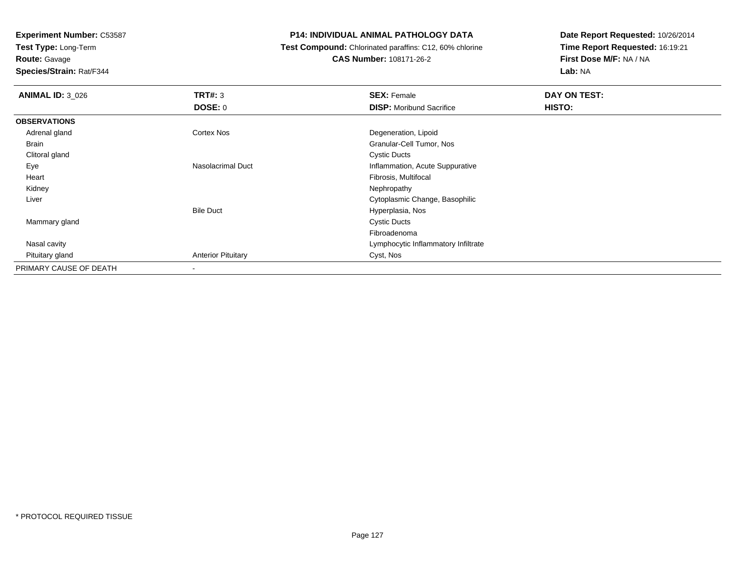**Test Type:** Long-Term

# **Route:** Gavage

**Species/Strain:** Rat/F344

### **P14: INDIVIDUAL ANIMAL PATHOLOGY DATA**

 **Test Compound:** Chlorinated paraffins: C12, 60% chlorine**CAS Number:** 108171-26-2

| <b>ANIMAL ID: 3 026</b> | TRT#: 3                   | <b>SEX: Female</b>                  | DAY ON TEST:  |
|-------------------------|---------------------------|-------------------------------------|---------------|
|                         | DOSE: 0                   | <b>DISP:</b> Moribund Sacrifice     | <b>HISTO:</b> |
| <b>OBSERVATIONS</b>     |                           |                                     |               |
| Adrenal gland           | <b>Cortex Nos</b>         | Degeneration, Lipoid                |               |
| Brain                   |                           | Granular-Cell Tumor, Nos            |               |
| Clitoral gland          |                           | <b>Cystic Ducts</b>                 |               |
| Eye                     | Nasolacrimal Duct         | Inflammation, Acute Suppurative     |               |
| Heart                   |                           | Fibrosis, Multifocal                |               |
| Kidney                  |                           | Nephropathy                         |               |
| Liver                   |                           | Cytoplasmic Change, Basophilic      |               |
|                         | <b>Bile Duct</b>          | Hyperplasia, Nos                    |               |
| Mammary gland           |                           | <b>Cystic Ducts</b>                 |               |
|                         |                           | Fibroadenoma                        |               |
| Nasal cavity            |                           | Lymphocytic Inflammatory Infiltrate |               |
| Pituitary gland         | <b>Anterior Pituitary</b> | Cyst, Nos                           |               |
| PRIMARY CAUSE OF DEATH  | $\overline{\phantom{a}}$  |                                     |               |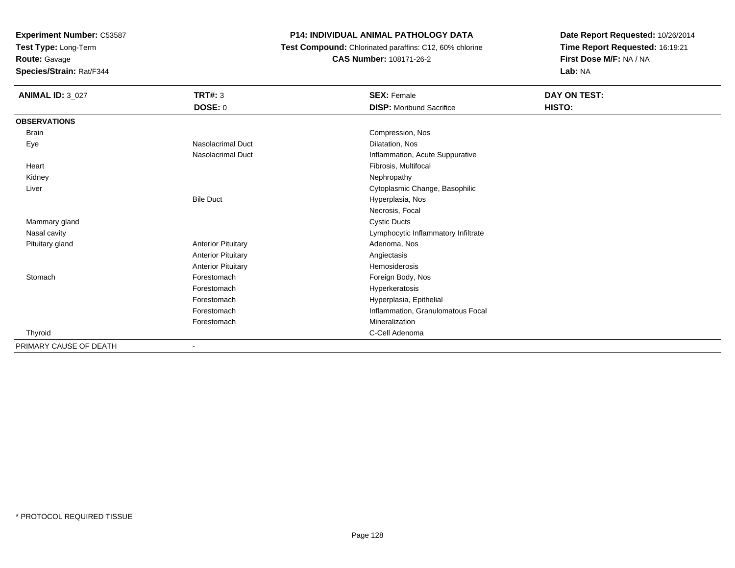**Test Type:** Long-Term

**Route:** Gavage

**Species/Strain:** Rat/F344

# **P14: INDIVIDUAL ANIMAL PATHOLOGY DATA**

 **Test Compound:** Chlorinated paraffins: C12, 60% chlorine**CAS Number:** 108171-26-2

| <b>ANIMAL ID: 3_027</b> | <b>TRT#: 3</b>            | <b>SEX: Female</b>                  | DAY ON TEST: |
|-------------------------|---------------------------|-------------------------------------|--------------|
|                         | DOSE: 0                   | <b>DISP:</b> Moribund Sacrifice     | HISTO:       |
| <b>OBSERVATIONS</b>     |                           |                                     |              |
| <b>Brain</b>            |                           | Compression, Nos                    |              |
| Eye                     | <b>Nasolacrimal Duct</b>  | Dilatation, Nos                     |              |
|                         | Nasolacrimal Duct         | Inflammation, Acute Suppurative     |              |
| Heart                   |                           | Fibrosis, Multifocal                |              |
| Kidney                  |                           | Nephropathy                         |              |
| Liver                   |                           | Cytoplasmic Change, Basophilic      |              |
|                         | <b>Bile Duct</b>          | Hyperplasia, Nos                    |              |
|                         |                           | Necrosis, Focal                     |              |
| Mammary gland           |                           | <b>Cystic Ducts</b>                 |              |
| Nasal cavity            |                           | Lymphocytic Inflammatory Infiltrate |              |
| Pituitary gland         | <b>Anterior Pituitary</b> | Adenoma, Nos                        |              |
|                         | <b>Anterior Pituitary</b> | Angiectasis                         |              |
|                         | <b>Anterior Pituitary</b> | Hemosiderosis                       |              |
| Stomach                 | Forestomach               | Foreign Body, Nos                   |              |
|                         | Forestomach               | Hyperkeratosis                      |              |
|                         | Forestomach               | Hyperplasia, Epithelial             |              |
|                         | Forestomach               | Inflammation, Granulomatous Focal   |              |
|                         | Forestomach               | Mineralization                      |              |
| Thyroid                 |                           | C-Cell Adenoma                      |              |
| PRIMARY CAUSE OF DEATH  |                           |                                     |              |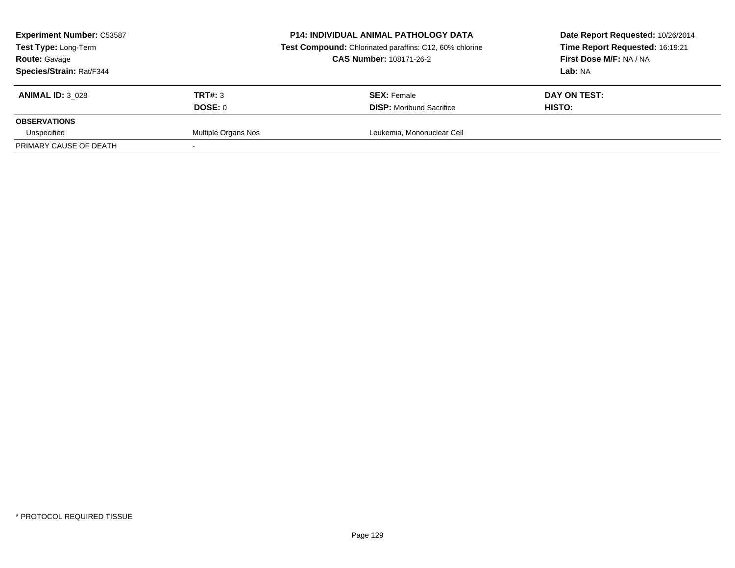| <b>Experiment Number: C53587</b><br>Test Type: Long-Term<br><b>Route: Gavage</b><br>Species/Strain: Rat/F344 |                     | <b>P14: INDIVIDUAL ANIMAL PATHOLOGY DATA</b><br>Test Compound: Chlorinated paraffins: C12, 60% chlorine<br><b>CAS Number: 108171-26-2</b> | Date Report Requested: 10/26/2014<br>Time Report Requested: 16:19:21<br>First Dose M/F: NA / NA<br>Lab: NA |  |
|--------------------------------------------------------------------------------------------------------------|---------------------|-------------------------------------------------------------------------------------------------------------------------------------------|------------------------------------------------------------------------------------------------------------|--|
| <b>ANIMAL ID: 3 028</b>                                                                                      | TRT#: 3             | <b>SEX:</b> Female                                                                                                                        | DAY ON TEST:                                                                                               |  |
| <b>OBSERVATIONS</b>                                                                                          | DOSE: 0             | <b>DISP:</b> Moribund Sacrifice                                                                                                           | <b>HISTO:</b>                                                                                              |  |
| Unspecified                                                                                                  | Multiple Organs Nos | Leukemia, Mononuclear Cell                                                                                                                |                                                                                                            |  |
| PRIMARY CAUSE OF DEATH                                                                                       |                     |                                                                                                                                           |                                                                                                            |  |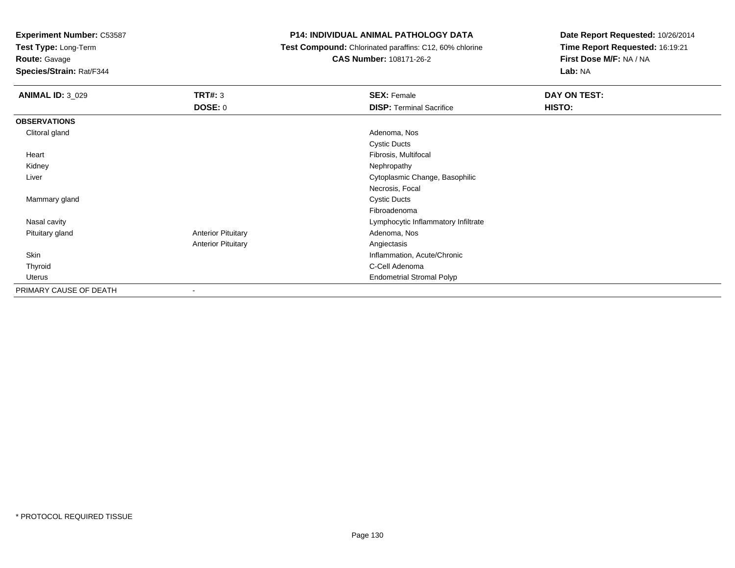**Test Type:** Long-Term

**Route:** Gavage

**Species/Strain:** Rat/F344

#### **P14: INDIVIDUAL ANIMAL PATHOLOGY DATA**

 **Test Compound:** Chlorinated paraffins: C12, 60% chlorine**CAS Number:** 108171-26-2

| <b>ANIMAL ID: 3_029</b> | <b>TRT#: 3</b>            | <b>SEX: Female</b>                  | DAY ON TEST: |
|-------------------------|---------------------------|-------------------------------------|--------------|
|                         | <b>DOSE: 0</b>            | <b>DISP: Terminal Sacrifice</b>     | HISTO:       |
| <b>OBSERVATIONS</b>     |                           |                                     |              |
| Clitoral gland          |                           | Adenoma, Nos                        |              |
|                         |                           | <b>Cystic Ducts</b>                 |              |
| Heart                   |                           | Fibrosis, Multifocal                |              |
| Kidney                  |                           | Nephropathy                         |              |
| Liver                   |                           | Cytoplasmic Change, Basophilic      |              |
|                         |                           | Necrosis, Focal                     |              |
| Mammary gland           |                           | <b>Cystic Ducts</b>                 |              |
|                         |                           | Fibroadenoma                        |              |
| Nasal cavity            |                           | Lymphocytic Inflammatory Infiltrate |              |
| Pituitary gland         | <b>Anterior Pituitary</b> | Adenoma, Nos                        |              |
|                         | <b>Anterior Pituitary</b> | Angiectasis                         |              |
| Skin                    |                           | Inflammation, Acute/Chronic         |              |
| Thyroid                 |                           | C-Cell Adenoma                      |              |
| Uterus                  |                           | <b>Endometrial Stromal Polyp</b>    |              |
| PRIMARY CAUSE OF DEATH  | $\,$                      |                                     |              |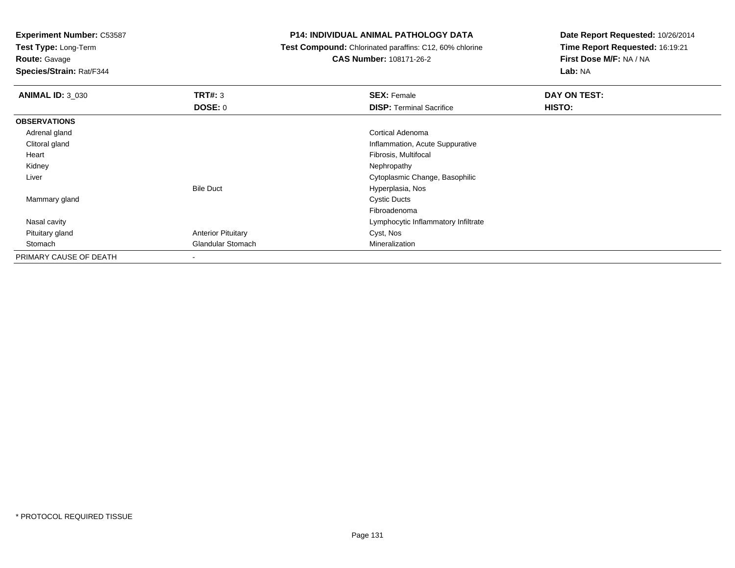**Test Type:** Long-Term

**Route:** Gavage

**Species/Strain:** Rat/F344

#### **P14: INDIVIDUAL ANIMAL PATHOLOGY DATA**

 **Test Compound:** Chlorinated paraffins: C12, 60% chlorine**CAS Number:** 108171-26-2

| <b>ANIMAL ID: 3 030</b> | TRT#: 3                   | <b>SEX: Female</b>                  | DAY ON TEST: |  |
|-------------------------|---------------------------|-------------------------------------|--------------|--|
|                         | <b>DOSE: 0</b>            | <b>DISP: Terminal Sacrifice</b>     | HISTO:       |  |
| <b>OBSERVATIONS</b>     |                           |                                     |              |  |
| Adrenal gland           |                           | Cortical Adenoma                    |              |  |
| Clitoral gland          |                           | Inflammation, Acute Suppurative     |              |  |
| Heart                   |                           | Fibrosis, Multifocal                |              |  |
| Kidney                  |                           | Nephropathy                         |              |  |
| Liver                   |                           | Cytoplasmic Change, Basophilic      |              |  |
|                         | <b>Bile Duct</b>          | Hyperplasia, Nos                    |              |  |
| Mammary gland           |                           | <b>Cystic Ducts</b>                 |              |  |
|                         |                           | Fibroadenoma                        |              |  |
| Nasal cavity            |                           | Lymphocytic Inflammatory Infiltrate |              |  |
| Pituitary gland         | <b>Anterior Pituitary</b> | Cyst, Nos                           |              |  |
| Stomach                 | <b>Glandular Stomach</b>  | Mineralization                      |              |  |
| PRIMARY CAUSE OF DEATH  | $\,$                      |                                     |              |  |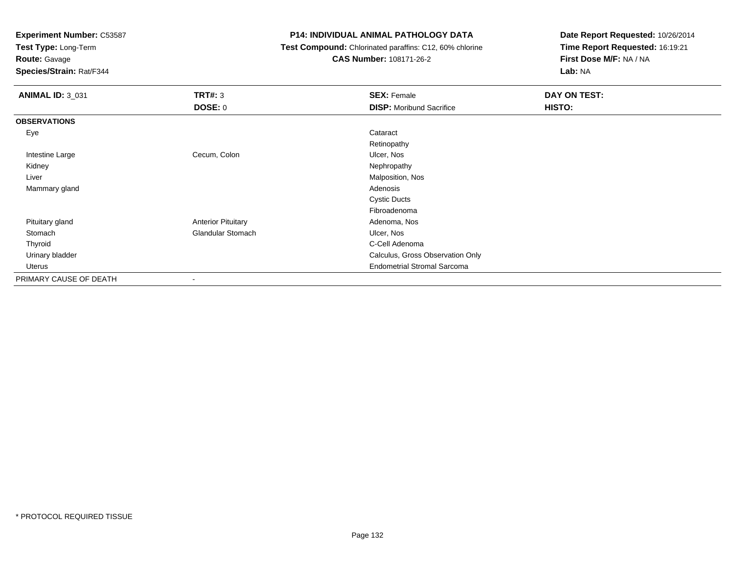**Test Type:** Long-Term

**Route:** Gavage

**Species/Strain:** Rat/F344

### **P14: INDIVIDUAL ANIMAL PATHOLOGY DATA**

**Test Compound:** Chlorinated paraffins: C12, 60% chlorine

**CAS Number:** 108171-26-2

| <b>ANIMAL ID: 3_031</b> | <b>TRT#: 3</b>            | <b>SEX: Female</b>                 | <b>DAY ON TEST:</b> |
|-------------------------|---------------------------|------------------------------------|---------------------|
|                         | <b>DOSE: 0</b>            | <b>DISP:</b> Moribund Sacrifice    | HISTO:              |
| <b>OBSERVATIONS</b>     |                           |                                    |                     |
| Eye                     |                           | Cataract                           |                     |
|                         |                           | Retinopathy                        |                     |
| Intestine Large         | Cecum, Colon              | Ulcer, Nos                         |                     |
| Kidney                  |                           | Nephropathy                        |                     |
| Liver                   |                           | Malposition, Nos                   |                     |
| Mammary gland           |                           | Adenosis                           |                     |
|                         |                           | <b>Cystic Ducts</b>                |                     |
|                         |                           | Fibroadenoma                       |                     |
| Pituitary gland         | <b>Anterior Pituitary</b> | Adenoma, Nos                       |                     |
| Stomach                 | <b>Glandular Stomach</b>  | Ulcer, Nos                         |                     |
| Thyroid                 |                           | C-Cell Adenoma                     |                     |
| Urinary bladder         |                           | Calculus, Gross Observation Only   |                     |
| Uterus                  |                           | <b>Endometrial Stromal Sarcoma</b> |                     |
| PRIMARY CAUSE OF DEATH  | $\overline{\phantom{a}}$  |                                    |                     |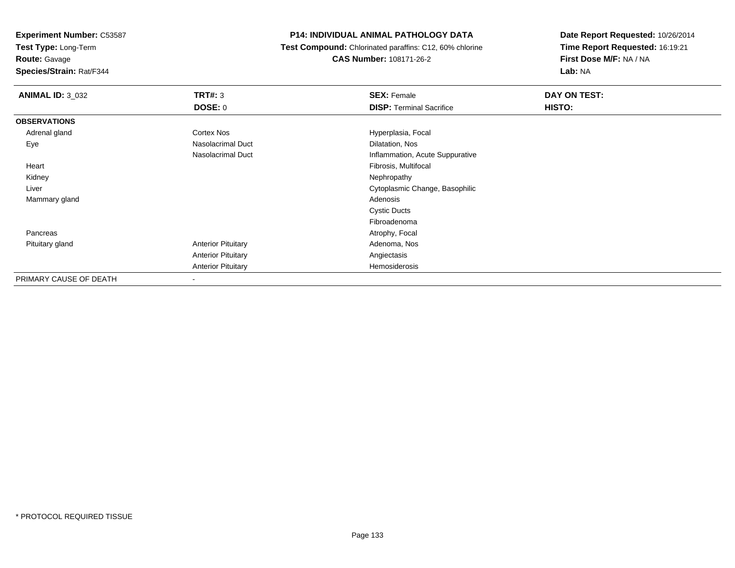**Test Type:** Long-Term

**Route:** Gavage

**Species/Strain:** Rat/F344

### **P14: INDIVIDUAL ANIMAL PATHOLOGY DATA**

 **Test Compound:** Chlorinated paraffins: C12, 60% chlorine**CAS Number:** 108171-26-2

| <b>ANIMAL ID: 3_032</b> | TRT#: 3                   | <b>SEX: Female</b>              | DAY ON TEST: |  |
|-------------------------|---------------------------|---------------------------------|--------------|--|
|                         | <b>DOSE: 0</b>            | <b>DISP: Terminal Sacrifice</b> | HISTO:       |  |
| <b>OBSERVATIONS</b>     |                           |                                 |              |  |
| Adrenal gland           | Cortex Nos                | Hyperplasia, Focal              |              |  |
| Eye                     | Nasolacrimal Duct         | Dilatation, Nos                 |              |  |
|                         | Nasolacrimal Duct         | Inflammation, Acute Suppurative |              |  |
| Heart                   |                           | Fibrosis, Multifocal            |              |  |
| Kidney                  |                           | Nephropathy                     |              |  |
| Liver                   |                           | Cytoplasmic Change, Basophilic  |              |  |
| Mammary gland           |                           | Adenosis                        |              |  |
|                         |                           | <b>Cystic Ducts</b>             |              |  |
|                         |                           | Fibroadenoma                    |              |  |
| Pancreas                |                           | Atrophy, Focal                  |              |  |
| Pituitary gland         | <b>Anterior Pituitary</b> | Adenoma, Nos                    |              |  |
|                         | <b>Anterior Pituitary</b> | Angiectasis                     |              |  |
|                         | <b>Anterior Pituitary</b> | Hemosiderosis                   |              |  |
| PRIMARY CAUSE OF DEATH  |                           |                                 |              |  |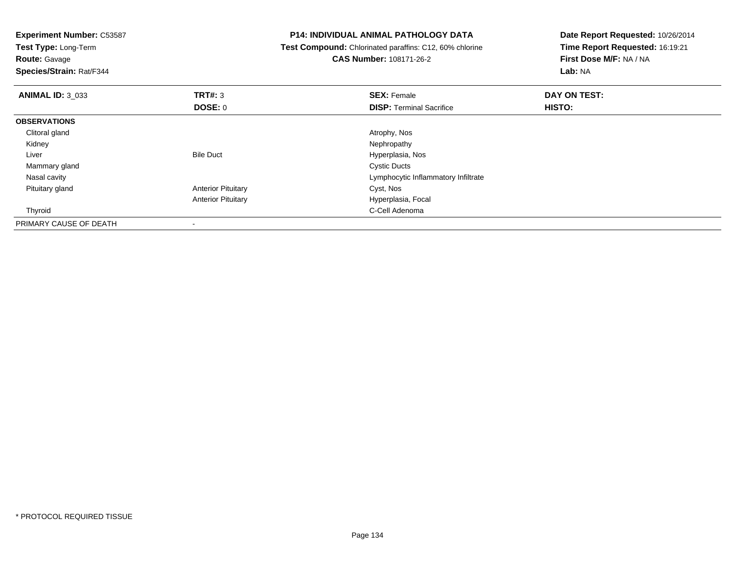**Experiment Number:** C53587**Test Type:** Long-Term**Route:** Gavage **Species/Strain:** Rat/F344**P14: INDIVIDUAL ANIMAL PATHOLOGY DATA Test Compound:** Chlorinated paraffins: C12, 60% chlorine**CAS Number:** 108171-26-2**Date Report Requested:** 10/26/2014**Time Report Requested:** 16:19:21**First Dose M/F:** NA / NA**Lab:** NA**ANIMAL ID:** 3\_033**TRT#:** 3 **SEX:** Female **DAY ON TEST: DOSE:** 0**DISP:** Terminal Sacrifice **HISTO: OBSERVATIONS** Clitoral glandd and the control of the control of the control of the control of the control of the control of the control of the control of the control of the control of the control of the control of the control of the control of the co Kidneyy the control of the control of the control of the control of the control of the control of the control of the control of the control of the control of the control of the control of the control of the control of the contro LiverBile Duct **Hyperplasia**, Nos Mammary glandd Cystic Ducts Nasal cavity Lymphocytic Inflammatory Infiltrate Pituitary glandAnterior Pituitary **Cyst, Nos** Anterior Pituitary Hyperplasia, Focal Thyroid C-Cell Adenoma PRIMARY CAUSE OF DEATH-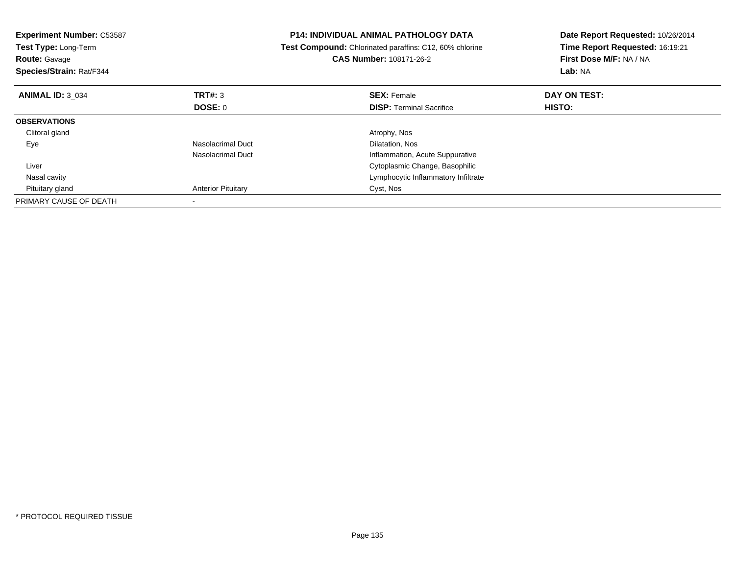| <b>Experiment Number: C53587</b><br>Test Type: Long-Term<br><b>Route: Gavage</b><br>Species/Strain: Rat/F344 |                           | <b>P14: INDIVIDUAL ANIMAL PATHOLOGY DATA</b><br><b>Test Compound:</b> Chlorinated paraffins: C12, 60% chlorine<br><b>CAS Number: 108171-26-2</b> | Date Report Requested: 10/26/2014<br>Time Report Requested: 16:19:21<br>First Dose M/F: NA / NA<br>Lab: NA |
|--------------------------------------------------------------------------------------------------------------|---------------------------|--------------------------------------------------------------------------------------------------------------------------------------------------|------------------------------------------------------------------------------------------------------------|
| <b>ANIMAL ID: 3 034</b>                                                                                      | <b>TRT#: 3</b>            | <b>SEX: Female</b>                                                                                                                               | DAY ON TEST:                                                                                               |
|                                                                                                              | <b>DOSE: 0</b>            | <b>DISP:</b> Terminal Sacrifice                                                                                                                  | HISTO:                                                                                                     |
| <b>OBSERVATIONS</b>                                                                                          |                           |                                                                                                                                                  |                                                                                                            |
| Clitoral gland                                                                                               |                           | Atrophy, Nos                                                                                                                                     |                                                                                                            |
| Eye                                                                                                          | Nasolacrimal Duct         | Dilatation, Nos                                                                                                                                  |                                                                                                            |
|                                                                                                              | Nasolacrimal Duct         | Inflammation, Acute Suppurative                                                                                                                  |                                                                                                            |
| Liver                                                                                                        |                           | Cytoplasmic Change, Basophilic                                                                                                                   |                                                                                                            |
| Nasal cavity                                                                                                 |                           | Lymphocytic Inflammatory Infiltrate                                                                                                              |                                                                                                            |
| Pituitary gland                                                                                              | <b>Anterior Pituitary</b> | Cyst, Nos                                                                                                                                        |                                                                                                            |
| PRIMARY CAUSE OF DEATH                                                                                       |                           |                                                                                                                                                  |                                                                                                            |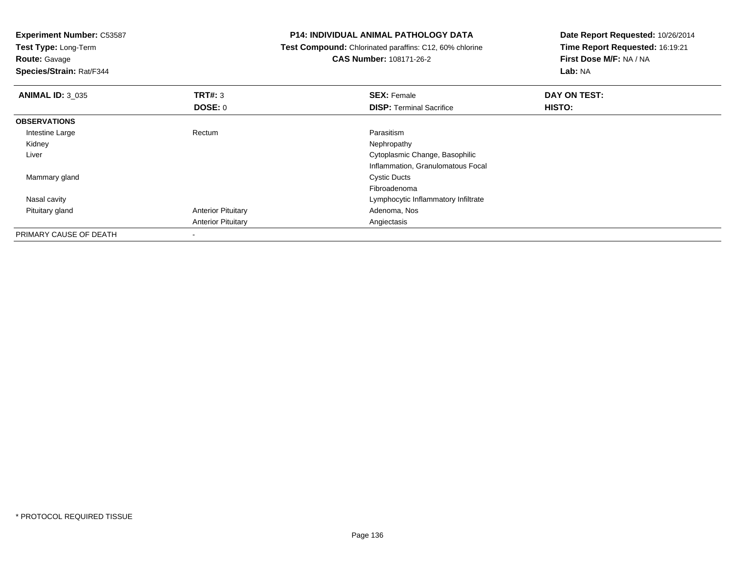| <b>Experiment Number: C53587</b><br><b>Test Type: Long-Term</b> |                           | <b>P14: INDIVIDUAL ANIMAL PATHOLOGY DATA</b>                   | Date Report Requested: 10/26/2014<br>Time Report Requested: 16:19:21 |  |
|-----------------------------------------------------------------|---------------------------|----------------------------------------------------------------|----------------------------------------------------------------------|--|
|                                                                 |                           | <b>Test Compound:</b> Chlorinated paraffins: C12, 60% chlorine |                                                                      |  |
| <b>Route: Gavage</b>                                            |                           | <b>CAS Number: 108171-26-2</b>                                 | First Dose M/F: NA / NA                                              |  |
| <b>Species/Strain: Rat/F344</b>                                 |                           |                                                                | Lab: NA                                                              |  |
| <b>ANIMAL ID: 3_035</b>                                         | <b>TRT#: 3</b>            | <b>SEX: Female</b>                                             | DAY ON TEST:                                                         |  |
|                                                                 | <b>DOSE: 0</b>            | <b>DISP:</b> Terminal Sacrifice                                | <b>HISTO:</b>                                                        |  |
| <b>OBSERVATIONS</b>                                             |                           |                                                                |                                                                      |  |
| Intestine Large                                                 | Rectum                    | Parasitism                                                     |                                                                      |  |
| Kidney                                                          |                           | Nephropathy                                                    |                                                                      |  |
| Liver                                                           |                           | Cytoplasmic Change, Basophilic                                 |                                                                      |  |
|                                                                 |                           | Inflammation, Granulomatous Focal                              |                                                                      |  |
| Mammary gland                                                   |                           | <b>Cystic Ducts</b>                                            |                                                                      |  |
|                                                                 |                           | Fibroadenoma                                                   |                                                                      |  |
| Nasal cavity                                                    |                           | Lymphocytic Inflammatory Infiltrate                            |                                                                      |  |
| Pituitary gland                                                 | <b>Anterior Pituitary</b> | Adenoma, Nos                                                   |                                                                      |  |
|                                                                 | <b>Anterior Pituitary</b> | Angiectasis                                                    |                                                                      |  |
| PRIMARY CAUSE OF DEATH                                          | $\,$                      |                                                                |                                                                      |  |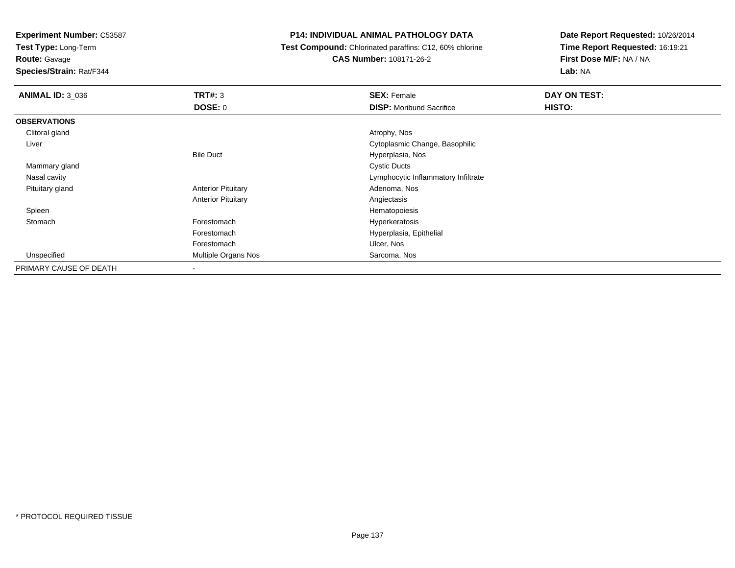**Test Type:** Long-Term

**Route:** Gavage

**Species/Strain:** Rat/F344

### **P14: INDIVIDUAL ANIMAL PATHOLOGY DATA**

 **Test Compound:** Chlorinated paraffins: C12, 60% chlorine**CAS Number:** 108171-26-2

| <b>ANIMAL ID: 3_036</b> | TRT#: 3                   | <b>SEX: Female</b>                  | DAY ON TEST: |  |
|-------------------------|---------------------------|-------------------------------------|--------------|--|
|                         | <b>DOSE: 0</b>            | <b>DISP:</b> Moribund Sacrifice     | HISTO:       |  |
| <b>OBSERVATIONS</b>     |                           |                                     |              |  |
| Clitoral gland          |                           | Atrophy, Nos                        |              |  |
| Liver                   |                           | Cytoplasmic Change, Basophilic      |              |  |
|                         | <b>Bile Duct</b>          | Hyperplasia, Nos                    |              |  |
| Mammary gland           |                           | <b>Cystic Ducts</b>                 |              |  |
| Nasal cavity            |                           | Lymphocytic Inflammatory Infiltrate |              |  |
| Pituitary gland         | <b>Anterior Pituitary</b> | Adenoma, Nos                        |              |  |
|                         | <b>Anterior Pituitary</b> | Angiectasis                         |              |  |
| Spleen                  |                           | Hematopoiesis                       |              |  |
| Stomach                 | Forestomach               | Hyperkeratosis                      |              |  |
|                         | Forestomach               | Hyperplasia, Epithelial             |              |  |
|                         | Forestomach               | Ulcer, Nos                          |              |  |
| Unspecified             | Multiple Organs Nos       | Sarcoma, Nos                        |              |  |
| PRIMARY CAUSE OF DEATH  |                           |                                     |              |  |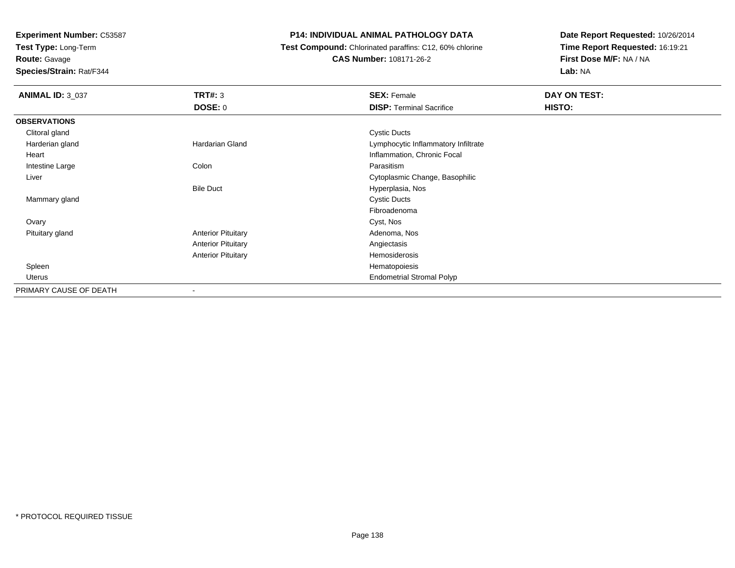**Test Type:** Long-Term

**Route:** Gavage

**Species/Strain:** Rat/F344

# **P14: INDIVIDUAL ANIMAL PATHOLOGY DATA**

 **Test Compound:** Chlorinated paraffins: C12, 60% chlorine**CAS Number:** 108171-26-2

| <b>ANIMAL ID: 3_037</b> | <b>TRT#: 3</b>            | <b>SEX: Female</b>                  | <b>DAY ON TEST:</b> |  |
|-------------------------|---------------------------|-------------------------------------|---------------------|--|
|                         | DOSE: 0                   | <b>DISP: Terminal Sacrifice</b>     | HISTO:              |  |
| <b>OBSERVATIONS</b>     |                           |                                     |                     |  |
| Clitoral gland          |                           | <b>Cystic Ducts</b>                 |                     |  |
| Harderian gland         | <b>Hardarian Gland</b>    | Lymphocytic Inflammatory Infiltrate |                     |  |
| Heart                   |                           | Inflammation, Chronic Focal         |                     |  |
| Intestine Large         | Colon                     | Parasitism                          |                     |  |
| Liver                   |                           | Cytoplasmic Change, Basophilic      |                     |  |
|                         | <b>Bile Duct</b>          | Hyperplasia, Nos                    |                     |  |
| Mammary gland           |                           | <b>Cystic Ducts</b>                 |                     |  |
|                         |                           | Fibroadenoma                        |                     |  |
| Ovary                   |                           | Cyst, Nos                           |                     |  |
| Pituitary gland         | <b>Anterior Pituitary</b> | Adenoma, Nos                        |                     |  |
|                         | <b>Anterior Pituitary</b> | Angiectasis                         |                     |  |
|                         | <b>Anterior Pituitary</b> | Hemosiderosis                       |                     |  |
| Spleen                  |                           | Hematopoiesis                       |                     |  |
| <b>Uterus</b>           |                           | <b>Endometrial Stromal Polyp</b>    |                     |  |
| PRIMARY CAUSE OF DEATH  | $\overline{\phantom{a}}$  |                                     |                     |  |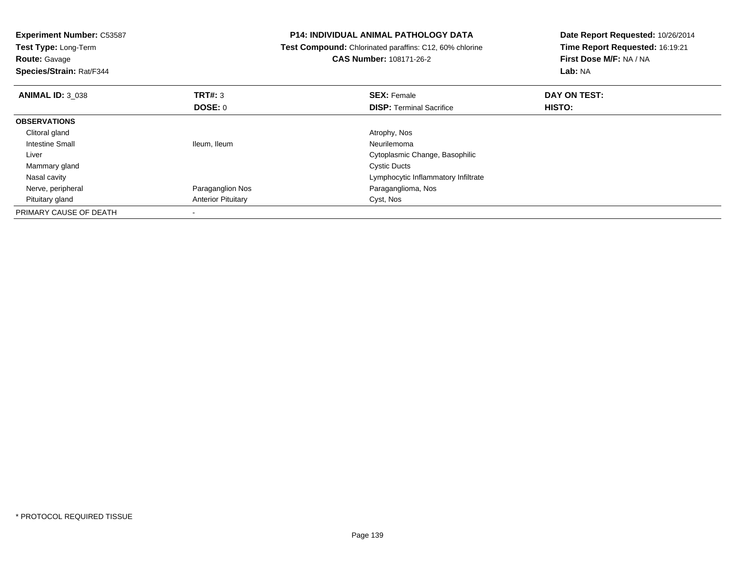| <b>Experiment Number: C53587</b><br>Test Type: Long-Term<br><b>Route: Gavage</b><br>Species/Strain: Rat/F344 |                           | <b>P14: INDIVIDUAL ANIMAL PATHOLOGY DATA</b><br>Test Compound: Chlorinated paraffins: C12, 60% chlorine<br><b>CAS Number: 108171-26-2</b> | Date Report Requested: 10/26/2014<br>Time Report Requested: 16:19:21<br>First Dose M/F: NA / NA<br>Lab: NA |
|--------------------------------------------------------------------------------------------------------------|---------------------------|-------------------------------------------------------------------------------------------------------------------------------------------|------------------------------------------------------------------------------------------------------------|
| <b>ANIMAL ID: 3 038</b>                                                                                      | <b>TRT#: 3</b>            | <b>SEX: Female</b>                                                                                                                        | DAY ON TEST:                                                                                               |
|                                                                                                              | DOSE: 0                   | <b>DISP:</b> Terminal Sacrifice                                                                                                           | <b>HISTO:</b>                                                                                              |
| <b>OBSERVATIONS</b>                                                                                          |                           |                                                                                                                                           |                                                                                                            |
| Clitoral gland                                                                                               |                           | Atrophy, Nos                                                                                                                              |                                                                                                            |
| Intestine Small                                                                                              | Ileum, Ileum              | Neurilemoma                                                                                                                               |                                                                                                            |
| Liver                                                                                                        |                           | Cytoplasmic Change, Basophilic                                                                                                            |                                                                                                            |
| Mammary gland                                                                                                |                           | <b>Cystic Ducts</b>                                                                                                                       |                                                                                                            |
| Nasal cavity                                                                                                 |                           | Lymphocytic Inflammatory Infiltrate                                                                                                       |                                                                                                            |
| Nerve, peripheral                                                                                            | Paraganglion Nos          | Paraganglioma, Nos                                                                                                                        |                                                                                                            |
| Pituitary gland                                                                                              | <b>Anterior Pituitary</b> | Cyst, Nos                                                                                                                                 |                                                                                                            |
| PRIMARY CAUSE OF DEATH                                                                                       |                           |                                                                                                                                           |                                                                                                            |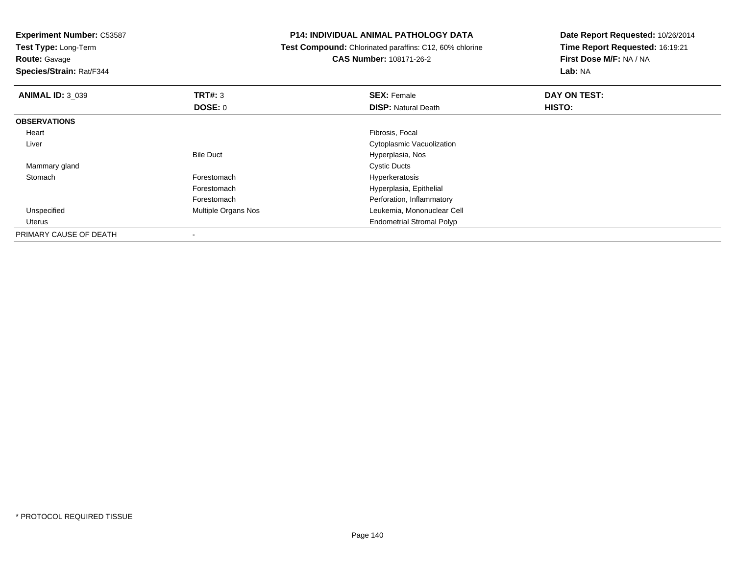**Experiment Number:** C53587**Test Type:** Long-Term**Route:** Gavage **Species/Strain:** Rat/F344**P14: INDIVIDUAL ANIMAL PATHOLOGY DATA Test Compound:** Chlorinated paraffins: C12, 60% chlorine**CAS Number:** 108171-26-2**Date Report Requested:** 10/26/2014**Time Report Requested:** 16:19:21**First Dose M/F:** NA / NA**Lab:** NA**ANIMAL ID: 3 039 TRT#:** 3 **SEX:** Female **DAY ON TEST: DOSE:** 0**DISP:** Natural Death **HISTO: OBSERVATIONS** Heart Fibrosis, Focal Liver Cytoplasmic VacuolizationBile Duct Hyperplasia, Nos Mammary glandd Cystic Ducts **Stomach** Forestomach **Hyperkeratosis** Forestomach Hyperplasia, Epithelial ForestomachForestomach **Forestomach** Perforation, Inflammatory<br>
Multiple Organs Nos **Forest Contract Contract Channel Contract Channel Channel Channel Channel Channel Channel C**  UnspecifiedLeukemia, Mononuclear Cell Uterus Endometrial Stromal PolypPRIMARY CAUSE OF DEATH

\* PROTOCOL REQUIRED TISSUE

-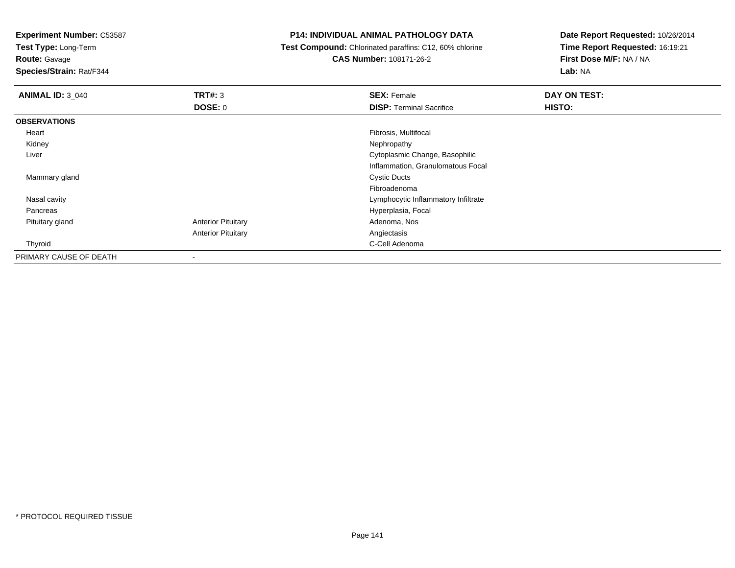**Test Type:** Long-Term

**Route:** Gavage

**Species/Strain:** Rat/F344

#### **P14: INDIVIDUAL ANIMAL PATHOLOGY DATA**

 **Test Compound:** Chlorinated paraffins: C12, 60% chlorine**CAS Number:** 108171-26-2

| <b>ANIMAL ID: 3_040</b> | TRT#: 3                   | <b>SEX: Female</b>                  | DAY ON TEST: |  |
|-------------------------|---------------------------|-------------------------------------|--------------|--|
|                         | <b>DOSE: 0</b>            | <b>DISP: Terminal Sacrifice</b>     | HISTO:       |  |
| <b>OBSERVATIONS</b>     |                           |                                     |              |  |
| Heart                   |                           | Fibrosis, Multifocal                |              |  |
| Kidney                  |                           | Nephropathy                         |              |  |
| Liver                   |                           | Cytoplasmic Change, Basophilic      |              |  |
|                         |                           | Inflammation, Granulomatous Focal   |              |  |
| Mammary gland           |                           | <b>Cystic Ducts</b>                 |              |  |
|                         |                           | Fibroadenoma                        |              |  |
| Nasal cavity            |                           | Lymphocytic Inflammatory Infiltrate |              |  |
| Pancreas                |                           | Hyperplasia, Focal                  |              |  |
| Pituitary gland         | <b>Anterior Pituitary</b> | Adenoma, Nos                        |              |  |
|                         | <b>Anterior Pituitary</b> | Angiectasis                         |              |  |
| Thyroid                 |                           | C-Cell Adenoma                      |              |  |
| PRIMARY CAUSE OF DEATH  | $\overline{\phantom{a}}$  |                                     |              |  |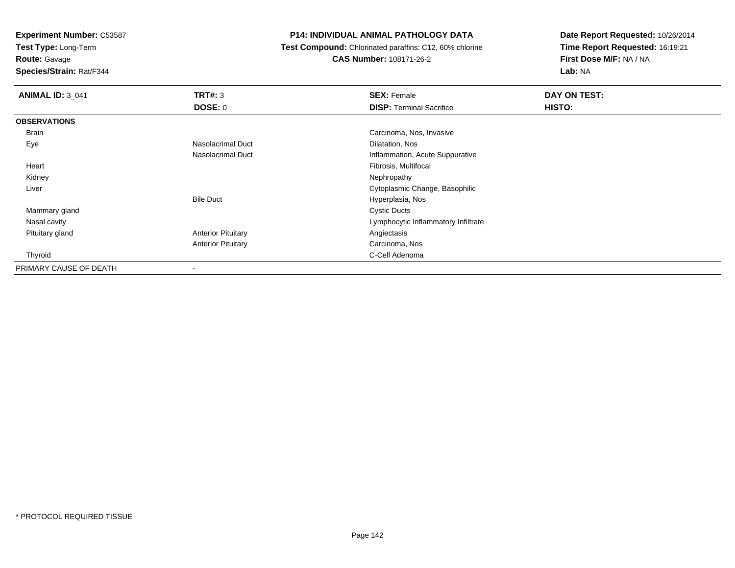**Test Type:** Long-Term

**Route:** Gavage

**Species/Strain:** Rat/F344

# **P14: INDIVIDUAL ANIMAL PATHOLOGY DATA**

 **Test Compound:** Chlorinated paraffins: C12, 60% chlorine**CAS Number:** 108171-26-2

| <b>ANIMAL ID: 3_041</b> | TRT#: 3                   | <b>SEX: Female</b>                  | DAY ON TEST: |  |
|-------------------------|---------------------------|-------------------------------------|--------------|--|
|                         | DOSE: 0                   | <b>DISP: Terminal Sacrifice</b>     | HISTO:       |  |
| <b>OBSERVATIONS</b>     |                           |                                     |              |  |
| Brain                   |                           | Carcinoma, Nos, Invasive            |              |  |
| Eye                     | <b>Nasolacrimal Duct</b>  | Dilatation, Nos                     |              |  |
|                         | <b>Nasolacrimal Duct</b>  | Inflammation, Acute Suppurative     |              |  |
| Heart                   |                           | Fibrosis, Multifocal                |              |  |
| Kidney                  |                           | Nephropathy                         |              |  |
| Liver                   |                           | Cytoplasmic Change, Basophilic      |              |  |
|                         | <b>Bile Duct</b>          | Hyperplasia, Nos                    |              |  |
| Mammary gland           |                           | <b>Cystic Ducts</b>                 |              |  |
| Nasal cavity            |                           | Lymphocytic Inflammatory Infiltrate |              |  |
| Pituitary gland         | <b>Anterior Pituitary</b> | Angiectasis                         |              |  |
|                         | <b>Anterior Pituitary</b> | Carcinoma, Nos                      |              |  |
| Thyroid                 |                           | C-Cell Adenoma                      |              |  |
| PRIMARY CAUSE OF DEATH  |                           |                                     |              |  |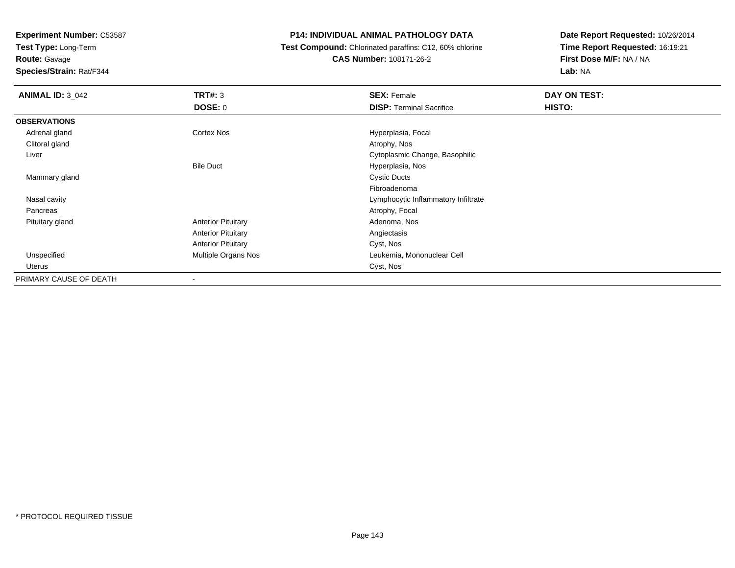**Test Type:** Long-Term

**Route:** Gavage

**Species/Strain:** Rat/F344

#### **P14: INDIVIDUAL ANIMAL PATHOLOGY DATA**

 **Test Compound:** Chlorinated paraffins: C12, 60% chlorine**CAS Number:** 108171-26-2

| <b>ANIMAL ID: 3_042</b> | <b>TRT#: 3</b>            | <b>SEX: Female</b>                  | DAY ON TEST: |  |
|-------------------------|---------------------------|-------------------------------------|--------------|--|
|                         | DOSE: 0                   | <b>DISP: Terminal Sacrifice</b>     | HISTO:       |  |
| <b>OBSERVATIONS</b>     |                           |                                     |              |  |
| Adrenal gland           | Cortex Nos                | Hyperplasia, Focal                  |              |  |
| Clitoral gland          |                           | Atrophy, Nos                        |              |  |
| Liver                   |                           | Cytoplasmic Change, Basophilic      |              |  |
|                         | <b>Bile Duct</b>          | Hyperplasia, Nos                    |              |  |
| Mammary gland           |                           | <b>Cystic Ducts</b>                 |              |  |
|                         |                           | Fibroadenoma                        |              |  |
| Nasal cavity            |                           | Lymphocytic Inflammatory Infiltrate |              |  |
| Pancreas                |                           | Atrophy, Focal                      |              |  |
| Pituitary gland         | <b>Anterior Pituitary</b> | Adenoma, Nos                        |              |  |
|                         | <b>Anterior Pituitary</b> | Angiectasis                         |              |  |
|                         | <b>Anterior Pituitary</b> | Cyst, Nos                           |              |  |
| Unspecified             | Multiple Organs Nos       | Leukemia, Mononuclear Cell          |              |  |
| Uterus                  |                           | Cyst, Nos                           |              |  |
| PRIMARY CAUSE OF DEATH  | $\overline{\phantom{a}}$  |                                     |              |  |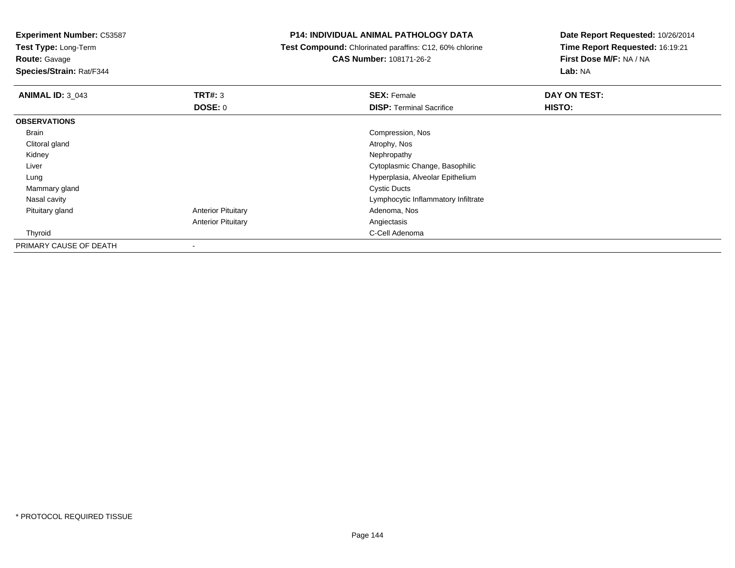**Test Type:** Long-Term

**Route:** Gavage

**Species/Strain:** Rat/F344

#### **P14: INDIVIDUAL ANIMAL PATHOLOGY DATA**

 **Test Compound:** Chlorinated paraffins: C12, 60% chlorine**CAS Number:** 108171-26-2

| <b>ANIMAL ID: 3_043</b> | TRT#: 3                   | <b>SEX: Female</b>                  | DAY ON TEST:  |  |
|-------------------------|---------------------------|-------------------------------------|---------------|--|
|                         | DOSE: 0                   | <b>DISP: Terminal Sacrifice</b>     | <b>HISTO:</b> |  |
| <b>OBSERVATIONS</b>     |                           |                                     |               |  |
| Brain                   |                           | Compression, Nos                    |               |  |
| Clitoral gland          |                           | Atrophy, Nos                        |               |  |
| Kidney                  |                           | Nephropathy                         |               |  |
| Liver                   |                           | Cytoplasmic Change, Basophilic      |               |  |
| Lung                    |                           | Hyperplasia, Alveolar Epithelium    |               |  |
| Mammary gland           |                           | <b>Cystic Ducts</b>                 |               |  |
| Nasal cavity            |                           | Lymphocytic Inflammatory Infiltrate |               |  |
| Pituitary gland         | <b>Anterior Pituitary</b> | Adenoma, Nos                        |               |  |
|                         | <b>Anterior Pituitary</b> | Angiectasis                         |               |  |
| Thyroid                 |                           | C-Cell Adenoma                      |               |  |
| PRIMARY CAUSE OF DEATH  | $\overline{\phantom{a}}$  |                                     |               |  |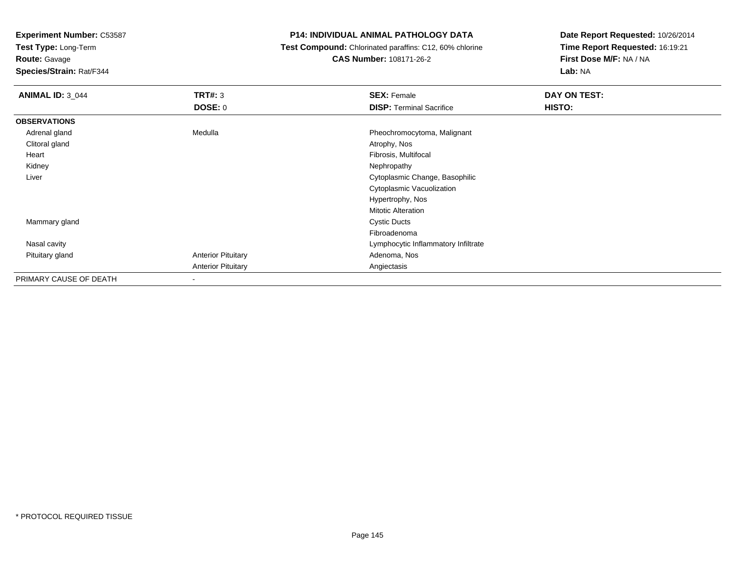**Test Type:** Long-Term

**Route:** Gavage

**Species/Strain:** Rat/F344

#### **P14: INDIVIDUAL ANIMAL PATHOLOGY DATA**

 **Test Compound:** Chlorinated paraffins: C12, 60% chlorine**CAS Number:** 108171-26-2

**Date Report Requested:** 10/26/2014**Time Report Requested:** 16:19:21**First Dose M/F:** NA / NA**Lab:** NA

| <b>ANIMAL ID: 3_044</b> | TRT#: 3                   | <b>SEX: Female</b>                  | DAY ON TEST: |  |
|-------------------------|---------------------------|-------------------------------------|--------------|--|
|                         | <b>DOSE: 0</b>            | <b>DISP: Terminal Sacrifice</b>     | HISTO:       |  |
| <b>OBSERVATIONS</b>     |                           |                                     |              |  |
| Adrenal gland           | Medulla                   | Pheochromocytoma, Malignant         |              |  |
| Clitoral gland          |                           | Atrophy, Nos                        |              |  |
| Heart                   |                           | Fibrosis, Multifocal                |              |  |
| Kidney                  |                           | Nephropathy                         |              |  |
| Liver                   |                           | Cytoplasmic Change, Basophilic      |              |  |
|                         |                           | Cytoplasmic Vacuolization           |              |  |
|                         |                           | Hypertrophy, Nos                    |              |  |
|                         |                           | <b>Mitotic Alteration</b>           |              |  |
| Mammary gland           |                           | <b>Cystic Ducts</b>                 |              |  |
|                         |                           | Fibroadenoma                        |              |  |
| Nasal cavity            |                           | Lymphocytic Inflammatory Infiltrate |              |  |
| Pituitary gland         | <b>Anterior Pituitary</b> | Adenoma, Nos                        |              |  |
|                         | <b>Anterior Pituitary</b> | Angiectasis                         |              |  |
| PRIMARY CAUSE OF DEATH  |                           |                                     |              |  |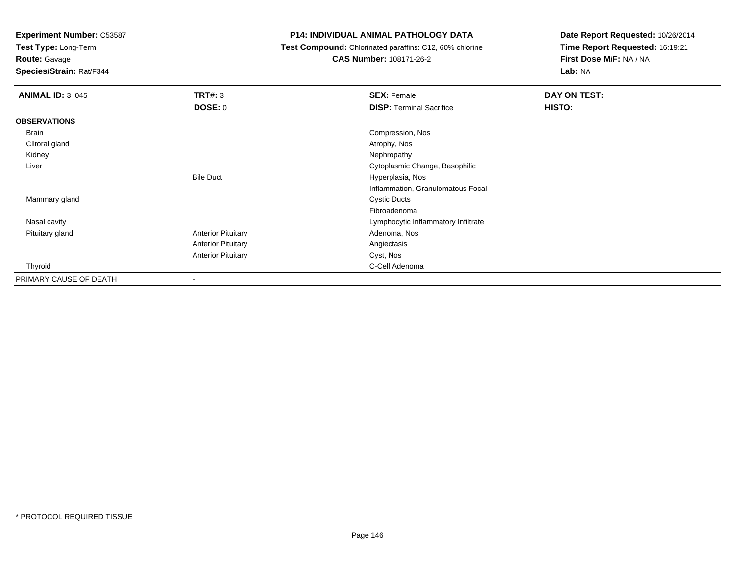**Test Type:** Long-Term

# **Route:** Gavage

**Species/Strain:** Rat/F344

### **P14: INDIVIDUAL ANIMAL PATHOLOGY DATA**

 **Test Compound:** Chlorinated paraffins: C12, 60% chlorine**CAS Number:** 108171-26-2

**Date Report Requested:** 10/26/2014**Time Report Requested:** 16:19:21**First Dose M/F:** NA / NA**Lab:** NA

| <b>ANIMAL ID: 3_045</b> | <b>TRT#: 3</b>            | <b>SEX: Female</b>                  | DAY ON TEST: |  |
|-------------------------|---------------------------|-------------------------------------|--------------|--|
|                         | DOSE: 0                   | <b>DISP: Terminal Sacrifice</b>     | HISTO:       |  |
| <b>OBSERVATIONS</b>     |                           |                                     |              |  |
| Brain                   |                           | Compression, Nos                    |              |  |
| Clitoral gland          |                           | Atrophy, Nos                        |              |  |
| Kidney                  |                           | Nephropathy                         |              |  |
| Liver                   |                           | Cytoplasmic Change, Basophilic      |              |  |
|                         | <b>Bile Duct</b>          | Hyperplasia, Nos                    |              |  |
|                         |                           | Inflammation, Granulomatous Focal   |              |  |
| Mammary gland           |                           | <b>Cystic Ducts</b>                 |              |  |
|                         |                           | Fibroadenoma                        |              |  |
| Nasal cavity            |                           | Lymphocytic Inflammatory Infiltrate |              |  |
| Pituitary gland         | <b>Anterior Pituitary</b> | Adenoma, Nos                        |              |  |
|                         | <b>Anterior Pituitary</b> | Angiectasis                         |              |  |
|                         | <b>Anterior Pituitary</b> | Cyst, Nos                           |              |  |
| Thyroid                 |                           | C-Cell Adenoma                      |              |  |
| PRIMARY CAUSE OF DEATH  | $\overline{\phantom{a}}$  |                                     |              |  |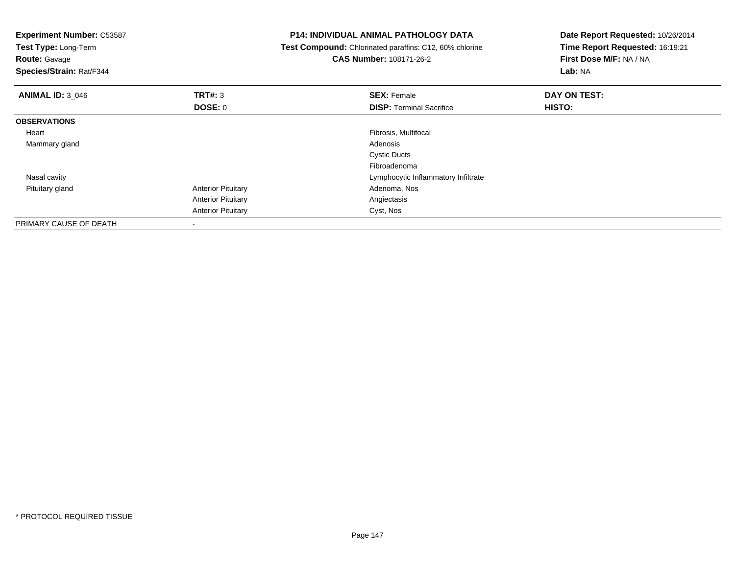| <b>Experiment Number: C53587</b><br>Test Type: Long-Term<br><b>Route: Gavage</b><br>Species/Strain: Rat/F344 |                           | <b>P14: INDIVIDUAL ANIMAL PATHOLOGY DATA</b><br>Test Compound: Chlorinated paraffins: C12, 60% chlorine<br>CAS Number: 108171-26-2 | Date Report Requested: 10/26/2014<br>Time Report Requested: 16:19:21<br>First Dose M/F: NA / NA<br>Lab: NA |  |
|--------------------------------------------------------------------------------------------------------------|---------------------------|------------------------------------------------------------------------------------------------------------------------------------|------------------------------------------------------------------------------------------------------------|--|
| <b>ANIMAL ID: 3 046</b>                                                                                      | TRT#: 3                   | <b>SEX: Female</b>                                                                                                                 | DAY ON TEST:                                                                                               |  |
|                                                                                                              | DOSE: 0                   | <b>DISP:</b> Terminal Sacrifice                                                                                                    | HISTO:                                                                                                     |  |
| <b>OBSERVATIONS</b>                                                                                          |                           |                                                                                                                                    |                                                                                                            |  |
| Heart                                                                                                        |                           | Fibrosis, Multifocal                                                                                                               |                                                                                                            |  |
| Mammary gland                                                                                                |                           | Adenosis                                                                                                                           |                                                                                                            |  |
|                                                                                                              |                           | <b>Cystic Ducts</b>                                                                                                                |                                                                                                            |  |
|                                                                                                              |                           | Fibroadenoma                                                                                                                       |                                                                                                            |  |
| Nasal cavity                                                                                                 |                           | Lymphocytic Inflammatory Infiltrate                                                                                                |                                                                                                            |  |
| Pituitary gland                                                                                              | <b>Anterior Pituitary</b> | Adenoma, Nos                                                                                                                       |                                                                                                            |  |
|                                                                                                              | <b>Anterior Pituitary</b> | Angiectasis                                                                                                                        |                                                                                                            |  |
|                                                                                                              | <b>Anterior Pituitary</b> | Cyst, Nos                                                                                                                          |                                                                                                            |  |
| PRIMARY CAUSE OF DEATH                                                                                       |                           |                                                                                                                                    |                                                                                                            |  |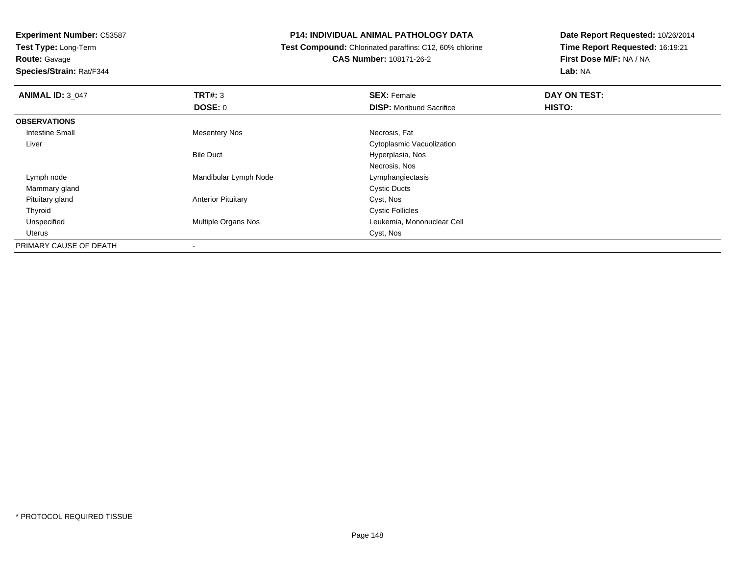**Test Type:** Long-Term

**Route:** Gavage

**Species/Strain:** Rat/F344

## **P14: INDIVIDUAL ANIMAL PATHOLOGY DATA**

 **Test Compound:** Chlorinated paraffins: C12, 60% chlorine**CAS Number:** 108171-26-2

**Date Report Requested:** 10/26/2014**Time Report Requested:** 16:19:21**First Dose M/F:** NA / NA**Lab:** NA

| <b>ANIMAL ID: 3_047</b> | TRT#: 3                   | <b>SEX: Female</b>              | DAY ON TEST: |  |
|-------------------------|---------------------------|---------------------------------|--------------|--|
|                         | DOSE: 0                   | <b>DISP:</b> Moribund Sacrifice | HISTO:       |  |
| <b>OBSERVATIONS</b>     |                           |                                 |              |  |
| Intestine Small         | <b>Mesentery Nos</b>      | Necrosis, Fat                   |              |  |
| Liver                   |                           | Cytoplasmic Vacuolization       |              |  |
|                         | <b>Bile Duct</b>          | Hyperplasia, Nos                |              |  |
|                         |                           | Necrosis, Nos                   |              |  |
| Lymph node              | Mandibular Lymph Node     | Lymphangiectasis                |              |  |
| Mammary gland           |                           | <b>Cystic Ducts</b>             |              |  |
| Pituitary gland         | <b>Anterior Pituitary</b> | Cyst, Nos                       |              |  |
| Thyroid                 |                           | <b>Cystic Follicles</b>         |              |  |
| Unspecified             | Multiple Organs Nos       | Leukemia, Mononuclear Cell      |              |  |
| Uterus                  |                           | Cyst, Nos                       |              |  |
| PRIMARY CAUSE OF DEATH  |                           |                                 |              |  |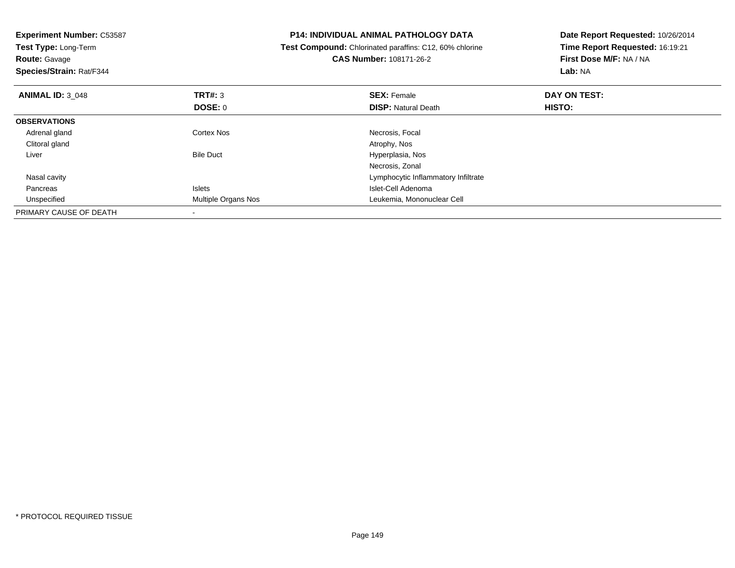| <b>Experiment Number: C53587</b><br>Test Type: Long-Term<br><b>Route: Gavage</b><br>Species/Strain: Rat/F344 |                     | <b>P14: INDIVIDUAL ANIMAL PATHOLOGY DATA</b><br><b>Test Compound:</b> Chlorinated paraffins: C12, 60% chlorine | Date Report Requested: 10/26/2014<br>Time Report Requested: 16:19:21<br>First Dose M/F: NA / NA<br>Lab: NA |  |
|--------------------------------------------------------------------------------------------------------------|---------------------|----------------------------------------------------------------------------------------------------------------|------------------------------------------------------------------------------------------------------------|--|
|                                                                                                              |                     | <b>CAS Number: 108171-26-2</b>                                                                                 |                                                                                                            |  |
| <b>ANIMAL ID: 3 048</b>                                                                                      | <b>TRT#:</b> 3      | <b>SEX: Female</b>                                                                                             | DAY ON TEST:                                                                                               |  |
|                                                                                                              | <b>DOSE: 0</b>      | <b>DISP:</b> Natural Death                                                                                     | HISTO:                                                                                                     |  |
| <b>OBSERVATIONS</b>                                                                                          |                     |                                                                                                                |                                                                                                            |  |
| Adrenal gland                                                                                                | Cortex Nos          | Necrosis, Focal                                                                                                |                                                                                                            |  |
| Clitoral gland                                                                                               |                     | Atrophy, Nos                                                                                                   |                                                                                                            |  |
| Liver                                                                                                        | <b>Bile Duct</b>    | Hyperplasia, Nos                                                                                               |                                                                                                            |  |
|                                                                                                              |                     | Necrosis, Zonal                                                                                                |                                                                                                            |  |
| Nasal cavity                                                                                                 |                     | Lymphocytic Inflammatory Infiltrate                                                                            |                                                                                                            |  |
| Pancreas                                                                                                     | <b>Islets</b>       | Islet-Cell Adenoma                                                                                             |                                                                                                            |  |
| Unspecified                                                                                                  | Multiple Organs Nos | Leukemia, Mononuclear Cell                                                                                     |                                                                                                            |  |
| PRIMARY CAUSE OF DEATH                                                                                       |                     |                                                                                                                |                                                                                                            |  |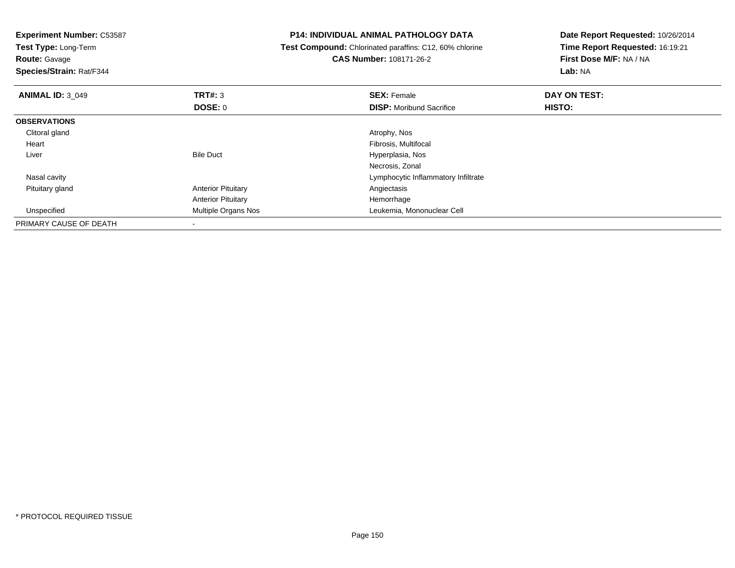**Experiment Number:** C53587**Test Type:** Long-Term**Route:** Gavage **Species/Strain:** Rat/F344**P14: INDIVIDUAL ANIMAL PATHOLOGY DATA Test Compound:** Chlorinated paraffins: C12, 60% chlorine**CAS Number:** 108171-26-2**Date Report Requested:** 10/26/2014**Time Report Requested:** 16:19:21**First Dose M/F:** NA / NA**Lab:** NA**ANIMAL ID:** 3\_049**TRT#:** 3 **SEX:** Female **DAY ON TEST: DOSE:** 0**DISP:** Moribund Sacrifice **HISTO: OBSERVATIONS** Clitoral glandd and the control of the control of the control of the control of the control of the control of the control of the control of the control of the control of the control of the control of the control of the control of the co Heart Fibrosis, Multifocal LiverBile Duct **Hyperplasia**, Nos Necrosis, Zonal Nasal cavity Lymphocytic Inflammatory Infiltrate Pituitary glandAnterior Pituitary **Anterior Pituitary Angiectasis** Anterior Pituitary Hemorrhaged **Multiple Organs Nos Leukemia, Mononuclear Cell**  UnspecifiedPRIMARY CAUSE OF DEATH-